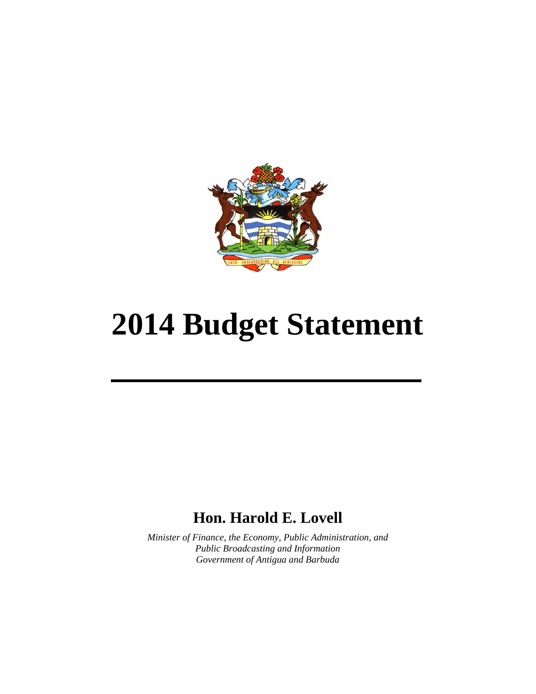

# **2014 Budget Statement**

# **Hon. Harold E. Lovell**

*Minister of Finance, the Economy, Public Administration, and Public Broadcasting and Information Government of Antigua and Barbuda*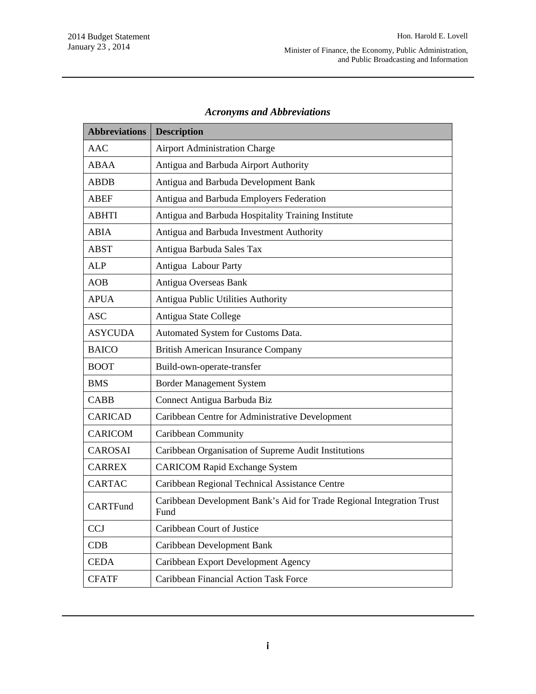| <b>Abbreviations</b> | <b>Description</b>                                                            |
|----------------------|-------------------------------------------------------------------------------|
| <b>AAC</b>           | <b>Airport Administration Charge</b>                                          |
| ABAA                 | Antigua and Barbuda Airport Authority                                         |
| <b>ABDB</b>          | Antigua and Barbuda Development Bank                                          |
| ABEF                 | Antigua and Barbuda Employers Federation                                      |
| <b>ABHTI</b>         | Antigua and Barbuda Hospitality Training Institute                            |
| <b>ABIA</b>          | Antigua and Barbuda Investment Authority                                      |
| <b>ABST</b>          | Antigua Barbuda Sales Tax                                                     |
| <b>ALP</b>           | Antigua Labour Party                                                          |
| <b>AOB</b>           | Antigua Overseas Bank                                                         |
| <b>APUA</b>          | Antigua Public Utilities Authority                                            |
| <b>ASC</b>           | Antigua State College                                                         |
| <b>ASYCUDA</b>       | Automated System for Customs Data.                                            |
| <b>BAICO</b>         | <b>British American Insurance Company</b>                                     |
| <b>BOOT</b>          | Build-own-operate-transfer                                                    |
| <b>BMS</b>           | <b>Border Management System</b>                                               |
| <b>CABB</b>          | Connect Antigua Barbuda Biz                                                   |
| <b>CARICAD</b>       | Caribbean Centre for Administrative Development                               |
| <b>CARICOM</b>       | Caribbean Community                                                           |
| <b>CAROSAI</b>       | Caribbean Organisation of Supreme Audit Institutions                          |
| <b>CARREX</b>        | <b>CARICOM Rapid Exchange System</b>                                          |
| <b>CARTAC</b>        | Caribbean Regional Technical Assistance Centre                                |
| <b>CARTFund</b>      | Caribbean Development Bank's Aid for Trade Regional Integration Trust<br>Fund |
| <b>CCJ</b>           | Caribbean Court of Justice                                                    |
| CDB                  | Caribbean Development Bank                                                    |
| <b>CEDA</b>          | Caribbean Export Development Agency                                           |
| <b>CFATF</b>         | Caribbean Financial Action Task Force                                         |

# *Acronyms and Abbreviations*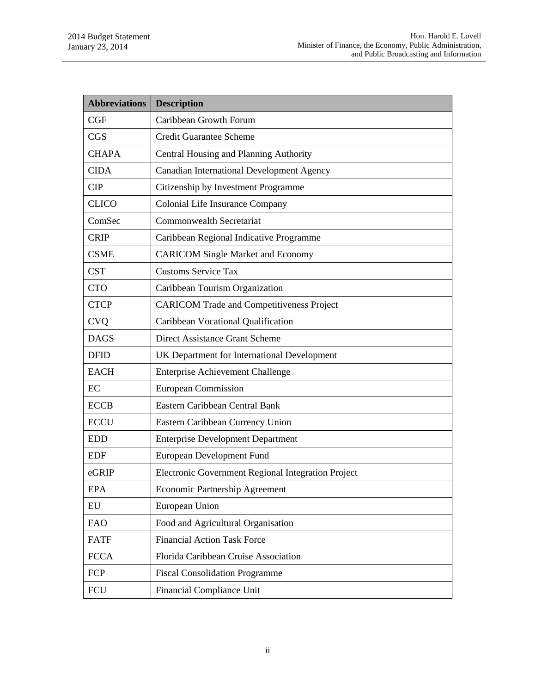| <b>Abbreviations</b> | <b>Description</b>                                 |  |
|----------------------|----------------------------------------------------|--|
| CGF                  | Caribbean Growth Forum                             |  |
| <b>CGS</b>           | <b>Credit Guarantee Scheme</b>                     |  |
| <b>CHAPA</b>         | Central Housing and Planning Authority             |  |
| <b>CIDA</b>          | Canadian International Development Agency          |  |
| <b>CIP</b>           | Citizenship by Investment Programme                |  |
| <b>CLICO</b>         | Colonial Life Insurance Company                    |  |
| ComSec               | <b>Commonwealth Secretariat</b>                    |  |
| <b>CRIP</b>          | Caribbean Regional Indicative Programme            |  |
| <b>CSME</b>          | <b>CARICOM Single Market and Economy</b>           |  |
| <b>CST</b>           | <b>Customs Service Tax</b>                         |  |
| <b>CTO</b>           | Caribbean Tourism Organization                     |  |
| <b>CTCP</b>          | <b>CARICOM Trade and Competitiveness Project</b>   |  |
| <b>CVQ</b>           | Caribbean Vocational Qualification                 |  |
| <b>DAGS</b>          | Direct Assistance Grant Scheme                     |  |
| <b>DFID</b>          | UK Department for International Development        |  |
| <b>EACH</b>          | <b>Enterprise Achievement Challenge</b>            |  |
| EC                   | <b>European Commission</b>                         |  |
| <b>ECCB</b>          | Eastern Caribbean Central Bank                     |  |
| <b>ECCU</b>          | Eastern Caribbean Currency Union                   |  |
| <b>EDD</b>           | <b>Enterprise Development Department</b>           |  |
| <b>EDF</b>           | <b>European Development Fund</b>                   |  |
| eGRIP                | Electronic Government Regional Integration Project |  |
| <b>EPA</b>           | Economic Partnership Agreement                     |  |
| EU                   | European Union                                     |  |
| <b>FAO</b>           | Food and Agricultural Organisation                 |  |
| <b>FATF</b>          | <b>Financial Action Task Force</b>                 |  |
| <b>FCCA</b>          | Florida Caribbean Cruise Association               |  |
| <b>FCP</b>           | <b>Fiscal Consolidation Programme</b>              |  |
| <b>FCU</b>           | <b>Financial Compliance Unit</b>                   |  |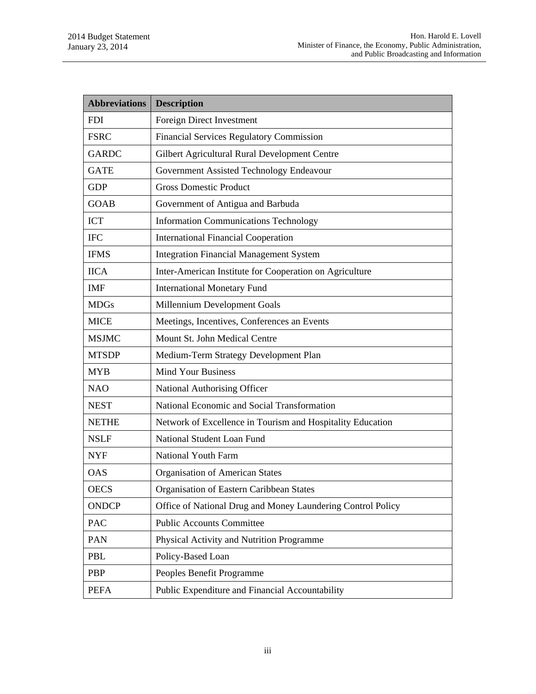| <b>Abbreviations</b> | <b>Description</b>                                          |  |  |
|----------------------|-------------------------------------------------------------|--|--|
| <b>FDI</b>           | Foreign Direct Investment                                   |  |  |
| <b>FSRC</b>          | <b>Financial Services Regulatory Commission</b>             |  |  |
| <b>GARDC</b>         | Gilbert Agricultural Rural Development Centre               |  |  |
| <b>GATE</b>          | Government Assisted Technology Endeavour                    |  |  |
| <b>GDP</b>           | <b>Gross Domestic Product</b>                               |  |  |
| <b>GOAB</b>          | Government of Antigua and Barbuda                           |  |  |
| <b>ICT</b>           | <b>Information Communications Technology</b>                |  |  |
| <b>IFC</b>           | <b>International Financial Cooperation</b>                  |  |  |
| <b>IFMS</b>          | <b>Integration Financial Management System</b>              |  |  |
| <b>IICA</b>          | Inter-American Institute for Cooperation on Agriculture     |  |  |
| <b>IMF</b>           | <b>International Monetary Fund</b>                          |  |  |
| <b>MDGs</b>          | Millennium Development Goals                                |  |  |
| <b>MICE</b>          | Meetings, Incentives, Conferences an Events                 |  |  |
| <b>MSJMC</b>         | Mount St. John Medical Centre                               |  |  |
| <b>MTSDP</b>         | Medium-Term Strategy Development Plan                       |  |  |
| <b>MYB</b>           | <b>Mind Your Business</b>                                   |  |  |
| <b>NAO</b>           | National Authorising Officer                                |  |  |
| <b>NEST</b>          | National Economic and Social Transformation                 |  |  |
| <b>NETHE</b>         | Network of Excellence in Tourism and Hospitality Education  |  |  |
| <b>NSLF</b>          | National Student Loan Fund                                  |  |  |
| <b>NYF</b>           | National Youth Farm                                         |  |  |
| <b>OAS</b>           | Organisation of American States                             |  |  |
| <b>OECS</b>          | Organisation of Eastern Caribbean States                    |  |  |
| <b>ONDCP</b>         | Office of National Drug and Money Laundering Control Policy |  |  |
| PAC                  | <b>Public Accounts Committee</b>                            |  |  |
| <b>PAN</b>           | Physical Activity and Nutrition Programme                   |  |  |
| PBL                  | Policy-Based Loan                                           |  |  |
| <b>PBP</b>           | Peoples Benefit Programme                                   |  |  |
| <b>PEFA</b>          | Public Expenditure and Financial Accountability             |  |  |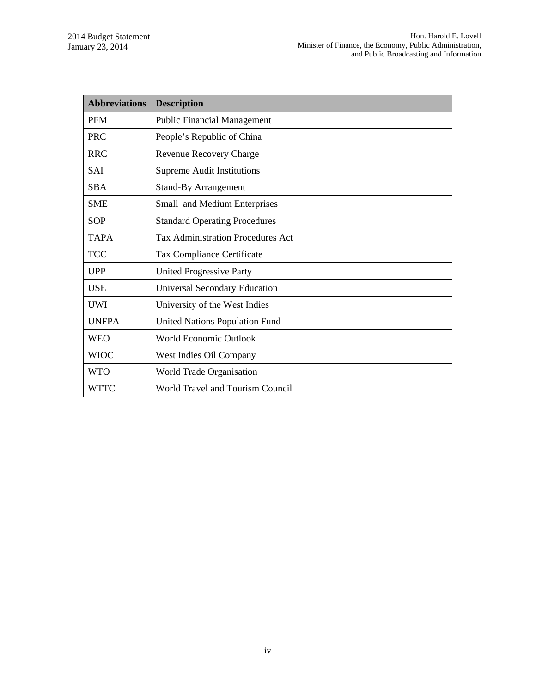| <b>Abbreviations</b> | <b>Description</b>                       |
|----------------------|------------------------------------------|
| <b>PFM</b>           | <b>Public Financial Management</b>       |
| <b>PRC</b>           | People's Republic of China               |
| <b>RRC</b>           | <b>Revenue Recovery Charge</b>           |
| <b>SAI</b>           | <b>Supreme Audit Institutions</b>        |
| <b>SBA</b>           | <b>Stand-By Arrangement</b>              |
| <b>SME</b>           | Small and Medium Enterprises             |
| <b>SOP</b>           | <b>Standard Operating Procedures</b>     |
| <b>TAPA</b>          | <b>Tax Administration Procedures Act</b> |
| <b>TCC</b>           | Tax Compliance Certificate               |
| <b>UPP</b>           | <b>United Progressive Party</b>          |
| <b>USE</b>           | <b>Universal Secondary Education</b>     |
| UWI                  | University of the West Indies            |
| <b>UNFPA</b>         | <b>United Nations Population Fund</b>    |
| <b>WEO</b>           | World Economic Outlook                   |
| <b>WIOC</b>          | West Indies Oil Company                  |
| <b>WTO</b>           | World Trade Organisation                 |
| <b>WTTC</b>          | World Travel and Tourism Council         |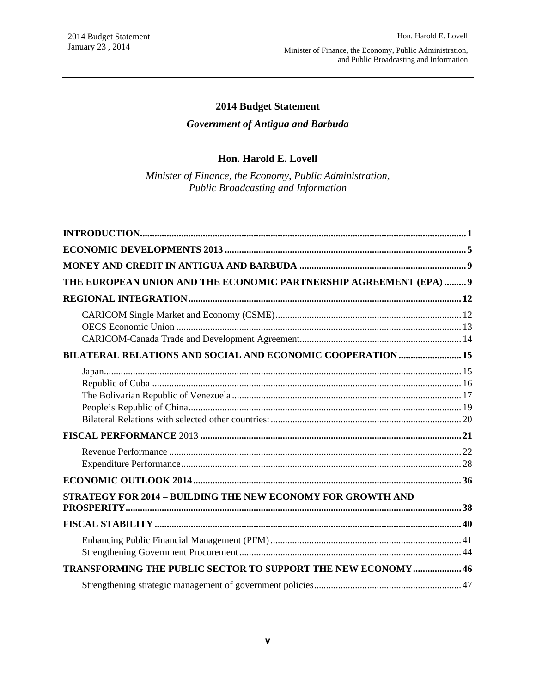# **2014 Budget Statement**

# *Government of Antigua and Barbuda*

#### **Hon. Harold E. Lovell**

*Minister of Finance, the Economy, Public Administration, Public Broadcasting and Information* 

| THE EUROPEAN UNION AND THE ECONOMIC PARTNERSHIP AGREEMENT (EPA)  9  |  |
|---------------------------------------------------------------------|--|
|                                                                     |  |
|                                                                     |  |
| <b>BILATERAL RELATIONS AND SOCIAL AND ECONOMIC COOPERATION  15</b>  |  |
|                                                                     |  |
|                                                                     |  |
|                                                                     |  |
|                                                                     |  |
| STRATEGY FOR 2014 - BUILDING THE NEW ECONOMY FOR GROWTH AND         |  |
|                                                                     |  |
|                                                                     |  |
| <b>TRANSFORMING THE PUBLIC SECTOR TO SUPPORT THE NEW ECONOMY 46</b> |  |
|                                                                     |  |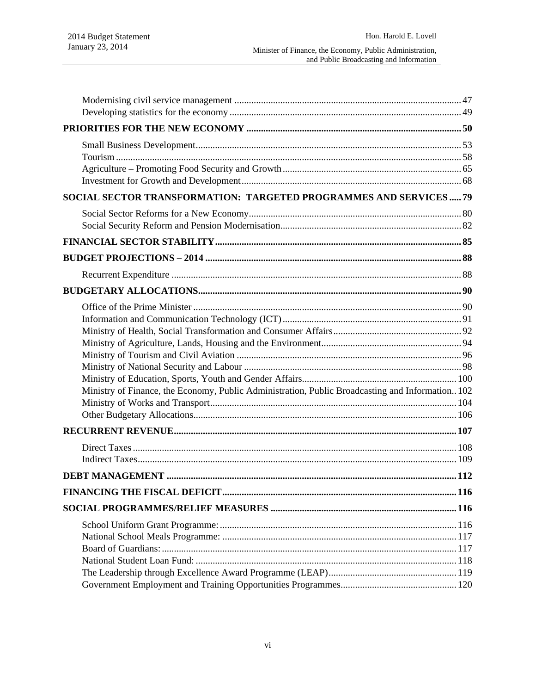| SOCIAL SECTOR TRANSFORMATION: TARGETED PROGRAMMES AND SERVICES  79                               |  |
|--------------------------------------------------------------------------------------------------|--|
|                                                                                                  |  |
|                                                                                                  |  |
|                                                                                                  |  |
|                                                                                                  |  |
|                                                                                                  |  |
| Ministry of Finance, the Economy, Public Administration, Public Broadcasting and Information 102 |  |
|                                                                                                  |  |
|                                                                                                  |  |
|                                                                                                  |  |
|                                                                                                  |  |
|                                                                                                  |  |
|                                                                                                  |  |
|                                                                                                  |  |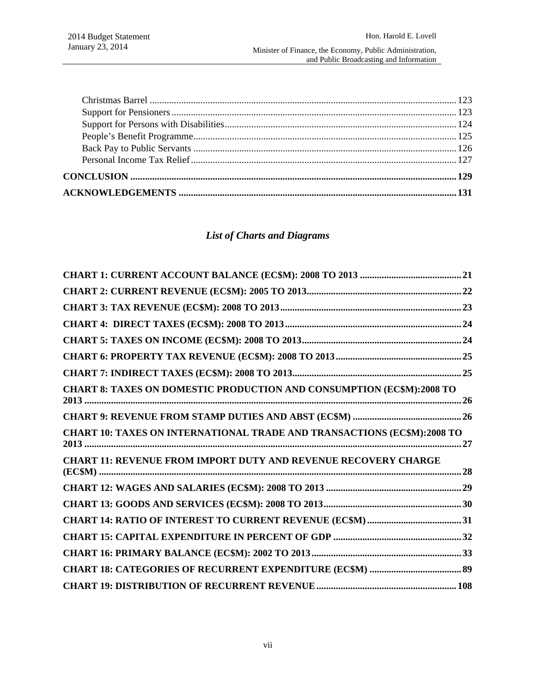# *List of Charts and Diagrams*

| CHART 8: TAXES ON DOMESTIC PRODUCTION AND CONSUMPTION (EC\$M):2008 TO          |  |
|--------------------------------------------------------------------------------|--|
|                                                                                |  |
| <b>CHART 10: TAXES ON INTERNATIONAL TRADE AND TRANSACTIONS (EC\$M):2008 TO</b> |  |
| <b>CHART 11: REVENUE FROM IMPORT DUTY AND REVENUE RECOVERY CHARGE</b>          |  |
|                                                                                |  |
|                                                                                |  |
|                                                                                |  |
|                                                                                |  |
|                                                                                |  |
|                                                                                |  |
|                                                                                |  |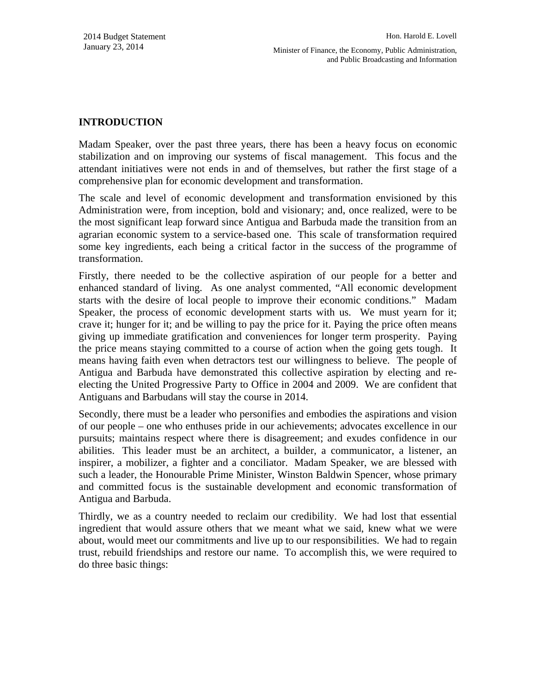Minister of Finance, the Economy, Public Administration, and Public Broadcasting and Information

# **INTRODUCTION**

Madam Speaker, over the past three years, there has been a heavy focus on economic stabilization and on improving our systems of fiscal management. This focus and the attendant initiatives were not ends in and of themselves, but rather the first stage of a comprehensive plan for economic development and transformation.

The scale and level of economic development and transformation envisioned by this Administration were, from inception, bold and visionary; and, once realized, were to be the most significant leap forward since Antigua and Barbuda made the transition from an agrarian economic system to a service-based one. This scale of transformation required some key ingredients, each being a critical factor in the success of the programme of transformation.

Firstly, there needed to be the collective aspiration of our people for a better and enhanced standard of living. As one analyst commented, "All economic development starts with the desire of local people to improve their economic conditions." Madam Speaker, the process of economic development starts with us. We must yearn for it; crave it; hunger for it; and be willing to pay the price for it. Paying the price often means giving up immediate gratification and conveniences for longer term prosperity. Paying the price means staying committed to a course of action when the going gets tough. It means having faith even when detractors test our willingness to believe. The people of Antigua and Barbuda have demonstrated this collective aspiration by electing and reelecting the United Progressive Party to Office in 2004 and 2009. We are confident that Antiguans and Barbudans will stay the course in 2014.

Secondly, there must be a leader who personifies and embodies the aspirations and vision of our people – one who enthuses pride in our achievements; advocates excellence in our pursuits; maintains respect where there is disagreement; and exudes confidence in our abilities. This leader must be an architect, a builder, a communicator, a listener, an inspirer, a mobilizer, a fighter and a conciliator. Madam Speaker, we are blessed with such a leader, the Honourable Prime Minister, Winston Baldwin Spencer, whose primary and committed focus is the sustainable development and economic transformation of Antigua and Barbuda.

Thirdly, we as a country needed to reclaim our credibility. We had lost that essential ingredient that would assure others that we meant what we said, knew what we were about, would meet our commitments and live up to our responsibilities. We had to regain trust, rebuild friendships and restore our name. To accomplish this, we were required to do three basic things: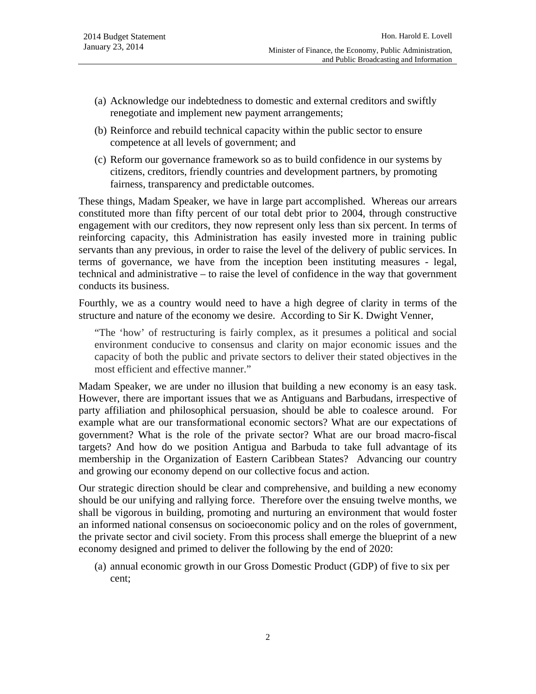- (a) Acknowledge our indebtedness to domestic and external creditors and swiftly renegotiate and implement new payment arrangements;
- (b) Reinforce and rebuild technical capacity within the public sector to ensure competence at all levels of government; and
- (c) Reform our governance framework so as to build confidence in our systems by citizens, creditors, friendly countries and development partners, by promoting fairness, transparency and predictable outcomes.

These things, Madam Speaker, we have in large part accomplished. Whereas our arrears constituted more than fifty percent of our total debt prior to 2004, through constructive engagement with our creditors, they now represent only less than six percent. In terms of reinforcing capacity, this Administration has easily invested more in training public servants than any previous, in order to raise the level of the delivery of public services. In terms of governance, we have from the inception been instituting measures - legal, technical and administrative – to raise the level of confidence in the way that government conducts its business.

Fourthly, we as a country would need to have a high degree of clarity in terms of the structure and nature of the economy we desire. According to Sir K. Dwight Venner,

"The 'how' of restructuring is fairly complex, as it presumes a political and social environment conducive to consensus and clarity on major economic issues and the capacity of both the public and private sectors to deliver their stated objectives in the most efficient and effective manner."

Madam Speaker, we are under no illusion that building a new economy is an easy task. However, there are important issues that we as Antiguans and Barbudans, irrespective of party affiliation and philosophical persuasion, should be able to coalesce around. For example what are our transformational economic sectors? What are our expectations of government? What is the role of the private sector? What are our broad macro-fiscal targets? And how do we position Antigua and Barbuda to take full advantage of its membership in the Organization of Eastern Caribbean States? Advancing our country and growing our economy depend on our collective focus and action.

Our strategic direction should be clear and comprehensive, and building a new economy should be our unifying and rallying force. Therefore over the ensuing twelve months, we shall be vigorous in building, promoting and nurturing an environment that would foster an informed national consensus on socioeconomic policy and on the roles of government, the private sector and civil society. From this process shall emerge the blueprint of a new economy designed and primed to deliver the following by the end of 2020:

(a) annual economic growth in our Gross Domestic Product (GDP) of five to six per cent;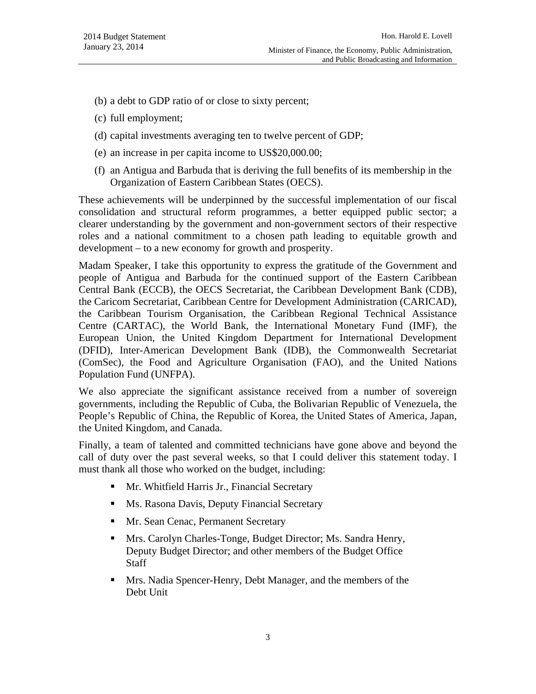- (b) a debt to GDP ratio of or close to sixty percent;
- (c) full employment;
- (d) capital investments averaging ten to twelve percent of GDP;
- (e) an increase in per capita income to US\$20,000.00;
- (f) an Antigua and Barbuda that is deriving the full benefits of its membership in the Organization of Eastern Caribbean States (OECS).

These achievements will be underpinned by the successful implementation of our fiscal consolidation and structural reform programmes, a better equipped public sector; a clearer understanding by the government and non-government sectors of their respective roles and a national commitment to a chosen path leading to equitable growth and development – to a new economy for growth and prosperity.

Madam Speaker, I take this opportunity to express the gratitude of the Government and people of Antigua and Barbuda for the continued support of the Eastern Caribbean Central Bank (ECCB), the OECS Secretariat, the Caribbean Development Bank (CDB), the Caricom Secretariat, Caribbean Centre for Development Administration (CARICAD), the Caribbean Tourism Organisation, the Caribbean Regional Technical Assistance Centre (CARTAC), the World Bank, the International Monetary Fund (IMF), the European Union, the United Kingdom Department for International Development (DFID), Inter-American Development Bank (IDB), the Commonwealth Secretariat (ComSec), the Food and Agriculture Organisation (FAO), and the United Nations Population Fund (UNFPA).

We also appreciate the significant assistance received from a number of sovereign governments, including the Republic of Cuba, the Bolivarian Republic of Venezuela, the People's Republic of China, the Republic of Korea, the United States of America, Japan, the United Kingdom, and Canada.

Finally, a team of talented and committed technicians have gone above and beyond the call of duty over the past several weeks, so that I could deliver this statement today. I must thank all those who worked on the budget, including:

- **Mr. Whitfield Harris Jr., Financial Secretary**
- **Ms. Rasona Davis, Deputy Financial Secretary**
- **Mr. Sean Cenac, Permanent Secretary**
- **Mrs. Carolyn Charles-Tonge, Budget Director; Ms. Sandra Henry,** Deputy Budget Director; and other members of the Budget Office **Staff**
- Mrs. Nadia Spencer-Henry, Debt Manager, and the members of the Debt Unit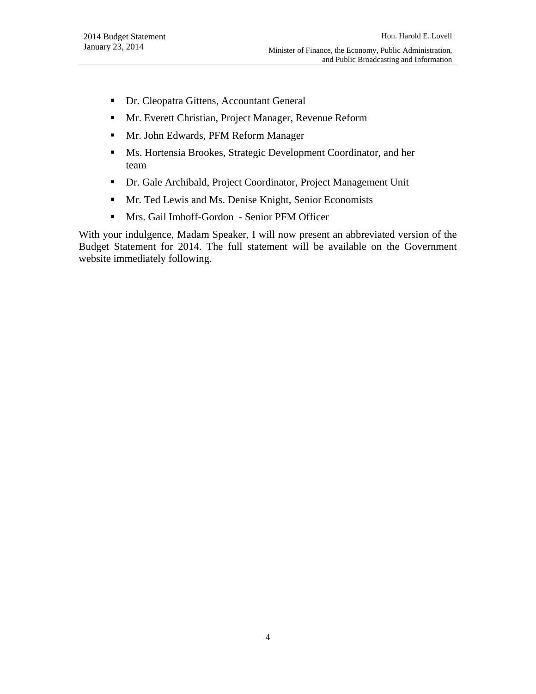- Dr. Cleopatra Gittens, Accountant General
- **Mr. Everett Christian, Project Manager, Revenue Reform**
- **Mr. John Edwards, PFM Reform Manager**
- Ms. Hortensia Brookes, Strategic Development Coordinator, and her team
- Dr. Gale Archibald, Project Coordinator, Project Management Unit
- **Mr.** Ted Lewis and Ms. Denise Knight, Senior Economists
- Mrs. Gail Imhoff-Gordon Senior PFM Officer

With your indulgence, Madam Speaker, I will now present an abbreviated version of the Budget Statement for 2014. The full statement will be available on the Government website immediately following.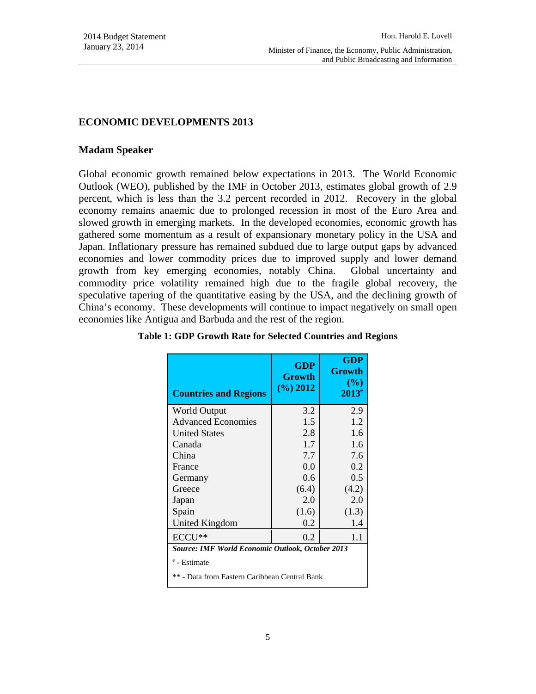#### **ECONOMIC DEVELOPMENTS 2013**

#### **Madam Speaker**

Global economic growth remained below expectations in 2013. The World Economic Outlook (WEO), published by the IMF in October 2013, estimates global growth of 2.9 percent, which is less than the 3.2 percent recorded in 2012. Recovery in the global economy remains anaemic due to prolonged recession in most of the Euro Area and slowed growth in emerging markets. In the developed economies, economic growth has gathered some momentum as a result of expansionary monetary policy in the USA and Japan. Inflationary pressure has remained subdued due to large output gaps by advanced economies and lower commodity prices due to improved supply and lower demand growth from key emerging economies, notably China. Global uncertainty and commodity price volatility remained high due to the fragile global recovery, the speculative tapering of the quantitative easing by the USA, and the declining growth of China's economy. These developments will continue to impact negatively on small open economies like Antigua and Barbuda and the rest of the region.

| <b>Countries and Regions</b>                            | GDP<br><b>Growth</b><br>$(\%)$ 2012 | <b>GDP</b><br>Growth<br>$(\%)$<br>$2013^e$ |  |
|---------------------------------------------------------|-------------------------------------|--------------------------------------------|--|
| <b>World Output</b>                                     | 3.2                                 | 2.9                                        |  |
| <b>Advanced Economies</b>                               | 1.5                                 | 1.2                                        |  |
| <b>United States</b>                                    | 2.8                                 | 1.6                                        |  |
| Canada                                                  | 1.7                                 | 1.6                                        |  |
| China                                                   | 7.7                                 | 7.6                                        |  |
| France                                                  | 0.0                                 | 0.2                                        |  |
| Germany                                                 | 0.6                                 | 0.5                                        |  |
| Greece                                                  | (6.4)                               | (4.2)                                      |  |
| Japan                                                   | 2.0                                 | 2.0                                        |  |
| Spain                                                   | (1.6)                               | (1.3)                                      |  |
| United Kingdom                                          | 0.2                                 | 1.4                                        |  |
| $ECCU$ **                                               | 0.2                                 | 1.1                                        |  |
| <b>Source: IMF World Economic Outlook, October 2013</b> |                                     |                                            |  |
| <sup>e</sup> - Estimate                                 |                                     |                                            |  |
| ** - Data from Eastern Caribbean Central Bank           |                                     |                                            |  |
|                                                         |                                     |                                            |  |

#### **Table 1: GDP Growth Rate for Selected Countries and Regions**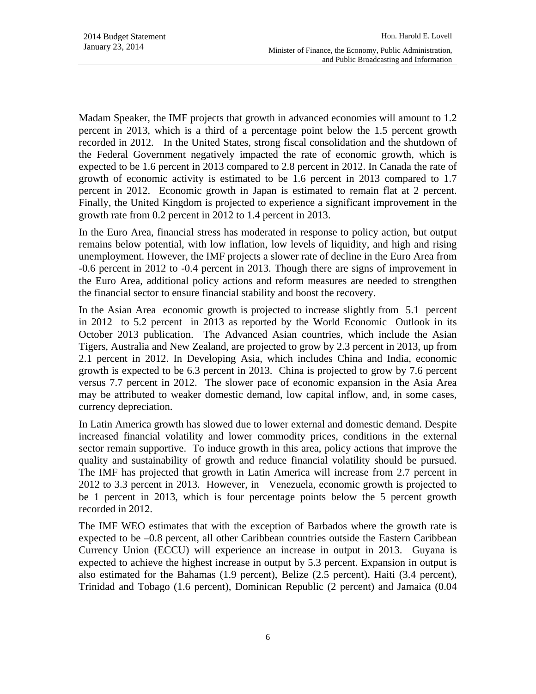Madam Speaker, the IMF projects that growth in advanced economies will amount to 1.2 percent in 2013, which is a third of a percentage point below the 1.5 percent growth recorded in 2012. In the United States, strong fiscal consolidation and the shutdown of the Federal Government negatively impacted the rate of economic growth, which is expected to be 1.6 percent in 2013 compared to 2.8 percent in 2012. In Canada the rate of growth of economic activity is estimated to be 1.6 percent in 2013 compared to 1.7 percent in 2012. Economic growth in Japan is estimated to remain flat at 2 percent. Finally, the United Kingdom is projected to experience a significant improvement in the growth rate from 0.2 percent in 2012 to 1.4 percent in 2013.

In the Euro Area, financial stress has moderated in response to policy action, but output remains below potential, with low inflation, low levels of liquidity, and high and rising unemployment. However, the IMF projects a slower rate of decline in the Euro Area from -0.6 percent in 2012 to -0.4 percent in 2013. Though there are signs of improvement in the Euro Area, additional policy actions and reform measures are needed to strengthen the financial sector to ensure financial stability and boost the recovery.

In the Asian Area economic growth is projected to increase slightly from 5.1 percent in 2012 to 5.2 percent in 2013 as reported by the World Economic Outlook in its October 2013 publication. The Advanced Asian countries, which include the Asian Tigers, Australia and New Zealand, are projected to grow by 2.3 percent in 2013, up from 2.1 percent in 2012. In Developing Asia, which includes China and India, economic growth is expected to be 6.3 percent in 2013. China is projected to grow by 7.6 percent versus 7.7 percent in 2012. The slower pace of economic expansion in the Asia Area may be attributed to weaker domestic demand, low capital inflow, and, in some cases, currency depreciation.

In Latin America growth has slowed due to lower external and domestic demand. Despite increased financial volatility and lower commodity prices, conditions in the external sector remain supportive. To induce growth in this area, policy actions that improve the quality and sustainability of growth and reduce financial volatility should be pursued. The IMF has projected that growth in Latin America will increase from 2.7 percent in 2012 to 3.3 percent in 2013. However, in Venezuela, economic growth is projected to be 1 percent in 2013, which is four percentage points below the 5 percent growth recorded in 2012.

The IMF WEO estimates that with the exception of Barbados where the growth rate is expected to be –0.8 percent, all other Caribbean countries outside the Eastern Caribbean Currency Union (ECCU) will experience an increase in output in 2013. Guyana is expected to achieve the highest increase in output by 5.3 percent. Expansion in output is also estimated for the Bahamas (1.9 percent), Belize (2.5 percent), Haiti (3.4 percent), Trinidad and Tobago (1.6 percent), Dominican Republic (2 percent) and Jamaica (0.04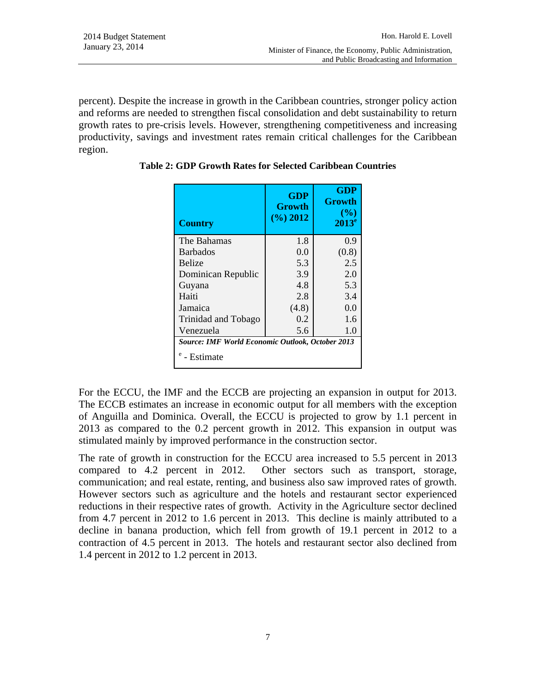percent). Despite the increase in growth in the Caribbean countries, stronger policy action and reforms are needed to strengthen fiscal consolidation and debt sustainability to return growth rates to pre-crisis levels. However, strengthening competitiveness and increasing productivity, savings and investment rates remain critical challenges for the Caribbean region.

| <b>Country</b>                                          | <b>GDP</b><br><b>Growth</b><br>$(\frac{9}{6})$ 2012 | <b>GDP</b><br>Growth<br>$($ %)<br>$2013^e$ |
|---------------------------------------------------------|-----------------------------------------------------|--------------------------------------------|
| The Bahamas                                             | 1.8                                                 | 0.9                                        |
| <b>Barbados</b>                                         | 0.0                                                 | (0.8)                                      |
| <b>Belize</b>                                           | 5.3                                                 | 2.5                                        |
| Dominican Republic                                      | 3.9                                                 | 2.0                                        |
| Guyana                                                  | 4.8                                                 | 5.3                                        |
| Haiti                                                   | 2.8                                                 | 3.4                                        |
| Jamaica                                                 | (4.8)                                               | 0.0                                        |
| Trinidad and Tobago                                     | 0.2                                                 | 1.6                                        |
| Venezuela                                               | 5.6                                                 | 1.0                                        |
| <b>Source: IMF World Economic Outlook, October 2013</b> |                                                     |                                            |
| - Estimate                                              |                                                     |                                            |

**Table 2: GDP Growth Rates for Selected Caribbean Countries** 

For the ECCU, the IMF and the ECCB are projecting an expansion in output for 2013. The ECCB estimates an increase in economic output for all members with the exception of Anguilla and Dominica. Overall, the ECCU is projected to grow by 1.1 percent in 2013 as compared to the 0.2 percent growth in 2012. This expansion in output was stimulated mainly by improved performance in the construction sector.

The rate of growth in construction for the ECCU area increased to 5.5 percent in 2013 compared to 4.2 percent in 2012. Other sectors such as transport, storage, communication; and real estate, renting, and business also saw improved rates of growth. However sectors such as agriculture and the hotels and restaurant sector experienced reductions in their respective rates of growth. Activity in the Agriculture sector declined from 4.7 percent in 2012 to 1.6 percent in 2013. This decline is mainly attributed to a decline in banana production, which fell from growth of 19.1 percent in 2012 to a contraction of 4.5 percent in 2013. The hotels and restaurant sector also declined from 1.4 percent in 2012 to 1.2 percent in 2013.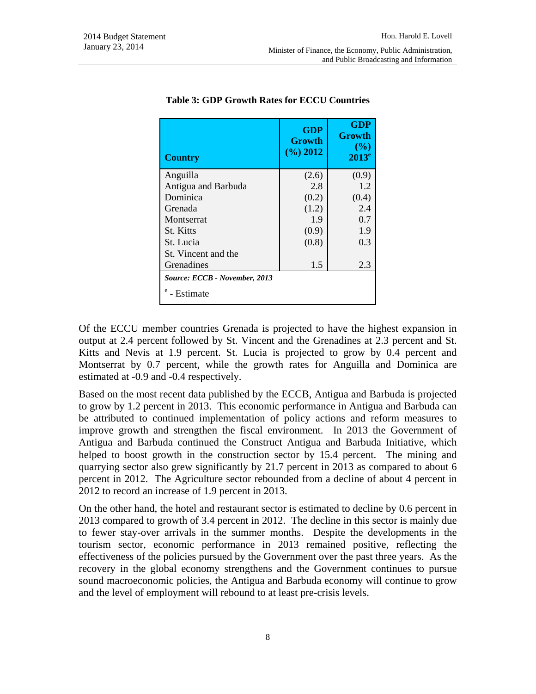| <b>Country</b>                              | <b>GDP</b><br><b>Growth</b><br>$(\frac{6}{6})$ 2012 | <b>GDP</b><br><b>Growth</b><br>(%)<br>$2013^e$ |
|---------------------------------------------|-----------------------------------------------------|------------------------------------------------|
| Anguilla                                    | (2.6)                                               | (0.9)                                          |
| Antigua and Barbuda                         | 2.8                                                 | 1.2                                            |
| Dominica                                    | (0.2)                                               | (0.4)                                          |
| Grenada                                     | (1.2)                                               | 2.4                                            |
| Montserrat                                  | 1.9                                                 | 0.7                                            |
| <b>St.</b> Kitts                            | (0.9)                                               | 1.9                                            |
| St. Lucia                                   | (0.8)                                               | 0.3                                            |
| St. Vincent and the                         |                                                     |                                                |
| Grenadines                                  | 1.5                                                 | 2.3                                            |
| Source: ECCB - November, 2013<br>- Estimate |                                                     |                                                |

#### **Table 3: GDP Growth Rates for ECCU Countries**

Of the ECCU member countries Grenada is projected to have the highest expansion in output at 2.4 percent followed by St. Vincent and the Grenadines at 2.3 percent and St. Kitts and Nevis at 1.9 percent. St. Lucia is projected to grow by 0.4 percent and Montserrat by 0.7 percent, while the growth rates for Anguilla and Dominica are estimated at -0.9 and -0.4 respectively.

Based on the most recent data published by the ECCB, Antigua and Barbuda is projected to grow by 1.2 percent in 2013. This economic performance in Antigua and Barbuda can be attributed to continued implementation of policy actions and reform measures to improve growth and strengthen the fiscal environment. In 2013 the Government of Antigua and Barbuda continued the Construct Antigua and Barbuda Initiative, which helped to boost growth in the construction sector by 15.4 percent. The mining and quarrying sector also grew significantly by 21.7 percent in 2013 as compared to about 6 percent in 2012. The Agriculture sector rebounded from a decline of about 4 percent in 2012 to record an increase of 1.9 percent in 2013.

On the other hand, the hotel and restaurant sector is estimated to decline by 0.6 percent in 2013 compared to growth of 3.4 percent in 2012. The decline in this sector is mainly due to fewer stay-over arrivals in the summer months. Despite the developments in the tourism sector, economic performance in 2013 remained positive, reflecting the effectiveness of the policies pursued by the Government over the past three years. As the recovery in the global economy strengthens and the Government continues to pursue sound macroeconomic policies, the Antigua and Barbuda economy will continue to grow and the level of employment will rebound to at least pre-crisis levels.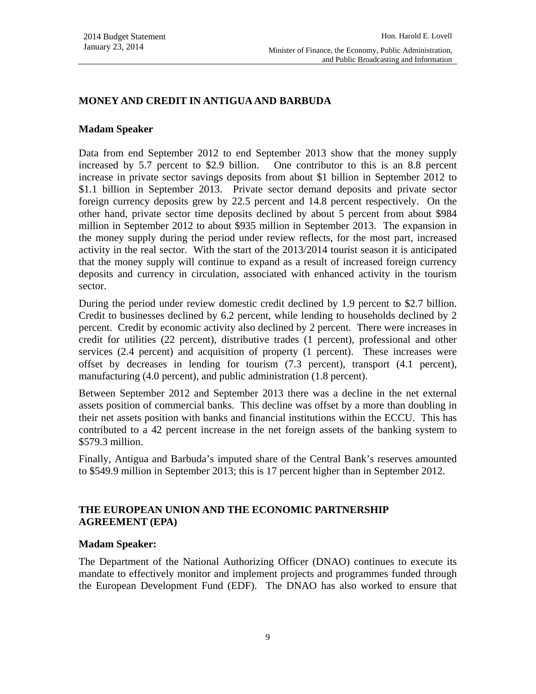# **MONEY AND CREDIT IN ANTIGUA AND BARBUDA**

#### **Madam Speaker**

Data from end September 2012 to end September 2013 show that the money supply increased by 5.7 percent to \$2.9 billion. One contributor to this is an 8.8 percent increase in private sector savings deposits from about \$1 billion in September 2012 to \$1.1 billion in September 2013. Private sector demand deposits and private sector foreign currency deposits grew by 22.5 percent and 14.8 percent respectively. On the other hand, private sector time deposits declined by about 5 percent from about \$984 million in September 2012 to about \$935 million in September 2013. The expansion in the money supply during the period under review reflects, for the most part, increased activity in the real sector. With the start of the 2013/2014 tourist season it is anticipated that the money supply will continue to expand as a result of increased foreign currency deposits and currency in circulation, associated with enhanced activity in the tourism sector.

During the period under review domestic credit declined by 1.9 percent to \$2.7 billion. Credit to businesses declined by 6.2 percent, while lending to households declined by 2 percent. Credit by economic activity also declined by 2 percent. There were increases in credit for utilities (22 percent), distributive trades (1 percent), professional and other services (2.4 percent) and acquisition of property (1 percent). These increases were offset by decreases in lending for tourism (7.3 percent), transport (4.1 percent), manufacturing (4.0 percent), and public administration (1.8 percent).

Between September 2012 and September 2013 there was a decline in the net external assets position of commercial banks. This decline was offset by a more than doubling in their net assets position with banks and financial institutions within the ECCU. This has contributed to a 42 percent increase in the net foreign assets of the banking system to \$579.3 million.

Finally, Antigua and Barbuda's imputed share of the Central Bank's reserves amounted to \$549.9 million in September 2013; this is 17 percent higher than in September 2012.

# **THE EUROPEAN UNION AND THE ECONOMIC PARTNERSHIP AGREEMENT (EPA)**

#### **Madam Speaker:**

The Department of the National Authorizing Officer (DNAO) continues to execute its mandate to effectively monitor and implement projects and programmes funded through the European Development Fund (EDF). The DNAO has also worked to ensure that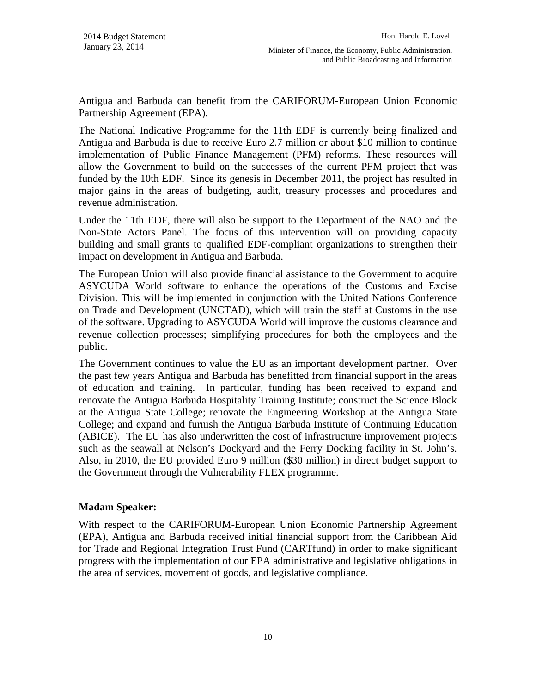Antigua and Barbuda can benefit from the CARIFORUM-European Union Economic Partnership Agreement (EPA).

The National Indicative Programme for the 11th EDF is currently being finalized and Antigua and Barbuda is due to receive Euro 2.7 million or about \$10 million to continue implementation of Public Finance Management (PFM) reforms. These resources will allow the Government to build on the successes of the current PFM project that was funded by the 10th EDF. Since its genesis in December 2011, the project has resulted in major gains in the areas of budgeting, audit, treasury processes and procedures and revenue administration.

Under the 11th EDF, there will also be support to the Department of the NAO and the Non-State Actors Panel. The focus of this intervention will on providing capacity building and small grants to qualified EDF-compliant organizations to strengthen their impact on development in Antigua and Barbuda.

The European Union will also provide financial assistance to the Government to acquire ASYCUDA World software to enhance the operations of the Customs and Excise Division. This will be implemented in conjunction with the United Nations Conference on Trade and Development (UNCTAD), which will train the staff at Customs in the use of the software. Upgrading to ASYCUDA World will improve the customs clearance and revenue collection processes; simplifying procedures for both the employees and the public.

The Government continues to value the EU as an important development partner. Over the past few years Antigua and Barbuda has benefitted from financial support in the areas of education and training. In particular, funding has been received to expand and renovate the Antigua Barbuda Hospitality Training Institute; construct the Science Block at the Antigua State College; renovate the Engineering Workshop at the Antigua State College; and expand and furnish the Antigua Barbuda Institute of Continuing Education (ABICE). The EU has also underwritten the cost of infrastructure improvement projects such as the seawall at Nelson's Dockyard and the Ferry Docking facility in St. John's. Also, in 2010, the EU provided Euro 9 million (\$30 million) in direct budget support to the Government through the Vulnerability FLEX programme.

# **Madam Speaker:**

With respect to the CARIFORUM-European Union Economic Partnership Agreement (EPA), Antigua and Barbuda received initial financial support from the Caribbean Aid for Trade and Regional Integration Trust Fund (CARTfund) in order to make significant progress with the implementation of our EPA administrative and legislative obligations in the area of services, movement of goods, and legislative compliance.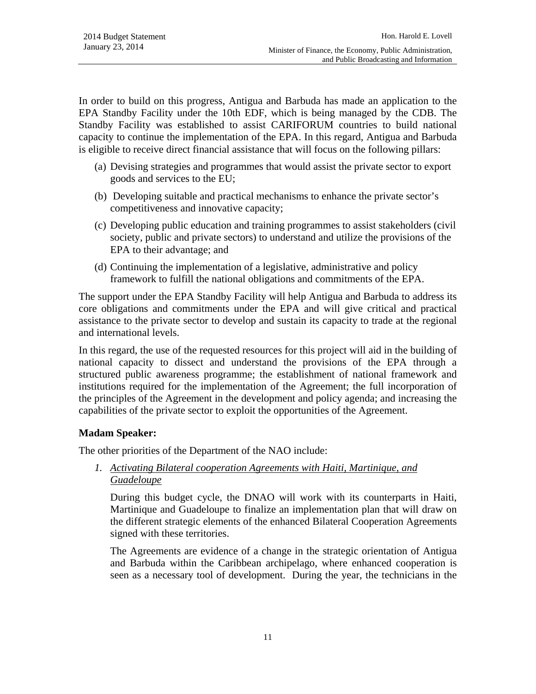In order to build on this progress, Antigua and Barbuda has made an application to the EPA Standby Facility under the 10th EDF, which is being managed by the CDB. The Standby Facility was established to assist CARIFORUM countries to build national capacity to continue the implementation of the EPA. In this regard, Antigua and Barbuda is eligible to receive direct financial assistance that will focus on the following pillars:

- (a) Devising strategies and programmes that would assist the private sector to export goods and services to the EU;
- (b) Developing suitable and practical mechanisms to enhance the private sector's competitiveness and innovative capacity;
- (c) Developing public education and training programmes to assist stakeholders (civil society, public and private sectors) to understand and utilize the provisions of the EPA to their advantage; and
- (d) Continuing the implementation of a legislative, administrative and policy framework to fulfill the national obligations and commitments of the EPA.

The support under the EPA Standby Facility will help Antigua and Barbuda to address its core obligations and commitments under the EPA and will give critical and practical assistance to the private sector to develop and sustain its capacity to trade at the regional and international levels.

In this regard, the use of the requested resources for this project will aid in the building of national capacity to dissect and understand the provisions of the EPA through a structured public awareness programme; the establishment of national framework and institutions required for the implementation of the Agreement; the full incorporation of the principles of the Agreement in the development and policy agenda; and increasing the capabilities of the private sector to exploit the opportunities of the Agreement.

# **Madam Speaker:**

The other priorities of the Department of the NAO include:

*1. Activating Bilateral cooperation Agreements with Haiti, Martinique, and Guadeloupe*

During this budget cycle, the DNAO will work with its counterparts in Haiti, Martinique and Guadeloupe to finalize an implementation plan that will draw on the different strategic elements of the enhanced Bilateral Cooperation Agreements signed with these territories.

The Agreements are evidence of a change in the strategic orientation of Antigua and Barbuda within the Caribbean archipelago, where enhanced cooperation is seen as a necessary tool of development. During the year, the technicians in the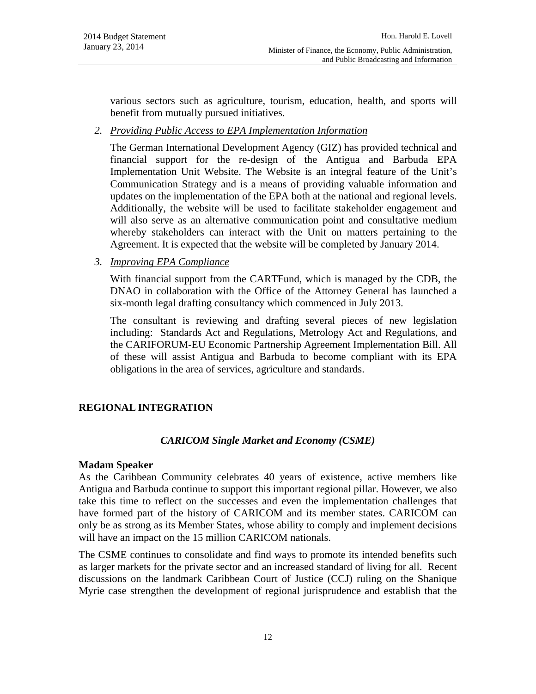various sectors such as agriculture, tourism, education, health, and sports will benefit from mutually pursued initiatives.

*2. Providing Public Access to EPA Implementation Information*

The German International Development Agency (GIZ) has provided technical and financial support for the re-design of the Antigua and Barbuda EPA Implementation Unit Website. The Website is an integral feature of the Unit's Communication Strategy and is a means of providing valuable information and updates on the implementation of the EPA both at the national and regional levels. Additionally, the website will be used to facilitate stakeholder engagement and will also serve as an alternative communication point and consultative medium whereby stakeholders can interact with the Unit on matters pertaining to the Agreement. It is expected that the website will be completed by January 2014.

*3. Improving EPA Compliance*

With financial support from the CARTFund, which is managed by the CDB, the DNAO in collaboration with the Office of the Attorney General has launched a six-month legal drafting consultancy which commenced in July 2013.

The consultant is reviewing and drafting several pieces of new legislation including: Standards Act and Regulations, Metrology Act and Regulations, and the CARIFORUM-EU Economic Partnership Agreement Implementation Bill. All of these will assist Antigua and Barbuda to become compliant with its EPA obligations in the area of services, agriculture and standards.

# **REGIONAL INTEGRATION**

#### *CARICOM Single Market and Economy (CSME)*

#### **Madam Speaker**

As the Caribbean Community celebrates 40 years of existence, active members like Antigua and Barbuda continue to support this important regional pillar. However, we also take this time to reflect on the successes and even the implementation challenges that have formed part of the history of CARICOM and its member states. CARICOM can only be as strong as its Member States, whose ability to comply and implement decisions will have an impact on the 15 million CARICOM nationals.

The CSME continues to consolidate and find ways to promote its intended benefits such as larger markets for the private sector and an increased standard of living for all. Recent discussions on the landmark Caribbean Court of Justice (CCJ) ruling on the Shanique Myrie case strengthen the development of regional jurisprudence and establish that the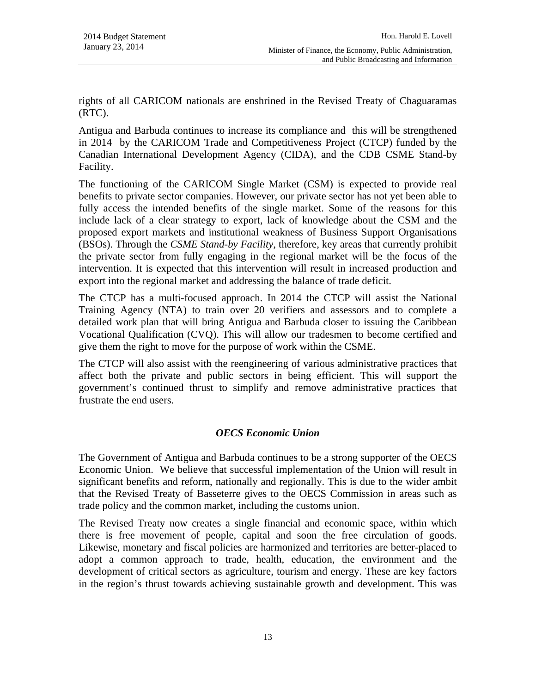rights of all CARICOM nationals are enshrined in the Revised Treaty of Chaguaramas (RTC).

Antigua and Barbuda continues to increase its compliance and this will be strengthened in 2014 by the CARICOM Trade and Competitiveness Project (CTCP) funded by the Canadian International Development Agency (CIDA), and the CDB CSME Stand-by Facility.

The functioning of the CARICOM Single Market (CSM) is expected to provide real benefits to private sector companies. However, our private sector has not yet been able to fully access the intended benefits of the single market. Some of the reasons for this include lack of a clear strategy to export, lack of knowledge about the CSM and the proposed export markets and institutional weakness of Business Support Organisations (BSOs). Through the *CSME Stand-by Facility*, therefore, key areas that currently prohibit the private sector from fully engaging in the regional market will be the focus of the intervention. It is expected that this intervention will result in increased production and export into the regional market and addressing the balance of trade deficit.

The CTCP has a multi-focused approach. In 2014 the CTCP will assist the National Training Agency (NTA) to train over 20 verifiers and assessors and to complete a detailed work plan that will bring Antigua and Barbuda closer to issuing the Caribbean Vocational Qualification (CVQ). This will allow our tradesmen to become certified and give them the right to move for the purpose of work within the CSME.

The CTCP will also assist with the reengineering of various administrative practices that affect both the private and public sectors in being efficient. This will support the government's continued thrust to simplify and remove administrative practices that frustrate the end users.

# *OECS Economic Union*

The Government of Antigua and Barbuda continues to be a strong supporter of the OECS Economic Union. We believe that successful implementation of the Union will result in significant benefits and reform, nationally and regionally. This is due to the wider ambit that the Revised Treaty of Basseterre gives to the OECS Commission in areas such as trade policy and the common market, including the customs union.

The Revised Treaty now creates a single financial and economic space, within which there is free movement of people, capital and soon the free circulation of goods. Likewise, monetary and fiscal policies are harmonized and territories are better-placed to adopt a common approach to trade, health, education, the environment and the development of critical sectors as agriculture, tourism and energy. These are key factors in the region's thrust towards achieving sustainable growth and development. This was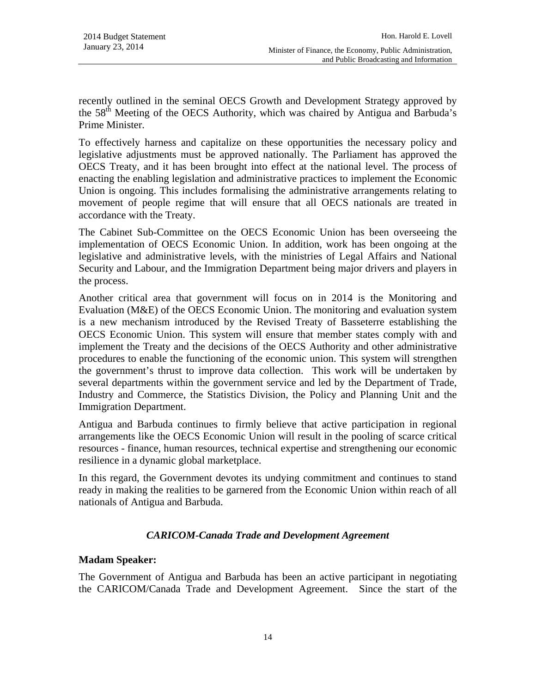recently outlined in the seminal OECS Growth and Development Strategy approved by the 58th Meeting of the OECS Authority, which was chaired by Antigua and Barbuda's Prime Minister.

To effectively harness and capitalize on these opportunities the necessary policy and legislative adjustments must be approved nationally. The Parliament has approved the OECS Treaty, and it has been brought into effect at the national level. The process of enacting the enabling legislation and administrative practices to implement the Economic Union is ongoing. This includes formalising the administrative arrangements relating to movement of people regime that will ensure that all OECS nationals are treated in accordance with the Treaty.

The Cabinet Sub-Committee on the OECS Economic Union has been overseeing the implementation of OECS Economic Union. In addition, work has been ongoing at the legislative and administrative levels, with the ministries of Legal Affairs and National Security and Labour, and the Immigration Department being major drivers and players in the process.

Another critical area that government will focus on in 2014 is the Monitoring and Evaluation (M&E) of the OECS Economic Union. The monitoring and evaluation system is a new mechanism introduced by the Revised Treaty of Basseterre establishing the OECS Economic Union. This system will ensure that member states comply with and implement the Treaty and the decisions of the OECS Authority and other administrative procedures to enable the functioning of the economic union. This system will strengthen the government's thrust to improve data collection. This work will be undertaken by several departments within the government service and led by the Department of Trade, Industry and Commerce, the Statistics Division, the Policy and Planning Unit and the Immigration Department.

Antigua and Barbuda continues to firmly believe that active participation in regional arrangements like the OECS Economic Union will result in the pooling of scarce critical resources - finance, human resources, technical expertise and strengthening our economic resilience in a dynamic global marketplace.

In this regard, the Government devotes its undying commitment and continues to stand ready in making the realities to be garnered from the Economic Union within reach of all nationals of Antigua and Barbuda.

# *CARICOM-Canada Trade and Development Agreement*

#### **Madam Speaker:**

The Government of Antigua and Barbuda has been an active participant in negotiating the CARICOM/Canada Trade and Development Agreement. Since the start of the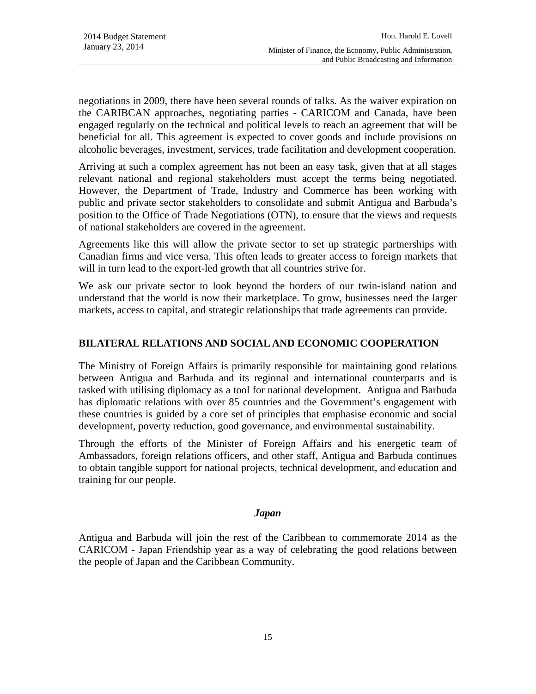negotiations in 2009, there have been several rounds of talks. As the waiver expiration on the CARIBCAN approaches, negotiating parties - CARICOM and Canada, have been engaged regularly on the technical and political levels to reach an agreement that will be beneficial for all. This agreement is expected to cover goods and include provisions on alcoholic beverages, investment, services, trade facilitation and development cooperation.

Arriving at such a complex agreement has not been an easy task, given that at all stages relevant national and regional stakeholders must accept the terms being negotiated. However, the Department of Trade, Industry and Commerce has been working with public and private sector stakeholders to consolidate and submit Antigua and Barbuda's position to the Office of Trade Negotiations (OTN), to ensure that the views and requests of national stakeholders are covered in the agreement.

Agreements like this will allow the private sector to set up strategic partnerships with Canadian firms and vice versa. This often leads to greater access to foreign markets that will in turn lead to the export-led growth that all countries strive for.

We ask our private sector to look beyond the borders of our twin-island nation and understand that the world is now their marketplace. To grow, businesses need the larger markets, access to capital, and strategic relationships that trade agreements can provide.

# **BILATERAL RELATIONS AND SOCIAL AND ECONOMIC COOPERATION**

The Ministry of Foreign Affairs is primarily responsible for maintaining good relations between Antigua and Barbuda and its regional and international counterparts and is tasked with utilising diplomacy as a tool for national development. Antigua and Barbuda has diplomatic relations with over 85 countries and the Government's engagement with these countries is guided by a core set of principles that emphasise economic and social development, poverty reduction, good governance, and environmental sustainability.

Through the efforts of the Minister of Foreign Affairs and his energetic team of Ambassadors, foreign relations officers, and other staff, Antigua and Barbuda continues to obtain tangible support for national projects, technical development, and education and training for our people.

#### *Japan*

Antigua and Barbuda will join the rest of the Caribbean to commemorate 2014 as the CARICOM - Japan Friendship year as a way of celebrating the good relations between the people of Japan and the Caribbean Community.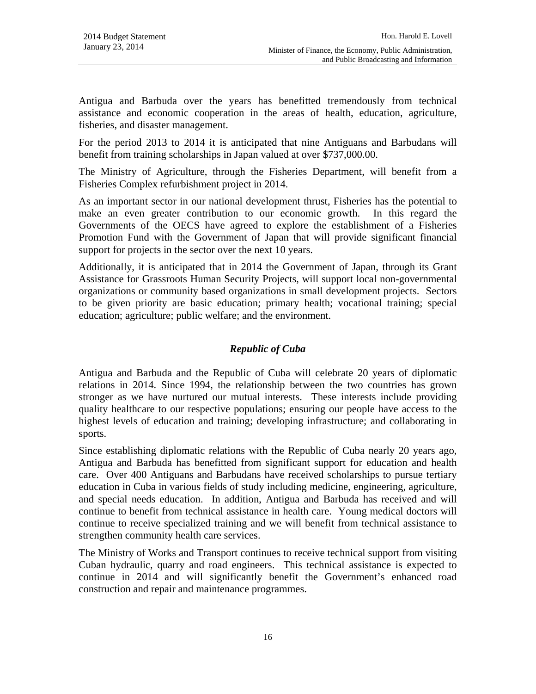Antigua and Barbuda over the years has benefitted tremendously from technical assistance and economic cooperation in the areas of health, education, agriculture, fisheries, and disaster management.

For the period 2013 to 2014 it is anticipated that nine Antiguans and Barbudans will benefit from training scholarships in Japan valued at over \$737,000.00.

The Ministry of Agriculture, through the Fisheries Department, will benefit from a Fisheries Complex refurbishment project in 2014.

As an important sector in our national development thrust, Fisheries has the potential to make an even greater contribution to our economic growth. In this regard the Governments of the OECS have agreed to explore the establishment of a Fisheries Promotion Fund with the Government of Japan that will provide significant financial support for projects in the sector over the next 10 years.

Additionally, it is anticipated that in 2014 the Government of Japan, through its Grant Assistance for Grassroots Human Security Projects, will support local non-governmental organizations or community based organizations in small development projects. Sectors to be given priority are basic education; primary health; vocational training; special education; agriculture; public welfare; and the environment.

# *Republic of Cuba*

Antigua and Barbuda and the Republic of Cuba will celebrate 20 years of diplomatic relations in 2014. Since 1994, the relationship between the two countries has grown stronger as we have nurtured our mutual interests. These interests include providing quality healthcare to our respective populations; ensuring our people have access to the highest levels of education and training; developing infrastructure; and collaborating in sports.

Since establishing diplomatic relations with the Republic of Cuba nearly 20 years ago, Antigua and Barbuda has benefitted from significant support for education and health care. Over 400 Antiguans and Barbudans have received scholarships to pursue tertiary education in Cuba in various fields of study including medicine, engineering, agriculture, and special needs education. In addition, Antigua and Barbuda has received and will continue to benefit from technical assistance in health care. Young medical doctors will continue to receive specialized training and we will benefit from technical assistance to strengthen community health care services.

The Ministry of Works and Transport continues to receive technical support from visiting Cuban hydraulic, quarry and road engineers. This technical assistance is expected to continue in 2014 and will significantly benefit the Government's enhanced road construction and repair and maintenance programmes.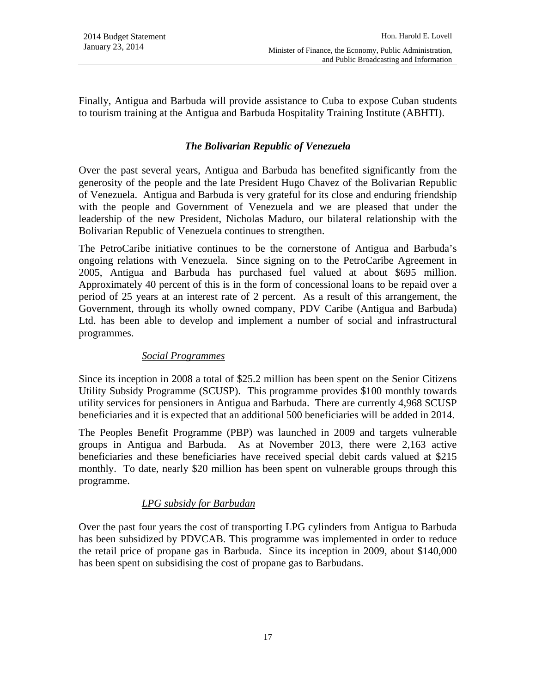Finally, Antigua and Barbuda will provide assistance to Cuba to expose Cuban students to tourism training at the Antigua and Barbuda Hospitality Training Institute (ABHTI).

# *The Bolivarian Republic of Venezuela*

Over the past several years, Antigua and Barbuda has benefited significantly from the generosity of the people and the late President Hugo Chavez of the Bolivarian Republic of Venezuela. Antigua and Barbuda is very grateful for its close and enduring friendship with the people and Government of Venezuela and we are pleased that under the leadership of the new President, Nicholas Maduro, our bilateral relationship with the Bolivarian Republic of Venezuela continues to strengthen.

The PetroCaribe initiative continues to be the cornerstone of Antigua and Barbuda's ongoing relations with Venezuela. Since signing on to the PetroCaribe Agreement in 2005, Antigua and Barbuda has purchased fuel valued at about \$695 million. Approximately 40 percent of this is in the form of concessional loans to be repaid over a period of 25 years at an interest rate of 2 percent. As a result of this arrangement, the Government, through its wholly owned company, PDV Caribe (Antigua and Barbuda) Ltd. has been able to develop and implement a number of social and infrastructural programmes.

#### *Social Programmes*

Since its inception in 2008 a total of \$25.2 million has been spent on the Senior Citizens Utility Subsidy Programme (SCUSP). This programme provides \$100 monthly towards utility services for pensioners in Antigua and Barbuda. There are currently 4,968 SCUSP beneficiaries and it is expected that an additional 500 beneficiaries will be added in 2014.

The Peoples Benefit Programme (PBP) was launched in 2009 and targets vulnerable groups in Antigua and Barbuda. As at November 2013, there were 2,163 active beneficiaries and these beneficiaries have received special debit cards valued at \$215 monthly. To date, nearly \$20 million has been spent on vulnerable groups through this programme.

#### *LPG subsidy for Barbudan*

Over the past four years the cost of transporting LPG cylinders from Antigua to Barbuda has been subsidized by PDVCAB. This programme was implemented in order to reduce the retail price of propane gas in Barbuda. Since its inception in 2009, about \$140,000 has been spent on subsidising the cost of propane gas to Barbudans.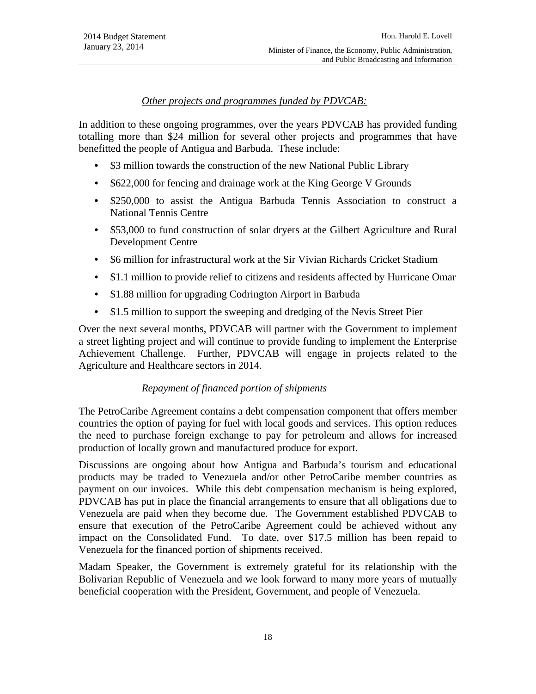# *Other projects and programmes funded by PDVCAB:*

In addition to these ongoing programmes, over the years PDVCAB has provided funding totalling more than \$24 million for several other projects and programmes that have benefitted the people of Antigua and Barbuda. These include:

- \$3 million towards the construction of the new National Public Library
- \$622,000 for fencing and drainage work at the King George V Grounds
- \$250,000 to assist the Antigua Barbuda Tennis Association to construct a National Tennis Centre
- \$53,000 to fund construction of solar dryers at the Gilbert Agriculture and Rural Development Centre
- \$6 million for infrastructural work at the Sir Vivian Richards Cricket Stadium
- \$1.1 million to provide relief to citizens and residents affected by Hurricane Omar
- \$1.88 million for upgrading Codrington Airport in Barbuda
- \$1.5 million to support the sweeping and dredging of the Nevis Street Pier

Over the next several months, PDVCAB will partner with the Government to implement a street lighting project and will continue to provide funding to implement the Enterprise Achievement Challenge. Further, PDVCAB will engage in projects related to the Agriculture and Healthcare sectors in 2014.

#### *Repayment of financed portion of shipments*

The PetroCaribe Agreement contains a debt compensation component that offers member countries the option of paying for fuel with local goods and services. This option reduces the need to purchase foreign exchange to pay for petroleum and allows for increased production of locally grown and manufactured produce for export.

Discussions are ongoing about how Antigua and Barbuda's tourism and educational products may be traded to Venezuela and/or other PetroCaribe member countries as payment on our invoices. While this debt compensation mechanism is being explored, PDVCAB has put in place the financial arrangements to ensure that all obligations due to Venezuela are paid when they become due. The Government established PDVCAB to ensure that execution of the PetroCaribe Agreement could be achieved without any impact on the Consolidated Fund. To date, over \$17.5 million has been repaid to Venezuela for the financed portion of shipments received.

Madam Speaker, the Government is extremely grateful for its relationship with the Bolivarian Republic of Venezuela and we look forward to many more years of mutually beneficial cooperation with the President, Government, and people of Venezuela.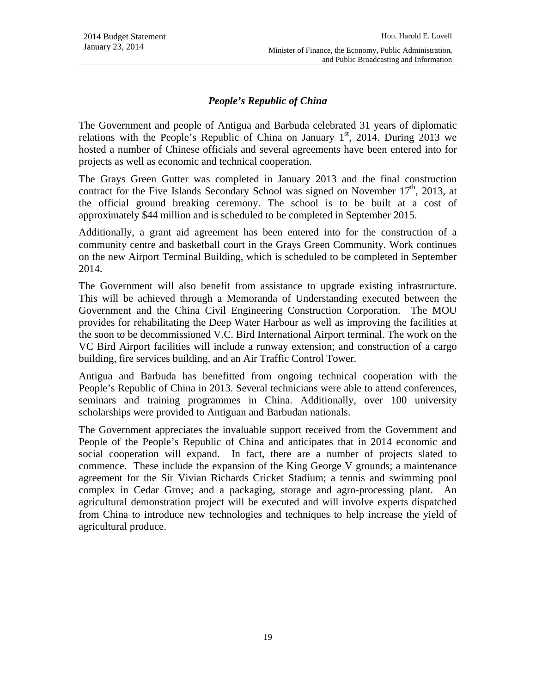# *People's Republic of China*

The Government and people of Antigua and Barbuda celebrated 31 years of diplomatic relations with the People's Republic of China on January  $1<sup>st</sup>$ , 2014. During 2013 we hosted a number of Chinese officials and several agreements have been entered into for projects as well as economic and technical cooperation.

The Grays Green Gutter was completed in January 2013 and the final construction contract for the Five Islands Secondary School was signed on November  $17<sup>th</sup>$ , 2013, at the official ground breaking ceremony. The school is to be built at a cost of approximately \$44 million and is scheduled to be completed in September 2015.

Additionally, a grant aid agreement has been entered into for the construction of a community centre and basketball court in the Grays Green Community. Work continues on the new Airport Terminal Building, which is scheduled to be completed in September 2014.

The Government will also benefit from assistance to upgrade existing infrastructure. This will be achieved through a Memoranda of Understanding executed between the Government and the China Civil Engineering Construction Corporation. The MOU provides for rehabilitating the Deep Water Harbour as well as improving the facilities at the soon to be decommissioned V.C. Bird International Airport terminal. The work on the VC Bird Airport facilities will include a runway extension; and construction of a cargo building, fire services building, and an Air Traffic Control Tower.

Antigua and Barbuda has benefitted from ongoing technical cooperation with the People's Republic of China in 2013. Several technicians were able to attend conferences, seminars and training programmes in China. Additionally, over 100 university scholarships were provided to Antiguan and Barbudan nationals.

The Government appreciates the invaluable support received from the Government and People of the People's Republic of China and anticipates that in 2014 economic and social cooperation will expand. In fact, there are a number of projects slated to commence. These include the expansion of the King George V grounds; a maintenance agreement for the Sir Vivian Richards Cricket Stadium; a tennis and swimming pool complex in Cedar Grove; and a packaging, storage and agro-processing plant. agricultural demonstration project will be executed and will involve experts dispatched from China to introduce new technologies and techniques to help increase the yield of agricultural produce.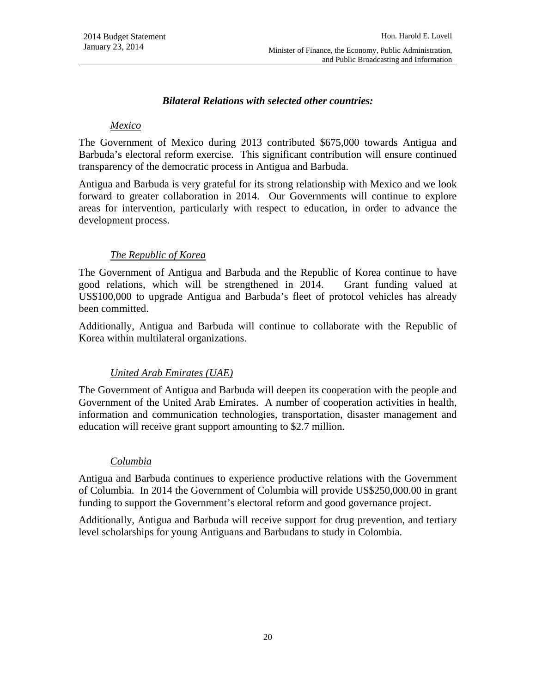# *Bilateral Relations with selected other countries:*

#### *Mexico*

The Government of Mexico during 2013 contributed \$675,000 towards Antigua and Barbuda's electoral reform exercise. This significant contribution will ensure continued transparency of the democratic process in Antigua and Barbuda.

Antigua and Barbuda is very grateful for its strong relationship with Mexico and we look forward to greater collaboration in 2014. Our Governments will continue to explore areas for intervention, particularly with respect to education, in order to advance the development process.

# *The Republic of Korea*

The Government of Antigua and Barbuda and the Republic of Korea continue to have good relations, which will be strengthened in 2014. Grant funding valued at US\$100,000 to upgrade Antigua and Barbuda's fleet of protocol vehicles has already been committed.

Additionally, Antigua and Barbuda will continue to collaborate with the Republic of Korea within multilateral organizations.

# *United Arab Emirates (UAE)*

The Government of Antigua and Barbuda will deepen its cooperation with the people and Government of the United Arab Emirates. A number of cooperation activities in health, information and communication technologies, transportation, disaster management and education will receive grant support amounting to \$2.7 million.

#### *Columbia*

Antigua and Barbuda continues to experience productive relations with the Government of Columbia. In 2014 the Government of Columbia will provide US\$250,000.00 in grant funding to support the Government's electoral reform and good governance project.

Additionally, Antigua and Barbuda will receive support for drug prevention, and tertiary level scholarships for young Antiguans and Barbudans to study in Colombia.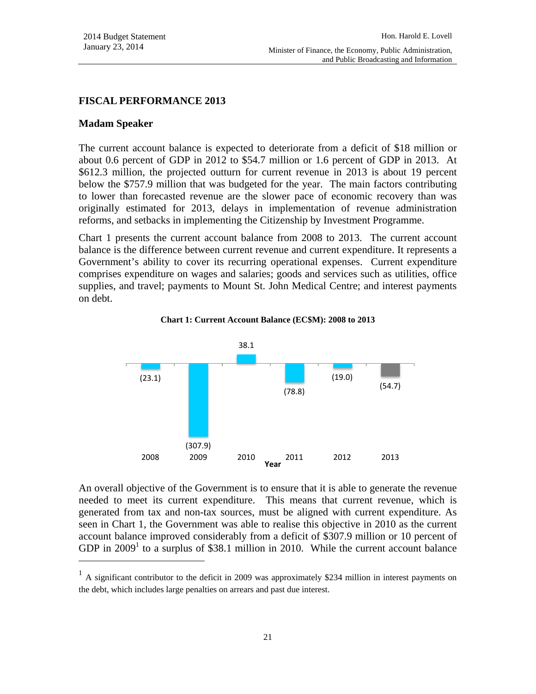#### **FISCAL PERFORMANCE 2013**

#### **Madam Speaker**

l

The current account balance is expected to deteriorate from a deficit of \$18 million or about 0.6 percent of GDP in 2012 to \$54.7 million or 1.6 percent of GDP in 2013. At \$612.3 million, the projected outturn for current revenue in 2013 is about 19 percent below the \$757.9 million that was budgeted for the year. The main factors contributing to lower than forecasted revenue are the slower pace of economic recovery than was originally estimated for 2013, delays in implementation of revenue administration reforms, and setbacks in implementing the Citizenship by Investment Programme.

Chart 1 presents the current account balance from 2008 to 2013. The current account balance is the difference between current revenue and current expenditure. It represents a Government's ability to cover its recurring operational expenses. Current expenditure comprises expenditure on wages and salaries; goods and services such as utilities, office supplies, and travel; payments to Mount St. John Medical Centre; and interest payments on debt.





An overall objective of the Government is to ensure that it is able to generate the revenue needed to meet its current expenditure. This means that current revenue, which is generated from tax and non-tax sources, must be aligned with current expenditure. As seen in Chart 1, the Government was able to realise this objective in 2010 as the current account balance improved considerably from a deficit of \$307.9 million or 10 percent of GDP in  $2009<sup>1</sup>$  to a surplus of \$38.1 million in 2010. While the current account balance

 $<sup>1</sup>$  A significant contributor to the deficit in 2009 was approximately \$234 million in interest payments on</sup> the debt, which includes large penalties on arrears and past due interest.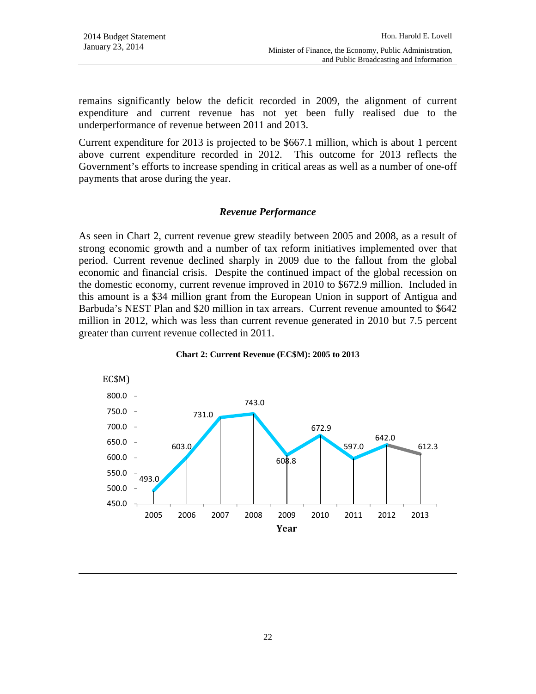$\overline{\phantom{a}}$ 

remains significantly below the deficit recorded in 2009, the alignment of current expenditure and current revenue has not yet been fully realised due to the underperformance of revenue between 2011 and 2013.

Current expenditure for 2013 is projected to be \$667.1 million, which is about 1 percent above current expenditure recorded in 2012. This outcome for 2013 reflects the Government's efforts to increase spending in critical areas as well as a number of one-off payments that arose during the year.

# *Revenue Performance*

As seen in Chart 2, current revenue grew steadily between 2005 and 2008, as a result of strong economic growth and a number of tax reform initiatives implemented over that period. Current revenue declined sharply in 2009 due to the fallout from the global economic and financial crisis. Despite the continued impact of the global recession on the domestic economy, current revenue improved in 2010 to \$672.9 million. Included in this amount is a \$34 million grant from the European Union in support of Antigua and Barbuda's NEST Plan and \$20 million in tax arrears. Current revenue amounted to \$642 million in 2012, which was less than current revenue generated in 2010 but 7.5 percent greater than current revenue collected in 2011.



#### **Chart 2: Current Revenue (EC\$M): 2005 to 2013**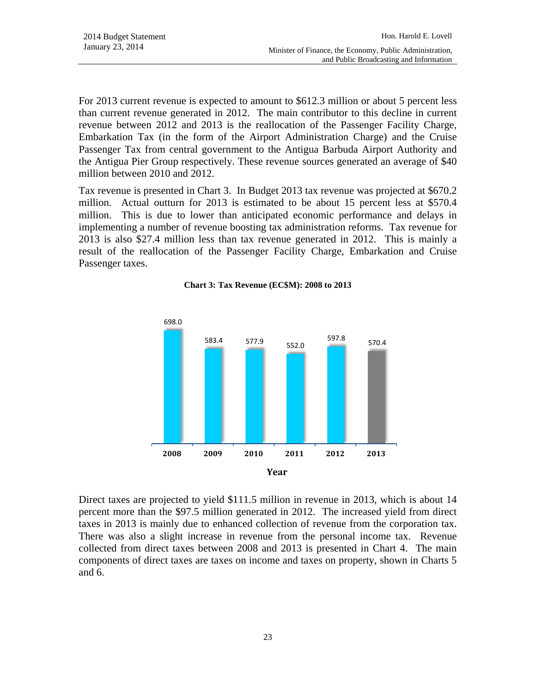For 2013 current revenue is expected to amount to \$612.3 million or about 5 percent less than current revenue generated in 2012. The main contributor to this decline in current revenue between 2012 and 2013 is the reallocation of the Passenger Facility Charge, Embarkation Tax (in the form of the Airport Administration Charge) and the Cruise Passenger Tax from central government to the Antigua Barbuda Airport Authority and the Antigua Pier Group respectively. These revenue sources generated an average of \$40 million between 2010 and 2012.

Tax revenue is presented in Chart 3. In Budget 2013 tax revenue was projected at \$670.2 million. Actual outturn for 2013 is estimated to be about 15 percent less at \$570.4 million. This is due to lower than anticipated economic performance and delays in implementing a number of revenue boosting tax administration reforms. Tax revenue for 2013 is also \$27.4 million less than tax revenue generated in 2012. This is mainly a result of the reallocation of the Passenger Facility Charge, Embarkation and Cruise Passenger taxes.

#### **Chart 3: Tax Revenue (EC\$M): 2008 to 2013**



Direct taxes are projected to yield \$111.5 million in revenue in 2013, which is about 14 percent more than the \$97.5 million generated in 2012. The increased yield from direct taxes in 2013 is mainly due to enhanced collection of revenue from the corporation tax. There was also a slight increase in revenue from the personal income tax. Revenue collected from direct taxes between 2008 and 2013 is presented in Chart 4. The main components of direct taxes are taxes on income and taxes on property, shown in Charts 5 and 6.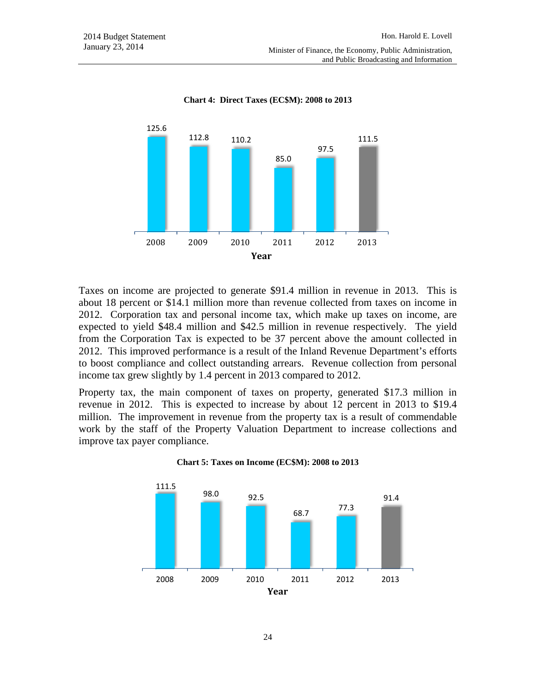

**Chart 4: Direct Taxes (EC\$M): 2008 to 2013** 

Taxes on income are projected to generate \$91.4 million in revenue in 2013. This is about 18 percent or \$14.1 million more than revenue collected from taxes on income in 2012. Corporation tax and personal income tax, which make up taxes on income, are expected to yield \$48.4 million and \$42.5 million in revenue respectively. The yield from the Corporation Tax is expected to be 37 percent above the amount collected in 2012. This improved performance is a result of the Inland Revenue Department's efforts to boost compliance and collect outstanding arrears. Revenue collection from personal income tax grew slightly by 1.4 percent in 2013 compared to 2012.

Property tax, the main component of taxes on property, generated \$17.3 million in revenue in 2012. This is expected to increase by about 12 percent in 2013 to \$19.4 million. The improvement in revenue from the property tax is a result of commendable work by the staff of the Property Valuation Department to increase collections and improve tax payer compliance.



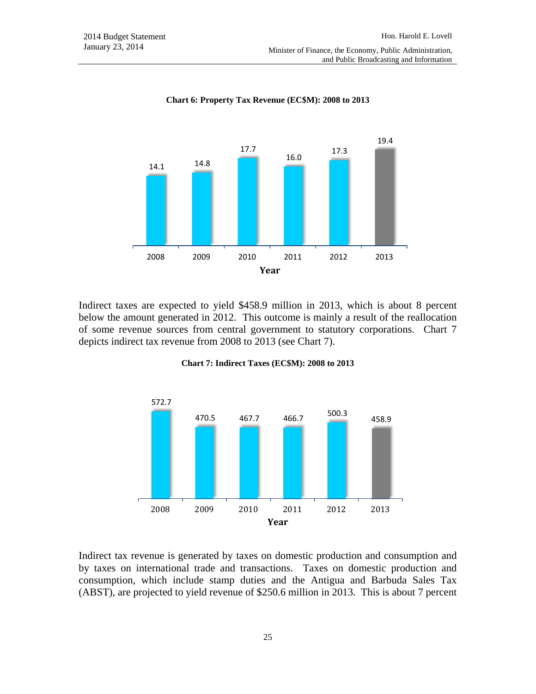

**Chart 6: Property Tax Revenue (EC\$M): 2008 to 2013** 

Indirect taxes are expected to yield \$458.9 million in 2013, which is about 8 percent below the amount generated in 2012. This outcome is mainly a result of the reallocation of some revenue sources from central government to statutory corporations. Chart 7 depicts indirect tax revenue from 2008 to 2013 (see Chart 7).



#### **Chart 7: Indirect Taxes (EC\$M): 2008 to 2013**

Indirect tax revenue is generated by taxes on domestic production and consumption and by taxes on international trade and transactions. Taxes on domestic production and consumption, which include stamp duties and the Antigua and Barbuda Sales Tax (ABST), are projected to yield revenue of \$250.6 million in 2013. This is about 7 percent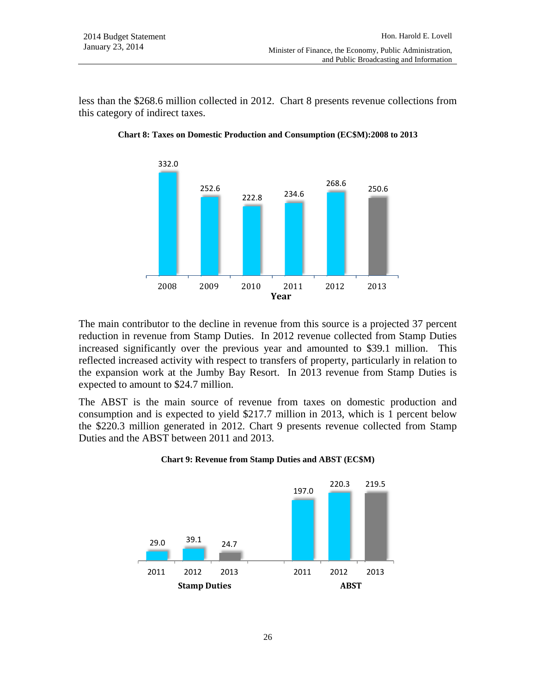less than the \$268.6 million collected in 2012. Chart 8 presents revenue collections from this category of indirect taxes.



**Chart 8: Taxes on Domestic Production and Consumption (EC\$M):2008 to 2013** 

The main contributor to the decline in revenue from this source is a projected 37 percent reduction in revenue from Stamp Duties. In 2012 revenue collected from Stamp Duties increased significantly over the previous year and amounted to \$39.1 million. This reflected increased activity with respect to transfers of property, particularly in relation to the expansion work at the Jumby Bay Resort. In 2013 revenue from Stamp Duties is expected to amount to \$24.7 million.

The ABST is the main source of revenue from taxes on domestic production and consumption and is expected to yield \$217.7 million in 2013, which is 1 percent below the \$220.3 million generated in 2012. Chart 9 presents revenue collected from Stamp Duties and the ABST between 2011 and 2013.



**Chart 9: Revenue from Stamp Duties and ABST (EC\$M)**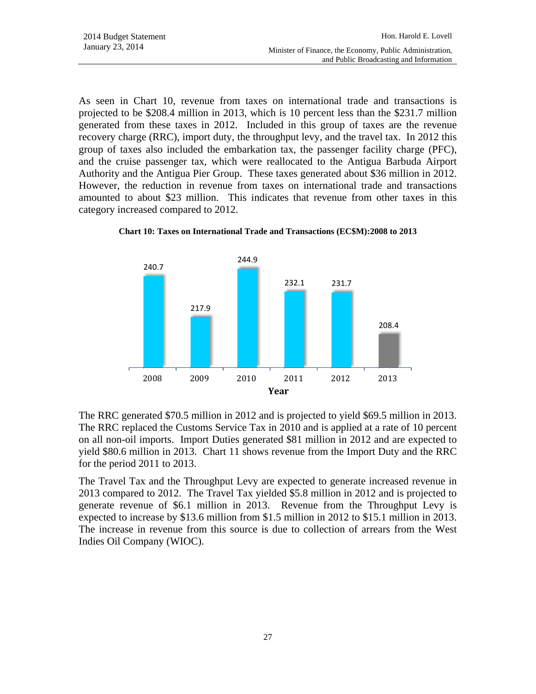As seen in Chart 10, revenue from taxes on international trade and transactions is projected to be \$208.4 million in 2013, which is 10 percent less than the \$231.7 million generated from these taxes in 2012. Included in this group of taxes are the revenue recovery charge (RRC), import duty, the throughput levy, and the travel tax. In 2012 this group of taxes also included the embarkation tax, the passenger facility charge (PFC), and the cruise passenger tax, which were reallocated to the Antigua Barbuda Airport Authority and the Antigua Pier Group. These taxes generated about \$36 million in 2012. However, the reduction in revenue from taxes on international trade and transactions amounted to about \$23 million. This indicates that revenue from other taxes in this category increased compared to 2012.



**Chart 10: Taxes on International Trade and Transactions (EC\$M):2008 to 2013** 

The RRC generated \$70.5 million in 2012 and is projected to yield \$69.5 million in 2013. The RRC replaced the Customs Service Tax in 2010 and is applied at a rate of 10 percent on all non-oil imports. Import Duties generated \$81 million in 2012 and are expected to yield \$80.6 million in 2013. Chart 11 shows revenue from the Import Duty and the RRC for the period 2011 to 2013.

The Travel Tax and the Throughput Levy are expected to generate increased revenue in 2013 compared to 2012. The Travel Tax yielded \$5.8 million in 2012 and is projected to generate revenue of \$6.1 million in 2013. Revenue from the Throughput Levy is expected to increase by \$13.6 million from \$1.5 million in 2012 to \$15.1 million in 2013. The increase in revenue from this source is due to collection of arrears from the West Indies Oil Company (WIOC).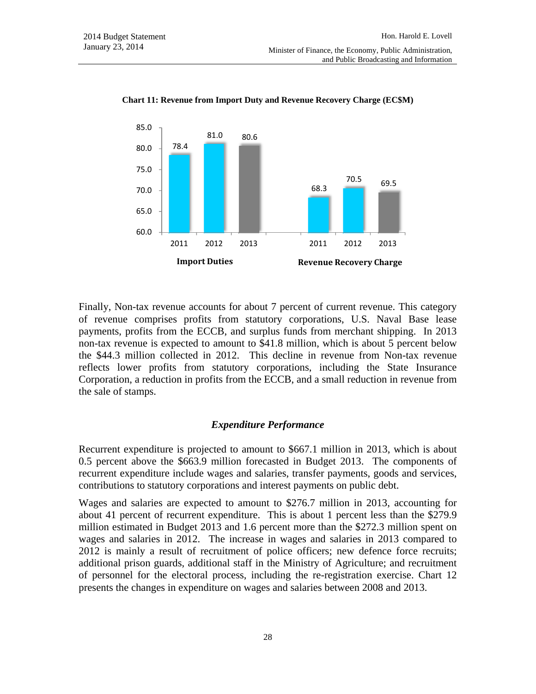

**Chart 11: Revenue from Import Duty and Revenue Recovery Charge (EC\$M)** 

Finally, Non-tax revenue accounts for about 7 percent of current revenue. This category of revenue comprises profits from statutory corporations, U.S. Naval Base lease payments, profits from the ECCB, and surplus funds from merchant shipping. In 2013 non-tax revenue is expected to amount to \$41.8 million, which is about 5 percent below the \$44.3 million collected in 2012. This decline in revenue from Non-tax revenue reflects lower profits from statutory corporations, including the State Insurance Corporation, a reduction in profits from the ECCB, and a small reduction in revenue from the sale of stamps.

#### *Expenditure Performance*

Recurrent expenditure is projected to amount to \$667.1 million in 2013, which is about 0.5 percent above the \$663.9 million forecasted in Budget 2013. The components of recurrent expenditure include wages and salaries, transfer payments, goods and services, contributions to statutory corporations and interest payments on public debt.

Wages and salaries are expected to amount to \$276.7 million in 2013, accounting for about 41 percent of recurrent expenditure. This is about 1 percent less than the \$279.9 million estimated in Budget 2013 and 1.6 percent more than the \$272.3 million spent on wages and salaries in 2012. The increase in wages and salaries in 2013 compared to 2012 is mainly a result of recruitment of police officers; new defence force recruits; additional prison guards, additional staff in the Ministry of Agriculture; and recruitment of personnel for the electoral process, including the re-registration exercise. Chart 12 presents the changes in expenditure on wages and salaries between 2008 and 2013.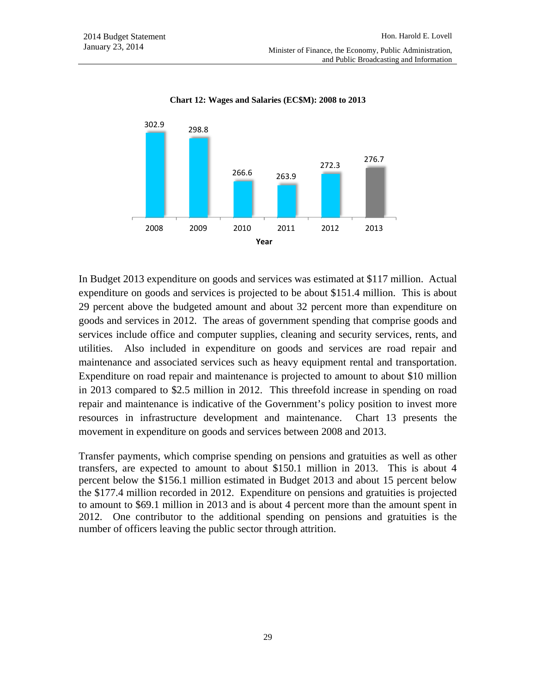

**Chart 12: Wages and Salaries (EC\$M): 2008 to 2013** 

In Budget 2013 expenditure on goods and services was estimated at \$117 million. Actual expenditure on goods and services is projected to be about \$151.4 million. This is about 29 percent above the budgeted amount and about 32 percent more than expenditure on goods and services in 2012. The areas of government spending that comprise goods and services include office and computer supplies, cleaning and security services, rents, and utilities. Also included in expenditure on goods and services are road repair and maintenance and associated services such as heavy equipment rental and transportation. Expenditure on road repair and maintenance is projected to amount to about \$10 million in 2013 compared to \$2.5 million in 2012. This threefold increase in spending on road repair and maintenance is indicative of the Government's policy position to invest more resources in infrastructure development and maintenance. Chart 13 presents the movement in expenditure on goods and services between 2008 and 2013.

Transfer payments, which comprise spending on pensions and gratuities as well as other transfers, are expected to amount to about \$150.1 million in 2013. This is about 4 percent below the \$156.1 million estimated in Budget 2013 and about 15 percent below the \$177.4 million recorded in 2012. Expenditure on pensions and gratuities is projected to amount to \$69.1 million in 2013 and is about 4 percent more than the amount spent in 2012. One contributor to the additional spending on pensions and gratuities is the number of officers leaving the public sector through attrition.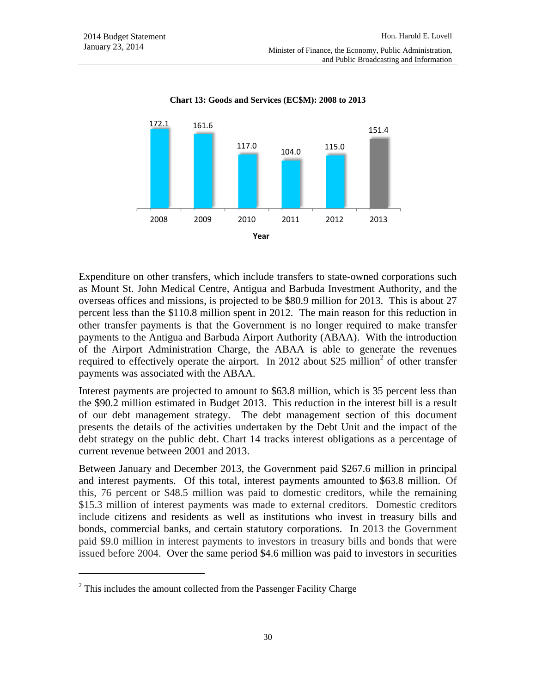

**Chart 13: Goods and Services (EC\$M): 2008 to 2013** 

Expenditure on other transfers, which include transfers to state-owned corporations such as Mount St. John Medical Centre, Antigua and Barbuda Investment Authority, and the overseas offices and missions, is projected to be \$80.9 million for 2013. This is about 27 percent less than the \$110.8 million spent in 2012. The main reason for this reduction in other transfer payments is that the Government is no longer required to make transfer payments to the Antigua and Barbuda Airport Authority (ABAA). With the introduction of the Airport Administration Charge, the ABAA is able to generate the revenues required to effectively operate the airport. In 2012 about \$25 million<sup>2</sup> of other transfer payments was associated with the ABAA.

Interest payments are projected to amount to \$63.8 million, which is 35 percent less than the \$90.2 million estimated in Budget 2013. This reduction in the interest bill is a result of our debt management strategy. The debt management section of this document presents the details of the activities undertaken by the Debt Unit and the impact of the debt strategy on the public debt. Chart 14 tracks interest obligations as a percentage of current revenue between 2001 and 2013.

Between January and December 2013, the Government paid \$267.6 million in principal and interest payments. Of this total, interest payments amounted to \$63.8 million. Of this, 76 percent or \$48.5 million was paid to domestic creditors, while the remaining \$15.3 million of interest payments was made to external creditors. Domestic creditors include citizens and residents as well as institutions who invest in treasury bills and bonds, commercial banks, and certain statutory corporations. In 2013 the Government paid \$9.0 million in interest payments to investors in treasury bills and bonds that were issued before 2004. Over the same period \$4.6 million was paid to investors in securities

l

 $2$ <sup>2</sup> This includes the amount collected from the Passenger Facility Charge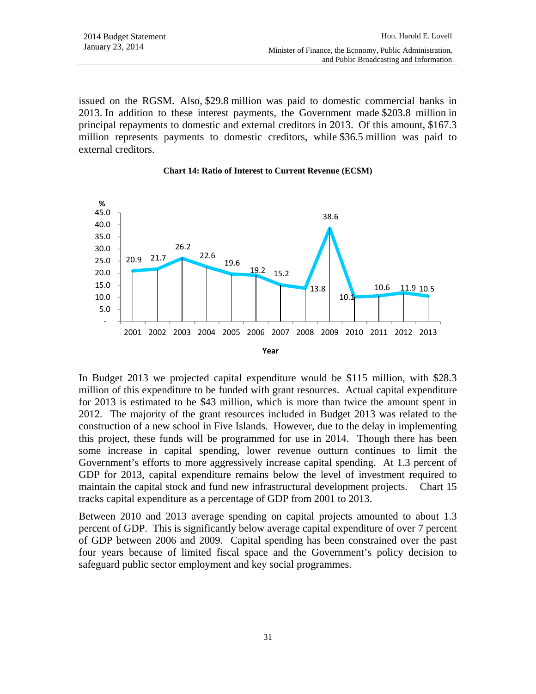issued on the RGSM. Also, \$29.8 million was paid to domestic commercial banks in 2013. In addition to these interest payments, the Government made \$203.8 million in principal repayments to domestic and external creditors in 2013. Of this amount, \$167.3 million represents payments to domestic creditors, while \$36.5 million was paid to external creditors.





In Budget 2013 we projected capital expenditure would be \$115 million, with \$28.3 million of this expenditure to be funded with grant resources. Actual capital expenditure for 2013 is estimated to be \$43 million, which is more than twice the amount spent in 2012. The majority of the grant resources included in Budget 2013 was related to the construction of a new school in Five Islands. However, due to the delay in implementing this project, these funds will be programmed for use in 2014. Though there has been some increase in capital spending, lower revenue outturn continues to limit the Government's efforts to more aggressively increase capital spending. At 1.3 percent of GDP for 2013, capital expenditure remains below the level of investment required to maintain the capital stock and fund new infrastructural development projects. Chart 15 tracks capital expenditure as a percentage of GDP from 2001 to 2013.

Between 2010 and 2013 average spending on capital projects amounted to about 1.3 percent of GDP. This is significantly below average capital expenditure of over 7 percent of GDP between 2006 and 2009. Capital spending has been constrained over the past four years because of limited fiscal space and the Government's policy decision to safeguard public sector employment and key social programmes.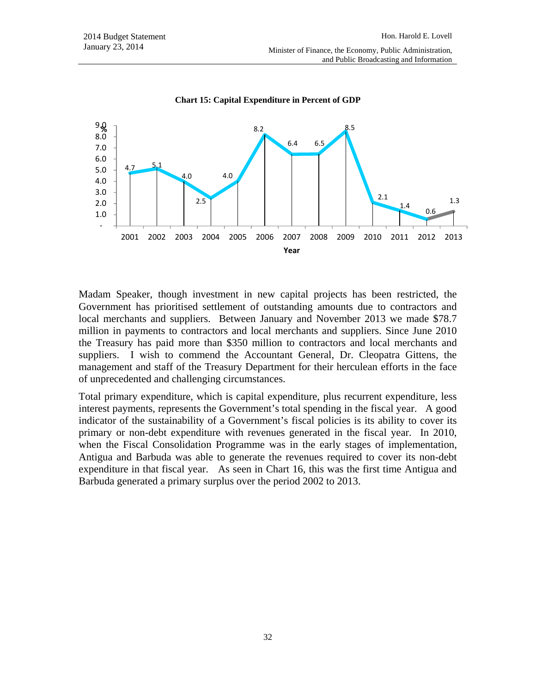

**Chart 15: Capital Expenditure in Percent of GDP** 

Madam Speaker, though investment in new capital projects has been restricted, the Government has prioritised settlement of outstanding amounts due to contractors and local merchants and suppliers. Between January and November 2013 we made \$78.7 million in payments to contractors and local merchants and suppliers. Since June 2010 the Treasury has paid more than \$350 million to contractors and local merchants and suppliers. I wish to commend the Accountant General, Dr. Cleopatra Gittens, the management and staff of the Treasury Department for their herculean efforts in the face of unprecedented and challenging circumstances.

Total primary expenditure, which is capital expenditure, plus recurrent expenditure, less interest payments, represents the Government's total spending in the fiscal year. A good indicator of the sustainability of a Government's fiscal policies is its ability to cover its primary or non-debt expenditure with revenues generated in the fiscal year. In 2010, when the Fiscal Consolidation Programme was in the early stages of implementation, Antigua and Barbuda was able to generate the revenues required to cover its non-debt expenditure in that fiscal year. As seen in Chart 16, this was the first time Antigua and Barbuda generated a primary surplus over the period 2002 to 2013.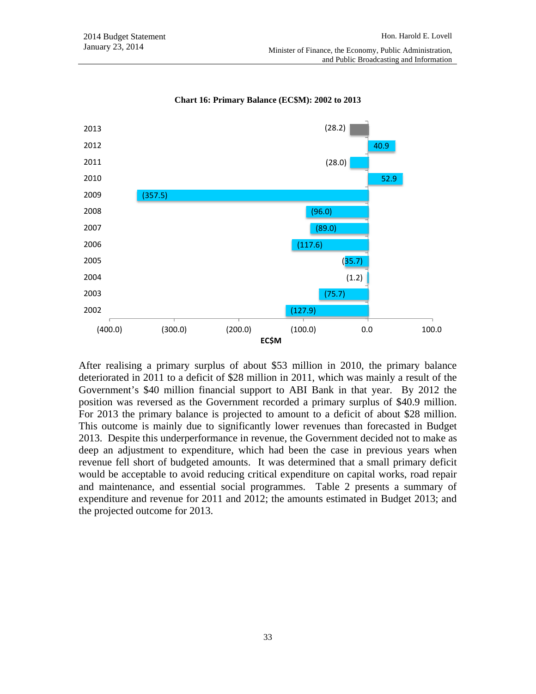

**Chart 16: Primary Balance (EC\$M): 2002 to 2013** 

After realising a primary surplus of about \$53 million in 2010, the primary balance deteriorated in 2011 to a deficit of \$28 million in 2011, which was mainly a result of the Government's \$40 million financial support to ABI Bank in that year. By 2012 the position was reversed as the Government recorded a primary surplus of \$40.9 million. For 2013 the primary balance is projected to amount to a deficit of about \$28 million. This outcome is mainly due to significantly lower revenues than forecasted in Budget 2013. Despite this underperformance in revenue, the Government decided not to make as deep an adjustment to expenditure, which had been the case in previous years when revenue fell short of budgeted amounts. It was determined that a small primary deficit would be acceptable to avoid reducing critical expenditure on capital works, road repair and maintenance, and essential social programmes. Table 2 presents a summary of expenditure and revenue for 2011 and 2012; the amounts estimated in Budget 2013; and the projected outcome for 2013.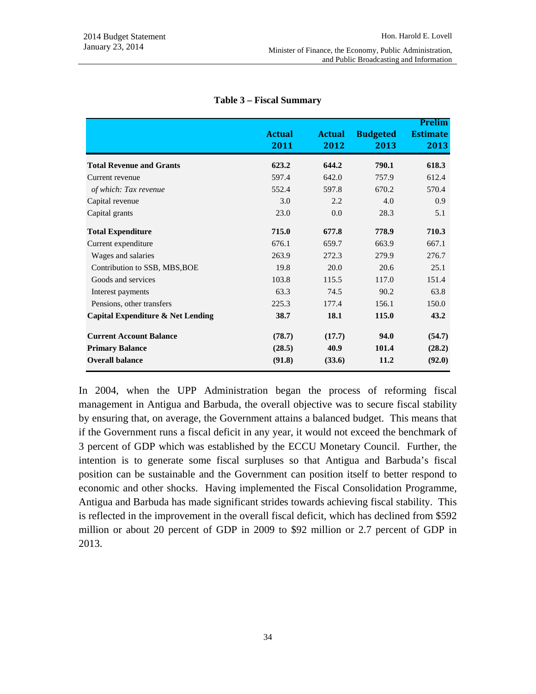and Public Broadcasting and Information

|                                   | <b>Actual</b><br>2011 | <b>Actual</b><br>2012 | <b>Budgeted</b><br>2013 | <b>Prelim</b><br><b>Estimate</b><br>2013 |
|-----------------------------------|-----------------------|-----------------------|-------------------------|------------------------------------------|
| <b>Total Revenue and Grants</b>   | 623.2                 | 644.2                 | 790.1                   | 618.3                                    |
| Current revenue                   | 597.4                 | 642.0                 | 757.9                   | 612.4                                    |
| of which: Tax revenue             | 552.4                 | 597.8                 | 670.2                   | 570.4                                    |
| Capital revenue                   | 3.0                   | 2.2                   | 4.0                     | 0.9                                      |
| Capital grants                    | 23.0                  | 0.0                   | 28.3                    | 5.1                                      |
| <b>Total Expenditure</b>          | 715.0                 | 677.8                 | 778.9                   | 710.3                                    |
| Current expenditure               | 676.1                 | 659.7                 | 663.9                   | 667.1                                    |
| Wages and salaries                | 263.9                 | 272.3                 | 279.9                   | 276.7                                    |
| Contribution to SSB, MBS, BOE     | 19.8                  | 20.0                  | 20.6                    | 25.1                                     |
| Goods and services                | 103.8                 | 115.5                 | 117.0                   | 151.4                                    |
| Interest payments                 | 63.3                  | 74.5                  | 90.2                    | 63.8                                     |
| Pensions, other transfers         | 225.3                 | 177.4                 | 156.1                   | 150.0                                    |
| Capital Expenditure & Net Lending | 38.7                  | 18.1                  | 115.0                   | 43.2                                     |
| <b>Current Account Balance</b>    | (78.7)                | (17.7)                | 94.0                    | (54.7)                                   |
| <b>Primary Balance</b>            | (28.5)                | 40.9                  | 101.4                   | (28.2)                                   |
| <b>Overall balance</b>            | (91.8)                | (33.6)                | 11.2                    | (92.0)                                   |

#### **Table 3 – Fiscal Summary**

In 2004, when the UPP Administration began the process of reforming fiscal management in Antigua and Barbuda, the overall objective was to secure fiscal stability by ensuring that, on average, the Government attains a balanced budget. This means that if the Government runs a fiscal deficit in any year, it would not exceed the benchmark of 3 percent of GDP which was established by the ECCU Monetary Council. Further, the intention is to generate some fiscal surpluses so that Antigua and Barbuda's fiscal position can be sustainable and the Government can position itself to better respond to economic and other shocks. Having implemented the Fiscal Consolidation Programme, Antigua and Barbuda has made significant strides towards achieving fiscal stability. This is reflected in the improvement in the overall fiscal deficit, which has declined from \$592 million or about 20 percent of GDP in 2009 to \$92 million or 2.7 percent of GDP in 2013.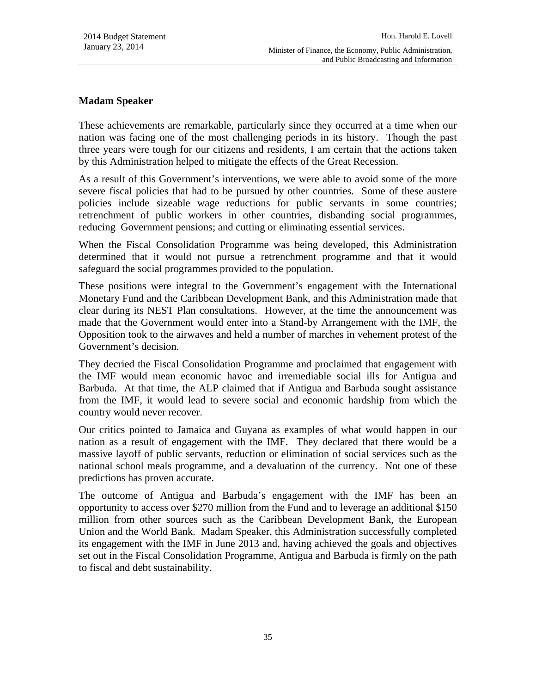## **Madam Speaker**

These achievements are remarkable, particularly since they occurred at a time when our nation was facing one of the most challenging periods in its history. Though the past three years were tough for our citizens and residents, I am certain that the actions taken by this Administration helped to mitigate the effects of the Great Recession.

As a result of this Government's interventions, we were able to avoid some of the more severe fiscal policies that had to be pursued by other countries. Some of these austere policies include sizeable wage reductions for public servants in some countries; retrenchment of public workers in other countries, disbanding social programmes, reducing Government pensions; and cutting or eliminating essential services.

When the Fiscal Consolidation Programme was being developed, this Administration determined that it would not pursue a retrenchment programme and that it would safeguard the social programmes provided to the population.

These positions were integral to the Government's engagement with the International Monetary Fund and the Caribbean Development Bank, and this Administration made that clear during its NEST Plan consultations. However, at the time the announcement was made that the Government would enter into a Stand-by Arrangement with the IMF, the Opposition took to the airwaves and held a number of marches in vehement protest of the Government's decision.

They decried the Fiscal Consolidation Programme and proclaimed that engagement with the IMF would mean economic havoc and irremediable social ills for Antigua and Barbuda. At that time, the ALP claimed that if Antigua and Barbuda sought assistance from the IMF, it would lead to severe social and economic hardship from which the country would never recover.

Our critics pointed to Jamaica and Guyana as examples of what would happen in our nation as a result of engagement with the IMF. They declared that there would be a massive layoff of public servants, reduction or elimination of social services such as the national school meals programme, and a devaluation of the currency. Not one of these predictions has proven accurate.

The outcome of Antigua and Barbuda's engagement with the IMF has been an opportunity to access over \$270 million from the Fund and to leverage an additional \$150 million from other sources such as the Caribbean Development Bank, the European Union and the World Bank. Madam Speaker, this Administration successfully completed its engagement with the IMF in June 2013 and, having achieved the goals and objectives set out in the Fiscal Consolidation Programme, Antigua and Barbuda is firmly on the path to fiscal and debt sustainability.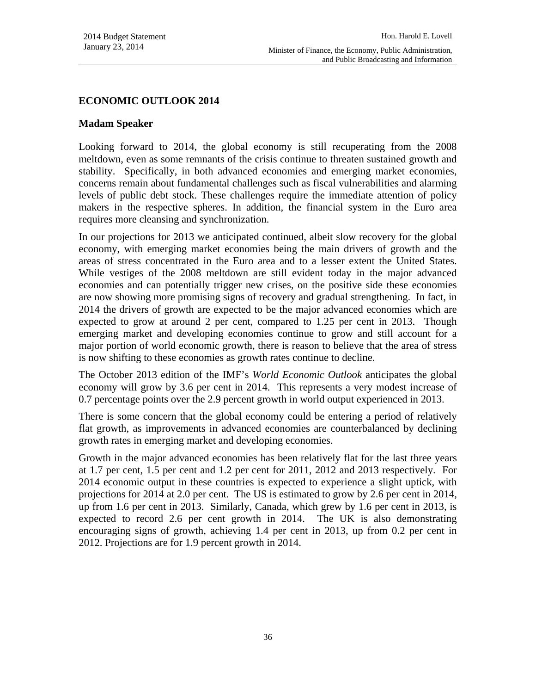and Public Broadcasting and Information

### **ECONOMIC OUTLOOK 2014**

### **Madam Speaker**

Looking forward to 2014, the global economy is still recuperating from the 2008 meltdown, even as some remnants of the crisis continue to threaten sustained growth and stability. Specifically, in both advanced economies and emerging market economies, concerns remain about fundamental challenges such as fiscal vulnerabilities and alarming levels of public debt stock. These challenges require the immediate attention of policy makers in the respective spheres. In addition, the financial system in the Euro area requires more cleansing and synchronization.

In our projections for 2013 we anticipated continued, albeit slow recovery for the global economy, with emerging market economies being the main drivers of growth and the areas of stress concentrated in the Euro area and to a lesser extent the United States. While vestiges of the 2008 meltdown are still evident today in the major advanced economies and can potentially trigger new crises, on the positive side these economies are now showing more promising signs of recovery and gradual strengthening. In fact, in 2014 the drivers of growth are expected to be the major advanced economies which are expected to grow at around 2 per cent, compared to 1.25 per cent in 2013. Though emerging market and developing economies continue to grow and still account for a major portion of world economic growth, there is reason to believe that the area of stress is now shifting to these economies as growth rates continue to decline.

The October 2013 edition of the IMF's *World Economic Outlook* anticipates the global economy will grow by 3.6 per cent in 2014. This represents a very modest increase of 0.7 percentage points over the 2.9 percent growth in world output experienced in 2013.

There is some concern that the global economy could be entering a period of relatively flat growth, as improvements in advanced economies are counterbalanced by declining growth rates in emerging market and developing economies.

Growth in the major advanced economies has been relatively flat for the last three years at 1.7 per cent, 1.5 per cent and 1.2 per cent for 2011, 2012 and 2013 respectively. For 2014 economic output in these countries is expected to experience a slight uptick, with projections for 2014 at 2.0 per cent. The US is estimated to grow by 2.6 per cent in 2014, up from 1.6 per cent in 2013. Similarly, Canada, which grew by 1.6 per cent in 2013, is expected to record 2.6 per cent growth in 2014. The UK is also demonstrating encouraging signs of growth, achieving 1.4 per cent in 2013, up from 0.2 per cent in 2012. Projections are for 1.9 percent growth in 2014.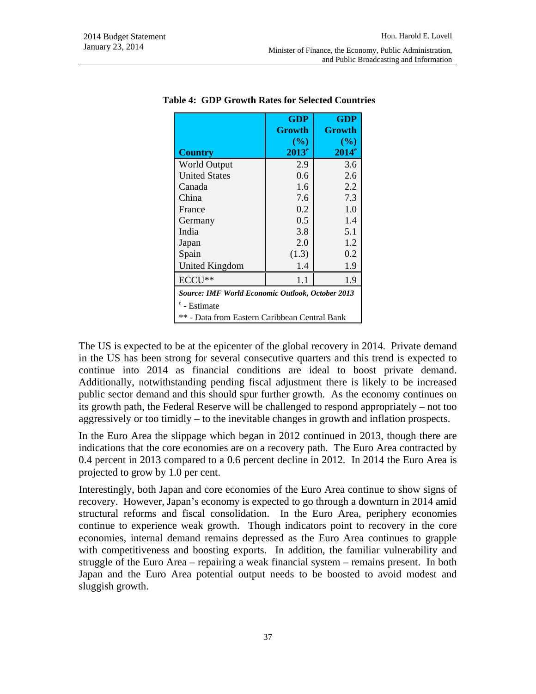|                                                         | <b>GDP</b><br><b>Growth</b> | GDP<br>Growth      |  |  |
|---------------------------------------------------------|-----------------------------|--------------------|--|--|
| <b>Country</b>                                          | (%)<br>$2013^e$             | $($ %)<br>$2014^e$ |  |  |
| <b>World Output</b>                                     | 2.9                         | 3.6                |  |  |
| <b>United States</b>                                    | 0.6                         | 2.6                |  |  |
| Canada                                                  | 1.6                         | 2.2                |  |  |
| China                                                   | 7.6                         | 7.3                |  |  |
| France                                                  | 0.2                         | 1.0                |  |  |
| Germany                                                 | 0.5                         | 1.4                |  |  |
| India                                                   | 3.8                         | 5.1                |  |  |
| Japan                                                   | 2.0                         | 1.2                |  |  |
| Spain                                                   | (1.3)                       | 0.2                |  |  |
| United Kingdom                                          | 1.4                         | 1.9                |  |  |
| $ECCI$ <sup>**</sup>                                    | 1.1                         | 1.9                |  |  |
| <b>Source: IMF World Economic Outlook, October 2013</b> |                             |                    |  |  |
| <sup>e</sup> - Estimate                                 |                             |                    |  |  |
| ** - Data from Eastern Caribbean Central Bank           |                             |                    |  |  |

 **Table 4: GDP Growth Rates for Selected Countries** 

The US is expected to be at the epicenter of the global recovery in 2014. Private demand in the US has been strong for several consecutive quarters and this trend is expected to continue into 2014 as financial conditions are ideal to boost private demand. Additionally, notwithstanding pending fiscal adjustment there is likely to be increased public sector demand and this should spur further growth. As the economy continues on its growth path, the Federal Reserve will be challenged to respond appropriately – not too aggressively or too timidly – to the inevitable changes in growth and inflation prospects.

In the Euro Area the slippage which began in 2012 continued in 2013, though there are indications that the core economies are on a recovery path. The Euro Area contracted by 0.4 percent in 2013 compared to a 0.6 percent decline in 2012. In 2014 the Euro Area is projected to grow by 1.0 per cent.

Interestingly, both Japan and core economies of the Euro Area continue to show signs of recovery. However, Japan's economy is expected to go through a downturn in 2014 amid structural reforms and fiscal consolidation. In the Euro Area, periphery economies continue to experience weak growth. Though indicators point to recovery in the core economies, internal demand remains depressed as the Euro Area continues to grapple with competitiveness and boosting exports. In addition, the familiar vulnerability and struggle of the Euro Area – repairing a weak financial system – remains present. In both Japan and the Euro Area potential output needs to be boosted to avoid modest and sluggish growth.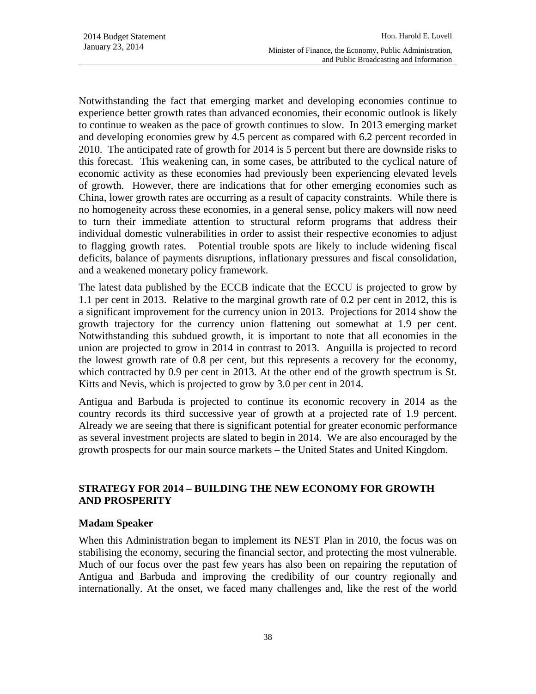Notwithstanding the fact that emerging market and developing economies continue to experience better growth rates than advanced economies, their economic outlook is likely to continue to weaken as the pace of growth continues to slow. In 2013 emerging market and developing economies grew by 4.5 percent as compared with 6.2 percent recorded in 2010. The anticipated rate of growth for 2014 is 5 percent but there are downside risks to this forecast. This weakening can, in some cases, be attributed to the cyclical nature of economic activity as these economies had previously been experiencing elevated levels of growth. However, there are indications that for other emerging economies such as China, lower growth rates are occurring as a result of capacity constraints. While there is no homogeneity across these economies, in a general sense, policy makers will now need to turn their immediate attention to structural reform programs that address their individual domestic vulnerabilities in order to assist their respective economies to adjust to flagging growth rates. Potential trouble spots are likely to include widening fiscal deficits, balance of payments disruptions, inflationary pressures and fiscal consolidation, and a weakened monetary policy framework.

The latest data published by the ECCB indicate that the ECCU is projected to grow by 1.1 per cent in 2013. Relative to the marginal growth rate of 0.2 per cent in 2012, this is a significant improvement for the currency union in 2013. Projections for 2014 show the growth trajectory for the currency union flattening out somewhat at 1.9 per cent. Notwithstanding this subdued growth, it is important to note that all economies in the union are projected to grow in 2014 in contrast to 2013. Anguilla is projected to record the lowest growth rate of 0.8 per cent, but this represents a recovery for the economy, which contracted by 0.9 per cent in 2013. At the other end of the growth spectrum is St. Kitts and Nevis, which is projected to grow by 3.0 per cent in 2014.

Antigua and Barbuda is projected to continue its economic recovery in 2014 as the country records its third successive year of growth at a projected rate of 1.9 percent. Already we are seeing that there is significant potential for greater economic performance as several investment projects are slated to begin in 2014. We are also encouraged by the growth prospects for our main source markets – the United States and United Kingdom.

# **STRATEGY FOR 2014 – BUILDING THE NEW ECONOMY FOR GROWTH AND PROSPERITY**

## **Madam Speaker**

When this Administration began to implement its NEST Plan in 2010, the focus was on stabilising the economy, securing the financial sector, and protecting the most vulnerable. Much of our focus over the past few years has also been on repairing the reputation of Antigua and Barbuda and improving the credibility of our country regionally and internationally. At the onset, we faced many challenges and, like the rest of the world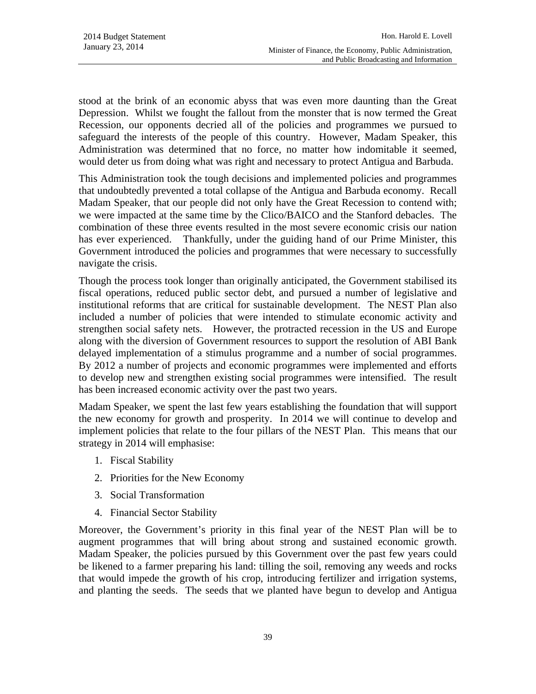stood at the brink of an economic abyss that was even more daunting than the Great Depression. Whilst we fought the fallout from the monster that is now termed the Great Recession, our opponents decried all of the policies and programmes we pursued to safeguard the interests of the people of this country. However, Madam Speaker, this Administration was determined that no force, no matter how indomitable it seemed, would deter us from doing what was right and necessary to protect Antigua and Barbuda.

This Administration took the tough decisions and implemented policies and programmes that undoubtedly prevented a total collapse of the Antigua and Barbuda economy. Recall Madam Speaker, that our people did not only have the Great Recession to contend with; we were impacted at the same time by the Clico/BAICO and the Stanford debacles. The combination of these three events resulted in the most severe economic crisis our nation has ever experienced. Thankfully, under the guiding hand of our Prime Minister, this Government introduced the policies and programmes that were necessary to successfully navigate the crisis.

Though the process took longer than originally anticipated, the Government stabilised its fiscal operations, reduced public sector debt, and pursued a number of legislative and institutional reforms that are critical for sustainable development. The NEST Plan also included a number of policies that were intended to stimulate economic activity and strengthen social safety nets. However, the protracted recession in the US and Europe along with the diversion of Government resources to support the resolution of ABI Bank delayed implementation of a stimulus programme and a number of social programmes. By 2012 a number of projects and economic programmes were implemented and efforts to develop new and strengthen existing social programmes were intensified. The result has been increased economic activity over the past two years.

Madam Speaker, we spent the last few years establishing the foundation that will support the new economy for growth and prosperity. In 2014 we will continue to develop and implement policies that relate to the four pillars of the NEST Plan. This means that our strategy in 2014 will emphasise:

- 1. Fiscal Stability
- 2. Priorities for the New Economy
- 3. Social Transformation
- 4. Financial Sector Stability

Moreover, the Government's priority in this final year of the NEST Plan will be to augment programmes that will bring about strong and sustained economic growth. Madam Speaker, the policies pursued by this Government over the past few years could be likened to a farmer preparing his land: tilling the soil, removing any weeds and rocks that would impede the growth of his crop, introducing fertilizer and irrigation systems, and planting the seeds. The seeds that we planted have begun to develop and Antigua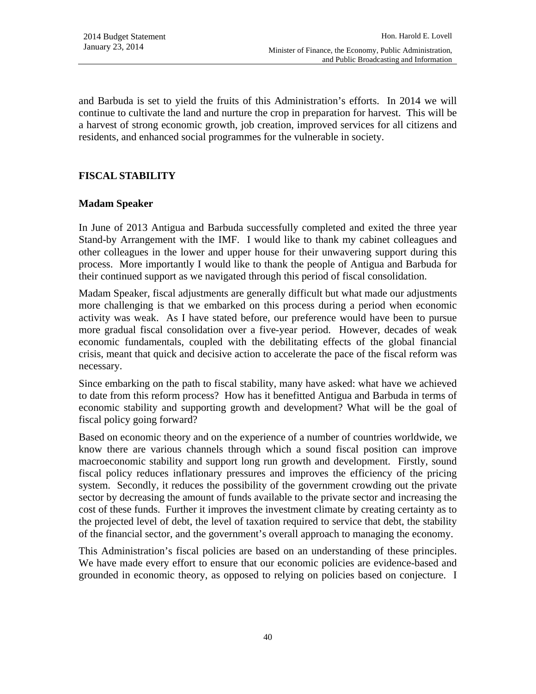and Barbuda is set to yield the fruits of this Administration's efforts. In 2014 we will continue to cultivate the land and nurture the crop in preparation for harvest. This will be a harvest of strong economic growth, job creation, improved services for all citizens and residents, and enhanced social programmes for the vulnerable in society.

# **FISCAL STABILITY**

### **Madam Speaker**

In June of 2013 Antigua and Barbuda successfully completed and exited the three year Stand-by Arrangement with the IMF. I would like to thank my cabinet colleagues and other colleagues in the lower and upper house for their unwavering support during this process. More importantly I would like to thank the people of Antigua and Barbuda for their continued support as we navigated through this period of fiscal consolidation.

Madam Speaker, fiscal adjustments are generally difficult but what made our adjustments more challenging is that we embarked on this process during a period when economic activity was weak. As I have stated before, our preference would have been to pursue more gradual fiscal consolidation over a five-year period. However, decades of weak economic fundamentals, coupled with the debilitating effects of the global financial crisis, meant that quick and decisive action to accelerate the pace of the fiscal reform was necessary.

Since embarking on the path to fiscal stability, many have asked: what have we achieved to date from this reform process? How has it benefitted Antigua and Barbuda in terms of economic stability and supporting growth and development? What will be the goal of fiscal policy going forward?

Based on economic theory and on the experience of a number of countries worldwide, we know there are various channels through which a sound fiscal position can improve macroeconomic stability and support long run growth and development. Firstly, sound fiscal policy reduces inflationary pressures and improves the efficiency of the pricing system. Secondly, it reduces the possibility of the government crowding out the private sector by decreasing the amount of funds available to the private sector and increasing the cost of these funds. Further it improves the investment climate by creating certainty as to the projected level of debt, the level of taxation required to service that debt, the stability of the financial sector, and the government's overall approach to managing the economy.

This Administration's fiscal policies are based on an understanding of these principles. We have made every effort to ensure that our economic policies are evidence-based and grounded in economic theory, as opposed to relying on policies based on conjecture. I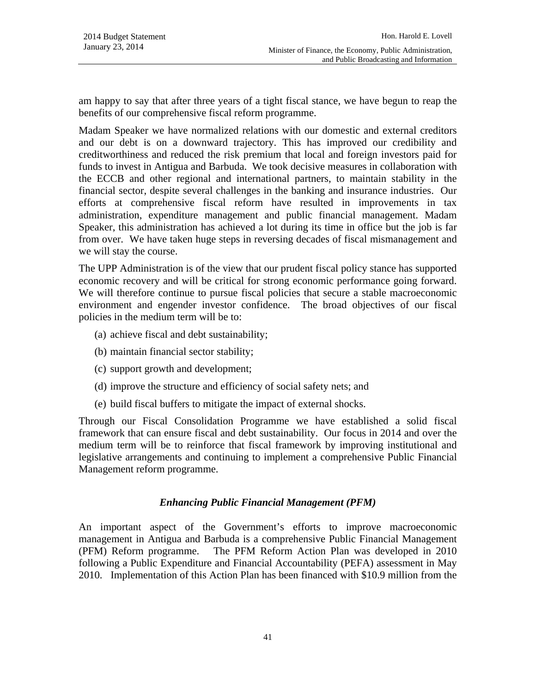am happy to say that after three years of a tight fiscal stance, we have begun to reap the benefits of our comprehensive fiscal reform programme.

Madam Speaker we have normalized relations with our domestic and external creditors and our debt is on a downward trajectory. This has improved our credibility and creditworthiness and reduced the risk premium that local and foreign investors paid for funds to invest in Antigua and Barbuda. We took decisive measures in collaboration with the ECCB and other regional and international partners, to maintain stability in the financial sector, despite several challenges in the banking and insurance industries. Our efforts at comprehensive fiscal reform have resulted in improvements in tax administration, expenditure management and public financial management. Madam Speaker, this administration has achieved a lot during its time in office but the job is far from over. We have taken huge steps in reversing decades of fiscal mismanagement and we will stay the course.

The UPP Administration is of the view that our prudent fiscal policy stance has supported economic recovery and will be critical for strong economic performance going forward. We will therefore continue to pursue fiscal policies that secure a stable macroeconomic environment and engender investor confidence. The broad objectives of our fiscal policies in the medium term will be to:

- (a) achieve fiscal and debt sustainability;
- (b) maintain financial sector stability;
- (c) support growth and development;
- (d) improve the structure and efficiency of social safety nets; and
- (e) build fiscal buffers to mitigate the impact of external shocks.

Through our Fiscal Consolidation Programme we have established a solid fiscal framework that can ensure fiscal and debt sustainability. Our focus in 2014 and over the medium term will be to reinforce that fiscal framework by improving institutional and legislative arrangements and continuing to implement a comprehensive Public Financial Management reform programme.

### *Enhancing Public Financial Management (PFM)*

An important aspect of the Government's efforts to improve macroeconomic management in Antigua and Barbuda is a comprehensive Public Financial Management (PFM) Reform programme. The PFM Reform Action Plan was developed in 2010 following a Public Expenditure and Financial Accountability (PEFA) assessment in May 2010. Implementation of this Action Plan has been financed with \$10.9 million from the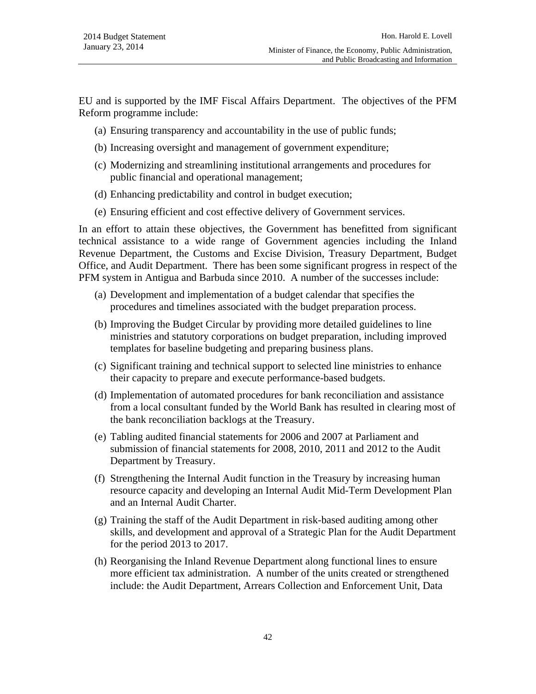EU and is supported by the IMF Fiscal Affairs Department. The objectives of the PFM Reform programme include:

- (a) Ensuring transparency and accountability in the use of public funds;
- (b) Increasing oversight and management of government expenditure;
- (c) Modernizing and streamlining institutional arrangements and procedures for public financial and operational management;
- (d) Enhancing predictability and control in budget execution;
- (e) Ensuring efficient and cost effective delivery of Government services.

In an effort to attain these objectives, the Government has benefitted from significant technical assistance to a wide range of Government agencies including the Inland Revenue Department, the Customs and Excise Division, Treasury Department, Budget Office, and Audit Department. There has been some significant progress in respect of the PFM system in Antigua and Barbuda since 2010. A number of the successes include:

- (a) Development and implementation of a budget calendar that specifies the procedures and timelines associated with the budget preparation process.
- (b) Improving the Budget Circular by providing more detailed guidelines to line ministries and statutory corporations on budget preparation, including improved templates for baseline budgeting and preparing business plans.
- (c) Significant training and technical support to selected line ministries to enhance their capacity to prepare and execute performance-based budgets.
- (d) Implementation of automated procedures for bank reconciliation and assistance from a local consultant funded by the World Bank has resulted in clearing most of the bank reconciliation backlogs at the Treasury.
- (e) Tabling audited financial statements for 2006 and 2007 at Parliament and submission of financial statements for 2008, 2010, 2011 and 2012 to the Audit Department by Treasury.
- (f) Strengthening the Internal Audit function in the Treasury by increasing human resource capacity and developing an Internal Audit Mid-Term Development Plan and an Internal Audit Charter.
- (g) Training the staff of the Audit Department in risk-based auditing among other skills, and development and approval of a Strategic Plan for the Audit Department for the period 2013 to 2017.
- (h) Reorganising the Inland Revenue Department along functional lines to ensure more efficient tax administration. A number of the units created or strengthened include: the Audit Department, Arrears Collection and Enforcement Unit, Data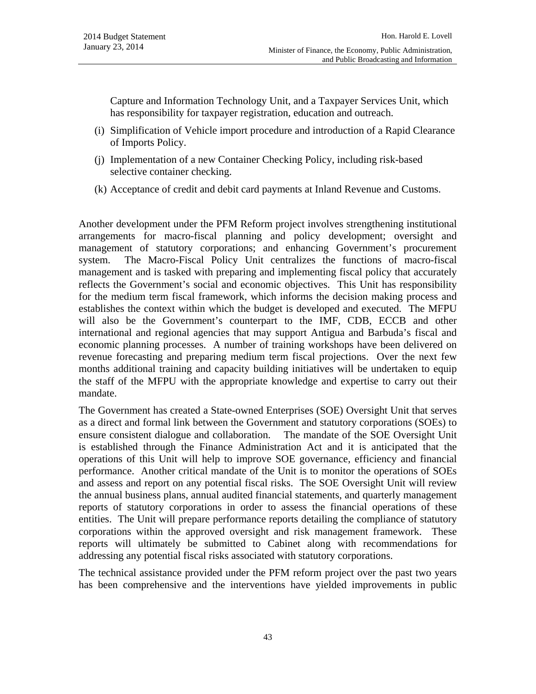Capture and Information Technology Unit, and a Taxpayer Services Unit, which has responsibility for taxpayer registration, education and outreach.

- (i) Simplification of Vehicle import procedure and introduction of a Rapid Clearance of Imports Policy.
- (j) Implementation of a new Container Checking Policy, including risk-based selective container checking.
- (k) Acceptance of credit and debit card payments at Inland Revenue and Customs.

Another development under the PFM Reform project involves strengthening institutional arrangements for macro-fiscal planning and policy development; oversight and management of statutory corporations; and enhancing Government's procurement system. The Macro-Fiscal Policy Unit centralizes the functions of macro-fiscal management and is tasked with preparing and implementing fiscal policy that accurately reflects the Government's social and economic objectives. This Unit has responsibility for the medium term fiscal framework, which informs the decision making process and establishes the context within which the budget is developed and executed. The MFPU will also be the Government's counterpart to the IMF, CDB, ECCB and other international and regional agencies that may support Antigua and Barbuda's fiscal and economic planning processes. A number of training workshops have been delivered on revenue forecasting and preparing medium term fiscal projections. Over the next few months additional training and capacity building initiatives will be undertaken to equip the staff of the MFPU with the appropriate knowledge and expertise to carry out their mandate.

The Government has created a State-owned Enterprises (SOE) Oversight Unit that serves as a direct and formal link between the Government and statutory corporations (SOEs) to ensure consistent dialogue and collaboration. The mandate of the SOE Oversight Unit is established through the Finance Administration Act and it is anticipated that the operations of this Unit will help to improve SOE governance, efficiency and financial performance. Another critical mandate of the Unit is to monitor the operations of SOEs and assess and report on any potential fiscal risks. The SOE Oversight Unit will review the annual business plans, annual audited financial statements, and quarterly management reports of statutory corporations in order to assess the financial operations of these entities. The Unit will prepare performance reports detailing the compliance of statutory corporations within the approved oversight and risk management framework. These reports will ultimately be submitted to Cabinet along with recommendations for addressing any potential fiscal risks associated with statutory corporations.

The technical assistance provided under the PFM reform project over the past two years has been comprehensive and the interventions have yielded improvements in public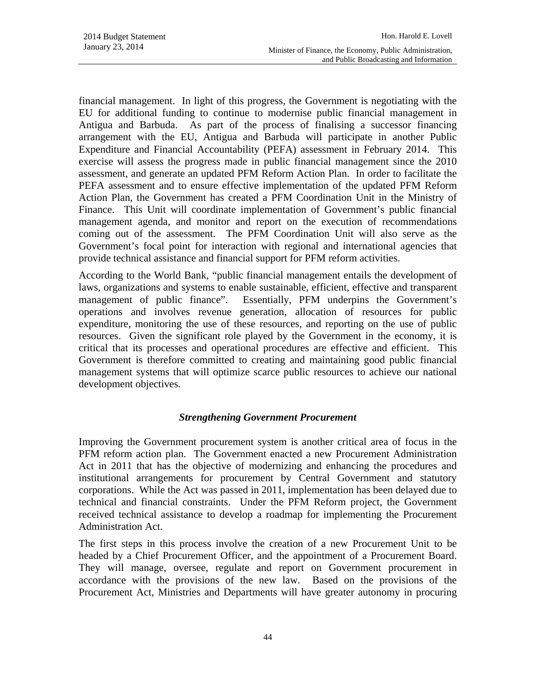financial management. In light of this progress, the Government is negotiating with the EU for additional funding to continue to modernise public financial management in Antigua and Barbuda. As part of the process of finalising a successor financing arrangement with the EU, Antigua and Barbuda will participate in another Public Expenditure and Financial Accountability (PEFA) assessment in February 2014. This exercise will assess the progress made in public financial management since the 2010 assessment, and generate an updated PFM Reform Action Plan. In order to facilitate the PEFA assessment and to ensure effective implementation of the updated PFM Reform Action Plan, the Government has created a PFM Coordination Unit in the Ministry of Finance. This Unit will coordinate implementation of Government's public financial management agenda, and monitor and report on the execution of recommendations coming out of the assessment. The PFM Coordination Unit will also serve as the Government's focal point for interaction with regional and international agencies that provide technical assistance and financial support for PFM reform activities.

According to the World Bank, "public financial management entails the development of laws, organizations and systems to enable sustainable, efficient, effective and transparent management of public finance". Essentially, PFM underpins the Government's operations and involves revenue generation, allocation of resources for public expenditure, monitoring the use of these resources, and reporting on the use of public resources. Given the significant role played by the Government in the economy, it is critical that its processes and operational procedures are effective and efficient. This Government is therefore committed to creating and maintaining good public financial management systems that will optimize scarce public resources to achieve our national development objectives.

### *Strengthening Government Procurement*

Improving the Government procurement system is another critical area of focus in the PFM reform action plan. The Government enacted a new Procurement Administration Act in 2011 that has the objective of modernizing and enhancing the procedures and institutional arrangements for procurement by Central Government and statutory corporations. While the Act was passed in 2011, implementation has been delayed due to technical and financial constraints. Under the PFM Reform project, the Government received technical assistance to develop a roadmap for implementing the Procurement Administration Act.

The first steps in this process involve the creation of a new Procurement Unit to be headed by a Chief Procurement Officer, and the appointment of a Procurement Board. They will manage, oversee, regulate and report on Government procurement in accordance with the provisions of the new law. Based on the provisions of the Procurement Act, Ministries and Departments will have greater autonomy in procuring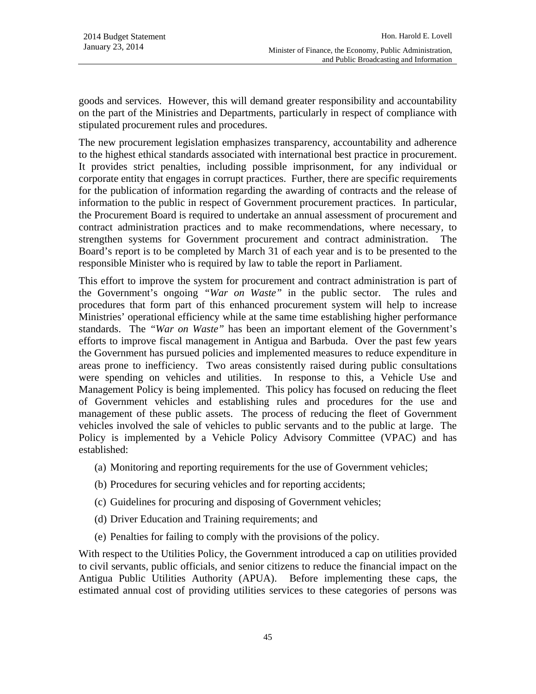goods and services. However, this will demand greater responsibility and accountability on the part of the Ministries and Departments, particularly in respect of compliance with stipulated procurement rules and procedures.

The new procurement legislation emphasizes transparency, accountability and adherence to the highest ethical standards associated with international best practice in procurement. It provides strict penalties, including possible imprisonment, for any individual or corporate entity that engages in corrupt practices. Further, there are specific requirements for the publication of information regarding the awarding of contracts and the release of information to the public in respect of Government procurement practices. In particular, the Procurement Board is required to undertake an annual assessment of procurement and contract administration practices and to make recommendations, where necessary, to strengthen systems for Government procurement and contract administration. The Board's report is to be completed by March 31 of each year and is to be presented to the responsible Minister who is required by law to table the report in Parliament.

This effort to improve the system for procurement and contract administration is part of the Government's ongoing *"War on Waste"* in the public sector. The rules and procedures that form part of this enhanced procurement system will help to increase Ministries' operational efficiency while at the same time establishing higher performance standards. The *"War on Waste"* has been an important element of the Government's efforts to improve fiscal management in Antigua and Barbuda. Over the past few years the Government has pursued policies and implemented measures to reduce expenditure in areas prone to inefficiency. Two areas consistently raised during public consultations were spending on vehicles and utilities. In response to this, a Vehicle Use and Management Policy is being implemented. This policy has focused on reducing the fleet of Government vehicles and establishing rules and procedures for the use and management of these public assets. The process of reducing the fleet of Government vehicles involved the sale of vehicles to public servants and to the public at large. The Policy is implemented by a Vehicle Policy Advisory Committee (VPAC) and has established:

- (a) Monitoring and reporting requirements for the use of Government vehicles;
- (b) Procedures for securing vehicles and for reporting accidents;
- (c) Guidelines for procuring and disposing of Government vehicles;
- (d) Driver Education and Training requirements; and
- (e) Penalties for failing to comply with the provisions of the policy.

With respect to the Utilities Policy, the Government introduced a cap on utilities provided to civil servants, public officials, and senior citizens to reduce the financial impact on the Antigua Public Utilities Authority (APUA). Before implementing these caps, the estimated annual cost of providing utilities services to these categories of persons was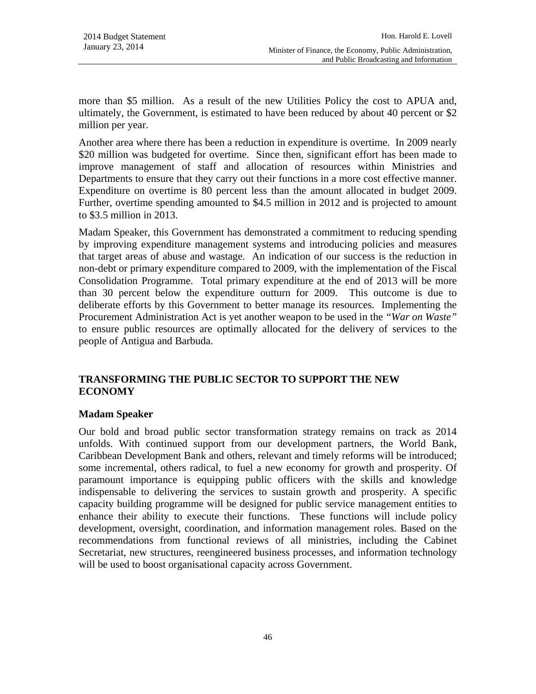more than \$5 million. As a result of the new Utilities Policy the cost to APUA and, ultimately, the Government, is estimated to have been reduced by about 40 percent or \$2 million per year.

Another area where there has been a reduction in expenditure is overtime. In 2009 nearly \$20 million was budgeted for overtime. Since then, significant effort has been made to improve management of staff and allocation of resources within Ministries and Departments to ensure that they carry out their functions in a more cost effective manner. Expenditure on overtime is 80 percent less than the amount allocated in budget 2009. Further, overtime spending amounted to \$4.5 million in 2012 and is projected to amount to \$3.5 million in 2013.

Madam Speaker, this Government has demonstrated a commitment to reducing spending by improving expenditure management systems and introducing policies and measures that target areas of abuse and wastage. An indication of our success is the reduction in non-debt or primary expenditure compared to 2009, with the implementation of the Fiscal Consolidation Programme. Total primary expenditure at the end of 2013 will be more than 30 percent below the expenditure outturn for 2009. This outcome is due to deliberate efforts by this Government to better manage its resources. Implementing the Procurement Administration Act is yet another weapon to be used in the *"War on Waste"* to ensure public resources are optimally allocated for the delivery of services to the people of Antigua and Barbuda.

## **TRANSFORMING THE PUBLIC SECTOR TO SUPPORT THE NEW ECONOMY**

## **Madam Speaker**

Our bold and broad public sector transformation strategy remains on track as 2014 unfolds. With continued support from our development partners, the World Bank, Caribbean Development Bank and others, relevant and timely reforms will be introduced; some incremental, others radical, to fuel a new economy for growth and prosperity. Of paramount importance is equipping public officers with the skills and knowledge indispensable to delivering the services to sustain growth and prosperity. A specific capacity building programme will be designed for public service management entities to enhance their ability to execute their functions. These functions will include policy development, oversight, coordination, and information management roles. Based on the recommendations from functional reviews of all ministries, including the Cabinet Secretariat, new structures, reengineered business processes, and information technology will be used to boost organisational capacity across Government.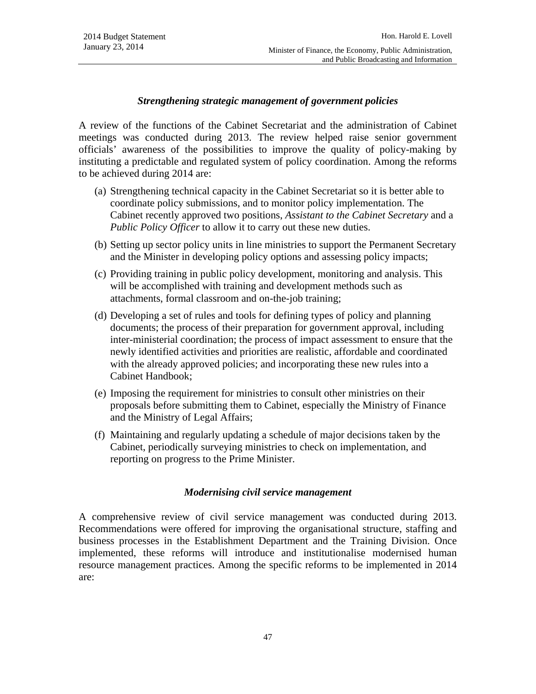### *Strengthening strategic management of government policies*

A review of the functions of the Cabinet Secretariat and the administration of Cabinet meetings was conducted during 2013. The review helped raise senior government officials' awareness of the possibilities to improve the quality of policy-making by instituting a predictable and regulated system of policy coordination. Among the reforms to be achieved during 2014 are:

- (a) Strengthening technical capacity in the Cabinet Secretariat so it is better able to coordinate policy submissions, and to monitor policy implementation. The Cabinet recently approved two positions, *Assistant to the Cabinet Secretary* and a *Public Policy Officer* to allow it to carry out these new duties.
- (b) Setting up sector policy units in line ministries to support the Permanent Secretary and the Minister in developing policy options and assessing policy impacts;
- (c) Providing training in public policy development, monitoring and analysis. This will be accomplished with training and development methods such as attachments, formal classroom and on-the-job training;
- (d) Developing a set of rules and tools for defining types of policy and planning documents; the process of their preparation for government approval, including inter-ministerial coordination; the process of impact assessment to ensure that the newly identified activities and priorities are realistic, affordable and coordinated with the already approved policies; and incorporating these new rules into a Cabinet Handbook;
- (e) Imposing the requirement for ministries to consult other ministries on their proposals before submitting them to Cabinet, especially the Ministry of Finance and the Ministry of Legal Affairs;
- (f) Maintaining and regularly updating a schedule of major decisions taken by the Cabinet, periodically surveying ministries to check on implementation, and reporting on progress to the Prime Minister.

### *Modernising civil service management*

A comprehensive review of civil service management was conducted during 2013. Recommendations were offered for improving the organisational structure, staffing and business processes in the Establishment Department and the Training Division. Once implemented, these reforms will introduce and institutionalise modernised human resource management practices. Among the specific reforms to be implemented in 2014 are: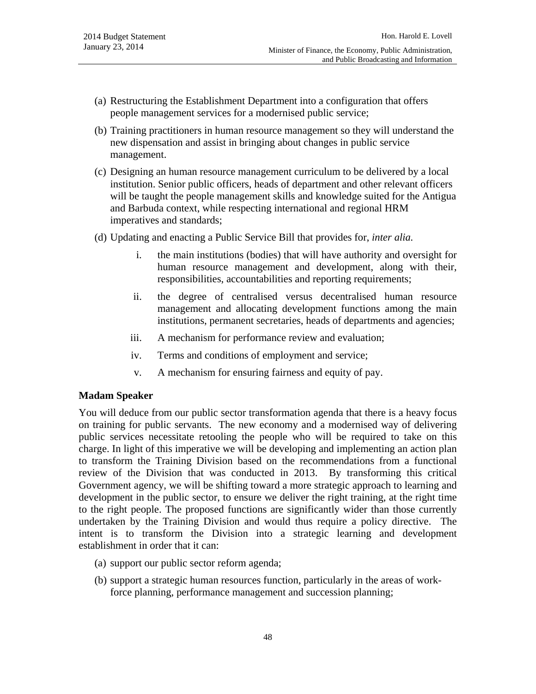- (a) Restructuring the Establishment Department into a configuration that offers people management services for a modernised public service;
- (b) Training practitioners in human resource management so they will understand the new dispensation and assist in bringing about changes in public service management.
- (c) Designing an human resource management curriculum to be delivered by a local institution. Senior public officers, heads of department and other relevant officers will be taught the people management skills and knowledge suited for the Antigua and Barbuda context, while respecting international and regional HRM imperatives and standards;
- (d) Updating and enacting a Public Service Bill that provides for, *inter alia.*
	- i. the main institutions (bodies) that will have authority and oversight for human resource management and development, along with their, responsibilities, accountabilities and reporting requirements;
	- ii. the degree of centralised versus decentralised human resource management and allocating development functions among the main institutions, permanent secretaries, heads of departments and agencies;
	- iii. A mechanism for performance review and evaluation;
	- iv. Terms and conditions of employment and service;
	- v. A mechanism for ensuring fairness and equity of pay.

### **Madam Speaker**

You will deduce from our public sector transformation agenda that there is a heavy focus on training for public servants. The new economy and a modernised way of delivering public services necessitate retooling the people who will be required to take on this charge. In light of this imperative we will be developing and implementing an action plan to transform the Training Division based on the recommendations from a functional review of the Division that was conducted in 2013. By transforming this critical Government agency, we will be shifting toward a more strategic approach to learning and development in the public sector, to ensure we deliver the right training, at the right time to the right people. The proposed functions are significantly wider than those currently undertaken by the Training Division and would thus require a policy directive. The intent is to transform the Division into a strategic learning and development establishment in order that it can:

- (a) support our public sector reform agenda;
- (b) support a strategic human resources function, particularly in the areas of workforce planning, performance management and succession planning;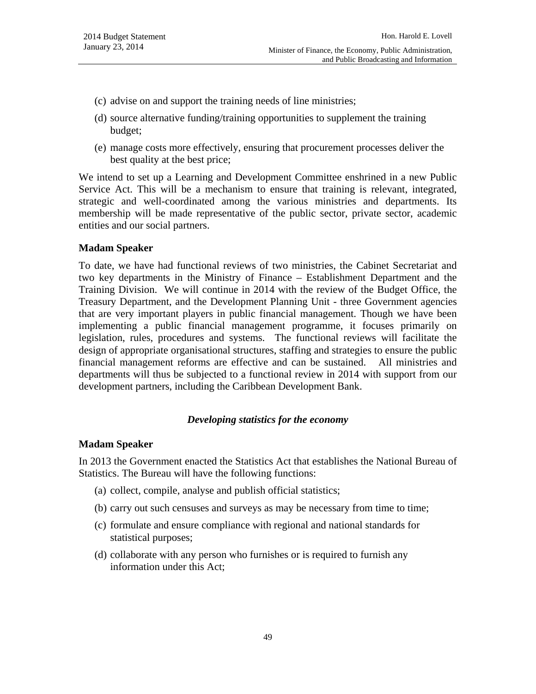- (c) advise on and support the training needs of line ministries;
- (d) source alternative funding/training opportunities to supplement the training budget;
- (e) manage costs more effectively, ensuring that procurement processes deliver the best quality at the best price;

We intend to set up a Learning and Development Committee enshrined in a new Public Service Act. This will be a mechanism to ensure that training is relevant, integrated, strategic and well-coordinated among the various ministries and departments. Its membership will be made representative of the public sector, private sector, academic entities and our social partners.

### **Madam Speaker**

To date, we have had functional reviews of two ministries, the Cabinet Secretariat and two key departments in the Ministry of Finance – Establishment Department and the Training Division. We will continue in 2014 with the review of the Budget Office, the Treasury Department, and the Development Planning Unit - three Government agencies that are very important players in public financial management. Though we have been implementing a public financial management programme, it focuses primarily on legislation, rules, procedures and systems. The functional reviews will facilitate the design of appropriate organisational structures, staffing and strategies to ensure the public financial management reforms are effective and can be sustained. All ministries and departments will thus be subjected to a functional review in 2014 with support from our development partners, including the Caribbean Development Bank.

### *Developing statistics for the economy*

### **Madam Speaker**

In 2013 the Government enacted the Statistics Act that establishes the National Bureau of Statistics. The Bureau will have the following functions:

- (a) collect, compile, analyse and publish official statistics;
- (b) carry out such censuses and surveys as may be necessary from time to time;
- (c) formulate and ensure compliance with regional and national standards for statistical purposes;
- (d) collaborate with any person who furnishes or is required to furnish any information under this Act;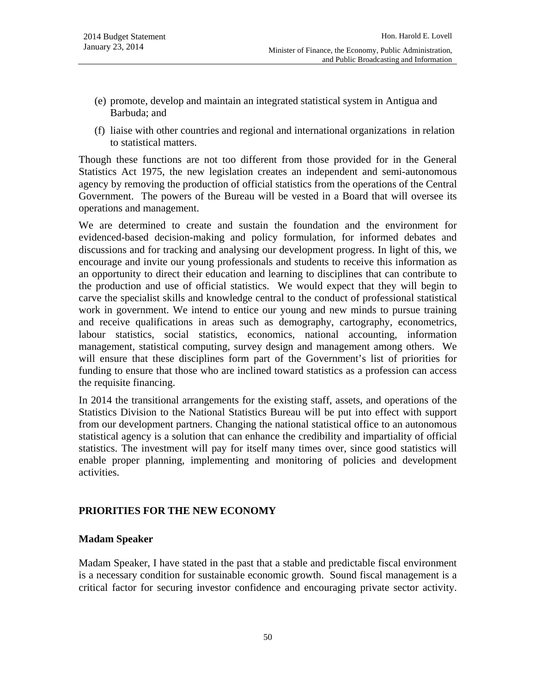- (e) promote, develop and maintain an integrated statistical system in Antigua and Barbuda; and
- (f) liaise with other countries and regional and international organizations in relation to statistical matters.

Though these functions are not too different from those provided for in the General Statistics Act 1975, the new legislation creates an independent and semi-autonomous agency by removing the production of official statistics from the operations of the Central Government. The powers of the Bureau will be vested in a Board that will oversee its operations and management.

We are determined to create and sustain the foundation and the environment for evidenced-based decision-making and policy formulation, for informed debates and discussions and for tracking and analysing our development progress. In light of this, we encourage and invite our young professionals and students to receive this information as an opportunity to direct their education and learning to disciplines that can contribute to the production and use of official statistics. We would expect that they will begin to carve the specialist skills and knowledge central to the conduct of professional statistical work in government. We intend to entice our young and new minds to pursue training and receive qualifications in areas such as demography, cartography, econometrics, labour statistics, social statistics, economics, national accounting, information management, statistical computing, survey design and management among others. We will ensure that these disciplines form part of the Government's list of priorities for funding to ensure that those who are inclined toward statistics as a profession can access the requisite financing.

In 2014 the transitional arrangements for the existing staff, assets, and operations of the Statistics Division to the National Statistics Bureau will be put into effect with support from our development partners. Changing the national statistical office to an autonomous statistical agency is a solution that can enhance the credibility and impartiality of official statistics. The investment will pay for itself many times over, since good statistics will enable proper planning, implementing and monitoring of policies and development activities.

## **PRIORITIES FOR THE NEW ECONOMY**

### **Madam Speaker**

Madam Speaker, I have stated in the past that a stable and predictable fiscal environment is a necessary condition for sustainable economic growth. Sound fiscal management is a critical factor for securing investor confidence and encouraging private sector activity.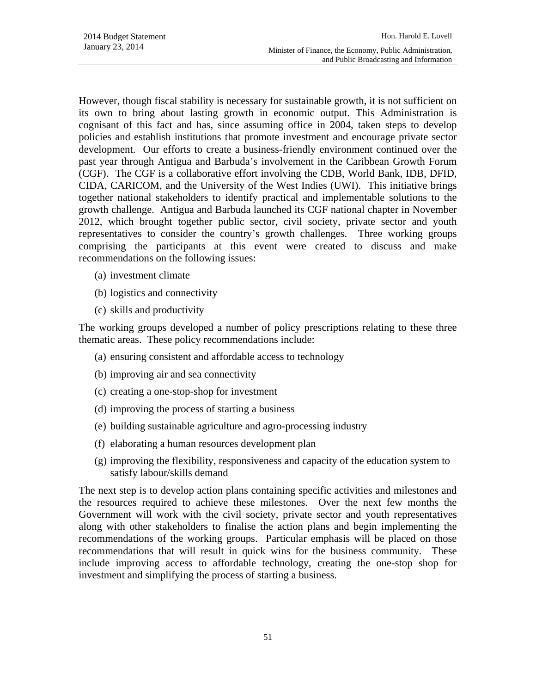However, though fiscal stability is necessary for sustainable growth, it is not sufficient on its own to bring about lasting growth in economic output. This Administration is cognisant of this fact and has, since assuming office in 2004, taken steps to develop policies and establish institutions that promote investment and encourage private sector development. Our efforts to create a business-friendly environment continued over the past year through Antigua and Barbuda's involvement in the Caribbean Growth Forum (CGF). The CGF is a collaborative effort involving the CDB, World Bank, IDB, DFID, CIDA, CARICOM, and the University of the West Indies (UWI). This initiative brings together national stakeholders to identify practical and implementable solutions to the growth challenge. Antigua and Barbuda launched its CGF national chapter in November 2012, which brought together public sector, civil society, private sector and youth representatives to consider the country's growth challenges. Three working groups comprising the participants at this event were created to discuss and make recommendations on the following issues:

- (a) investment climate
- (b) logistics and connectivity
- (c) skills and productivity

The working groups developed a number of policy prescriptions relating to these three thematic areas. These policy recommendations include:

- (a) ensuring consistent and affordable access to technology
- (b) improving air and sea connectivity
- (c) creating a one-stop-shop for investment
- (d) improving the process of starting a business
- (e) building sustainable agriculture and agro-processing industry
- (f) elaborating a human resources development plan
- (g) improving the flexibility, responsiveness and capacity of the education system to satisfy labour/skills demand

The next step is to develop action plans containing specific activities and milestones and the resources required to achieve these milestones. Over the next few months the Government will work with the civil society, private sector and youth representatives along with other stakeholders to finalise the action plans and begin implementing the recommendations of the working groups. Particular emphasis will be placed on those recommendations that will result in quick wins for the business community. These include improving access to affordable technology, creating the one-stop shop for investment and simplifying the process of starting a business.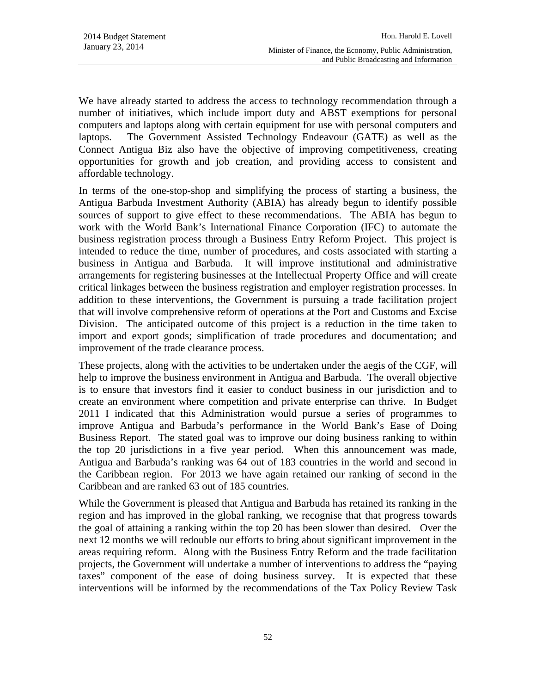We have already started to address the access to technology recommendation through a number of initiatives, which include import duty and ABST exemptions for personal computers and laptops along with certain equipment for use with personal computers and laptops. The Government Assisted Technology Endeavour (GATE) as well as the Connect Antigua Biz also have the objective of improving competitiveness, creating opportunities for growth and job creation, and providing access to consistent and affordable technology.

In terms of the one-stop-shop and simplifying the process of starting a business, the Antigua Barbuda Investment Authority (ABIA) has already begun to identify possible sources of support to give effect to these recommendations. The ABIA has begun to work with the World Bank's International Finance Corporation (IFC) to automate the business registration process through a Business Entry Reform Project. This project is intended to reduce the time, number of procedures, and costs associated with starting a business in Antigua and Barbuda. It will improve institutional and administrative arrangements for registering businesses at the Intellectual Property Office and will create critical linkages between the business registration and employer registration processes. In addition to these interventions, the Government is pursuing a trade facilitation project that will involve comprehensive reform of operations at the Port and Customs and Excise Division. The anticipated outcome of this project is a reduction in the time taken to import and export goods; simplification of trade procedures and documentation; and improvement of the trade clearance process.

These projects, along with the activities to be undertaken under the aegis of the CGF, will help to improve the business environment in Antigua and Barbuda. The overall objective is to ensure that investors find it easier to conduct business in our jurisdiction and to create an environment where competition and private enterprise can thrive. In Budget 2011 I indicated that this Administration would pursue a series of programmes to improve Antigua and Barbuda's performance in the World Bank's Ease of Doing Business Report. The stated goal was to improve our doing business ranking to within the top 20 jurisdictions in a five year period. When this announcement was made, Antigua and Barbuda's ranking was 64 out of 183 countries in the world and second in the Caribbean region. For 2013 we have again retained our ranking of second in the Caribbean and are ranked 63 out of 185 countries.

While the Government is pleased that Antigua and Barbuda has retained its ranking in the region and has improved in the global ranking, we recognise that that progress towards the goal of attaining a ranking within the top 20 has been slower than desired. Over the next 12 months we will redouble our efforts to bring about significant improvement in the areas requiring reform. Along with the Business Entry Reform and the trade facilitation projects, the Government will undertake a number of interventions to address the "paying taxes" component of the ease of doing business survey. It is expected that these interventions will be informed by the recommendations of the Tax Policy Review Task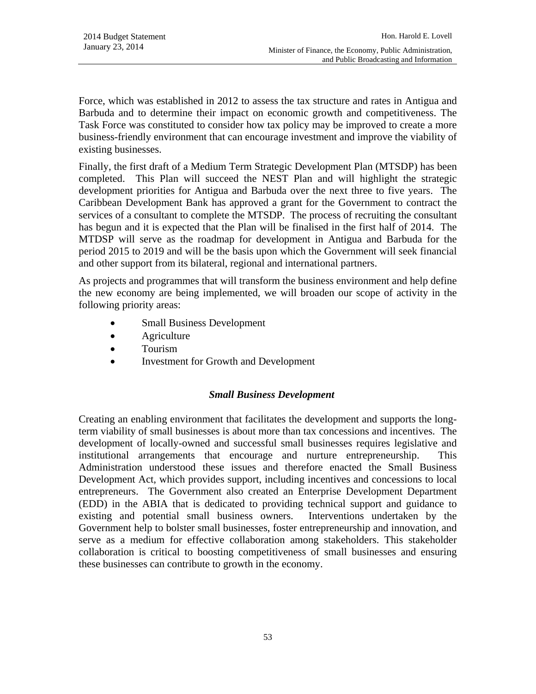Force, which was established in 2012 to assess the tax structure and rates in Antigua and Barbuda and to determine their impact on economic growth and competitiveness. The Task Force was constituted to consider how tax policy may be improved to create a more business-friendly environment that can encourage investment and improve the viability of existing businesses.

Finally, the first draft of a Medium Term Strategic Development Plan (MTSDP) has been completed. This Plan will succeed the NEST Plan and will highlight the strategic development priorities for Antigua and Barbuda over the next three to five years. The Caribbean Development Bank has approved a grant for the Government to contract the services of a consultant to complete the MTSDP. The process of recruiting the consultant has begun and it is expected that the Plan will be finalised in the first half of 2014. The MTDSP will serve as the roadmap for development in Antigua and Barbuda for the period 2015 to 2019 and will be the basis upon which the Government will seek financial and other support from its bilateral, regional and international partners.

As projects and programmes that will transform the business environment and help define the new economy are being implemented, we will broaden our scope of activity in the following priority areas:

- Small Business Development
- **Agriculture**
- Tourism
- Investment for Growth and Development

## *Small Business Development*

Creating an enabling environment that facilitates the development and supports the longterm viability of small businesses is about more than tax concessions and incentives. The development of locally-owned and successful small businesses requires legislative and institutional arrangements that encourage and nurture entrepreneurship. This Administration understood these issues and therefore enacted the Small Business Development Act, which provides support, including incentives and concessions to local entrepreneurs. The Government also created an Enterprise Development Department (EDD) in the ABIA that is dedicated to providing technical support and guidance to existing and potential small business owners. Interventions undertaken by the Government help to bolster small businesses, foster entrepreneurship and innovation, and serve as a medium for effective collaboration among stakeholders. This stakeholder collaboration is critical to boosting competitiveness of small businesses and ensuring these businesses can contribute to growth in the economy.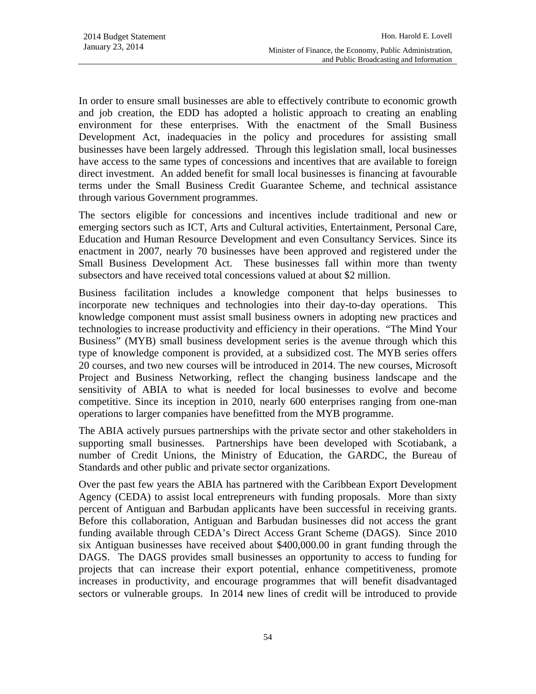In order to ensure small businesses are able to effectively contribute to economic growth and job creation, the EDD has adopted a holistic approach to creating an enabling environment for these enterprises. With the enactment of the Small Business Development Act, inadequacies in the policy and procedures for assisting small businesses have been largely addressed. Through this legislation small, local businesses have access to the same types of concessions and incentives that are available to foreign direct investment. An added benefit for small local businesses is financing at favourable terms under the Small Business Credit Guarantee Scheme, and technical assistance through various Government programmes.

The sectors eligible for concessions and incentives include traditional and new or emerging sectors such as ICT, Arts and Cultural activities, Entertainment, Personal Care, Education and Human Resource Development and even Consultancy Services. Since its enactment in 2007, nearly 70 businesses have been approved and registered under the Small Business Development Act. These businesses fall within more than twenty subsectors and have received total concessions valued at about \$2 million.

Business facilitation includes a knowledge component that helps businesses to incorporate new techniques and technologies into their day-to-day operations. This knowledge component must assist small business owners in adopting new practices and technologies to increase productivity and efficiency in their operations. "The Mind Your Business" (MYB) small business development series is the avenue through which this type of knowledge component is provided, at a subsidized cost. The MYB series offers 20 courses, and two new courses will be introduced in 2014. The new courses, Microsoft Project and Business Networking, reflect the changing business landscape and the sensitivity of ABIA to what is needed for local businesses to evolve and become competitive. Since its inception in 2010, nearly 600 enterprises ranging from one-man operations to larger companies have benefitted from the MYB programme.

The ABIA actively pursues partnerships with the private sector and other stakeholders in supporting small businesses. Partnerships have been developed with Scotiabank, a number of Credit Unions, the Ministry of Education, the GARDC, the Bureau of Standards and other public and private sector organizations.

Over the past few years the ABIA has partnered with the Caribbean Export Development Agency (CEDA) to assist local entrepreneurs with funding proposals. More than sixty percent of Antiguan and Barbudan applicants have been successful in receiving grants. Before this collaboration, Antiguan and Barbudan businesses did not access the grant funding available through CEDA's Direct Access Grant Scheme (DAGS). Since 2010 six Antiguan businesses have received about \$400,000.00 in grant funding through the DAGS. The DAGS provides small businesses an opportunity to access to funding for projects that can increase their export potential, enhance competitiveness, promote increases in productivity, and encourage programmes that will benefit disadvantaged sectors or vulnerable groups. In 2014 new lines of credit will be introduced to provide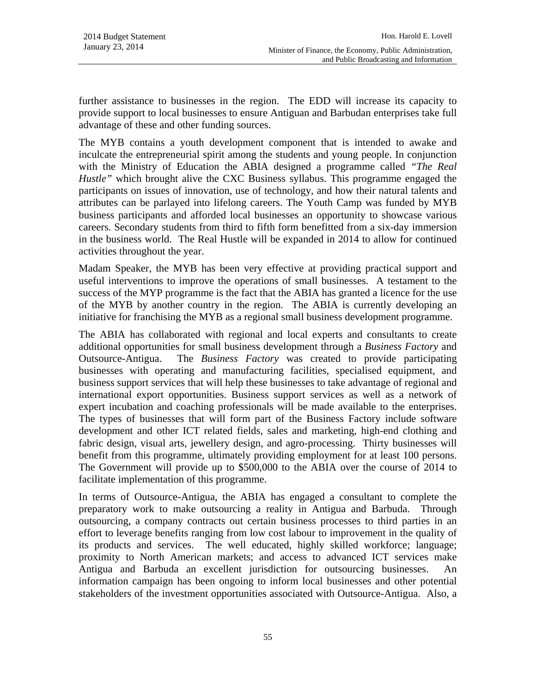further assistance to businesses in the region. The EDD will increase its capacity to provide support to local businesses to ensure Antiguan and Barbudan enterprises take full advantage of these and other funding sources.

The MYB contains a youth development component that is intended to awake and inculcate the entrepreneurial spirit among the students and young people. In conjunction with the Ministry of Education the ABIA designed a programme called *"The Real Hustle"* which brought alive the CXC Business syllabus. This programme engaged the participants on issues of innovation, use of technology, and how their natural talents and attributes can be parlayed into lifelong careers. The Youth Camp was funded by MYB business participants and afforded local businesses an opportunity to showcase various careers. Secondary students from third to fifth form benefitted from a six-day immersion in the business world. The Real Hustle will be expanded in 2014 to allow for continued activities throughout the year.

Madam Speaker, the MYB has been very effective at providing practical support and useful interventions to improve the operations of small businesses. A testament to the success of the MYP programme is the fact that the ABIA has granted a licence for the use of the MYB by another country in the region. The ABIA is currently developing an initiative for franchising the MYB as a regional small business development programme.

The ABIA has collaborated with regional and local experts and consultants to create additional opportunities for small business development through a *Business Factory* and Outsource-Antigua. The *Business Factory* was created to provide participating businesses with operating and manufacturing facilities, specialised equipment, and business support services that will help these businesses to take advantage of regional and international export opportunities. Business support services as well as a network of expert incubation and coaching professionals will be made available to the enterprises. The types of businesses that will form part of the Business Factory include software development and other ICT related fields, sales and marketing, high-end clothing and fabric design, visual arts, jewellery design, and agro-processing. Thirty businesses will benefit from this programme, ultimately providing employment for at least 100 persons. The Government will provide up to \$500,000 to the ABIA over the course of 2014 to facilitate implementation of this programme.

In terms of Outsource-Antigua, the ABIA has engaged a consultant to complete the preparatory work to make outsourcing a reality in Antigua and Barbuda. Through outsourcing, a company contracts out certain business processes to third parties in an effort to leverage benefits ranging from low cost labour to improvement in the quality of its products and services. The well educated, highly skilled workforce; language; proximity to North American markets; and access to advanced ICT services make Antigua and Barbuda an excellent jurisdiction for outsourcing businesses. An information campaign has been ongoing to inform local businesses and other potential stakeholders of the investment opportunities associated with Outsource-Antigua. Also, a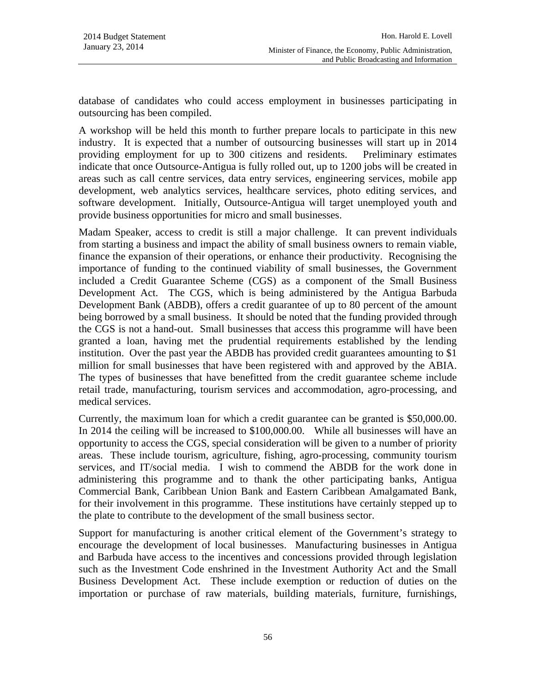database of candidates who could access employment in businesses participating in outsourcing has been compiled.

A workshop will be held this month to further prepare locals to participate in this new industry. It is expected that a number of outsourcing businesses will start up in 2014 providing employment for up to 300 citizens and residents. Preliminary estimates indicate that once Outsource-Antigua is fully rolled out, up to 1200 jobs will be created in areas such as call centre services, data entry services, engineering services, mobile app development, web analytics services, healthcare services, photo editing services, and software development. Initially, Outsource-Antigua will target unemployed youth and provide business opportunities for micro and small businesses.

Madam Speaker, access to credit is still a major challenge. It can prevent individuals from starting a business and impact the ability of small business owners to remain viable, finance the expansion of their operations, or enhance their productivity. Recognising the importance of funding to the continued viability of small businesses, the Government included a Credit Guarantee Scheme (CGS) as a component of the Small Business Development Act. The CGS, which is being administered by the Antigua Barbuda Development Bank (ABDB), offers a credit guarantee of up to 80 percent of the amount being borrowed by a small business. It should be noted that the funding provided through the CGS is not a hand-out. Small businesses that access this programme will have been granted a loan, having met the prudential requirements established by the lending institution. Over the past year the ABDB has provided credit guarantees amounting to \$1 million for small businesses that have been registered with and approved by the ABIA. The types of businesses that have benefitted from the credit guarantee scheme include retail trade, manufacturing, tourism services and accommodation, agro-processing, and medical services.

Currently, the maximum loan for which a credit guarantee can be granted is \$50,000.00. In 2014 the ceiling will be increased to \$100,000.00. While all businesses will have an opportunity to access the CGS, special consideration will be given to a number of priority areas. These include tourism, agriculture, fishing, agro-processing, community tourism services, and IT/social media. I wish to commend the ABDB for the work done in administering this programme and to thank the other participating banks, Antigua Commercial Bank, Caribbean Union Bank and Eastern Caribbean Amalgamated Bank, for their involvement in this programme. These institutions have certainly stepped up to the plate to contribute to the development of the small business sector.

Support for manufacturing is another critical element of the Government's strategy to encourage the development of local businesses. Manufacturing businesses in Antigua and Barbuda have access to the incentives and concessions provided through legislation such as the Investment Code enshrined in the Investment Authority Act and the Small Business Development Act. These include exemption or reduction of duties on the importation or purchase of raw materials, building materials, furniture, furnishings,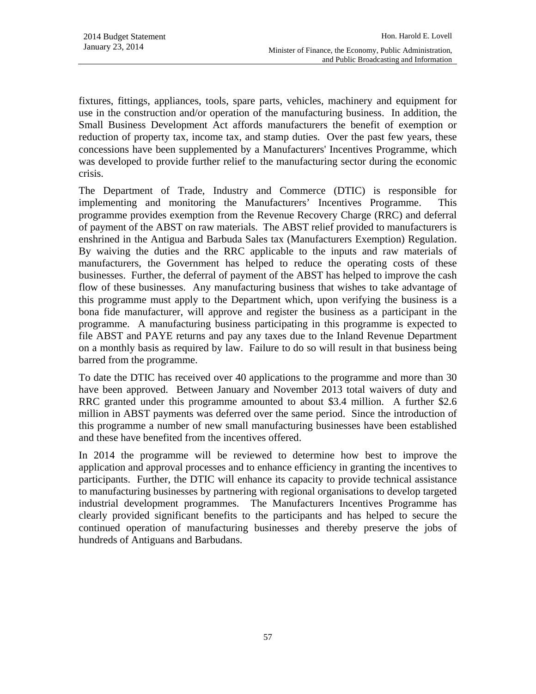fixtures, fittings, appliances, tools, spare parts, vehicles, machinery and equipment for use in the construction and/or operation of the manufacturing business. In addition, the Small Business Development Act affords manufacturers the benefit of exemption or reduction of property tax, income tax, and stamp duties. Over the past few years, these concessions have been supplemented by a Manufacturers' Incentives Programme, which was developed to provide further relief to the manufacturing sector during the economic crisis.

The Department of Trade, Industry and Commerce (DTIC) is responsible for implementing and monitoring the Manufacturers' Incentives Programme. This programme provides exemption from the Revenue Recovery Charge (RRC) and deferral of payment of the ABST on raw materials. The ABST relief provided to manufacturers is enshrined in the Antigua and Barbuda Sales tax (Manufacturers Exemption) Regulation. By waiving the duties and the RRC applicable to the inputs and raw materials of manufacturers, the Government has helped to reduce the operating costs of these businesses. Further, the deferral of payment of the ABST has helped to improve the cash flow of these businesses. Any manufacturing business that wishes to take advantage of this programme must apply to the Department which, upon verifying the business is a bona fide manufacturer, will approve and register the business as a participant in the programme. A manufacturing business participating in this programme is expected to file ABST and PAYE returns and pay any taxes due to the Inland Revenue Department on a monthly basis as required by law. Failure to do so will result in that business being barred from the programme.

To date the DTIC has received over 40 applications to the programme and more than 30 have been approved. Between January and November 2013 total waivers of duty and RRC granted under this programme amounted to about \$3.4 million. A further \$2.6 million in ABST payments was deferred over the same period. Since the introduction of this programme a number of new small manufacturing businesses have been established and these have benefited from the incentives offered.

In 2014 the programme will be reviewed to determine how best to improve the application and approval processes and to enhance efficiency in granting the incentives to participants. Further, the DTIC will enhance its capacity to provide technical assistance to manufacturing businesses by partnering with regional organisations to develop targeted industrial development programmes. The Manufacturers Incentives Programme has clearly provided significant benefits to the participants and has helped to secure the continued operation of manufacturing businesses and thereby preserve the jobs of hundreds of Antiguans and Barbudans.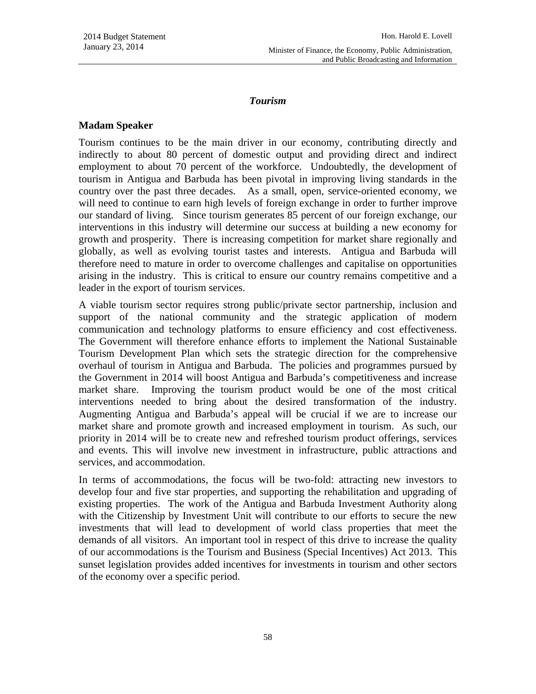### *Tourism*

### **Madam Speaker**

Tourism continues to be the main driver in our economy, contributing directly and indirectly to about 80 percent of domestic output and providing direct and indirect employment to about 70 percent of the workforce. Undoubtedly, the development of tourism in Antigua and Barbuda has been pivotal in improving living standards in the country over the past three decades. As a small, open, service-oriented economy, we will need to continue to earn high levels of foreign exchange in order to further improve our standard of living. Since tourism generates 85 percent of our foreign exchange, our interventions in this industry will determine our success at building a new economy for growth and prosperity. There is increasing competition for market share regionally and globally, as well as evolving tourist tastes and interests. Antigua and Barbuda will therefore need to mature in order to overcome challenges and capitalise on opportunities arising in the industry. This is critical to ensure our country remains competitive and a leader in the export of tourism services.

A viable tourism sector requires strong public/private sector partnership, inclusion and support of the national community and the strategic application of modern communication and technology platforms to ensure efficiency and cost effectiveness. The Government will therefore enhance efforts to implement the National Sustainable Tourism Development Plan which sets the strategic direction for the comprehensive overhaul of tourism in Antigua and Barbuda. The policies and programmes pursued by the Government in 2014 will boost Antigua and Barbuda's competitiveness and increase market share. Improving the tourism product would be one of the most critical interventions needed to bring about the desired transformation of the industry. Augmenting Antigua and Barbuda's appeal will be crucial if we are to increase our market share and promote growth and increased employment in tourism. As such, our priority in 2014 will be to create new and refreshed tourism product offerings, services and events. This will involve new investment in infrastructure, public attractions and services, and accommodation.

In terms of accommodations, the focus will be two-fold: attracting new investors to develop four and five star properties, and supporting the rehabilitation and upgrading of existing properties. The work of the Antigua and Barbuda Investment Authority along with the Citizenship by Investment Unit will contribute to our efforts to secure the new investments that will lead to development of world class properties that meet the demands of all visitors. An important tool in respect of this drive to increase the quality of our accommodations is the Tourism and Business (Special Incentives) Act 2013. This sunset legislation provides added incentives for investments in tourism and other sectors of the economy over a specific period.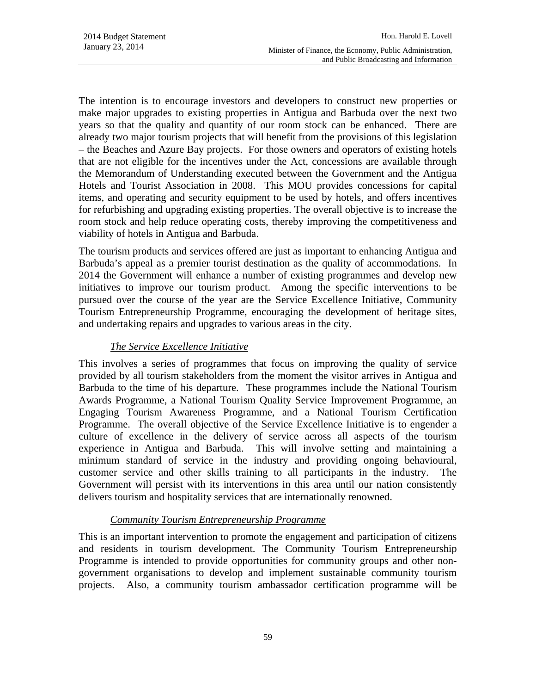The intention is to encourage investors and developers to construct new properties or make major upgrades to existing properties in Antigua and Barbuda over the next two years so that the quality and quantity of our room stock can be enhanced. There are already two major tourism projects that will benefit from the provisions of this legislation – the Beaches and Azure Bay projects. For those owners and operators of existing hotels that are not eligible for the incentives under the Act, concessions are available through the Memorandum of Understanding executed between the Government and the Antigua Hotels and Tourist Association in 2008. This MOU provides concessions for capital items, and operating and security equipment to be used by hotels, and offers incentives for refurbishing and upgrading existing properties. The overall objective is to increase the room stock and help reduce operating costs, thereby improving the competitiveness and viability of hotels in Antigua and Barbuda.

The tourism products and services offered are just as important to enhancing Antigua and Barbuda's appeal as a premier tourist destination as the quality of accommodations. In 2014 the Government will enhance a number of existing programmes and develop new initiatives to improve our tourism product. Among the specific interventions to be pursued over the course of the year are the Service Excellence Initiative, Community Tourism Entrepreneurship Programme, encouraging the development of heritage sites, and undertaking repairs and upgrades to various areas in the city.

## *The Service Excellence Initiative*

This involves a series of programmes that focus on improving the quality of service provided by all tourism stakeholders from the moment the visitor arrives in Antigua and Barbuda to the time of his departure. These programmes include the National Tourism Awards Programme, a National Tourism Quality Service Improvement Programme, an Engaging Tourism Awareness Programme, and a National Tourism Certification Programme. The overall objective of the Service Excellence Initiative is to engender a culture of excellence in the delivery of service across all aspects of the tourism experience in Antigua and Barbuda. This will involve setting and maintaining a minimum standard of service in the industry and providing ongoing behavioural, customer service and other skills training to all participants in the industry. The Government will persist with its interventions in this area until our nation consistently delivers tourism and hospitality services that are internationally renowned.

## *Community Tourism Entrepreneurship Programme*

This is an important intervention to promote the engagement and participation of citizens and residents in tourism development. The Community Tourism Entrepreneurship Programme is intended to provide opportunities for community groups and other nongovernment organisations to develop and implement sustainable community tourism projects. Also, a community tourism ambassador certification programme will be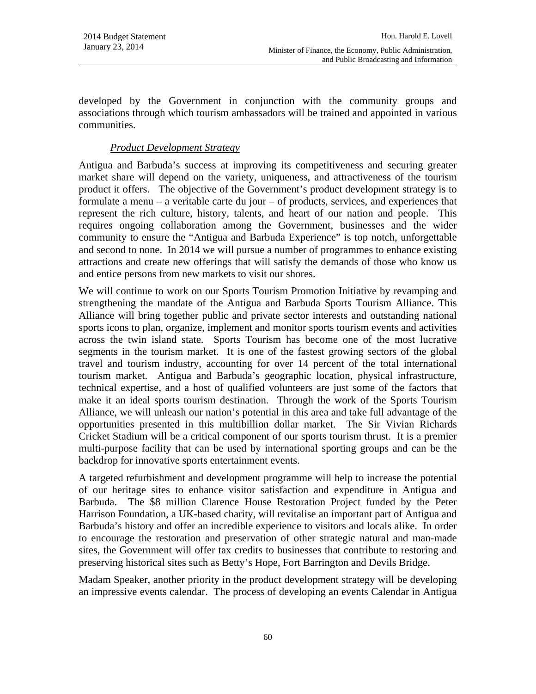developed by the Government in conjunction with the community groups and associations through which tourism ambassadors will be trained and appointed in various communities.

## *Product Development Strategy*

Antigua and Barbuda's success at improving its competitiveness and securing greater market share will depend on the variety, uniqueness, and attractiveness of the tourism product it offers. The objective of the Government's product development strategy is to formulate a menu – a veritable carte du jour – of products, services, and experiences that represent the rich culture, history, talents, and heart of our nation and people. This requires ongoing collaboration among the Government, businesses and the wider community to ensure the "Antigua and Barbuda Experience" is top notch, unforgettable and second to none. In 2014 we will pursue a number of programmes to enhance existing attractions and create new offerings that will satisfy the demands of those who know us and entice persons from new markets to visit our shores.

We will continue to work on our Sports Tourism Promotion Initiative by revamping and strengthening the mandate of the Antigua and Barbuda Sports Tourism Alliance. This Alliance will bring together public and private sector interests and outstanding national sports icons to plan, organize, implement and monitor sports tourism events and activities across the twin island state. Sports Tourism has become one of the most lucrative segments in the tourism market. It is one of the fastest growing sectors of the global travel and tourism industry, accounting for over 14 percent of the total international tourism market. Antigua and Barbuda's geographic location, physical infrastructure, technical expertise, and a host of qualified volunteers are just some of the factors that make it an ideal sports tourism destination. Through the work of the Sports Tourism Alliance, we will unleash our nation's potential in this area and take full advantage of the opportunities presented in this multibillion dollar market. The Sir Vivian Richards Cricket Stadium will be a critical component of our sports tourism thrust. It is a premier multi-purpose facility that can be used by international sporting groups and can be the backdrop for innovative sports entertainment events.

A targeted refurbishment and development programme will help to increase the potential of our heritage sites to enhance visitor satisfaction and expenditure in Antigua and Barbuda. The \$8 million Clarence House Restoration Project funded by the Peter Harrison Foundation, a UK-based charity, will revitalise an important part of Antigua and Barbuda's history and offer an incredible experience to visitors and locals alike. In order to encourage the restoration and preservation of other strategic natural and man-made sites, the Government will offer tax credits to businesses that contribute to restoring and preserving historical sites such as Betty's Hope, Fort Barrington and Devils Bridge.

Madam Speaker, another priority in the product development strategy will be developing an impressive events calendar. The process of developing an events Calendar in Antigua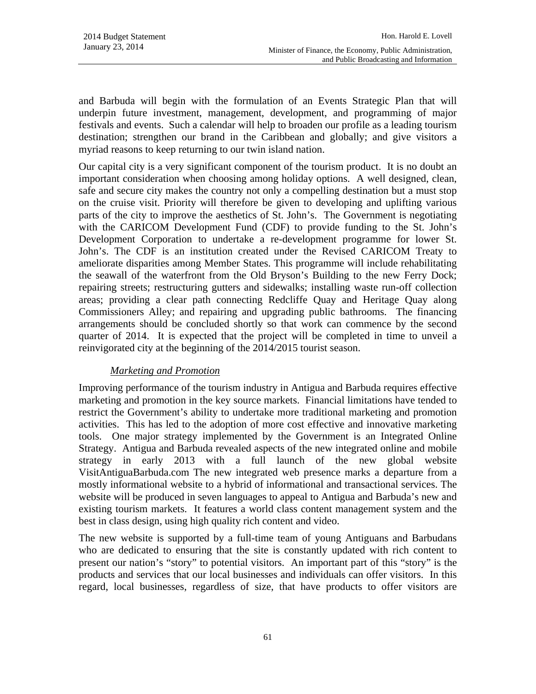and Barbuda will begin with the formulation of an Events Strategic Plan that will underpin future investment, management, development, and programming of major festivals and events. Such a calendar will help to broaden our profile as a leading tourism destination; strengthen our brand in the Caribbean and globally; and give visitors a myriad reasons to keep returning to our twin island nation.

Our capital city is a very significant component of the tourism product. It is no doubt an important consideration when choosing among holiday options. A well designed, clean, safe and secure city makes the country not only a compelling destination but a must stop on the cruise visit. Priority will therefore be given to developing and uplifting various parts of the city to improve the aesthetics of St. John's. The Government is negotiating with the CARICOM Development Fund (CDF) to provide funding to the St. John's Development Corporation to undertake a re-development programme for lower St. John's. The CDF is an institution created under the Revised CARICOM Treaty to ameliorate disparities among Member States. This programme will include rehabilitating the seawall of the waterfront from the Old Bryson's Building to the new Ferry Dock; repairing streets; restructuring gutters and sidewalks; installing waste run-off collection areas; providing a clear path connecting Redcliffe Quay and Heritage Quay along Commissioners Alley; and repairing and upgrading public bathrooms. The financing arrangements should be concluded shortly so that work can commence by the second quarter of 2014. It is expected that the project will be completed in time to unveil a reinvigorated city at the beginning of the 2014/2015 tourist season.

### *Marketing and Promotion*

Improving performance of the tourism industry in Antigua and Barbuda requires effective marketing and promotion in the key source markets. Financial limitations have tended to restrict the Government's ability to undertake more traditional marketing and promotion activities. This has led to the adoption of more cost effective and innovative marketing tools. One major strategy implemented by the Government is an Integrated Online Strategy. Antigua and Barbuda revealed aspects of the new integrated online and mobile strategy in early 2013 with a full launch of the new global website VisitAntiguaBarbuda.com The new integrated web presence marks a departure from a mostly informational website to a hybrid of informational and transactional services. The website will be produced in seven languages to appeal to Antigua and Barbuda's new and existing tourism markets. It features a world class content management system and the best in class design, using high quality rich content and video.

The new website is supported by a full-time team of young Antiguans and Barbudans who are dedicated to ensuring that the site is constantly updated with rich content to present our nation's "story" to potential visitors. An important part of this "story" is the products and services that our local businesses and individuals can offer visitors. In this regard, local businesses, regardless of size, that have products to offer visitors are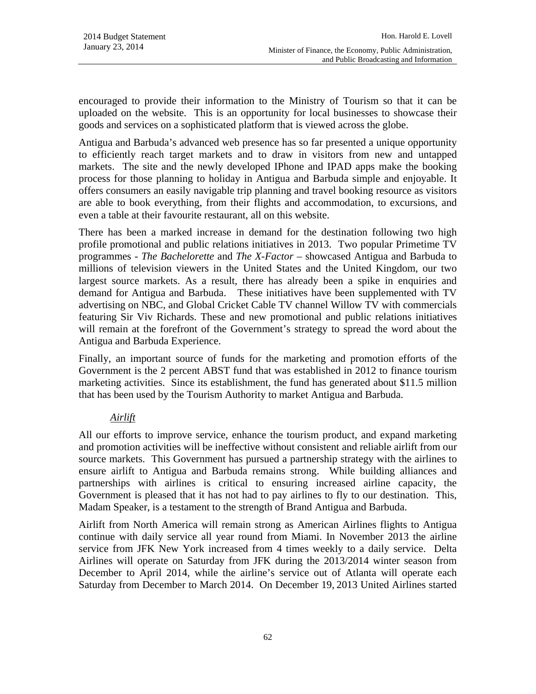encouraged to provide their information to the Ministry of Tourism so that it can be uploaded on the website. This is an opportunity for local businesses to showcase their goods and services on a sophisticated platform that is viewed across the globe.

Antigua and Barbuda's advanced web presence has so far presented a unique opportunity to efficiently reach target markets and to draw in visitors from new and untapped markets. The site and the newly developed IPhone and IPAD apps make the booking process for those planning to holiday in Antigua and Barbuda simple and enjoyable. It offers consumers an easily navigable trip planning and travel booking resource as visitors are able to book everything, from their flights and accommodation, to excursions, and even a table at their favourite restaurant, all on this website.

There has been a marked increase in demand for the destination following two high profile promotional and public relations initiatives in 2013. Two popular Primetime TV programmes - *The Bachelorette* and *The X-Factor* – showcased Antigua and Barbuda to millions of television viewers in the United States and the United Kingdom, our two largest source markets. As a result, there has already been a spike in enquiries and demand for Antigua and Barbuda. These initiatives have been supplemented with TV advertising on NBC, and Global Cricket Cable TV channel Willow TV with commercials featuring Sir Viv Richards. These and new promotional and public relations initiatives will remain at the forefront of the Government's strategy to spread the word about the Antigua and Barbuda Experience.

Finally, an important source of funds for the marketing and promotion efforts of the Government is the 2 percent ABST fund that was established in 2012 to finance tourism marketing activities. Since its establishment, the fund has generated about \$11.5 million that has been used by the Tourism Authority to market Antigua and Barbuda.

## *Airlift*

All our efforts to improve service, enhance the tourism product, and expand marketing and promotion activities will be ineffective without consistent and reliable airlift from our source markets. This Government has pursued a partnership strategy with the airlines to ensure airlift to Antigua and Barbuda remains strong. While building alliances and partnerships with airlines is critical to ensuring increased airline capacity, the Government is pleased that it has not had to pay airlines to fly to our destination. This, Madam Speaker, is a testament to the strength of Brand Antigua and Barbuda.

Airlift from North America will remain strong as American Airlines flights to Antigua continue with daily service all year round from Miami. In November 2013 the airline service from JFK New York increased from 4 times weekly to a daily service. Delta Airlines will operate on Saturday from JFK during the 2013/2014 winter season from December to April 2014, while the airline's service out of Atlanta will operate each Saturday from December to March 2014. On December 19, 2013 United Airlines started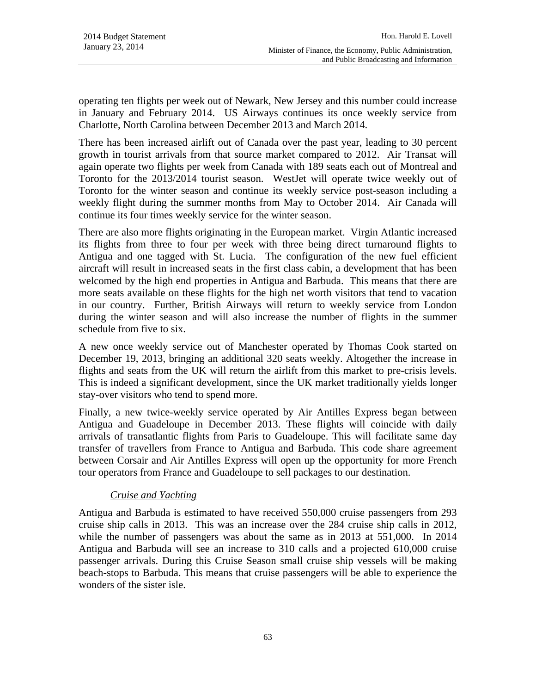operating ten flights per week out of Newark, New Jersey and this number could increase in January and February 2014. US Airways continues its once weekly service from Charlotte, North Carolina between December 2013 and March 2014.

There has been increased airlift out of Canada over the past year, leading to 30 percent growth in tourist arrivals from that source market compared to 2012. Air Transat will again operate two flights per week from Canada with 189 seats each out of Montreal and Toronto for the 2013/2014 tourist season. WestJet will operate twice weekly out of Toronto for the winter season and continue its weekly service post-season including a weekly flight during the summer months from May to October 2014. Air Canada will continue its four times weekly service for the winter season.

There are also more flights originating in the European market. Virgin Atlantic increased its flights from three to four per week with three being direct turnaround flights to Antigua and one tagged with St. Lucia. The configuration of the new fuel efficient aircraft will result in increased seats in the first class cabin, a development that has been welcomed by the high end properties in Antigua and Barbuda. This means that there are more seats available on these flights for the high net worth visitors that tend to vacation in our country. Further, British Airways will return to weekly service from London during the winter season and will also increase the number of flights in the summer schedule from five to six.

A new once weekly service out of Manchester operated by Thomas Cook started on December 19, 2013, bringing an additional 320 seats weekly. Altogether the increase in flights and seats from the UK will return the airlift from this market to pre-crisis levels. This is indeed a significant development, since the UK market traditionally yields longer stay-over visitors who tend to spend more.

Finally, a new twice-weekly service operated by Air Antilles Express began between Antigua and Guadeloupe in December 2013. These flights will coincide with daily arrivals of transatlantic flights from Paris to Guadeloupe. This will facilitate same day transfer of travellers from France to Antigua and Barbuda. This code share agreement between Corsair and Air Antilles Express will open up the opportunity for more French tour operators from France and Guadeloupe to sell packages to our destination.

# *Cruise and Yachting*

Antigua and Barbuda is estimated to have received 550,000 cruise passengers from 293 cruise ship calls in 2013. This was an increase over the 284 cruise ship calls in 2012, while the number of passengers was about the same as in 2013 at 551,000. In 2014 Antigua and Barbuda will see an increase to 310 calls and a projected 610,000 cruise passenger arrivals. During this Cruise Season small cruise ship vessels will be making beach-stops to Barbuda. This means that cruise passengers will be able to experience the wonders of the sister isle.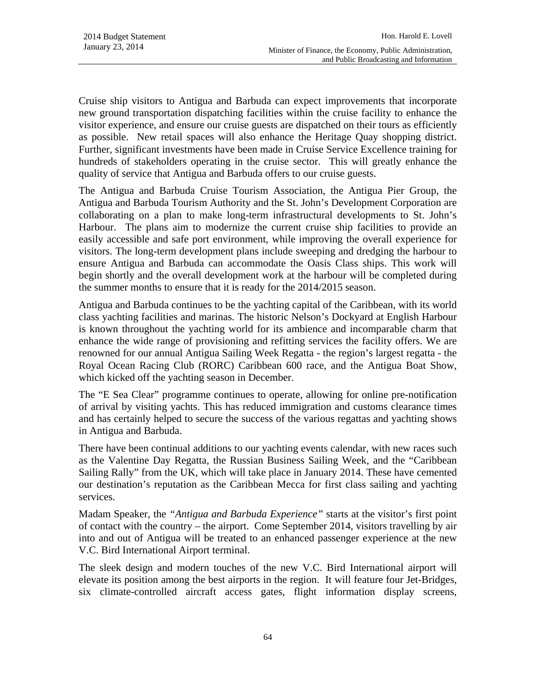Cruise ship visitors to Antigua and Barbuda can expect improvements that incorporate new ground transportation dispatching facilities within the cruise facility to enhance the visitor experience, and ensure our cruise guests are dispatched on their tours as efficiently as possible. New retail spaces will also enhance the Heritage Quay shopping district. Further, significant investments have been made in Cruise Service Excellence training for hundreds of stakeholders operating in the cruise sector. This will greatly enhance the quality of service that Antigua and Barbuda offers to our cruise guests.

The Antigua and Barbuda Cruise Tourism Association, the Antigua Pier Group, the Antigua and Barbuda Tourism Authority and the St. John's Development Corporation are collaborating on a plan to make long-term infrastructural developments to St. John's Harbour. The plans aim to modernize the current cruise ship facilities to provide an easily accessible and safe port environment, while improving the overall experience for visitors. The long-term development plans include sweeping and dredging the harbour to ensure Antigua and Barbuda can accommodate the Oasis Class ships. This work will begin shortly and the overall development work at the harbour will be completed during the summer months to ensure that it is ready for the 2014/2015 season.

Antigua and Barbuda continues to be the yachting capital of the Caribbean, with its world class yachting facilities and marinas. The historic Nelson's Dockyard at English Harbour is known throughout the yachting world for its ambience and incomparable charm that enhance the wide range of provisioning and refitting services the facility offers. We are renowned for our annual Antigua Sailing Week Regatta - the region's largest regatta - the Royal Ocean Racing Club (RORC) Caribbean 600 race, and the Antigua Boat Show, which kicked off the yachting season in December.

The "E Sea Clear" programme continues to operate, allowing for online pre-notification of arrival by visiting yachts. This has reduced immigration and customs clearance times and has certainly helped to secure the success of the various regattas and yachting shows in Antigua and Barbuda.

There have been continual additions to our yachting events calendar, with new races such as the Valentine Day Regatta, the Russian Business Sailing Week, and the "Caribbean Sailing Rally" from the UK, which will take place in January 2014. These have cemented our destination's reputation as the Caribbean Mecca for first class sailing and yachting services.

Madam Speaker, the *"Antigua and Barbuda Experience"* starts at the visitor's first point of contact with the country – the airport. Come September 2014, visitors travelling by air into and out of Antigua will be treated to an enhanced passenger experience at the new V.C. Bird International Airport terminal.

The sleek design and modern touches of the new V.C. Bird International airport will elevate its position among the best airports in the region. It will feature four Jet-Bridges, six climate-controlled aircraft access gates, flight information display screens,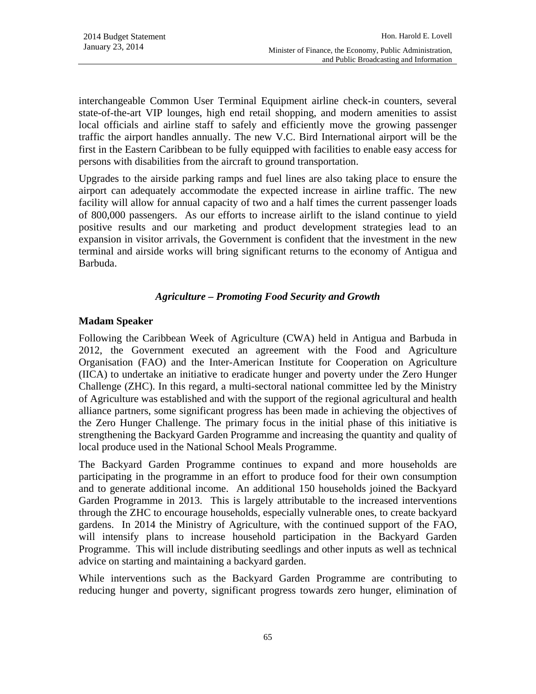interchangeable Common User Terminal Equipment airline check-in counters, several state-of-the-art VIP lounges, high end retail shopping, and modern amenities to assist local officials and airline staff to safely and efficiently move the growing passenger traffic the airport handles annually. The new V.C. Bird International airport will be the first in the Eastern Caribbean to be fully equipped with facilities to enable easy access for persons with disabilities from the aircraft to ground transportation.

Upgrades to the airside parking ramps and fuel lines are also taking place to ensure the airport can adequately accommodate the expected increase in airline traffic. The new facility will allow for annual capacity of two and a half times the current passenger loads of 800,000 passengers. As our efforts to increase airlift to the island continue to yield positive results and our marketing and product development strategies lead to an expansion in visitor arrivals, the Government is confident that the investment in the new terminal and airside works will bring significant returns to the economy of Antigua and Barbuda.

### *Agriculture – Promoting Food Security and Growth*

### **Madam Speaker**

Following the Caribbean Week of Agriculture (CWA) held in Antigua and Barbuda in 2012, the Government executed an agreement with the Food and Agriculture Organisation (FAO) and the Inter-American Institute for Cooperation on Agriculture (IICA) to undertake an initiative to eradicate hunger and poverty under the Zero Hunger Challenge (ZHC). In this regard, a multi-sectoral national committee led by the Ministry of Agriculture was established and with the support of the regional agricultural and health alliance partners, some significant progress has been made in achieving the objectives of the Zero Hunger Challenge. The primary focus in the initial phase of this initiative is strengthening the Backyard Garden Programme and increasing the quantity and quality of local produce used in the National School Meals Programme.

The Backyard Garden Programme continues to expand and more households are participating in the programme in an effort to produce food for their own consumption and to generate additional income. An additional 150 households joined the Backyard Garden Programme in 2013. This is largely attributable to the increased interventions through the ZHC to encourage households, especially vulnerable ones, to create backyard gardens. In 2014 the Ministry of Agriculture, with the continued support of the FAO, will intensify plans to increase household participation in the Backyard Garden Programme. This will include distributing seedlings and other inputs as well as technical advice on starting and maintaining a backyard garden.

While interventions such as the Backyard Garden Programme are contributing to reducing hunger and poverty, significant progress towards zero hunger, elimination of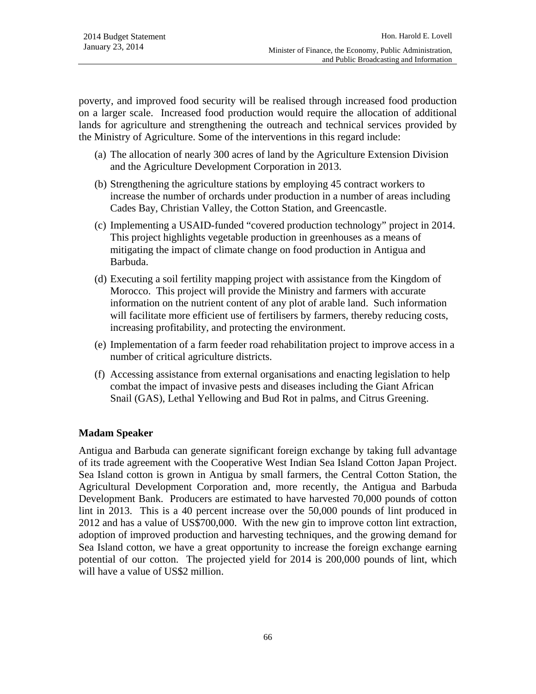poverty, and improved food security will be realised through increased food production on a larger scale. Increased food production would require the allocation of additional lands for agriculture and strengthening the outreach and technical services provided by the Ministry of Agriculture. Some of the interventions in this regard include:

- (a) The allocation of nearly 300 acres of land by the Agriculture Extension Division and the Agriculture Development Corporation in 2013.
- (b) Strengthening the agriculture stations by employing 45 contract workers to increase the number of orchards under production in a number of areas including Cades Bay, Christian Valley, the Cotton Station, and Greencastle.
- (c) Implementing a USAID-funded "covered production technology" project in 2014. This project highlights vegetable production in greenhouses as a means of mitigating the impact of climate change on food production in Antigua and Barbuda.
- (d) Executing a soil fertility mapping project with assistance from the Kingdom of Morocco. This project will provide the Ministry and farmers with accurate information on the nutrient content of any plot of arable land. Such information will facilitate more efficient use of fertilisers by farmers, thereby reducing costs, increasing profitability, and protecting the environment.
- (e) Implementation of a farm feeder road rehabilitation project to improve access in a number of critical agriculture districts.
- (f) Accessing assistance from external organisations and enacting legislation to help combat the impact of invasive pests and diseases including the Giant African Snail (GAS), Lethal Yellowing and Bud Rot in palms, and Citrus Greening.

# **Madam Speaker**

Antigua and Barbuda can generate significant foreign exchange by taking full advantage of its trade agreement with the Cooperative West Indian Sea Island Cotton Japan Project. Sea Island cotton is grown in Antigua by small farmers, the Central Cotton Station, the Agricultural Development Corporation and, more recently, the Antigua and Barbuda Development Bank. Producers are estimated to have harvested 70,000 pounds of cotton lint in 2013. This is a 40 percent increase over the 50,000 pounds of lint produced in 2012 and has a value of US\$700,000. With the new gin to improve cotton lint extraction, adoption of improved production and harvesting techniques, and the growing demand for Sea Island cotton, we have a great opportunity to increase the foreign exchange earning potential of our cotton. The projected yield for 2014 is 200,000 pounds of lint, which will have a value of US\$2 million.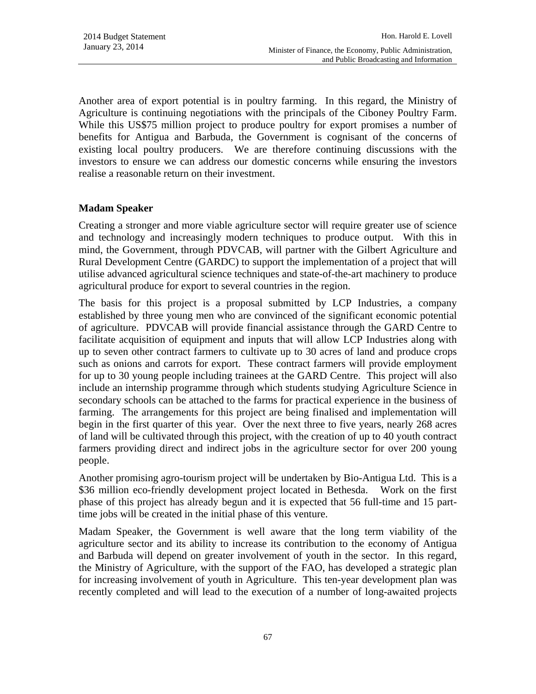Another area of export potential is in poultry farming. In this regard, the Ministry of Agriculture is continuing negotiations with the principals of the Ciboney Poultry Farm. While this US\$75 million project to produce poultry for export promises a number of benefits for Antigua and Barbuda, the Government is cognisant of the concerns of existing local poultry producers. We are therefore continuing discussions with the investors to ensure we can address our domestic concerns while ensuring the investors realise a reasonable return on their investment.

### **Madam Speaker**

Creating a stronger and more viable agriculture sector will require greater use of science and technology and increasingly modern techniques to produce output. With this in mind, the Government, through PDVCAB, will partner with the Gilbert Agriculture and Rural Development Centre (GARDC) to support the implementation of a project that will utilise advanced agricultural science techniques and state-of-the-art machinery to produce agricultural produce for export to several countries in the region.

The basis for this project is a proposal submitted by LCP Industries, a company established by three young men who are convinced of the significant economic potential of agriculture. PDVCAB will provide financial assistance through the GARD Centre to facilitate acquisition of equipment and inputs that will allow LCP Industries along with up to seven other contract farmers to cultivate up to 30 acres of land and produce crops such as onions and carrots for export. These contract farmers will provide employment for up to 30 young people including trainees at the GARD Centre. This project will also include an internship programme through which students studying Agriculture Science in secondary schools can be attached to the farms for practical experience in the business of farming. The arrangements for this project are being finalised and implementation will begin in the first quarter of this year. Over the next three to five years, nearly 268 acres of land will be cultivated through this project, with the creation of up to 40 youth contract farmers providing direct and indirect jobs in the agriculture sector for over 200 young people.

Another promising agro-tourism project will be undertaken by Bio-Antigua Ltd. This is a \$36 million eco-friendly development project located in Bethesda. Work on the first phase of this project has already begun and it is expected that 56 full-time and 15 parttime jobs will be created in the initial phase of this venture.

Madam Speaker, the Government is well aware that the long term viability of the agriculture sector and its ability to increase its contribution to the economy of Antigua and Barbuda will depend on greater involvement of youth in the sector. In this regard, the Ministry of Agriculture, with the support of the FAO, has developed a strategic plan for increasing involvement of youth in Agriculture. This ten-year development plan was recently completed and will lead to the execution of a number of long-awaited projects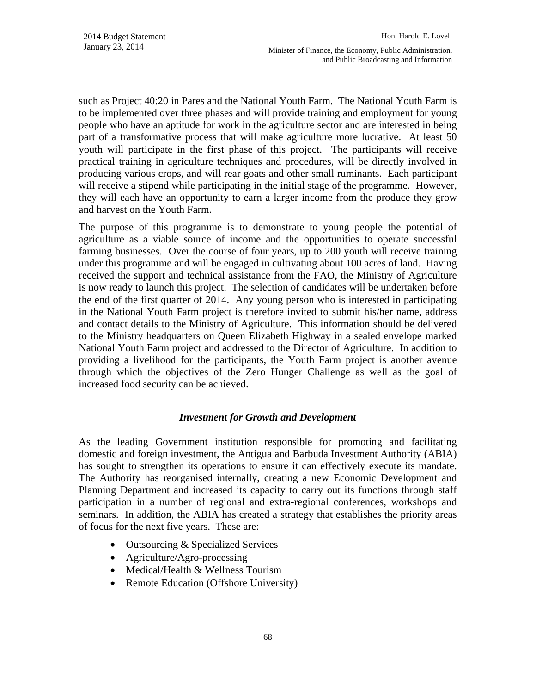such as Project 40:20 in Pares and the National Youth Farm. The National Youth Farm is to be implemented over three phases and will provide training and employment for young people who have an aptitude for work in the agriculture sector and are interested in being part of a transformative process that will make agriculture more lucrative. At least 50 youth will participate in the first phase of this project. The participants will receive practical training in agriculture techniques and procedures, will be directly involved in producing various crops, and will rear goats and other small ruminants. Each participant will receive a stipend while participating in the initial stage of the programme. However, they will each have an opportunity to earn a larger income from the produce they grow and harvest on the Youth Farm.

The purpose of this programme is to demonstrate to young people the potential of agriculture as a viable source of income and the opportunities to operate successful farming businesses. Over the course of four years, up to 200 youth will receive training under this programme and will be engaged in cultivating about 100 acres of land. Having received the support and technical assistance from the FAO, the Ministry of Agriculture is now ready to launch this project. The selection of candidates will be undertaken before the end of the first quarter of 2014. Any young person who is interested in participating in the National Youth Farm project is therefore invited to submit his/her name, address and contact details to the Ministry of Agriculture. This information should be delivered to the Ministry headquarters on Queen Elizabeth Highway in a sealed envelope marked National Youth Farm project and addressed to the Director of Agriculture. In addition to providing a livelihood for the participants, the Youth Farm project is another avenue through which the objectives of the Zero Hunger Challenge as well as the goal of increased food security can be achieved.

#### *Investment for Growth and Development*

As the leading Government institution responsible for promoting and facilitating domestic and foreign investment, the Antigua and Barbuda Investment Authority (ABIA) has sought to strengthen its operations to ensure it can effectively execute its mandate. The Authority has reorganised internally, creating a new Economic Development and Planning Department and increased its capacity to carry out its functions through staff participation in a number of regional and extra-regional conferences, workshops and seminars. In addition, the ABIA has created a strategy that establishes the priority areas of focus for the next five years. These are:

- Outsourcing & Specialized Services
- Agriculture/Agro-processing
- Medical/Health & Wellness Tourism
- Remote Education (Offshore University)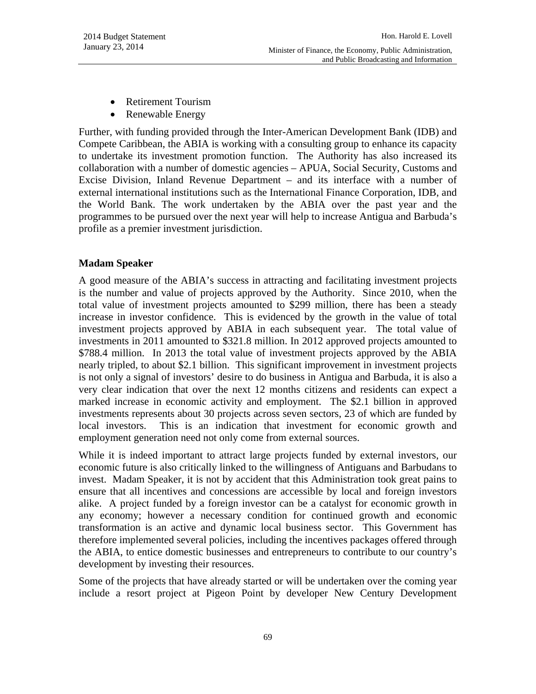- Retirement Tourism
- Renewable Energy

Further, with funding provided through the Inter-American Development Bank (IDB) and Compete Caribbean, the ABIA is working with a consulting group to enhance its capacity to undertake its investment promotion function. The Authority has also increased its collaboration with a number of domestic agencies – APUA, Social Security, Customs and Excise Division, Inland Revenue Department – and its interface with a number of external international institutions such as the International Finance Corporation, IDB, and the World Bank. The work undertaken by the ABIA over the past year and the programmes to be pursued over the next year will help to increase Antigua and Barbuda's profile as a premier investment jurisdiction.

### **Madam Speaker**

A good measure of the ABIA's success in attracting and facilitating investment projects is the number and value of projects approved by the Authority. Since 2010, when the total value of investment projects amounted to \$299 million, there has been a steady increase in investor confidence. This is evidenced by the growth in the value of total investment projects approved by ABIA in each subsequent year. The total value of investments in 2011 amounted to \$321.8 million. In 2012 approved projects amounted to \$788.4 million. In 2013 the total value of investment projects approved by the ABIA nearly tripled, to about \$2.1 billion. This significant improvement in investment projects is not only a signal of investors' desire to do business in Antigua and Barbuda, it is also a very clear indication that over the next 12 months citizens and residents can expect a marked increase in economic activity and employment. The \$2.1 billion in approved investments represents about 30 projects across seven sectors, 23 of which are funded by local investors. This is an indication that investment for economic growth and employment generation need not only come from external sources.

While it is indeed important to attract large projects funded by external investors, our economic future is also critically linked to the willingness of Antiguans and Barbudans to invest. Madam Speaker, it is not by accident that this Administration took great pains to ensure that all incentives and concessions are accessible by local and foreign investors alike. A project funded by a foreign investor can be a catalyst for economic growth in any economy; however a necessary condition for continued growth and economic transformation is an active and dynamic local business sector. This Government has therefore implemented several policies, including the incentives packages offered through the ABIA, to entice domestic businesses and entrepreneurs to contribute to our country's development by investing their resources.

Some of the projects that have already started or will be undertaken over the coming year include a resort project at Pigeon Point by developer New Century Development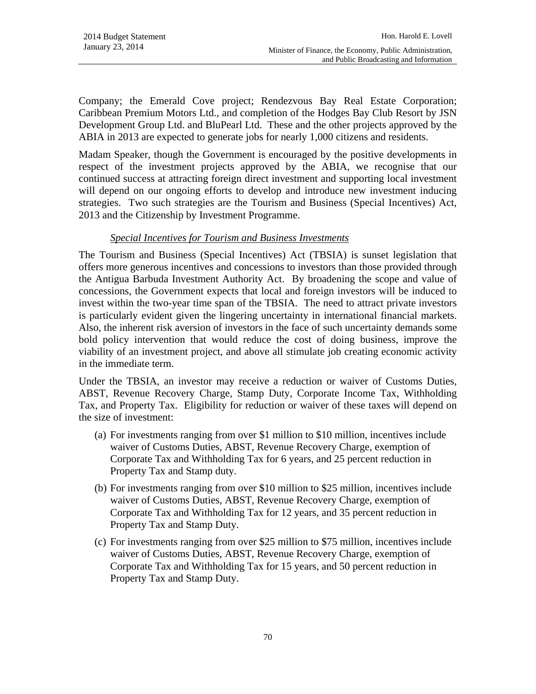Company; the Emerald Cove project; Rendezvous Bay Real Estate Corporation; Caribbean Premium Motors Ltd., and completion of the Hodges Bay Club Resort by JSN Development Group Ltd. and BluPearl Ltd. These and the other projects approved by the ABIA in 2013 are expected to generate jobs for nearly 1,000 citizens and residents.

Madam Speaker, though the Government is encouraged by the positive developments in respect of the investment projects approved by the ABIA, we recognise that our continued success at attracting foreign direct investment and supporting local investment will depend on our ongoing efforts to develop and introduce new investment inducing strategies. Two such strategies are the Tourism and Business (Special Incentives) Act, 2013 and the Citizenship by Investment Programme.

### *Special Incentives for Tourism and Business Investments*

The Tourism and Business (Special Incentives) Act (TBSIA) is sunset legislation that offers more generous incentives and concessions to investors than those provided through the Antigua Barbuda Investment Authority Act. By broadening the scope and value of concessions, the Government expects that local and foreign investors will be induced to invest within the two-year time span of the TBSIA. The need to attract private investors is particularly evident given the lingering uncertainty in international financial markets. Also, the inherent risk aversion of investors in the face of such uncertainty demands some bold policy intervention that would reduce the cost of doing business, improve the viability of an investment project, and above all stimulate job creating economic activity in the immediate term.

Under the TBSIA, an investor may receive a reduction or waiver of Customs Duties, ABST, Revenue Recovery Charge, Stamp Duty, Corporate Income Tax, Withholding Tax, and Property Tax. Eligibility for reduction or waiver of these taxes will depend on the size of investment:

- (a) For investments ranging from over \$1 million to \$10 million, incentives include waiver of Customs Duties, ABST, Revenue Recovery Charge, exemption of Corporate Tax and Withholding Tax for 6 years, and 25 percent reduction in Property Tax and Stamp duty.
- (b) For investments ranging from over \$10 million to \$25 million, incentives include waiver of Customs Duties, ABST, Revenue Recovery Charge, exemption of Corporate Tax and Withholding Tax for 12 years, and 35 percent reduction in Property Tax and Stamp Duty.
- (c) For investments ranging from over \$25 million to \$75 million, incentives include waiver of Customs Duties, ABST, Revenue Recovery Charge, exemption of Corporate Tax and Withholding Tax for 15 years, and 50 percent reduction in Property Tax and Stamp Duty.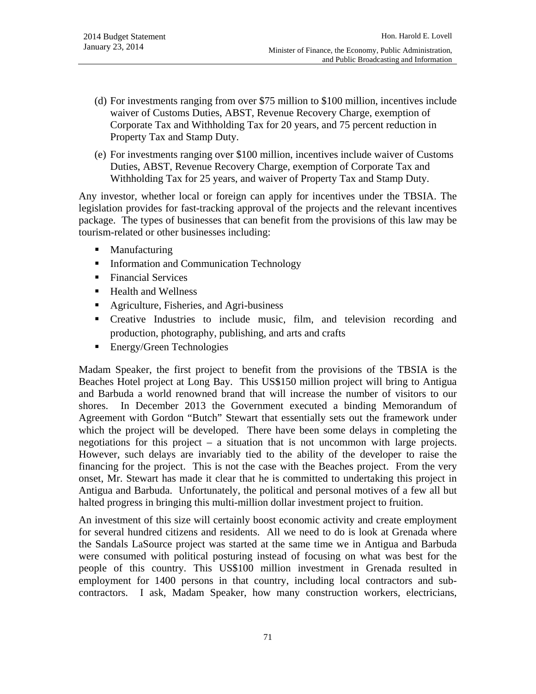- (d) For investments ranging from over \$75 million to \$100 million, incentives include waiver of Customs Duties, ABST, Revenue Recovery Charge, exemption of Corporate Tax and Withholding Tax for 20 years, and 75 percent reduction in Property Tax and Stamp Duty.
- (e) For investments ranging over \$100 million, incentives include waiver of Customs Duties, ABST, Revenue Recovery Charge, exemption of Corporate Tax and Withholding Tax for 25 years, and waiver of Property Tax and Stamp Duty.

Any investor, whether local or foreign can apply for incentives under the TBSIA. The legislation provides for fast-tracking approval of the projects and the relevant incentives package. The types of businesses that can benefit from the provisions of this law may be tourism-related or other businesses including:

- Manufacturing
- **Information and Communication Technology**
- Financial Services
- Health and Wellness
- Agriculture, Fisheries, and Agri-business
- Creative Industries to include music, film, and television recording and production, photography, publishing, and arts and crafts
- **Energy/Green Technologies**

Madam Speaker, the first project to benefit from the provisions of the TBSIA is the Beaches Hotel project at Long Bay. This US\$150 million project will bring to Antigua and Barbuda a world renowned brand that will increase the number of visitors to our shores. In December 2013 the Government executed a binding Memorandum of Agreement with Gordon "Butch" Stewart that essentially sets out the framework under which the project will be developed. There have been some delays in completing the negotiations for this project – a situation that is not uncommon with large projects. However, such delays are invariably tied to the ability of the developer to raise the financing for the project. This is not the case with the Beaches project. From the very onset, Mr. Stewart has made it clear that he is committed to undertaking this project in Antigua and Barbuda. Unfortunately, the political and personal motives of a few all but halted progress in bringing this multi-million dollar investment project to fruition.

An investment of this size will certainly boost economic activity and create employment for several hundred citizens and residents. All we need to do is look at Grenada where the Sandals LaSource project was started at the same time we in Antigua and Barbuda were consumed with political posturing instead of focusing on what was best for the people of this country. This US\$100 million investment in Grenada resulted in employment for 1400 persons in that country, including local contractors and subcontractors. I ask, Madam Speaker, how many construction workers, electricians,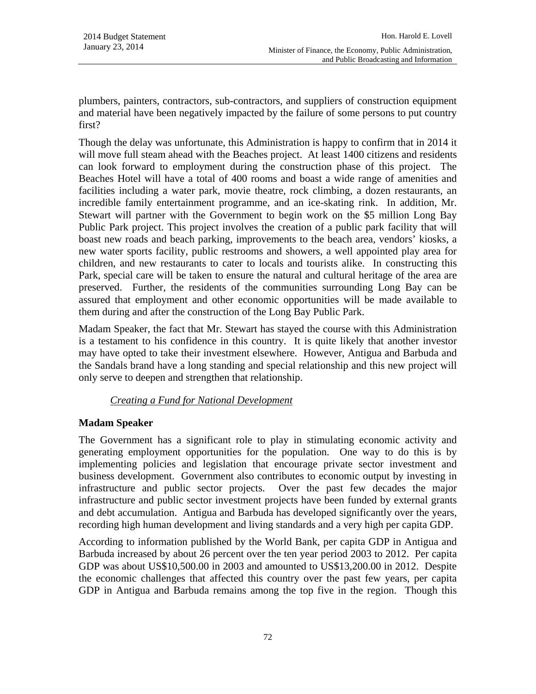plumbers, painters, contractors, sub-contractors, and suppliers of construction equipment and material have been negatively impacted by the failure of some persons to put country first?

Though the delay was unfortunate, this Administration is happy to confirm that in 2014 it will move full steam ahead with the Beaches project. At least 1400 citizens and residents can look forward to employment during the construction phase of this project. The Beaches Hotel will have a total of 400 rooms and boast a wide range of amenities and facilities including a water park, movie theatre, rock climbing, a dozen restaurants, an incredible family entertainment programme, and an ice-skating rink. In addition, Mr. Stewart will partner with the Government to begin work on the \$5 million Long Bay Public Park project. This project involves the creation of a public park facility that will boast new roads and beach parking, improvements to the beach area, vendors' kiosks, a new water sports facility, public restrooms and showers, a well appointed play area for children, and new restaurants to cater to locals and tourists alike. In constructing this Park, special care will be taken to ensure the natural and cultural heritage of the area are preserved. Further, the residents of the communities surrounding Long Bay can be assured that employment and other economic opportunities will be made available to them during and after the construction of the Long Bay Public Park.

Madam Speaker, the fact that Mr. Stewart has stayed the course with this Administration is a testament to his confidence in this country. It is quite likely that another investor may have opted to take their investment elsewhere. However, Antigua and Barbuda and the Sandals brand have a long standing and special relationship and this new project will only serve to deepen and strengthen that relationship.

# *Creating a Fund for National Development*

# **Madam Speaker**

The Government has a significant role to play in stimulating economic activity and generating employment opportunities for the population. One way to do this is by implementing policies and legislation that encourage private sector investment and business development. Government also contributes to economic output by investing in infrastructure and public sector projects. Over the past few decades the major infrastructure and public sector investment projects have been funded by external grants and debt accumulation. Antigua and Barbuda has developed significantly over the years, recording high human development and living standards and a very high per capita GDP.

According to information published by the World Bank, per capita GDP in Antigua and Barbuda increased by about 26 percent over the ten year period 2003 to 2012. Per capita GDP was about US\$10,500.00 in 2003 and amounted to US\$13,200.00 in 2012. Despite the economic challenges that affected this country over the past few years, per capita GDP in Antigua and Barbuda remains among the top five in the region. Though this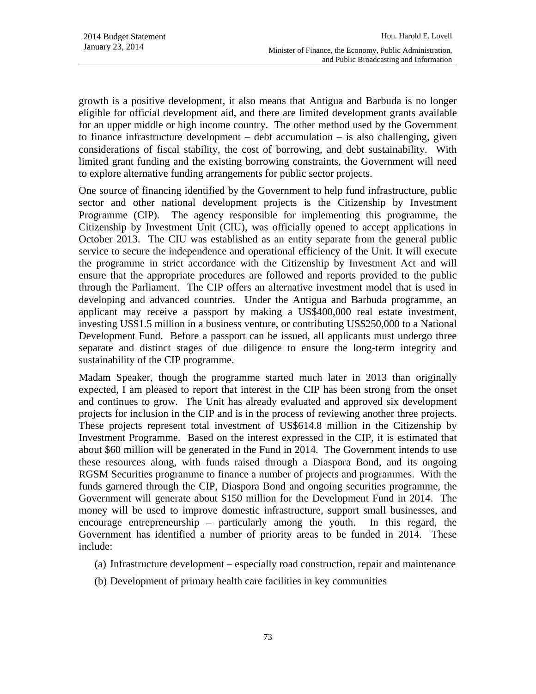growth is a positive development, it also means that Antigua and Barbuda is no longer eligible for official development aid, and there are limited development grants available for an upper middle or high income country. The other method used by the Government to finance infrastructure development – debt accumulation – is also challenging, given considerations of fiscal stability, the cost of borrowing, and debt sustainability. With limited grant funding and the existing borrowing constraints, the Government will need to explore alternative funding arrangements for public sector projects.

One source of financing identified by the Government to help fund infrastructure, public sector and other national development projects is the Citizenship by Investment Programme (CIP). The agency responsible for implementing this programme, the Citizenship by Investment Unit (CIU), was officially opened to accept applications in October 2013. The CIU was established as an entity separate from the general public service to secure the independence and operational efficiency of the Unit. It will execute the programme in strict accordance with the Citizenship by Investment Act and will ensure that the appropriate procedures are followed and reports provided to the public through the Parliament. The CIP offers an alternative investment model that is used in developing and advanced countries. Under the Antigua and Barbuda programme, an applicant may receive a passport by making a US\$400,000 real estate investment, investing US\$1.5 million in a business venture, or contributing US\$250,000 to a National Development Fund. Before a passport can be issued, all applicants must undergo three separate and distinct stages of due diligence to ensure the long-term integrity and sustainability of the CIP programme.

Madam Speaker, though the programme started much later in 2013 than originally expected, I am pleased to report that interest in the CIP has been strong from the onset and continues to grow. The Unit has already evaluated and approved six development projects for inclusion in the CIP and is in the process of reviewing another three projects. These projects represent total investment of US\$614.8 million in the Citizenship by Investment Programme. Based on the interest expressed in the CIP, it is estimated that about \$60 million will be generated in the Fund in 2014. The Government intends to use these resources along, with funds raised through a Diaspora Bond, and its ongoing RGSM Securities programme to finance a number of projects and programmes. With the funds garnered through the CIP, Diaspora Bond and ongoing securities programme, the Government will generate about \$150 million for the Development Fund in 2014. The money will be used to improve domestic infrastructure, support small businesses, and encourage entrepreneurship – particularly among the youth. In this regard, the Government has identified a number of priority areas to be funded in 2014. These include:

- (a) Infrastructure development especially road construction, repair and maintenance
- (b) Development of primary health care facilities in key communities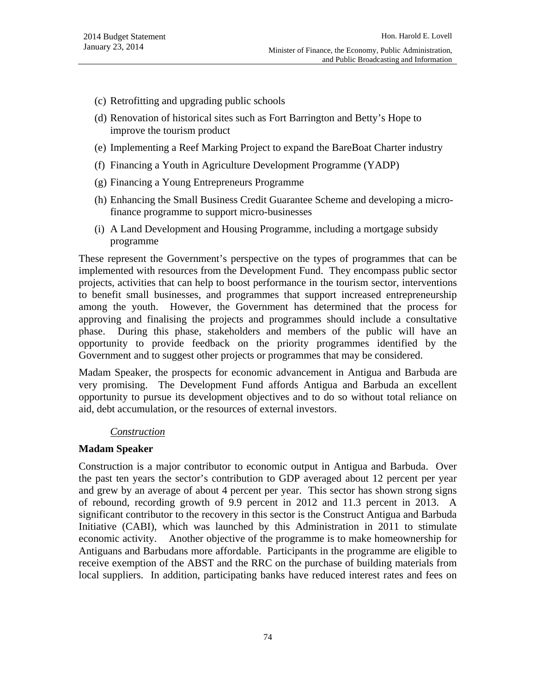- (c) Retrofitting and upgrading public schools
- (d) Renovation of historical sites such as Fort Barrington and Betty's Hope to improve the tourism product
- (e) Implementing a Reef Marking Project to expand the BareBoat Charter industry
- (f) Financing a Youth in Agriculture Development Programme (YADP)
- (g) Financing a Young Entrepreneurs Programme
- (h) Enhancing the Small Business Credit Guarantee Scheme and developing a microfinance programme to support micro-businesses
- (i) A Land Development and Housing Programme, including a mortgage subsidy programme

These represent the Government's perspective on the types of programmes that can be implemented with resources from the Development Fund. They encompass public sector projects, activities that can help to boost performance in the tourism sector, interventions to benefit small businesses, and programmes that support increased entrepreneurship among the youth. However, the Government has determined that the process for approving and finalising the projects and programmes should include a consultative phase. During this phase, stakeholders and members of the public will have an opportunity to provide feedback on the priority programmes identified by the Government and to suggest other projects or programmes that may be considered.

Madam Speaker, the prospects for economic advancement in Antigua and Barbuda are very promising. The Development Fund affords Antigua and Barbuda an excellent opportunity to pursue its development objectives and to do so without total reliance on aid, debt accumulation, or the resources of external investors.

#### *Construction*

#### **Madam Speaker**

Construction is a major contributor to economic output in Antigua and Barbuda. Over the past ten years the sector's contribution to GDP averaged about 12 percent per year and grew by an average of about 4 percent per year. This sector has shown strong signs of rebound, recording growth of 9.9 percent in 2012 and 11.3 percent in 2013. A significant contributor to the recovery in this sector is the Construct Antigua and Barbuda Initiative (CABI), which was launched by this Administration in 2011 to stimulate economic activity. Another objective of the programme is to make homeownership for Antiguans and Barbudans more affordable. Participants in the programme are eligible to receive exemption of the ABST and the RRC on the purchase of building materials from local suppliers. In addition, participating banks have reduced interest rates and fees on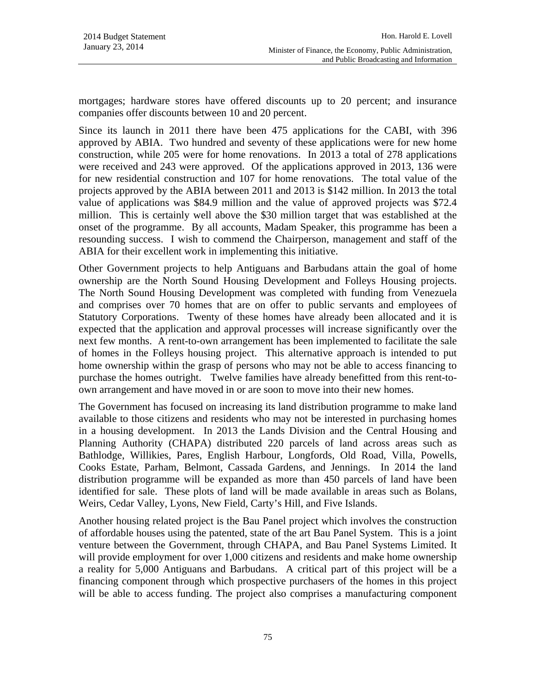mortgages; hardware stores have offered discounts up to 20 percent; and insurance companies offer discounts between 10 and 20 percent.

Since its launch in 2011 there have been 475 applications for the CABI, with 396 approved by ABIA. Two hundred and seventy of these applications were for new home construction, while 205 were for home renovations. In 2013 a total of 278 applications were received and 243 were approved. Of the applications approved in 2013, 136 were for new residential construction and 107 for home renovations. The total value of the projects approved by the ABIA between 2011 and 2013 is \$142 million. In 2013 the total value of applications was \$84.9 million and the value of approved projects was \$72.4 million. This is certainly well above the \$30 million target that was established at the onset of the programme. By all accounts, Madam Speaker, this programme has been a resounding success. I wish to commend the Chairperson, management and staff of the ABIA for their excellent work in implementing this initiative.

Other Government projects to help Antiguans and Barbudans attain the goal of home ownership are the North Sound Housing Development and Folleys Housing projects. The North Sound Housing Development was completed with funding from Venezuela and comprises over 70 homes that are on offer to public servants and employees of Statutory Corporations. Twenty of these homes have already been allocated and it is expected that the application and approval processes will increase significantly over the next few months. A rent-to-own arrangement has been implemented to facilitate the sale of homes in the Folleys housing project. This alternative approach is intended to put home ownership within the grasp of persons who may not be able to access financing to purchase the homes outright. Twelve families have already benefitted from this rent-toown arrangement and have moved in or are soon to move into their new homes.

The Government has focused on increasing its land distribution programme to make land available to those citizens and residents who may not be interested in purchasing homes in a housing development. In 2013 the Lands Division and the Central Housing and Planning Authority (CHAPA) distributed 220 parcels of land across areas such as Bathlodge, Willikies, Pares, English Harbour, Longfords, Old Road, Villa, Powells, Cooks Estate, Parham, Belmont, Cassada Gardens, and Jennings. In 2014 the land distribution programme will be expanded as more than 450 parcels of land have been identified for sale. These plots of land will be made available in areas such as Bolans, Weirs, Cedar Valley, Lyons, New Field, Carty's Hill, and Five Islands.

Another housing related project is the Bau Panel project which involves the construction of affordable houses using the patented, state of the art Bau Panel System. This is a joint venture between the Government, through CHAPA, and Bau Panel Systems Limited. It will provide employment for over 1,000 citizens and residents and make home ownership a reality for 5,000 Antiguans and Barbudans. A critical part of this project will be a financing component through which prospective purchasers of the homes in this project will be able to access funding. The project also comprises a manufacturing component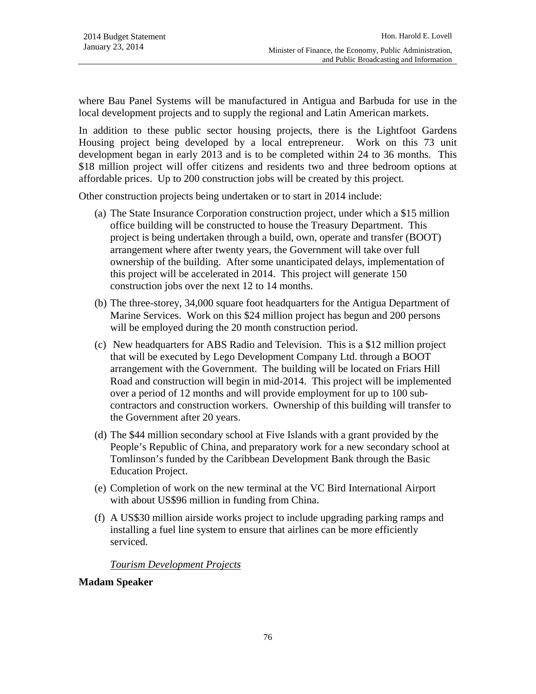where Bau Panel Systems will be manufactured in Antigua and Barbuda for use in the local development projects and to supply the regional and Latin American markets.

In addition to these public sector housing projects, there is the Lightfoot Gardens Housing project being developed by a local entrepreneur. Work on this 73 unit development began in early 2013 and is to be completed within 24 to 36 months. This \$18 million project will offer citizens and residents two and three bedroom options at affordable prices. Up to 200 construction jobs will be created by this project.

Other construction projects being undertaken or to start in 2014 include:

- (a) The State Insurance Corporation construction project, under which a \$15 million office building will be constructed to house the Treasury Department. This project is being undertaken through a build, own, operate and transfer (BOOT) arrangement where after twenty years, the Government will take over full ownership of the building. After some unanticipated delays, implementation of this project will be accelerated in 2014. This project will generate 150 construction jobs over the next 12 to 14 months.
- (b) The three-storey, 34,000 square foot headquarters for the Antigua Department of Marine Services. Work on this \$24 million project has begun and 200 persons will be employed during the 20 month construction period.
- (c) New headquarters for ABS Radio and Television. This is a \$12 million project that will be executed by Lego Development Company Ltd. through a BOOT arrangement with the Government. The building will be located on Friars Hill Road and construction will begin in mid-2014. This project will be implemented over a period of 12 months and will provide employment for up to 100 subcontractors and construction workers. Ownership of this building will transfer to the Government after 20 years.
- (d) The \$44 million secondary school at Five Islands with a grant provided by the People's Republic of China, and preparatory work for a new secondary school at Tomlinson's funded by the Caribbean Development Bank through the Basic Education Project.
- (e) Completion of work on the new terminal at the VC Bird International Airport with about US\$96 million in funding from China.
- (f) A US\$30 million airside works project to include upgrading parking ramps and installing a fuel line system to ensure that airlines can be more efficiently serviced.

# *Tourism Development Projects*

# **Madam Speaker**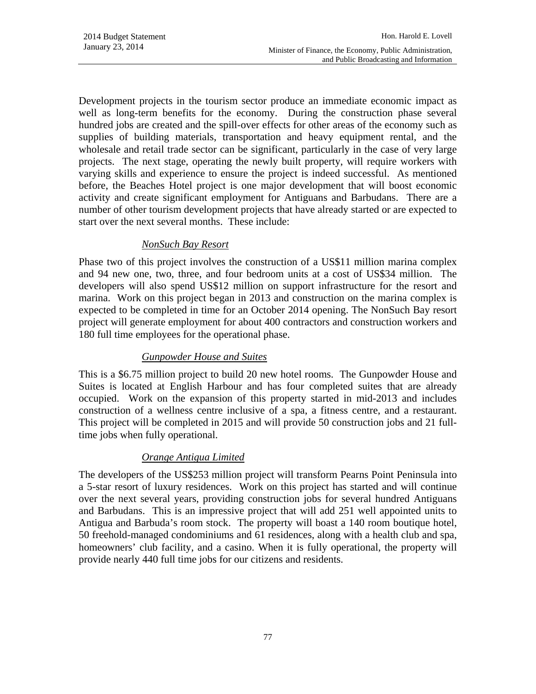Development projects in the tourism sector produce an immediate economic impact as well as long-term benefits for the economy. During the construction phase several hundred jobs are created and the spill-over effects for other areas of the economy such as supplies of building materials, transportation and heavy equipment rental, and the wholesale and retail trade sector can be significant, particularly in the case of very large projects. The next stage, operating the newly built property, will require workers with varying skills and experience to ensure the project is indeed successful. As mentioned before, the Beaches Hotel project is one major development that will boost economic activity and create significant employment for Antiguans and Barbudans. There are a number of other tourism development projects that have already started or are expected to start over the next several months. These include:

### *NonSuch Bay Resort*

Phase two of this project involves the construction of a US\$11 million marina complex and 94 new one, two, three, and four bedroom units at a cost of US\$34 million. The developers will also spend US\$12 million on support infrastructure for the resort and marina. Work on this project began in 2013 and construction on the marina complex is expected to be completed in time for an October 2014 opening. The NonSuch Bay resort project will generate employment for about 400 contractors and construction workers and 180 full time employees for the operational phase.

# *Gunpowder House and Suites*

This is a \$6.75 million project to build 20 new hotel rooms. The Gunpowder House and Suites is located at English Harbour and has four completed suites that are already occupied. Work on the expansion of this property started in mid-2013 and includes construction of a wellness centre inclusive of a spa, a fitness centre, and a restaurant. This project will be completed in 2015 and will provide 50 construction jobs and 21 fulltime jobs when fully operational.

# *Orange Antigua Limited*

The developers of the US\$253 million project will transform Pearns Point Peninsula into a 5-star resort of luxury residences. Work on this project has started and will continue over the next several years, providing construction jobs for several hundred Antiguans and Barbudans. This is an impressive project that will add 251 well appointed units to Antigua and Barbuda's room stock. The property will boast a 140 room boutique hotel, 50 freehold-managed condominiums and 61 residences, along with a health club and spa, homeowners' club facility, and a casino. When it is fully operational, the property will provide nearly 440 full time jobs for our citizens and residents.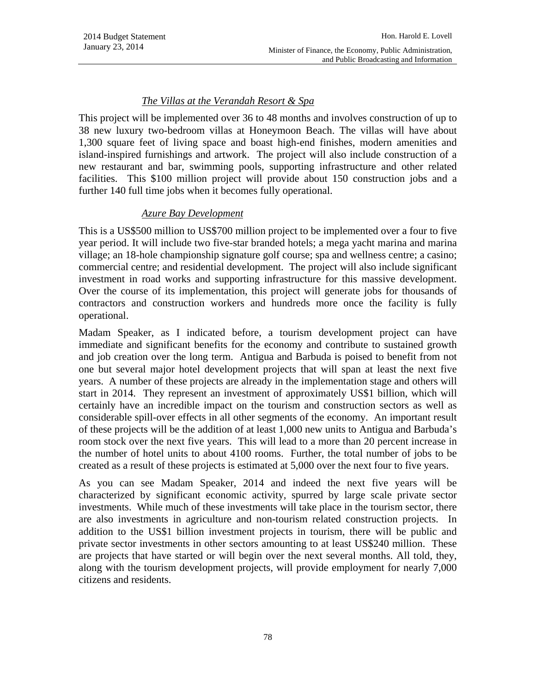### *The Villas at the Verandah Resort & Spa*

This project will be implemented over 36 to 48 months and involves construction of up to 38 new luxury two-bedroom villas at Honeymoon Beach. The villas will have about 1,300 square feet of living space and boast high-end finishes, modern amenities and island-inspired furnishings and artwork. The project will also include construction of a new restaurant and bar, swimming pools, supporting infrastructure and other related facilities. This \$100 million project will provide about 150 construction jobs and a further 140 full time jobs when it becomes fully operational.

### *Azure Bay Development*

This is a US\$500 million to US\$700 million project to be implemented over a four to five year period. It will include two five-star branded hotels; a mega yacht marina and marina village; an 18-hole championship signature golf course; spa and wellness centre; a casino; commercial centre; and residential development. The project will also include significant investment in road works and supporting infrastructure for this massive development. Over the course of its implementation, this project will generate jobs for thousands of contractors and construction workers and hundreds more once the facility is fully operational.

Madam Speaker, as I indicated before, a tourism development project can have immediate and significant benefits for the economy and contribute to sustained growth and job creation over the long term. Antigua and Barbuda is poised to benefit from not one but several major hotel development projects that will span at least the next five years. A number of these projects are already in the implementation stage and others will start in 2014. They represent an investment of approximately US\$1 billion, which will certainly have an incredible impact on the tourism and construction sectors as well as considerable spill-over effects in all other segments of the economy. An important result of these projects will be the addition of at least 1,000 new units to Antigua and Barbuda's room stock over the next five years. This will lead to a more than 20 percent increase in the number of hotel units to about 4100 rooms. Further, the total number of jobs to be created as a result of these projects is estimated at 5,000 over the next four to five years.

As you can see Madam Speaker, 2014 and indeed the next five years will be characterized by significant economic activity, spurred by large scale private sector investments. While much of these investments will take place in the tourism sector, there are also investments in agriculture and non-tourism related construction projects. In addition to the US\$1 billion investment projects in tourism, there will be public and private sector investments in other sectors amounting to at least US\$240 million. These are projects that have started or will begin over the next several months. All told, they, along with the tourism development projects, will provide employment for nearly 7,000 citizens and residents.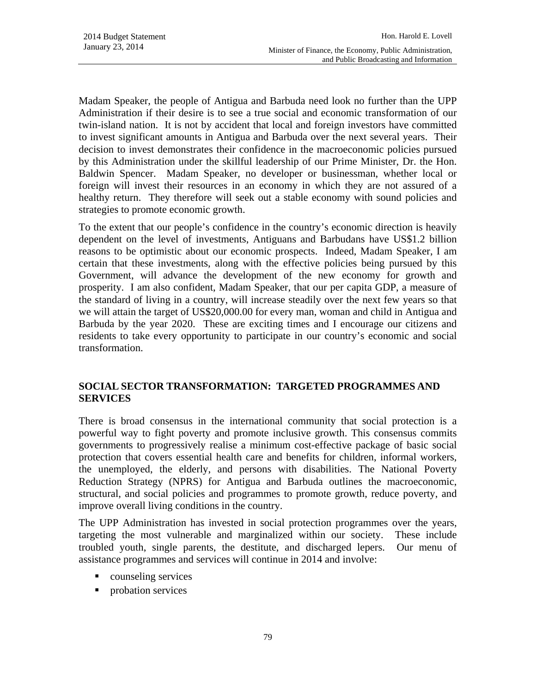Madam Speaker, the people of Antigua and Barbuda need look no further than the UPP Administration if their desire is to see a true social and economic transformation of our twin-island nation. It is not by accident that local and foreign investors have committed to invest significant amounts in Antigua and Barbuda over the next several years. Their decision to invest demonstrates their confidence in the macroeconomic policies pursued by this Administration under the skillful leadership of our Prime Minister, Dr. the Hon. Baldwin Spencer. Madam Speaker, no developer or businessman, whether local or foreign will invest their resources in an economy in which they are not assured of a healthy return. They therefore will seek out a stable economy with sound policies and strategies to promote economic growth.

To the extent that our people's confidence in the country's economic direction is heavily dependent on the level of investments, Antiguans and Barbudans have US\$1.2 billion reasons to be optimistic about our economic prospects. Indeed, Madam Speaker, I am certain that these investments, along with the effective policies being pursued by this Government, will advance the development of the new economy for growth and prosperity. I am also confident, Madam Speaker, that our per capita GDP, a measure of the standard of living in a country, will increase steadily over the next few years so that we will attain the target of US\$20,000.00 for every man, woman and child in Antigua and Barbuda by the year 2020. These are exciting times and I encourage our citizens and residents to take every opportunity to participate in our country's economic and social transformation.

# **SOCIAL SECTOR TRANSFORMATION: TARGETED PROGRAMMES AND SERVICES**

There is broad consensus in the international community that social protection is a powerful way to fight poverty and promote inclusive growth. This consensus commits governments to progressively realise a minimum cost-effective package of basic social protection that covers essential health care and benefits for children, informal workers, the unemployed, the elderly, and persons with disabilities. The National Poverty Reduction Strategy (NPRS) for Antigua and Barbuda outlines the macroeconomic, structural, and social policies and programmes to promote growth, reduce poverty, and improve overall living conditions in the country.

The UPP Administration has invested in social protection programmes over the years, targeting the most vulnerable and marginalized within our society. These include troubled youth, single parents, the destitute, and discharged lepers. Our menu of assistance programmes and services will continue in 2014 and involve:

- counseling services
- **probation services**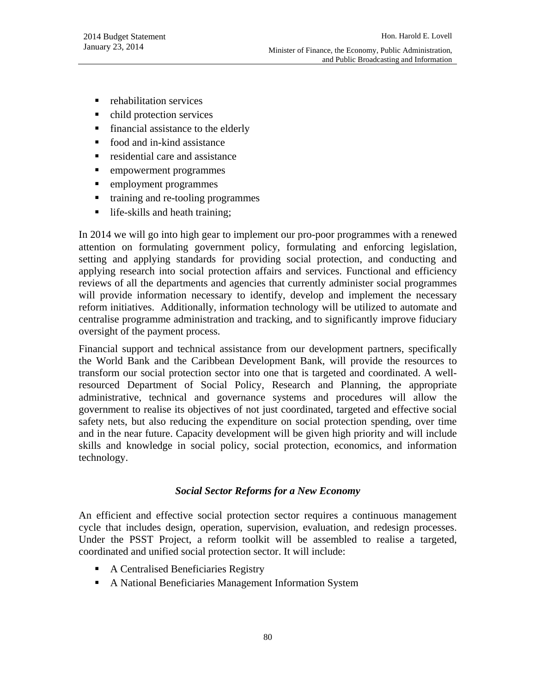- **•** rehabilitation services
- child protection services
- financial assistance to the elderly
- food and in-kind assistance
- $\blacksquare$  residential care and assistance
- **EXECUTE:** empowerment programmes
- **EXECUTE:** employment programmes
- training and re-tooling programmes
- life-skills and heath training;

In 2014 we will go into high gear to implement our pro-poor programmes with a renewed attention on formulating government policy, formulating and enforcing legislation, setting and applying standards for providing social protection, and conducting and applying research into social protection affairs and services. Functional and efficiency reviews of all the departments and agencies that currently administer social programmes will provide information necessary to identify, develop and implement the necessary reform initiatives. Additionally, information technology will be utilized to automate and centralise programme administration and tracking, and to significantly improve fiduciary oversight of the payment process.

Financial support and technical assistance from our development partners, specifically the World Bank and the Caribbean Development Bank, will provide the resources to transform our social protection sector into one that is targeted and coordinated. A wellresourced Department of Social Policy, Research and Planning, the appropriate administrative, technical and governance systems and procedures will allow the government to realise its objectives of not just coordinated, targeted and effective social safety nets, but also reducing the expenditure on social protection spending, over time and in the near future. Capacity development will be given high priority and will include skills and knowledge in social policy, social protection, economics, and information technology.

#### *Social Sector Reforms for a New Economy*

An efficient and effective social protection sector requires a continuous management cycle that includes design, operation, supervision, evaluation, and redesign processes. Under the PSST Project, a reform toolkit will be assembled to realise a targeted, coordinated and unified social protection sector. It will include:

- A Centralised Beneficiaries Registry
- A National Beneficiaries Management Information System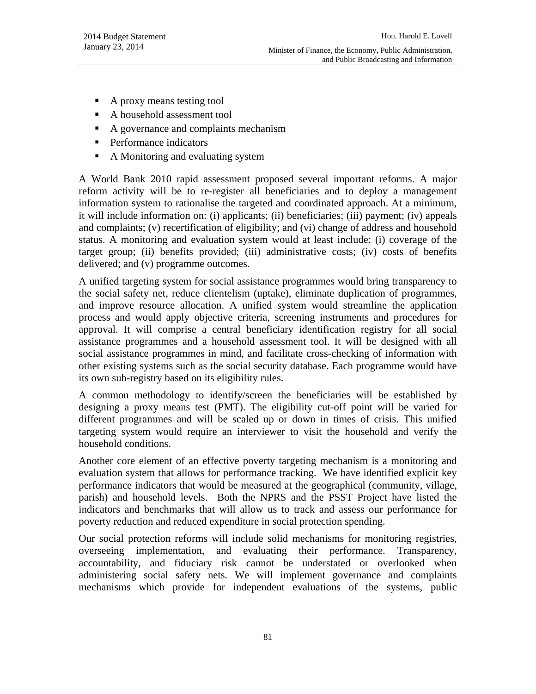- A proxy means testing tool
- A household assessment tool
- A governance and complaints mechanism
- **Performance indicators**
- A Monitoring and evaluating system

A World Bank 2010 rapid assessment proposed several important reforms. A major reform activity will be to re-register all beneficiaries and to deploy a management information system to rationalise the targeted and coordinated approach. At a minimum, it will include information on: (i) applicants; (ii) beneficiaries; (iii) payment; (iv) appeals and complaints; (v) recertification of eligibility; and (vi) change of address and household status. A monitoring and evaluation system would at least include: (i) coverage of the target group; (ii) benefits provided; (iii) administrative costs; (iv) costs of benefits delivered; and (v) programme outcomes.

A unified targeting system for social assistance programmes would bring transparency to the social safety net, reduce clientelism (uptake), eliminate duplication of programmes, and improve resource allocation. A unified system would streamline the application process and would apply objective criteria, screening instruments and procedures for approval. It will comprise a central beneficiary identification registry for all social assistance programmes and a household assessment tool. It will be designed with all social assistance programmes in mind, and facilitate cross-checking of information with other existing systems such as the social security database. Each programme would have its own sub-registry based on its eligibility rules.

A common methodology to identify/screen the beneficiaries will be established by designing a proxy means test (PMT). The eligibility cut-off point will be varied for different programmes and will be scaled up or down in times of crisis. This unified targeting system would require an interviewer to visit the household and verify the household conditions.

Another core element of an effective poverty targeting mechanism is a monitoring and evaluation system that allows for performance tracking. We have identified explicit key performance indicators that would be measured at the geographical (community, village, parish) and household levels. Both the NPRS and the PSST Project have listed the indicators and benchmarks that will allow us to track and assess our performance for poverty reduction and reduced expenditure in social protection spending.

Our social protection reforms will include solid mechanisms for monitoring registries, overseeing implementation, and evaluating their performance. Transparency, accountability, and fiduciary risk cannot be understated or overlooked when administering social safety nets. We will implement governance and complaints mechanisms which provide for independent evaluations of the systems, public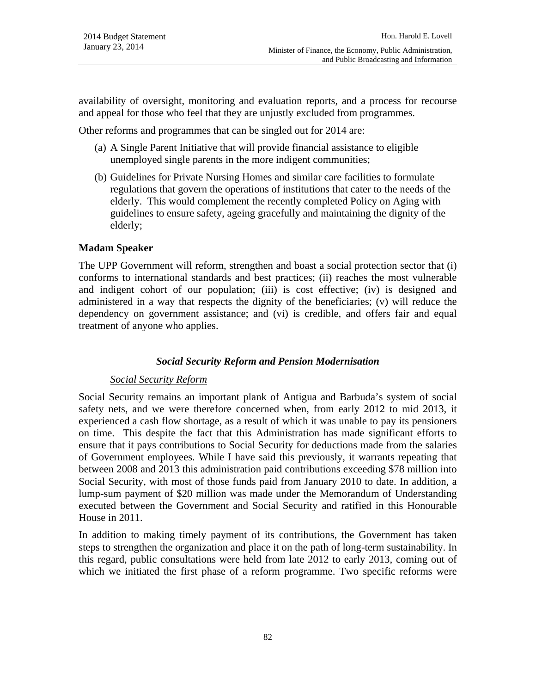availability of oversight, monitoring and evaluation reports, and a process for recourse and appeal for those who feel that they are unjustly excluded from programmes.

Other reforms and programmes that can be singled out for 2014 are:

- (a) A Single Parent Initiative that will provide financial assistance to eligible unemployed single parents in the more indigent communities;
- (b) Guidelines for Private Nursing Homes and similar care facilities to formulate regulations that govern the operations of institutions that cater to the needs of the elderly. This would complement the recently completed Policy on Aging with guidelines to ensure safety, ageing gracefully and maintaining the dignity of the elderly;

#### **Madam Speaker**

The UPP Government will reform, strengthen and boast a social protection sector that (i) conforms to international standards and best practices; (ii) reaches the most vulnerable and indigent cohort of our population; (iii) is cost effective; (iv) is designed and administered in a way that respects the dignity of the beneficiaries; (v) will reduce the dependency on government assistance; and (vi) is credible, and offers fair and equal treatment of anyone who applies.

#### *Social Security Reform and Pension Modernisation*

#### *Social Security Reform*

Social Security remains an important plank of Antigua and Barbuda's system of social safety nets, and we were therefore concerned when, from early 2012 to mid 2013, it experienced a cash flow shortage, as a result of which it was unable to pay its pensioners on time. This despite the fact that this Administration has made significant efforts to ensure that it pays contributions to Social Security for deductions made from the salaries of Government employees. While I have said this previously, it warrants repeating that between 2008 and 2013 this administration paid contributions exceeding \$78 million into Social Security, with most of those funds paid from January 2010 to date. In addition, a lump-sum payment of \$20 million was made under the Memorandum of Understanding executed between the Government and Social Security and ratified in this Honourable House in 2011.

In addition to making timely payment of its contributions, the Government has taken steps to strengthen the organization and place it on the path of long-term sustainability. In this regard, public consultations were held from late 2012 to early 2013, coming out of which we initiated the first phase of a reform programme. Two specific reforms were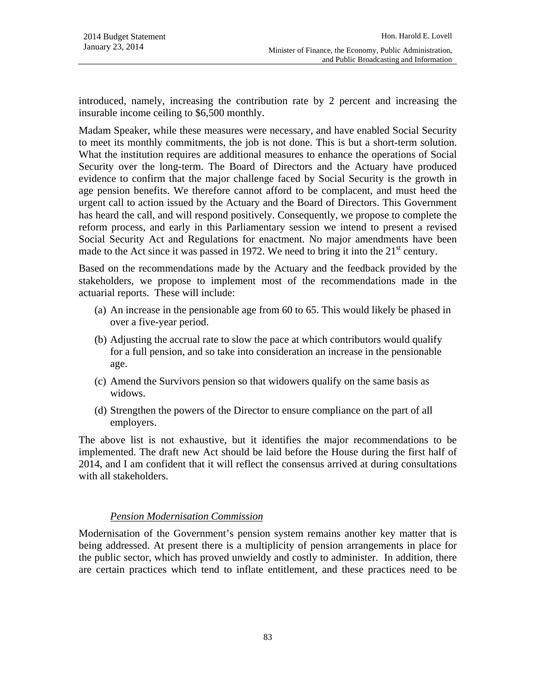introduced, namely, increasing the contribution rate by 2 percent and increasing the insurable income ceiling to \$6,500 monthly.

Madam Speaker, while these measures were necessary, and have enabled Social Security to meet its monthly commitments, the job is not done. This is but a short-term solution. What the institution requires are additional measures to enhance the operations of Social Security over the long-term. The Board of Directors and the Actuary have produced evidence to confirm that the major challenge faced by Social Security is the growth in age pension benefits. We therefore cannot afford to be complacent, and must heed the urgent call to action issued by the Actuary and the Board of Directors. This Government has heard the call, and will respond positively. Consequently, we propose to complete the reform process, and early in this Parliamentary session we intend to present a revised Social Security Act and Regulations for enactment. No major amendments have been made to the Act since it was passed in 1972. We need to bring it into the  $21<sup>st</sup>$  century.

Based on the recommendations made by the Actuary and the feedback provided by the stakeholders, we propose to implement most of the recommendations made in the actuarial reports. These will include:

- (a) An increase in the pensionable age from 60 to 65. This would likely be phased in over a five-year period.
- (b) Adjusting the accrual rate to slow the pace at which contributors would qualify for a full pension, and so take into consideration an increase in the pensionable age.
- (c) Amend the Survivors pension so that widowers qualify on the same basis as widows.
- (d) Strengthen the powers of the Director to ensure compliance on the part of all employers.

The above list is not exhaustive, but it identifies the major recommendations to be implemented. The draft new Act should be laid before the House during the first half of 2014, and I am confident that it will reflect the consensus arrived at during consultations with all stakeholders.

# *Pension Modernisation Commission*

Modernisation of the Government's pension system remains another key matter that is being addressed. At present there is a multiplicity of pension arrangements in place for the public sector, which has proved unwieldy and costly to administer. In addition, there are certain practices which tend to inflate entitlement, and these practices need to be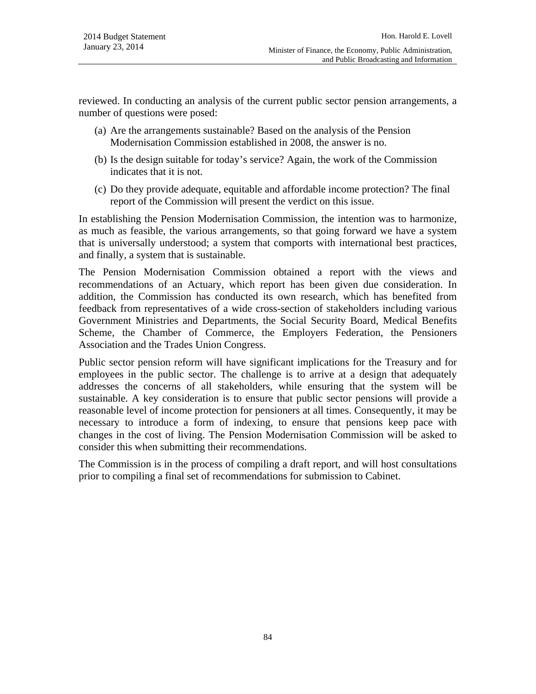reviewed. In conducting an analysis of the current public sector pension arrangements, a number of questions were posed:

- (a) Are the arrangements sustainable? Based on the analysis of the Pension Modernisation Commission established in 2008, the answer is no.
- (b) Is the design suitable for today's service? Again, the work of the Commission indicates that it is not.
- (c) Do they provide adequate, equitable and affordable income protection? The final report of the Commission will present the verdict on this issue.

In establishing the Pension Modernisation Commission, the intention was to harmonize, as much as feasible, the various arrangements, so that going forward we have a system that is universally understood; a system that comports with international best practices, and finally, a system that is sustainable.

The Pension Modernisation Commission obtained a report with the views and recommendations of an Actuary, which report has been given due consideration. In addition, the Commission has conducted its own research, which has benefited from feedback from representatives of a wide cross-section of stakeholders including various Government Ministries and Departments, the Social Security Board, Medical Benefits Scheme, the Chamber of Commerce, the Employers Federation, the Pensioners Association and the Trades Union Congress.

Public sector pension reform will have significant implications for the Treasury and for employees in the public sector. The challenge is to arrive at a design that adequately addresses the concerns of all stakeholders, while ensuring that the system will be sustainable. A key consideration is to ensure that public sector pensions will provide a reasonable level of income protection for pensioners at all times. Consequently, it may be necessary to introduce a form of indexing, to ensure that pensions keep pace with changes in the cost of living. The Pension Modernisation Commission will be asked to consider this when submitting their recommendations.

The Commission is in the process of compiling a draft report, and will host consultations prior to compiling a final set of recommendations for submission to Cabinet.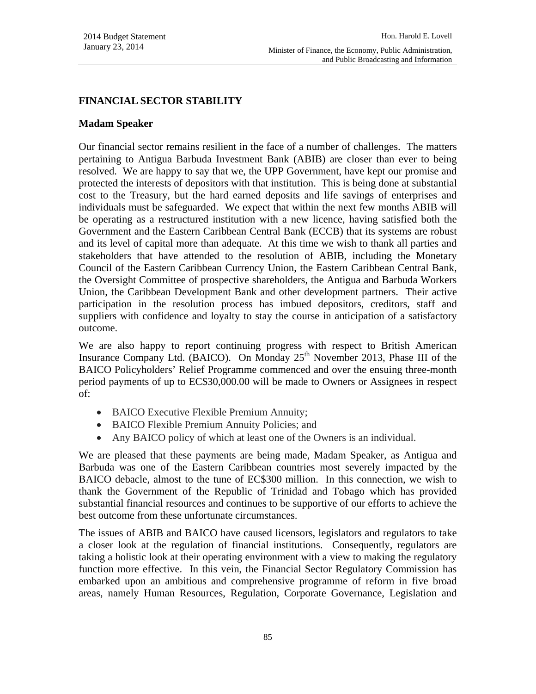### **FINANCIAL SECTOR STABILITY**

#### **Madam Speaker**

Our financial sector remains resilient in the face of a number of challenges. The matters pertaining to Antigua Barbuda Investment Bank (ABIB) are closer than ever to being resolved. We are happy to say that we, the UPP Government, have kept our promise and protected the interests of depositors with that institution. This is being done at substantial cost to the Treasury, but the hard earned deposits and life savings of enterprises and individuals must be safeguarded. We expect that within the next few months ABIB will be operating as a restructured institution with a new licence, having satisfied both the Government and the Eastern Caribbean Central Bank (ECCB) that its systems are robust and its level of capital more than adequate. At this time we wish to thank all parties and stakeholders that have attended to the resolution of ABIB, including the Monetary Council of the Eastern Caribbean Currency Union, the Eastern Caribbean Central Bank, the Oversight Committee of prospective shareholders, the Antigua and Barbuda Workers Union, the Caribbean Development Bank and other development partners. Their active participation in the resolution process has imbued depositors, creditors, staff and suppliers with confidence and loyalty to stay the course in anticipation of a satisfactory outcome.

We are also happy to report continuing progress with respect to British American Insurance Company Ltd. (BAICO). On Monday  $25<sup>th</sup>$  November 2013, Phase III of the BAICO Policyholders' Relief Programme commenced and over the ensuing three-month period payments of up to EC\$30,000.00 will be made to Owners or Assignees in respect of:

- BAICO Executive Flexible Premium Annuity;
- BAICO Flexible Premium Annuity Policies; and
- Any BAICO policy of which at least one of the Owners is an individual.

We are pleased that these payments are being made, Madam Speaker, as Antigua and Barbuda was one of the Eastern Caribbean countries most severely impacted by the BAICO debacle, almost to the tune of EC\$300 million. In this connection, we wish to thank the Government of the Republic of Trinidad and Tobago which has provided substantial financial resources and continues to be supportive of our efforts to achieve the best outcome from these unfortunate circumstances.

The issues of ABIB and BAICO have caused licensors, legislators and regulators to take a closer look at the regulation of financial institutions. Consequently, regulators are taking a holistic look at their operating environment with a view to making the regulatory function more effective. In this vein, the Financial Sector Regulatory Commission has embarked upon an ambitious and comprehensive programme of reform in five broad areas, namely Human Resources, Regulation, Corporate Governance, Legislation and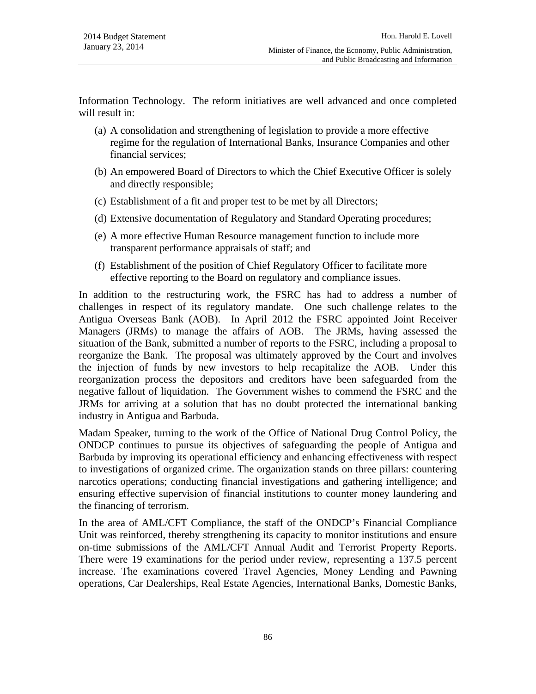Information Technology. The reform initiatives are well advanced and once completed will result in:

- (a) A consolidation and strengthening of legislation to provide a more effective regime for the regulation of International Banks, Insurance Companies and other financial services;
- (b) An empowered Board of Directors to which the Chief Executive Officer is solely and directly responsible;
- (c) Establishment of a fit and proper test to be met by all Directors;
- (d) Extensive documentation of Regulatory and Standard Operating procedures;
- (e) A more effective Human Resource management function to include more transparent performance appraisals of staff; and
- (f) Establishment of the position of Chief Regulatory Officer to facilitate more effective reporting to the Board on regulatory and compliance issues.

In addition to the restructuring work, the FSRC has had to address a number of challenges in respect of its regulatory mandate. One such challenge relates to the Antigua Overseas Bank (AOB). In April 2012 the FSRC appointed Joint Receiver Managers (JRMs) to manage the affairs of AOB. The JRMs, having assessed the situation of the Bank, submitted a number of reports to the FSRC, including a proposal to reorganize the Bank. The proposal was ultimately approved by the Court and involves the injection of funds by new investors to help recapitalize the AOB. Under this reorganization process the depositors and creditors have been safeguarded from the negative fallout of liquidation. The Government wishes to commend the FSRC and the JRMs for arriving at a solution that has no doubt protected the international banking industry in Antigua and Barbuda.

Madam Speaker, turning to the work of the Office of National Drug Control Policy, the ONDCP continues to pursue its objectives of safeguarding the people of Antigua and Barbuda by improving its operational efficiency and enhancing effectiveness with respect to investigations of organized crime. The organization stands on three pillars: countering narcotics operations; conducting financial investigations and gathering intelligence; and ensuring effective supervision of financial institutions to counter money laundering and the financing of terrorism.

In the area of AML/CFT Compliance, the staff of the ONDCP's Financial Compliance Unit was reinforced, thereby strengthening its capacity to monitor institutions and ensure on-time submissions of the AML/CFT Annual Audit and Terrorist Property Reports. There were 19 examinations for the period under review, representing a 137.5 percent increase. The examinations covered Travel Agencies, Money Lending and Pawning operations, Car Dealerships, Real Estate Agencies, International Banks, Domestic Banks,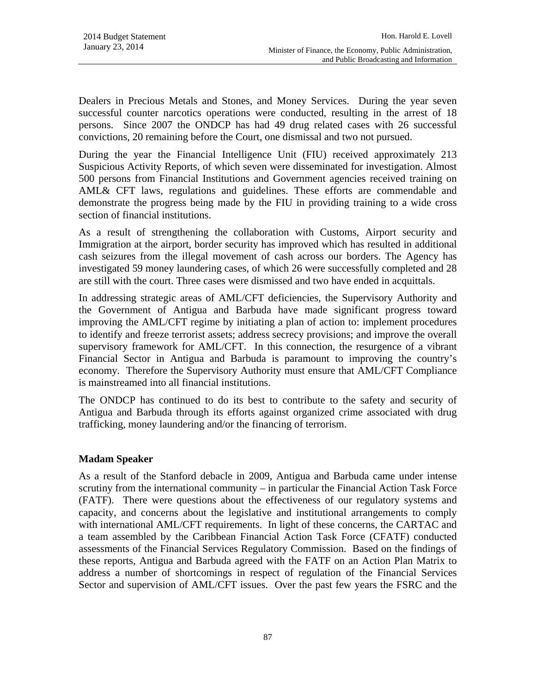Dealers in Precious Metals and Stones, and Money Services. During the year seven successful counter narcotics operations were conducted, resulting in the arrest of 18 persons. Since 2007 the ONDCP has had 49 drug related cases with 26 successful convictions, 20 remaining before the Court, one dismissal and two not pursued.

During the year the Financial Intelligence Unit (FIU) received approximately 213 Suspicious Activity Reports, of which seven were disseminated for investigation. Almost 500 persons from Financial Institutions and Government agencies received training on AML& CFT laws, regulations and guidelines. These efforts are commendable and demonstrate the progress being made by the FIU in providing training to a wide cross section of financial institutions.

As a result of strengthening the collaboration with Customs, Airport security and Immigration at the airport, border security has improved which has resulted in additional cash seizures from the illegal movement of cash across our borders. The Agency has investigated 59 money laundering cases, of which 26 were successfully completed and 28 are still with the court. Three cases were dismissed and two have ended in acquittals.

In addressing strategic areas of AML/CFT deficiencies, the Supervisory Authority and the Government of Antigua and Barbuda have made significant progress toward improving the AML/CFT regime by initiating a plan of action to: implement procedures to identify and freeze terrorist assets; address secrecy provisions; and improve the overall supervisory framework for AML/CFT. In this connection, the resurgence of a vibrant Financial Sector in Antigua and Barbuda is paramount to improving the country's economy. Therefore the Supervisory Authority must ensure that AML/CFT Compliance is mainstreamed into all financial institutions.

The ONDCP has continued to do its best to contribute to the safety and security of Antigua and Barbuda through its efforts against organized crime associated with drug trafficking, money laundering and/or the financing of terrorism.

# **Madam Speaker**

As a result of the Stanford debacle in 2009, Antigua and Barbuda came under intense scrutiny from the international community – in particular the Financial Action Task Force (FATF). There were questions about the effectiveness of our regulatory systems and capacity, and concerns about the legislative and institutional arrangements to comply with international AML/CFT requirements. In light of these concerns, the CARTAC and a team assembled by the Caribbean Financial Action Task Force (CFATF) conducted assessments of the Financial Services Regulatory Commission. Based on the findings of these reports, Antigua and Barbuda agreed with the FATF on an Action Plan Matrix to address a number of shortcomings in respect of regulation of the Financial Services Sector and supervision of AML/CFT issues. Over the past few years the FSRC and the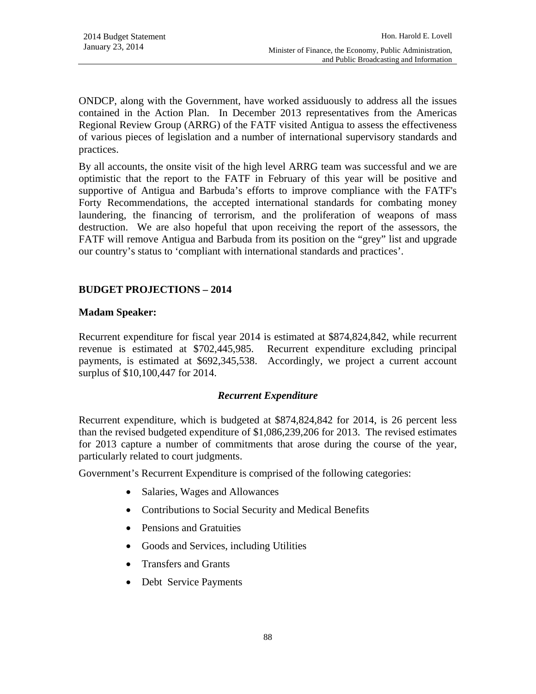ONDCP, along with the Government, have worked assiduously to address all the issues contained in the Action Plan. In December 2013 representatives from the Americas Regional Review Group (ARRG) of the FATF visited Antigua to assess the effectiveness of various pieces of legislation and a number of international supervisory standards and practices.

By all accounts, the onsite visit of the high level ARRG team was successful and we are optimistic that the report to the FATF in February of this year will be positive and supportive of Antigua and Barbuda's efforts to improve compliance with the FATF's Forty Recommendations, the accepted international standards for combating money laundering, the financing of terrorism, and the proliferation of weapons of mass destruction. We are also hopeful that upon receiving the report of the assessors, the FATF will remove Antigua and Barbuda from its position on the "grey" list and upgrade our country's status to 'compliant with international standards and practices'.

# **BUDGET PROJECTIONS – 2014**

### **Madam Speaker:**

Recurrent expenditure for fiscal year 2014 is estimated at \$874,824,842, while recurrent revenue is estimated at \$702,445,985. Recurrent expenditure excluding principal payments, is estimated at \$692,345,538. Accordingly, we project a current account surplus of \$10,100,447 for 2014.

#### *Recurrent Expenditure*

Recurrent expenditure, which is budgeted at \$874,824,842 for 2014, is 26 percent less than the revised budgeted expenditure of \$1,086,239,206 for 2013. The revised estimates for 2013 capture a number of commitments that arose during the course of the year, particularly related to court judgments.

Government's Recurrent Expenditure is comprised of the following categories:

- Salaries, Wages and Allowances
- Contributions to Social Security and Medical Benefits
- Pensions and Gratuities
- Goods and Services, including Utilities
- Transfers and Grants
- Debt Service Payments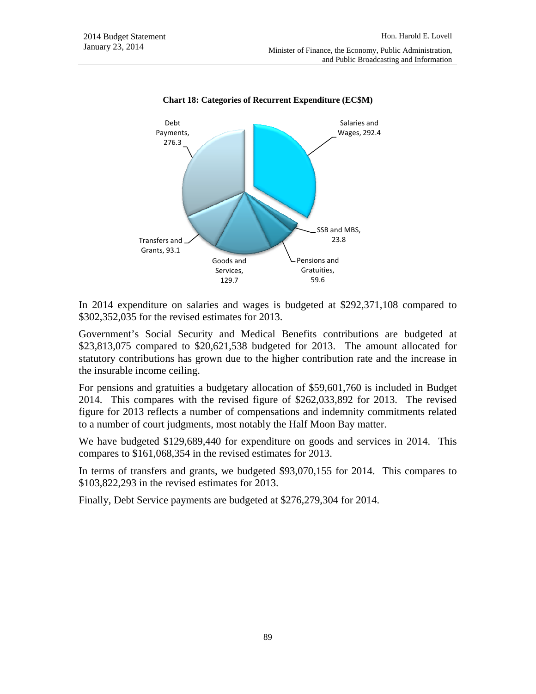

**Chart 18: Categories of Recurrent Expenditure (EC\$M)**

In 2014 expenditure on salaries and wages is budgeted at \$292,371,108 compared to \$302,352,035 for the revised estimates for 2013.

Government's Social Security and Medical Benefits contributions are budgeted at \$23,813,075 compared to \$20,621,538 budgeted for 2013. The amount allocated for statutory contributions has grown due to the higher contribution rate and the increase in the insurable income ceiling.

For pensions and gratuities a budgetary allocation of \$59,601,760 is included in Budget 2014. This compares with the revised figure of \$262,033,892 for 2013. The revised figure for 2013 reflects a number of compensations and indemnity commitments related to a number of court judgments, most notably the Half Moon Bay matter.

We have budgeted \$129,689,440 for expenditure on goods and services in 2014. This compares to \$161,068,354 in the revised estimates for 2013.

In terms of transfers and grants, we budgeted \$93,070,155 for 2014. This compares to \$103,822,293 in the revised estimates for 2013.

Finally, Debt Service payments are budgeted at \$276,279,304 for 2014.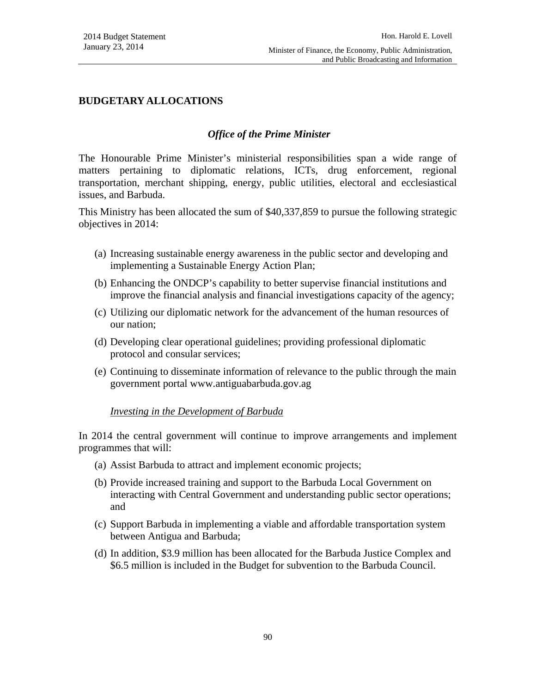### **BUDGETARY ALLOCATIONS**

#### *Office of the Prime Minister*

The Honourable Prime Minister's ministerial responsibilities span a wide range of matters pertaining to diplomatic relations, ICTs, drug enforcement, regional transportation, merchant shipping, energy, public utilities, electoral and ecclesiastical issues, and Barbuda.

This Ministry has been allocated the sum of \$40,337,859 to pursue the following strategic objectives in 2014:

- (a) Increasing sustainable energy awareness in the public sector and developing and implementing a Sustainable Energy Action Plan;
- (b) Enhancing the ONDCP's capability to better supervise financial institutions and improve the financial analysis and financial investigations capacity of the agency;
- (c) Utilizing our diplomatic network for the advancement of the human resources of our nation;
- (d) Developing clear operational guidelines; providing professional diplomatic protocol and consular services;
- (e) Continuing to disseminate information of relevance to the public through the main government portal www.antiguabarbuda.gov.ag

#### *Investing in the Development of Barbuda*

In 2014 the central government will continue to improve arrangements and implement programmes that will:

- (a) Assist Barbuda to attract and implement economic projects;
- (b) Provide increased training and support to the Barbuda Local Government on interacting with Central Government and understanding public sector operations; and
- (c) Support Barbuda in implementing a viable and affordable transportation system between Antigua and Barbuda;
- (d) In addition, \$3.9 million has been allocated for the Barbuda Justice Complex and \$6.5 million is included in the Budget for subvention to the Barbuda Council.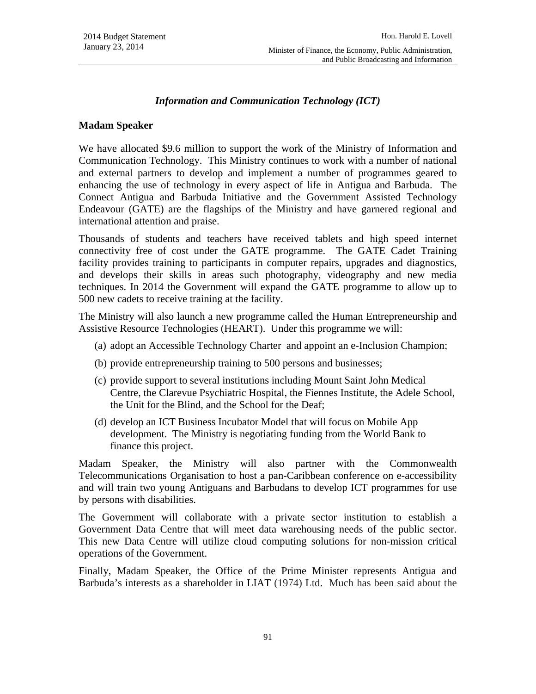### *Information and Communication Technology (ICT)*

#### **Madam Speaker**

We have allocated \$9.6 million to support the work of the Ministry of Information and Communication Technology. This Ministry continues to work with a number of national and external partners to develop and implement a number of programmes geared to enhancing the use of technology in every aspect of life in Antigua and Barbuda. The Connect Antigua and Barbuda Initiative and the Government Assisted Technology Endeavour (GATE) are the flagships of the Ministry and have garnered regional and international attention and praise.

Thousands of students and teachers have received tablets and high speed internet connectivity free of cost under the GATE programme. The GATE Cadet Training facility provides training to participants in computer repairs, upgrades and diagnostics, and develops their skills in areas such photography, videography and new media techniques. In 2014 the Government will expand the GATE programme to allow up to 500 new cadets to receive training at the facility.

The Ministry will also launch a new programme called the Human Entrepreneurship and Assistive Resource Technologies (HEART). Under this programme we will:

- (a) adopt an Accessible Technology Charter and appoint an e-Inclusion Champion;
- (b) provide entrepreneurship training to 500 persons and businesses;
- (c) provide support to several institutions including Mount Saint John Medical Centre, the Clarevue Psychiatric Hospital, the Fiennes Institute, the Adele School, the Unit for the Blind, and the School for the Deaf;
- (d) develop an ICT Business Incubator Model that will focus on Mobile App development. The Ministry is negotiating funding from the World Bank to finance this project.

Madam Speaker, the Ministry will also partner with the Commonwealth Telecommunications Organisation to host a pan-Caribbean conference on e-accessibility and will train two young Antiguans and Barbudans to develop ICT programmes for use by persons with disabilities.

The Government will collaborate with a private sector institution to establish a Government Data Centre that will meet data warehousing needs of the public sector. This new Data Centre will utilize cloud computing solutions for non-mission critical operations of the Government.

Finally, Madam Speaker, the Office of the Prime Minister represents Antigua and Barbuda's interests as a shareholder in LIAT (1974) Ltd. Much has been said about the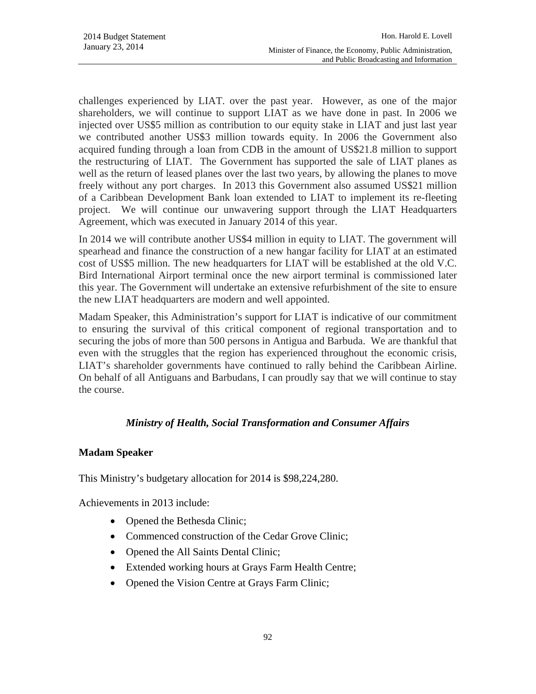challenges experienced by LIAT. over the past year. However, as one of the major shareholders, we will continue to support LIAT as we have done in past. In 2006 we injected over US\$5 million as contribution to our equity stake in LIAT and just last year we contributed another US\$3 million towards equity. In 2006 the Government also acquired funding through a loan from CDB in the amount of US\$21.8 million to support the restructuring of LIAT. The Government has supported the sale of LIAT planes as well as the return of leased planes over the last two years, by allowing the planes to move freely without any port charges. In 2013 this Government also assumed US\$21 million of a Caribbean Development Bank loan extended to LIAT to implement its re-fleeting project. We will continue our unwavering support through the LIAT Headquarters Agreement, which was executed in January 2014 of this year.

In 2014 we will contribute another US\$4 million in equity to LIAT. The government will spearhead and finance the construction of a new hangar facility for LIAT at an estimated cost of US\$5 million. The new headquarters for LIAT will be established at the old V.C. Bird International Airport terminal once the new airport terminal is commissioned later this year. The Government will undertake an extensive refurbishment of the site to ensure the new LIAT headquarters are modern and well appointed.

Madam Speaker, this Administration's support for LIAT is indicative of our commitment to ensuring the survival of this critical component of regional transportation and to securing the jobs of more than 500 persons in Antigua and Barbuda. We are thankful that even with the struggles that the region has experienced throughout the economic crisis, LIAT's shareholder governments have continued to rally behind the Caribbean Airline. On behalf of all Antiguans and Barbudans, I can proudly say that we will continue to stay the course.

# *Ministry of Health, Social Transformation and Consumer Affairs*

# **Madam Speaker**

This Ministry's budgetary allocation for 2014 is \$98,224,280.

Achievements in 2013 include:

- Opened the Bethesda Clinic;
- Commenced construction of the Cedar Grove Clinic;
- Opened the All Saints Dental Clinic;
- Extended working hours at Grays Farm Health Centre;
- Opened the Vision Centre at Grays Farm Clinic;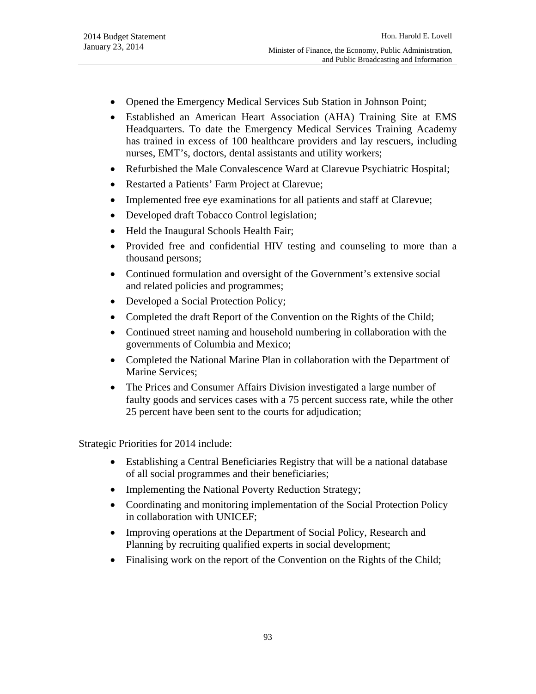- Opened the Emergency Medical Services Sub Station in Johnson Point;
- Established an American Heart Association (AHA) Training Site at EMS Headquarters. To date the Emergency Medical Services Training Academy has trained in excess of 100 healthcare providers and lay rescuers, including nurses, EMT's, doctors, dental assistants and utility workers;
- Refurbished the Male Convalescence Ward at Clarevue Psychiatric Hospital;
- Restarted a Patients' Farm Project at Clarevue;
- Implemented free eye examinations for all patients and staff at Clarevue;
- Developed draft Tobacco Control legislation;
- Held the Inaugural Schools Health Fair;
- Provided free and confidential HIV testing and counseling to more than a thousand persons;
- Continued formulation and oversight of the Government's extensive social and related policies and programmes;
- Developed a Social Protection Policy;
- Completed the draft Report of the Convention on the Rights of the Child;
- Continued street naming and household numbering in collaboration with the governments of Columbia and Mexico;
- Completed the National Marine Plan in collaboration with the Department of Marine Services;
- The Prices and Consumer Affairs Division investigated a large number of faulty goods and services cases with a 75 percent success rate, while the other 25 percent have been sent to the courts for adjudication;

Strategic Priorities for 2014 include:

- Establishing a Central Beneficiaries Registry that will be a national database of all social programmes and their beneficiaries;
- Implementing the National Poverty Reduction Strategy;
- Coordinating and monitoring implementation of the Social Protection Policy in collaboration with UNICEF;
- Improving operations at the Department of Social Policy, Research and Planning by recruiting qualified experts in social development;
- Finalising work on the report of the Convention on the Rights of the Child;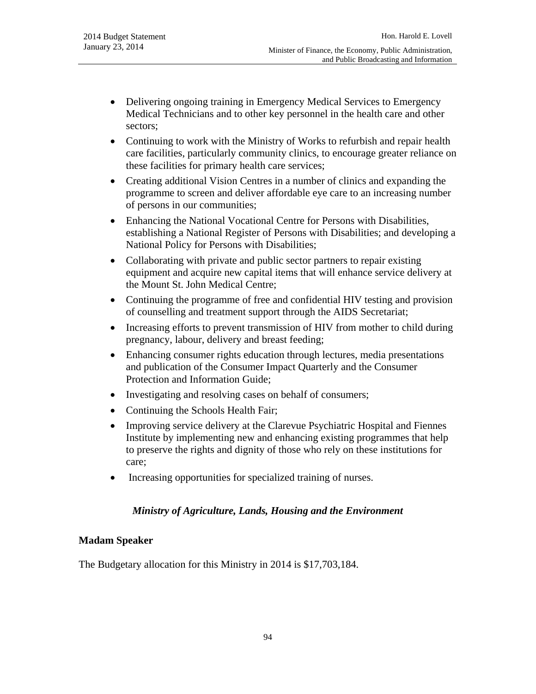- Delivering ongoing training in Emergency Medical Services to Emergency Medical Technicians and to other key personnel in the health care and other sectors;
- Continuing to work with the Ministry of Works to refurbish and repair health care facilities, particularly community clinics, to encourage greater reliance on these facilities for primary health care services;
- Creating additional Vision Centres in a number of clinics and expanding the programme to screen and deliver affordable eye care to an increasing number of persons in our communities;
- Enhancing the National Vocational Centre for Persons with Disabilities, establishing a National Register of Persons with Disabilities; and developing a National Policy for Persons with Disabilities;
- Collaborating with private and public sector partners to repair existing equipment and acquire new capital items that will enhance service delivery at the Mount St. John Medical Centre;
- Continuing the programme of free and confidential HIV testing and provision of counselling and treatment support through the AIDS Secretariat;
- Increasing efforts to prevent transmission of HIV from mother to child during pregnancy, labour, delivery and breast feeding;
- Enhancing consumer rights education through lectures, media presentations and publication of the Consumer Impact Quarterly and the Consumer Protection and Information Guide;
- Investigating and resolving cases on behalf of consumers;
- Continuing the Schools Health Fair;
- Improving service delivery at the Clarevue Psychiatric Hospital and Fiennes Institute by implementing new and enhancing existing programmes that help to preserve the rights and dignity of those who rely on these institutions for care;
- Increasing opportunities for specialized training of nurses.

# *Ministry of Agriculture, Lands, Housing and the Environment*

# **Madam Speaker**

The Budgetary allocation for this Ministry in 2014 is \$17,703,184.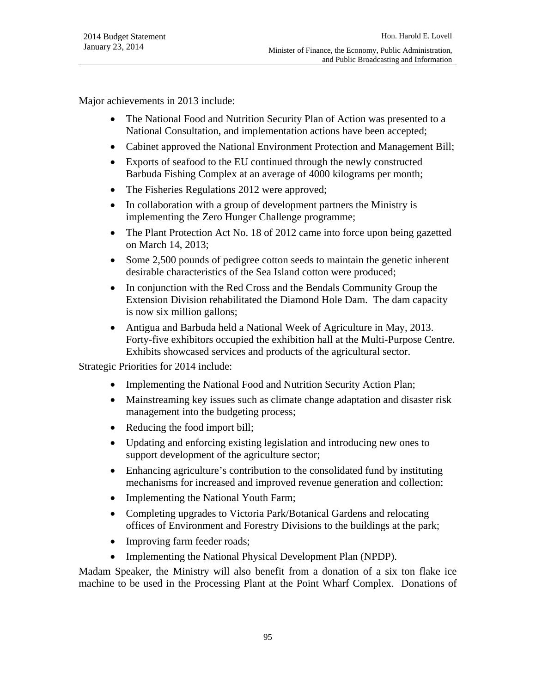Major achievements in 2013 include:

- The National Food and Nutrition Security Plan of Action was presented to a National Consultation, and implementation actions have been accepted;
- Cabinet approved the National Environment Protection and Management Bill;
- Exports of seafood to the EU continued through the newly constructed Barbuda Fishing Complex at an average of 4000 kilograms per month;
- The Fisheries Regulations 2012 were approved;
- In collaboration with a group of development partners the Ministry is implementing the Zero Hunger Challenge programme;
- The Plant Protection Act No. 18 of 2012 came into force upon being gazetted on March 14, 2013;
- Some 2,500 pounds of pedigree cotton seeds to maintain the genetic inherent desirable characteristics of the Sea Island cotton were produced;
- In conjunction with the Red Cross and the Bendals Community Group the Extension Division rehabilitated the Diamond Hole Dam. The dam capacity is now six million gallons;
- Antigua and Barbuda held a National Week of Agriculture in May, 2013. Forty-five exhibitors occupied the exhibition hall at the Multi-Purpose Centre. Exhibits showcased services and products of the agricultural sector.

Strategic Priorities for 2014 include:

- Implementing the National Food and Nutrition Security Action Plan;
- Mainstreaming key issues such as climate change adaptation and disaster risk management into the budgeting process;
- Reducing the food import bill;
- Updating and enforcing existing legislation and introducing new ones to support development of the agriculture sector;
- Enhancing agriculture's contribution to the consolidated fund by instituting mechanisms for increased and improved revenue generation and collection;
- Implementing the National Youth Farm;
- Completing upgrades to Victoria Park/Botanical Gardens and relocating offices of Environment and Forestry Divisions to the buildings at the park;
- Improving farm feeder roads;
- Implementing the National Physical Development Plan (NPDP).

Madam Speaker, the Ministry will also benefit from a donation of a six ton flake ice machine to be used in the Processing Plant at the Point Wharf Complex. Donations of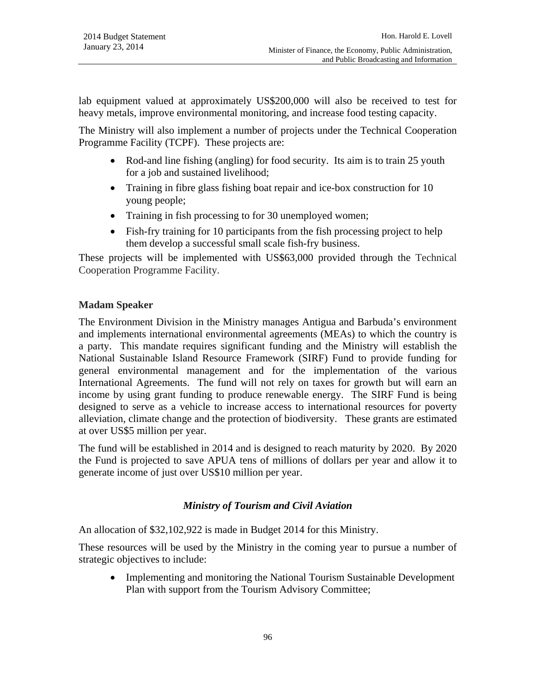lab equipment valued at approximately US\$200,000 will also be received to test for heavy metals, improve environmental monitoring, and increase food testing capacity.

The Ministry will also implement a number of projects under the Technical Cooperation Programme Facility (TCPF). These projects are:

- Rod-and line fishing (angling) for food security. Its aim is to train 25 youth for a job and sustained livelihood;
- Training in fibre glass fishing boat repair and ice-box construction for 10 young people;
- Training in fish processing to for 30 unemployed women;
- Fish-fry training for 10 participants from the fish processing project to help them develop a successful small scale fish-fry business.

These projects will be implemented with US\$63,000 provided through the Technical Cooperation Programme Facility.

# **Madam Speaker**

The Environment Division in the Ministry manages Antigua and Barbuda's environment and implements international environmental agreements (MEAs) to which the country is a party. This mandate requires significant funding and the Ministry will establish the National Sustainable Island Resource Framework (SIRF) Fund to provide funding for general environmental management and for the implementation of the various International Agreements. The fund will not rely on taxes for growth but will earn an income by using grant funding to produce renewable energy. The SIRF Fund is being designed to serve as a vehicle to increase access to international resources for poverty alleviation, climate change and the protection of biodiversity. These grants are estimated at over US\$5 million per year.

The fund will be established in 2014 and is designed to reach maturity by 2020. By 2020 the Fund is projected to save APUA tens of millions of dollars per year and allow it to generate income of just over US\$10 million per year.

# *Ministry of Tourism and Civil Aviation*

An allocation of \$32,102,922 is made in Budget 2014 for this Ministry.

These resources will be used by the Ministry in the coming year to pursue a number of strategic objectives to include:

• Implementing and monitoring the National Tourism Sustainable Development Plan with support from the Tourism Advisory Committee;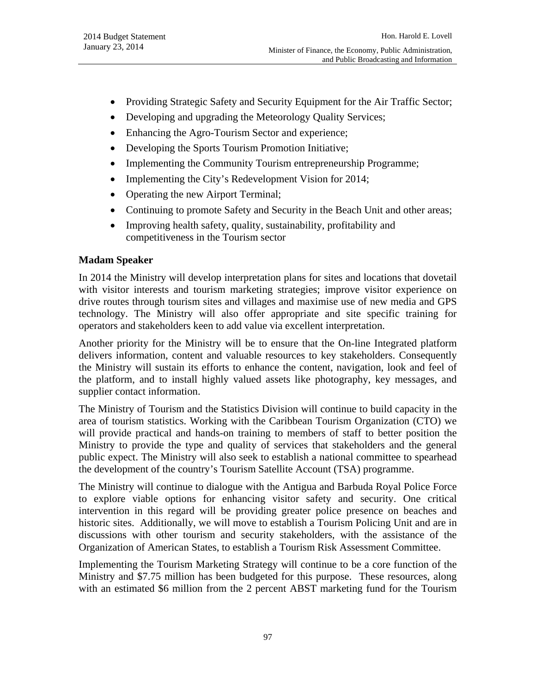- Providing Strategic Safety and Security Equipment for the Air Traffic Sector;
- Developing and upgrading the Meteorology Quality Services;
- Enhancing the Agro-Tourism Sector and experience;
- Developing the Sports Tourism Promotion Initiative;
- Implementing the Community Tourism entrepreneurship Programme;
- Implementing the City's Redevelopment Vision for 2014;
- Operating the new Airport Terminal;
- Continuing to promote Safety and Security in the Beach Unit and other areas;
- Improving health safety, quality, sustainability, profitability and competitiveness in the Tourism sector

# **Madam Speaker**

In 2014 the Ministry will develop interpretation plans for sites and locations that dovetail with visitor interests and tourism marketing strategies; improve visitor experience on drive routes through tourism sites and villages and maximise use of new media and GPS technology. The Ministry will also offer appropriate and site specific training for operators and stakeholders keen to add value via excellent interpretation.

Another priority for the Ministry will be to ensure that the On-line Integrated platform delivers information, content and valuable resources to key stakeholders. Consequently the Ministry will sustain its efforts to enhance the content, navigation, look and feel of the platform, and to install highly valued assets like photography, key messages, and supplier contact information.

The Ministry of Tourism and the Statistics Division will continue to build capacity in the area of tourism statistics. Working with the Caribbean Tourism Organization (CTO) we will provide practical and hands-on training to members of staff to better position the Ministry to provide the type and quality of services that stakeholders and the general public expect. The Ministry will also seek to establish a national committee to spearhead the development of the country's Tourism Satellite Account (TSA) programme.

The Ministry will continue to dialogue with the Antigua and Barbuda Royal Police Force to explore viable options for enhancing visitor safety and security. One critical intervention in this regard will be providing greater police presence on beaches and historic sites. Additionally, we will move to establish a Tourism Policing Unit and are in discussions with other tourism and security stakeholders, with the assistance of the Organization of American States, to establish a Tourism Risk Assessment Committee.

Implementing the Tourism Marketing Strategy will continue to be a core function of the Ministry and \$7.75 million has been budgeted for this purpose. These resources, along with an estimated \$6 million from the 2 percent ABST marketing fund for the Tourism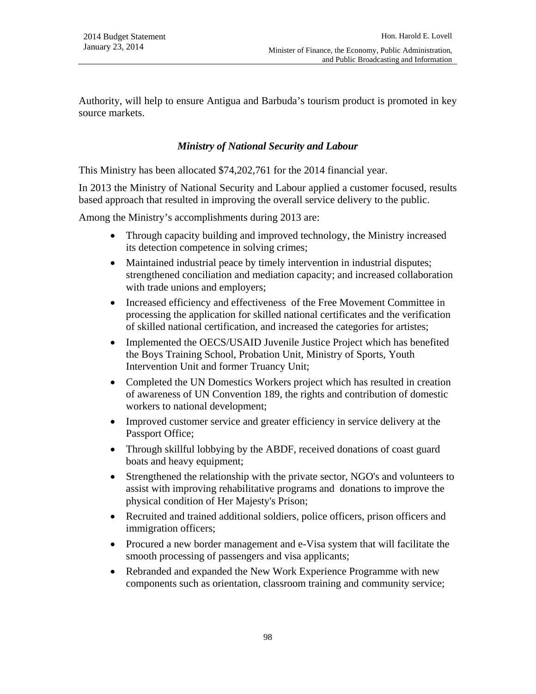Authority, will help to ensure Antigua and Barbuda's tourism product is promoted in key source markets.

# *Ministry of National Security and Labour*

This Ministry has been allocated \$74,202,761 for the 2014 financial year.

In 2013 the Ministry of National Security and Labour applied a customer focused, results based approach that resulted in improving the overall service delivery to the public.

Among the Ministry's accomplishments during 2013 are:

- Through capacity building and improved technology, the Ministry increased its detection competence in solving crimes;
- Maintained industrial peace by timely intervention in industrial disputes; strengthened conciliation and mediation capacity; and increased collaboration with trade unions and employers;
- Increased efficiency and effectiveness of the Free Movement Committee in processing the application for skilled national certificates and the verification of skilled national certification, and increased the categories for artistes;
- Implemented the OECS/USAID Juvenile Justice Project which has benefited the Boys Training School, Probation Unit, Ministry of Sports, Youth Intervention Unit and former Truancy Unit;
- Completed the UN Domestics Workers project which has resulted in creation of awareness of UN Convention 189, the rights and contribution of domestic workers to national development;
- Improved customer service and greater efficiency in service delivery at the Passport Office;
- Through skillful lobbying by the ABDF, received donations of coast guard boats and heavy equipment;
- Strengthened the relationship with the private sector, NGO's and volunteers to assist with improving rehabilitative programs and donations to improve the physical condition of Her Majesty's Prison;
- Recruited and trained additional soldiers, police officers, prison officers and immigration officers;
- Procured a new border management and e-Visa system that will facilitate the smooth processing of passengers and visa applicants;
- Rebranded and expanded the New Work Experience Programme with new components such as orientation, classroom training and community service;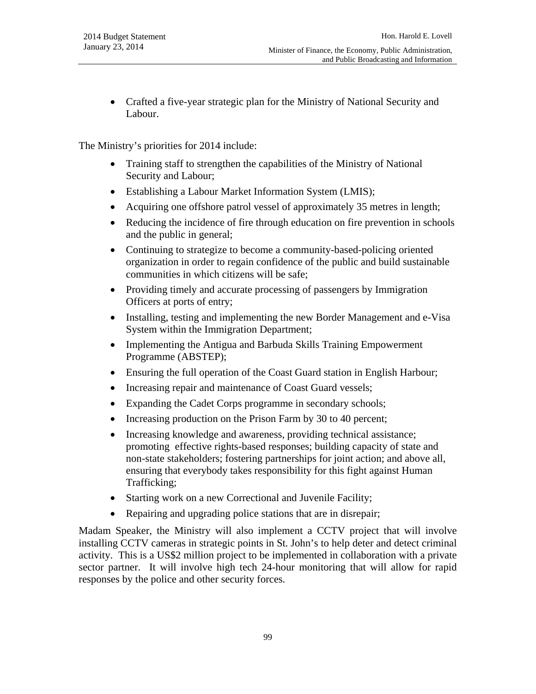Crafted a five-year strategic plan for the Ministry of National Security and Labour.

The Ministry's priorities for 2014 include:

- Training staff to strengthen the capabilities of the Ministry of National Security and Labour;
- Establishing a Labour Market Information System (LMIS);
- Acquiring one offshore patrol vessel of approximately 35 metres in length;
- Reducing the incidence of fire through education on fire prevention in schools and the public in general;
- Continuing to strategize to become a community-based-policing oriented organization in order to regain confidence of the public and build sustainable communities in which citizens will be safe;
- Providing timely and accurate processing of passengers by Immigration Officers at ports of entry;
- Installing, testing and implementing the new Border Management and e-Visa System within the Immigration Department;
- Implementing the Antigua and Barbuda Skills Training Empowerment Programme (ABSTEP);
- Ensuring the full operation of the Coast Guard station in English Harbour;
- Increasing repair and maintenance of Coast Guard vessels;
- Expanding the Cadet Corps programme in secondary schools;
- Increasing production on the Prison Farm by 30 to 40 percent;
- Increasing knowledge and awareness, providing technical assistance; promoting effective rights-based responses; building capacity of state and non-state stakeholders; fostering partnerships for joint action; and above all, ensuring that everybody takes responsibility for this fight against Human Trafficking;
- Starting work on a new Correctional and Juvenile Facility;
- Repairing and upgrading police stations that are in disrepair;

Madam Speaker, the Ministry will also implement a CCTV project that will involve installing CCTV cameras in strategic points in St. John's to help deter and detect criminal activity. This is a US\$2 million project to be implemented in collaboration with a private sector partner. It will involve high tech 24-hour monitoring that will allow for rapid responses by the police and other security forces.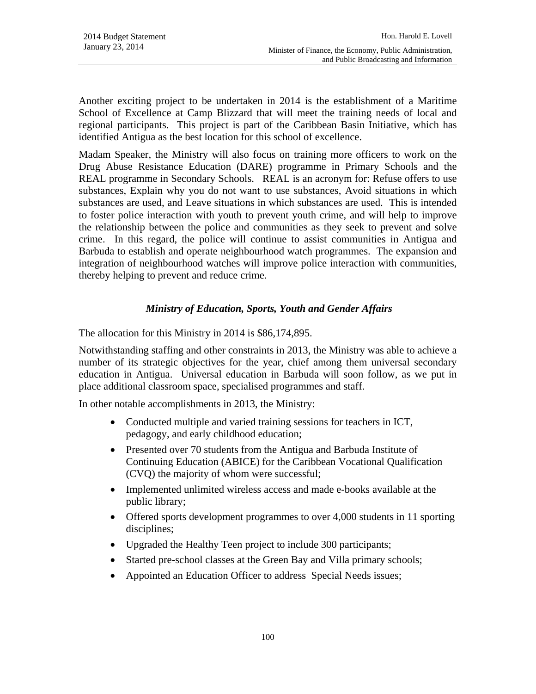Another exciting project to be undertaken in 2014 is the establishment of a Maritime School of Excellence at Camp Blizzard that will meet the training needs of local and regional participants. This project is part of the Caribbean Basin Initiative, which has identified Antigua as the best location for this school of excellence.

Madam Speaker, the Ministry will also focus on training more officers to work on the Drug Abuse Resistance Education (DARE) programme in Primary Schools and the REAL programme in Secondary Schools. REAL is an acronym for: Refuse offers to use substances, Explain why you do not want to use substances, Avoid situations in which substances are used, and Leave situations in which substances are used. This is intended to foster police interaction with youth to prevent youth crime, and will help to improve the relationship between the police and communities as they seek to prevent and solve crime. In this regard, the police will continue to assist communities in Antigua and Barbuda to establish and operate neighbourhood watch programmes. The expansion and integration of neighbourhood watches will improve police interaction with communities, thereby helping to prevent and reduce crime.

## *Ministry of Education, Sports, Youth and Gender Affairs*

The allocation for this Ministry in 2014 is \$86,174,895.

Notwithstanding staffing and other constraints in 2013, the Ministry was able to achieve a number of its strategic objectives for the year, chief among them universal secondary education in Antigua. Universal education in Barbuda will soon follow, as we put in place additional classroom space, specialised programmes and staff.

In other notable accomplishments in 2013, the Ministry:

- Conducted multiple and varied training sessions for teachers in ICT, pedagogy, and early childhood education;
- Presented over 70 students from the Antigua and Barbuda Institute of Continuing Education (ABICE) for the Caribbean Vocational Qualification (CVQ) the majority of whom were successful;
- Implemented unlimited wireless access and made e-books available at the public library;
- Offered sports development programmes to over 4,000 students in 11 sporting disciplines;
- Upgraded the Healthy Teen project to include 300 participants;
- Started pre-school classes at the Green Bay and Villa primary schools;
- Appointed an Education Officer to address Special Needs issues;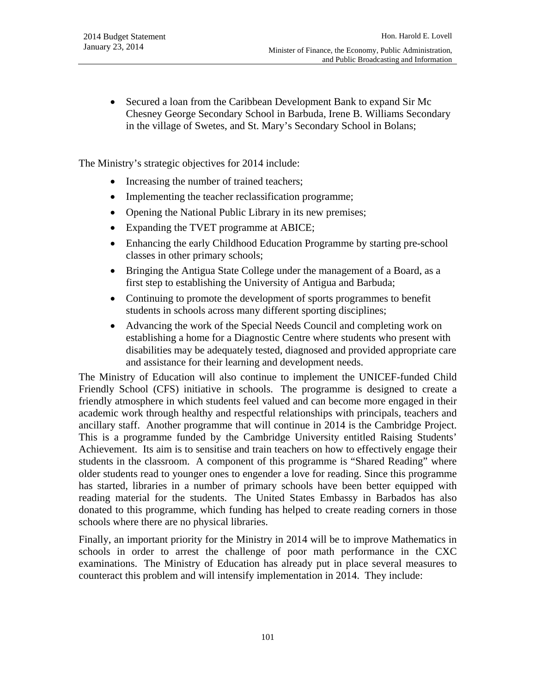• Secured a loan from the Caribbean Development Bank to expand Sir Mc Chesney George Secondary School in Barbuda, Irene B. Williams Secondary in the village of Swetes, and St. Mary's Secondary School in Bolans;

The Ministry's strategic objectives for 2014 include:

- Increasing the number of trained teachers;
- Implementing the teacher reclassification programme;
- Opening the National Public Library in its new premises;
- Expanding the TVET programme at ABICE;
- Enhancing the early Childhood Education Programme by starting pre-school classes in other primary schools;
- Bringing the Antigua State College under the management of a Board, as a first step to establishing the University of Antigua and Barbuda;
- Continuing to promote the development of sports programmes to benefit students in schools across many different sporting disciplines;
- Advancing the work of the Special Needs Council and completing work on establishing a home for a Diagnostic Centre where students who present with disabilities may be adequately tested, diagnosed and provided appropriate care and assistance for their learning and development needs.

The Ministry of Education will also continue to implement the UNICEF-funded Child Friendly School (CFS) initiative in schools. The programme is designed to create a friendly atmosphere in which students feel valued and can become more engaged in their academic work through healthy and respectful relationships with principals, teachers and ancillary staff. Another programme that will continue in 2014 is the Cambridge Project. This is a programme funded by the Cambridge University entitled Raising Students' Achievement. Its aim is to sensitise and train teachers on how to effectively engage their students in the classroom. A component of this programme is "Shared Reading" where older students read to younger ones to engender a love for reading. Since this programme has started, libraries in a number of primary schools have been better equipped with reading material for the students. The United States Embassy in Barbados has also donated to this programme, which funding has helped to create reading corners in those schools where there are no physical libraries.

Finally, an important priority for the Ministry in 2014 will be to improve Mathematics in schools in order to arrest the challenge of poor math performance in the CXC examinations. The Ministry of Education has already put in place several measures to counteract this problem and will intensify implementation in 2014. They include: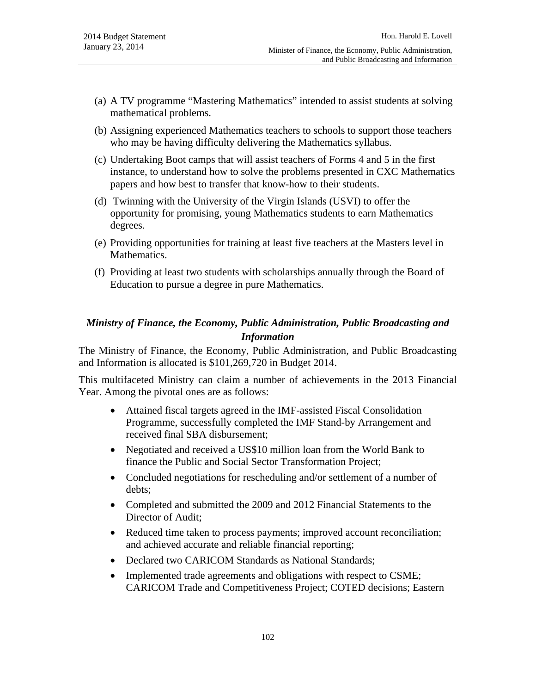- (a) A TV programme "Mastering Mathematics" intended to assist students at solving mathematical problems.
- (b) Assigning experienced Mathematics teachers to schools to support those teachers who may be having difficulty delivering the Mathematics syllabus.
- (c) Undertaking Boot camps that will assist teachers of Forms 4 and 5 in the first instance, to understand how to solve the problems presented in CXC Mathematics papers and how best to transfer that know-how to their students.
- (d) Twinning with the University of the Virgin Islands (USVI) to offer the opportunity for promising, young Mathematics students to earn Mathematics degrees.
- (e) Providing opportunities for training at least five teachers at the Masters level in Mathematics.
- (f) Providing at least two students with scholarships annually through the Board of Education to pursue a degree in pure Mathematics.

# *Ministry of Finance, the Economy, Public Administration, Public Broadcasting and Information*

The Ministry of Finance, the Economy, Public Administration, and Public Broadcasting and Information is allocated is \$101,269,720 in Budget 2014.

This multifaceted Ministry can claim a number of achievements in the 2013 Financial Year. Among the pivotal ones are as follows:

- Attained fiscal targets agreed in the IMF-assisted Fiscal Consolidation Programme, successfully completed the IMF Stand-by Arrangement and received final SBA disbursement;
- Negotiated and received a US\$10 million loan from the World Bank to finance the Public and Social Sector Transformation Project;
- Concluded negotiations for rescheduling and/or settlement of a number of debts;
- Completed and submitted the 2009 and 2012 Financial Statements to the Director of Audit;
- Reduced time taken to process payments; improved account reconciliation; and achieved accurate and reliable financial reporting;
- Declared two CARICOM Standards as National Standards;
- Implemented trade agreements and obligations with respect to CSME; CARICOM Trade and Competitiveness Project; COTED decisions; Eastern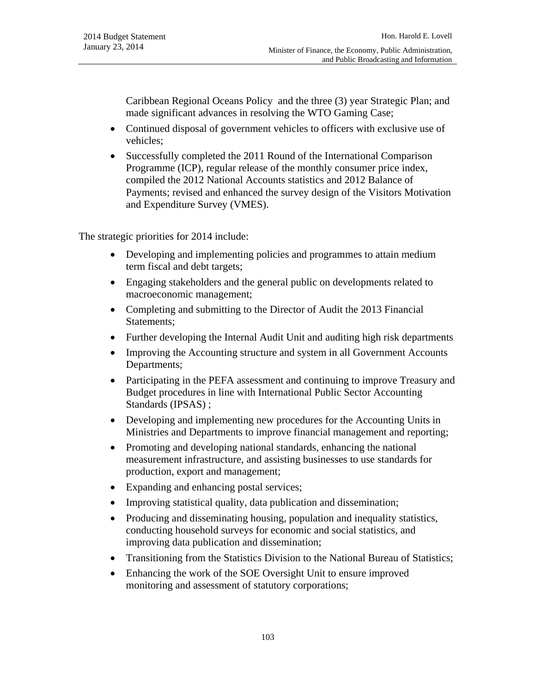Caribbean Regional Oceans Policy and the three (3) year Strategic Plan; and made significant advances in resolving the WTO Gaming Case;

- Continued disposal of government vehicles to officers with exclusive use of vehicles;
- Successfully completed the 2011 Round of the International Comparison Programme (ICP), regular release of the monthly consumer price index, compiled the 2012 National Accounts statistics and 2012 Balance of Payments; revised and enhanced the survey design of the Visitors Motivation and Expenditure Survey (VMES).

The strategic priorities for 2014 include:

- Developing and implementing policies and programmes to attain medium term fiscal and debt targets;
- Engaging stakeholders and the general public on developments related to macroeconomic management;
- Completing and submitting to the Director of Audit the 2013 Financial Statements;
- Further developing the Internal Audit Unit and auditing high risk departments
- Improving the Accounting structure and system in all Government Accounts Departments;
- Participating in the PEFA assessment and continuing to improve Treasury and Budget procedures in line with International Public Sector Accounting Standards (IPSAS) ;
- Developing and implementing new procedures for the Accounting Units in Ministries and Departments to improve financial management and reporting;
- Promoting and developing national standards, enhancing the national measurement infrastructure, and assisting businesses to use standards for production, export and management;
- Expanding and enhancing postal services;
- Improving statistical quality, data publication and dissemination;
- Producing and disseminating housing, population and inequality statistics, conducting household surveys for economic and social statistics, and improving data publication and dissemination;
- Transitioning from the Statistics Division to the National Bureau of Statistics;
- Enhancing the work of the SOE Oversight Unit to ensure improved monitoring and assessment of statutory corporations;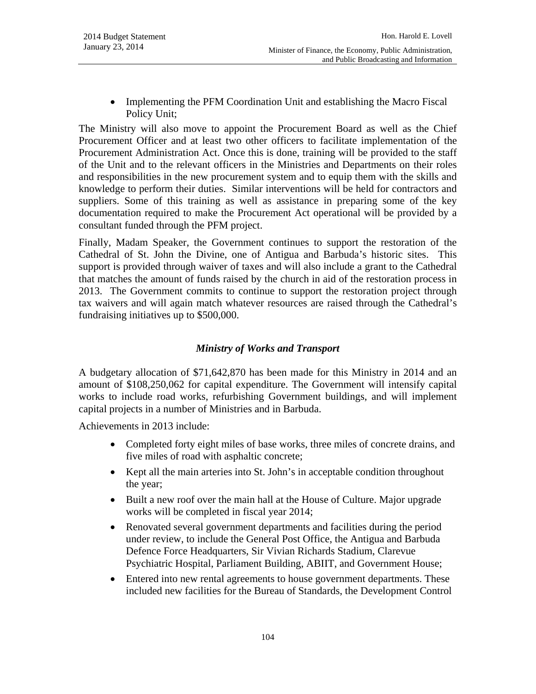• Implementing the PFM Coordination Unit and establishing the Macro Fiscal Policy Unit;

The Ministry will also move to appoint the Procurement Board as well as the Chief Procurement Officer and at least two other officers to facilitate implementation of the Procurement Administration Act. Once this is done, training will be provided to the staff of the Unit and to the relevant officers in the Ministries and Departments on their roles and responsibilities in the new procurement system and to equip them with the skills and knowledge to perform their duties. Similar interventions will be held for contractors and suppliers. Some of this training as well as assistance in preparing some of the key documentation required to make the Procurement Act operational will be provided by a consultant funded through the PFM project.

Finally, Madam Speaker, the Government continues to support the restoration of the Cathedral of St. John the Divine, one of Antigua and Barbuda's historic sites. This support is provided through waiver of taxes and will also include a grant to the Cathedral that matches the amount of funds raised by the church in aid of the restoration process in 2013. The Government commits to continue to support the restoration project through tax waivers and will again match whatever resources are raised through the Cathedral's fundraising initiatives up to \$500,000.

# *Ministry of Works and Transport*

A budgetary allocation of \$71,642,870 has been made for this Ministry in 2014 and an amount of \$108,250,062 for capital expenditure. The Government will intensify capital works to include road works, refurbishing Government buildings, and will implement capital projects in a number of Ministries and in Barbuda.

Achievements in 2013 include:

- Completed forty eight miles of base works, three miles of concrete drains, and five miles of road with asphaltic concrete;
- Kept all the main arteries into St. John's in acceptable condition throughout the year;
- Built a new roof over the main hall at the House of Culture. Major upgrade works will be completed in fiscal year 2014;
- Renovated several government departments and facilities during the period under review, to include the General Post Office, the Antigua and Barbuda Defence Force Headquarters, Sir Vivian Richards Stadium, Clarevue Psychiatric Hospital, Parliament Building, ABIIT, and Government House;
- Entered into new rental agreements to house government departments. These included new facilities for the Bureau of Standards, the Development Control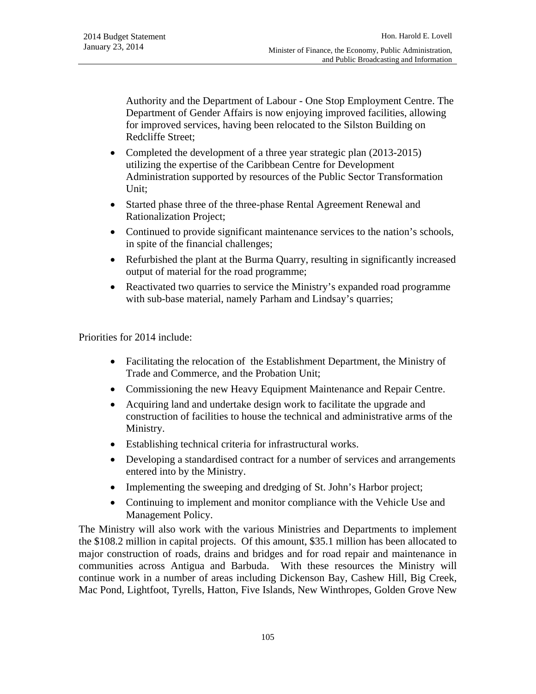Authority and the Department of Labour - One Stop Employment Centre. The Department of Gender Affairs is now enjoying improved facilities, allowing for improved services, having been relocated to the Silston Building on Redcliffe Street;

- Completed the development of a three year strategic plan (2013-2015) utilizing the expertise of the Caribbean Centre for Development Administration supported by resources of the Public Sector Transformation Unit;
- Started phase three of the three-phase Rental Agreement Renewal and Rationalization Project;
- Continued to provide significant maintenance services to the nation's schools, in spite of the financial challenges;
- Refurbished the plant at the Burma Quarry, resulting in significantly increased output of material for the road programme;
- Reactivated two quarries to service the Ministry's expanded road programme with sub-base material, namely Parham and Lindsay's quarries;

Priorities for 2014 include:

- Facilitating the relocation of the Establishment Department, the Ministry of Trade and Commerce, and the Probation Unit;
- Commissioning the new Heavy Equipment Maintenance and Repair Centre.
- Acquiring land and undertake design work to facilitate the upgrade and construction of facilities to house the technical and administrative arms of the Ministry.
- Establishing technical criteria for infrastructural works.
- Developing a standardised contract for a number of services and arrangements entered into by the Ministry.
- Implementing the sweeping and dredging of St. John's Harbor project;
- Continuing to implement and monitor compliance with the Vehicle Use and Management Policy.

The Ministry will also work with the various Ministries and Departments to implement the \$108.2 million in capital projects. Of this amount, \$35.1 million has been allocated to major construction of roads, drains and bridges and for road repair and maintenance in communities across Antigua and Barbuda. With these resources the Ministry will continue work in a number of areas including Dickenson Bay, Cashew Hill, Big Creek, Mac Pond, Lightfoot, Tyrells, Hatton, Five Islands, New Winthropes, Golden Grove New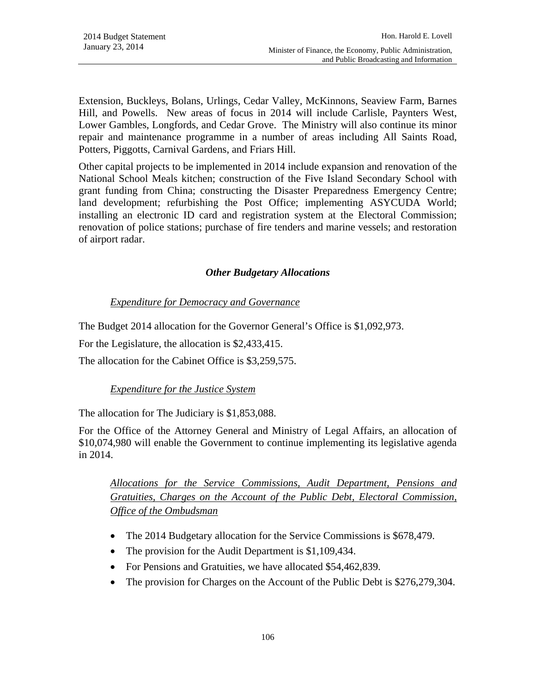Extension, Buckleys, Bolans, Urlings, Cedar Valley, McKinnons, Seaview Farm, Barnes Hill, and Powells. New areas of focus in 2014 will include Carlisle, Paynters West, Lower Gambles, Longfords, and Cedar Grove. The Ministry will also continue its minor repair and maintenance programme in a number of areas including All Saints Road, Potters, Piggotts, Carnival Gardens, and Friars Hill.

Other capital projects to be implemented in 2014 include expansion and renovation of the National School Meals kitchen; construction of the Five Island Secondary School with grant funding from China; constructing the Disaster Preparedness Emergency Centre; land development; refurbishing the Post Office; implementing ASYCUDA World; installing an electronic ID card and registration system at the Electoral Commission; renovation of police stations; purchase of fire tenders and marine vessels; and restoration of airport radar.

## *Other Budgetary Allocations*

# *Expenditure for Democracy and Governance*

The Budget 2014 allocation for the Governor General's Office is \$1,092,973.

For the Legislature, the allocation is \$2,433,415.

The allocation for the Cabinet Office is \$3,259,575.

## *Expenditure for the Justice System*

The allocation for The Judiciary is \$1,853,088.

For the Office of the Attorney General and Ministry of Legal Affairs, an allocation of \$10,074,980 will enable the Government to continue implementing its legislative agenda in 2014.

*Allocations for the Service Commissions, Audit Department, Pensions and Gratuities, Charges on the Account of the Public Debt, Electoral Commission, Office of the Ombudsman*

- The 2014 Budgetary allocation for the Service Commissions is \$678,479.
- The provision for the Audit Department is \$1,109,434.
- For Pensions and Gratuities, we have allocated \$54,462,839.
- The provision for Charges on the Account of the Public Debt is \$276,279,304.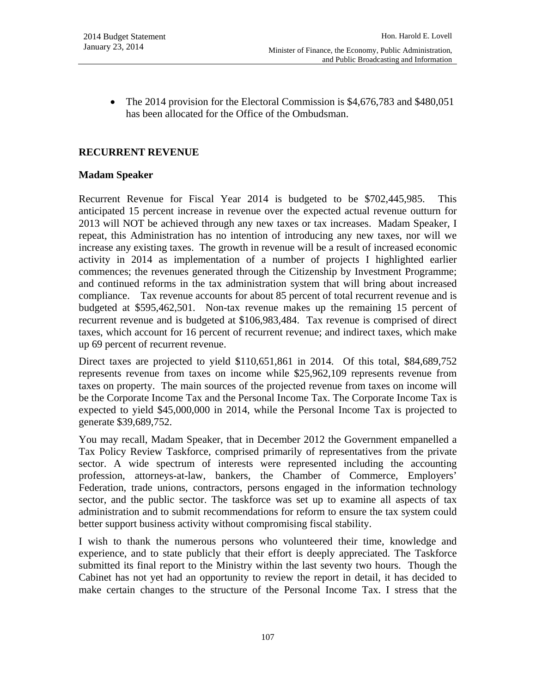• The 2014 provision for the Electoral Commission is \$4,676,783 and \$480,051 has been allocated for the Office of the Ombudsman.

# **RECURRENT REVENUE**

#### **Madam Speaker**

Recurrent Revenue for Fiscal Year 2014 is budgeted to be \$702,445,985. This anticipated 15 percent increase in revenue over the expected actual revenue outturn for 2013 will NOT be achieved through any new taxes or tax increases. Madam Speaker, I repeat, this Administration has no intention of introducing any new taxes, nor will we increase any existing taxes. The growth in revenue will be a result of increased economic activity in 2014 as implementation of a number of projects I highlighted earlier commences; the revenues generated through the Citizenship by Investment Programme; and continued reforms in the tax administration system that will bring about increased compliance. Tax revenue accounts for about 85 percent of total recurrent revenue and is budgeted at \$595,462,501. Non-tax revenue makes up the remaining 15 percent of recurrent revenue and is budgeted at \$106,983,484. Tax revenue is comprised of direct taxes, which account for 16 percent of recurrent revenue; and indirect taxes, which make up 69 percent of recurrent revenue.

Direct taxes are projected to yield \$110,651,861 in 2014. Of this total, \$84,689,752 represents revenue from taxes on income while \$25,962,109 represents revenue from taxes on property. The main sources of the projected revenue from taxes on income will be the Corporate Income Tax and the Personal Income Tax. The Corporate Income Tax is expected to yield \$45,000,000 in 2014, while the Personal Income Tax is projected to generate \$39,689,752.

You may recall, Madam Speaker, that in December 2012 the Government empanelled a Tax Policy Review Taskforce, comprised primarily of representatives from the private sector. A wide spectrum of interests were represented including the accounting profession, attorneys-at-law, bankers, the Chamber of Commerce, Employers' Federation, trade unions, contractors, persons engaged in the information technology sector, and the public sector. The taskforce was set up to examine all aspects of tax administration and to submit recommendations for reform to ensure the tax system could better support business activity without compromising fiscal stability.

I wish to thank the numerous persons who volunteered their time, knowledge and experience, and to state publicly that their effort is deeply appreciated. The Taskforce submitted its final report to the Ministry within the last seventy two hours. Though the Cabinet has not yet had an opportunity to review the report in detail, it has decided to make certain changes to the structure of the Personal Income Tax. I stress that the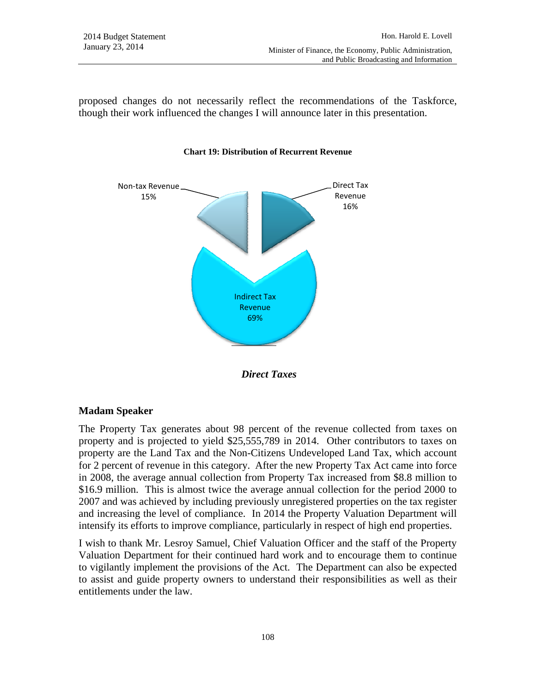proposed changes do not necessarily reflect the recommendations of the Taskforce, though their work influenced the changes I will announce later in this presentation.



#### **Chart 19: Distribution of Recurrent Revenue**

 *Direct Taxes* 

## **Madam Speaker**

The Property Tax generates about 98 percent of the revenue collected from taxes on property and is projected to yield \$25,555,789 in 2014. Other contributors to taxes on property are the Land Tax and the Non-Citizens Undeveloped Land Tax, which account for 2 percent of revenue in this category. After the new Property Tax Act came into force in 2008, the average annual collection from Property Tax increased from \$8.8 million to \$16.9 million. This is almost twice the average annual collection for the period 2000 to 2007 and was achieved by including previously unregistered properties on the tax register and increasing the level of compliance. In 2014 the Property Valuation Department will intensify its efforts to improve compliance, particularly in respect of high end properties.

I wish to thank Mr. Lesroy Samuel, Chief Valuation Officer and the staff of the Property Valuation Department for their continued hard work and to encourage them to continue to vigilantly implement the provisions of the Act. The Department can also be expected to assist and guide property owners to understand their responsibilities as well as their entitlements under the law.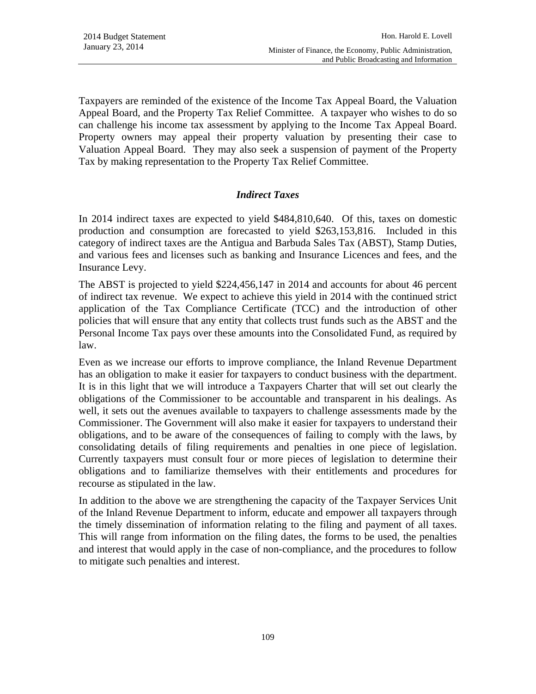Taxpayers are reminded of the existence of the Income Tax Appeal Board, the Valuation Appeal Board, and the Property Tax Relief Committee. A taxpayer who wishes to do so can challenge his income tax assessment by applying to the Income Tax Appeal Board. Property owners may appeal their property valuation by presenting their case to Valuation Appeal Board. They may also seek a suspension of payment of the Property Tax by making representation to the Property Tax Relief Committee.

## *Indirect Taxes*

In 2014 indirect taxes are expected to yield \$484,810,640. Of this, taxes on domestic production and consumption are forecasted to yield \$263,153,816. Included in this category of indirect taxes are the Antigua and Barbuda Sales Tax (ABST), Stamp Duties, and various fees and licenses such as banking and Insurance Licences and fees, and the Insurance Levy.

The ABST is projected to yield \$224,456,147 in 2014 and accounts for about 46 percent of indirect tax revenue. We expect to achieve this yield in 2014 with the continued strict application of the Tax Compliance Certificate (TCC) and the introduction of other policies that will ensure that any entity that collects trust funds such as the ABST and the Personal Income Tax pays over these amounts into the Consolidated Fund, as required by law.

Even as we increase our efforts to improve compliance, the Inland Revenue Department has an obligation to make it easier for taxpayers to conduct business with the department. It is in this light that we will introduce a Taxpayers Charter that will set out clearly the obligations of the Commissioner to be accountable and transparent in his dealings. As well, it sets out the avenues available to taxpayers to challenge assessments made by the Commissioner. The Government will also make it easier for taxpayers to understand their obligations, and to be aware of the consequences of failing to comply with the laws, by consolidating details of filing requirements and penalties in one piece of legislation. Currently taxpayers must consult four or more pieces of legislation to determine their obligations and to familiarize themselves with their entitlements and procedures for recourse as stipulated in the law.

In addition to the above we are strengthening the capacity of the Taxpayer Services Unit of the Inland Revenue Department to inform, educate and empower all taxpayers through the timely dissemination of information relating to the filing and payment of all taxes. This will range from information on the filing dates, the forms to be used, the penalties and interest that would apply in the case of non-compliance, and the procedures to follow to mitigate such penalties and interest.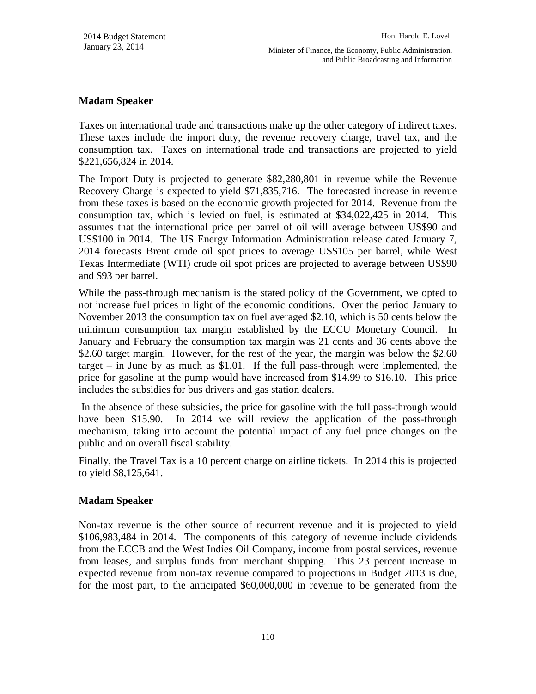# **Madam Speaker**

Taxes on international trade and transactions make up the other category of indirect taxes. These taxes include the import duty, the revenue recovery charge, travel tax, and the consumption tax. Taxes on international trade and transactions are projected to yield \$221,656,824 in 2014.

The Import Duty is projected to generate \$82,280,801 in revenue while the Revenue Recovery Charge is expected to yield \$71,835,716. The forecasted increase in revenue from these taxes is based on the economic growth projected for 2014. Revenue from the consumption tax, which is levied on fuel, is estimated at \$34,022,425 in 2014. This assumes that the international price per barrel of oil will average between US\$90 and US\$100 in 2014. The US Energy Information Administration release dated January 7, 2014 forecasts Brent crude oil spot prices to average US\$105 per barrel, while West Texas Intermediate (WTI) crude oil spot prices are projected to average between US\$90 and \$93 per barrel.

While the pass-through mechanism is the stated policy of the Government, we opted to not increase fuel prices in light of the economic conditions. Over the period January to November 2013 the consumption tax on fuel averaged \$2.10, which is 50 cents below the minimum consumption tax margin established by the ECCU Monetary Council. In January and February the consumption tax margin was 21 cents and 36 cents above the \$2.60 target margin. However, for the rest of the year, the margin was below the \$2.60 target – in June by as much as \$1.01. If the full pass-through were implemented, the price for gasoline at the pump would have increased from \$14.99 to \$16.10. This price includes the subsidies for bus drivers and gas station dealers.

 In the absence of these subsidies, the price for gasoline with the full pass-through would have been \$15.90. In 2014 we will review the application of the pass-through mechanism, taking into account the potential impact of any fuel price changes on the public and on overall fiscal stability.

Finally, the Travel Tax is a 10 percent charge on airline tickets. In 2014 this is projected to yield \$8,125,641.

## **Madam Speaker**

Non-tax revenue is the other source of recurrent revenue and it is projected to yield \$106,983,484 in 2014. The components of this category of revenue include dividends from the ECCB and the West Indies Oil Company, income from postal services, revenue from leases, and surplus funds from merchant shipping. This 23 percent increase in expected revenue from non-tax revenue compared to projections in Budget 2013 is due, for the most part, to the anticipated \$60,000,000 in revenue to be generated from the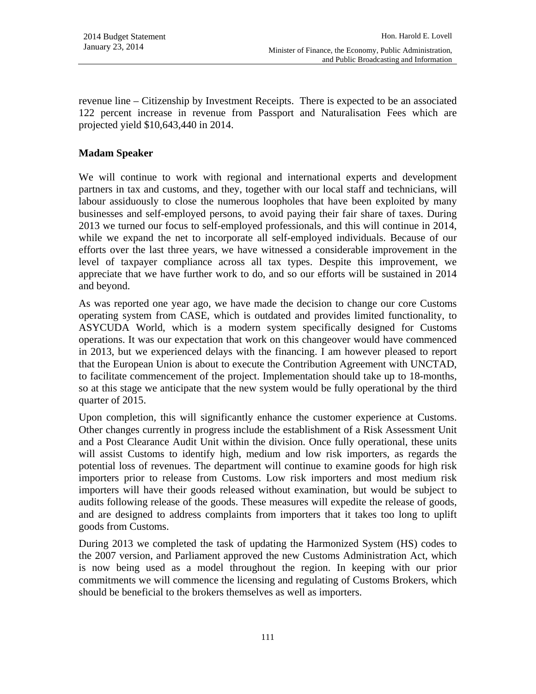revenue line – Citizenship by Investment Receipts. There is expected to be an associated 122 percent increase in revenue from Passport and Naturalisation Fees which are projected yield \$10,643,440 in 2014.

### **Madam Speaker**

We will continue to work with regional and international experts and development partners in tax and customs, and they, together with our local staff and technicians, will labour assiduously to close the numerous loopholes that have been exploited by many businesses and self-employed persons, to avoid paying their fair share of taxes. During 2013 we turned our focus to self-employed professionals, and this will continue in 2014, while we expand the net to incorporate all self-employed individuals. Because of our efforts over the last three years, we have witnessed a considerable improvement in the level of taxpayer compliance across all tax types. Despite this improvement, we appreciate that we have further work to do, and so our efforts will be sustained in 2014 and beyond.

As was reported one year ago, we have made the decision to change our core Customs operating system from CASE, which is outdated and provides limited functionality, to ASYCUDA World, which is a modern system specifically designed for Customs operations. It was our expectation that work on this changeover would have commenced in 2013, but we experienced delays with the financing. I am however pleased to report that the European Union is about to execute the Contribution Agreement with UNCTAD, to facilitate commencement of the project. Implementation should take up to 18-months, so at this stage we anticipate that the new system would be fully operational by the third quarter of 2015.

Upon completion, this will significantly enhance the customer experience at Customs. Other changes currently in progress include the establishment of a Risk Assessment Unit and a Post Clearance Audit Unit within the division. Once fully operational, these units will assist Customs to identify high, medium and low risk importers, as regards the potential loss of revenues. The department will continue to examine goods for high risk importers prior to release from Customs. Low risk importers and most medium risk importers will have their goods released without examination, but would be subject to audits following release of the goods. These measures will expedite the release of goods, and are designed to address complaints from importers that it takes too long to uplift goods from Customs.

During 2013 we completed the task of updating the Harmonized System (HS) codes to the 2007 version, and Parliament approved the new Customs Administration Act, which is now being used as a model throughout the region. In keeping with our prior commitments we will commence the licensing and regulating of Customs Brokers, which should be beneficial to the brokers themselves as well as importers.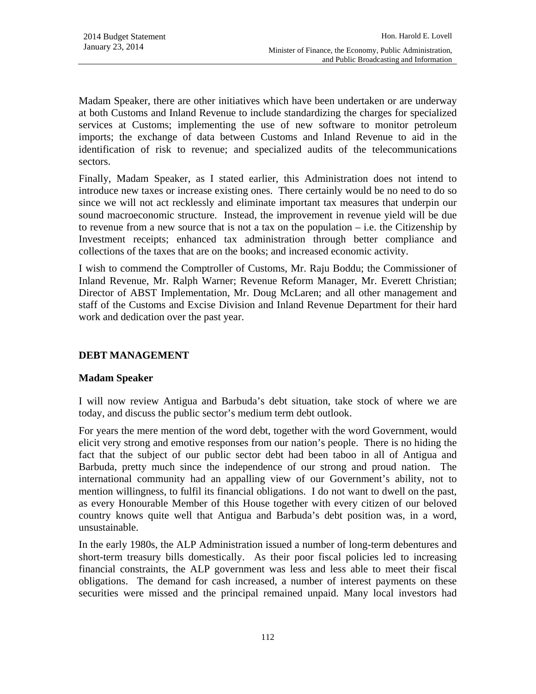Madam Speaker, there are other initiatives which have been undertaken or are underway at both Customs and Inland Revenue to include standardizing the charges for specialized services at Customs; implementing the use of new software to monitor petroleum imports; the exchange of data between Customs and Inland Revenue to aid in the identification of risk to revenue; and specialized audits of the telecommunications sectors.

Finally, Madam Speaker, as I stated earlier, this Administration does not intend to introduce new taxes or increase existing ones. There certainly would be no need to do so since we will not act recklessly and eliminate important tax measures that underpin our sound macroeconomic structure. Instead, the improvement in revenue yield will be due to revenue from a new source that is not a tax on the population  $-$  i.e. the Citizenship by Investment receipts; enhanced tax administration through better compliance and collections of the taxes that are on the books; and increased economic activity.

I wish to commend the Comptroller of Customs, Mr. Raju Boddu; the Commissioner of Inland Revenue, Mr. Ralph Warner; Revenue Reform Manager, Mr. Everett Christian; Director of ABST Implementation, Mr. Doug McLaren; and all other management and staff of the Customs and Excise Division and Inland Revenue Department for their hard work and dedication over the past year.

## **DEBT MANAGEMENT**

#### **Madam Speaker**

I will now review Antigua and Barbuda's debt situation, take stock of where we are today, and discuss the public sector's medium term debt outlook.

For years the mere mention of the word debt, together with the word Government, would elicit very strong and emotive responses from our nation's people. There is no hiding the fact that the subject of our public sector debt had been taboo in all of Antigua and Barbuda, pretty much since the independence of our strong and proud nation. The international community had an appalling view of our Government's ability, not to mention willingness, to fulfil its financial obligations. I do not want to dwell on the past, as every Honourable Member of this House together with every citizen of our beloved country knows quite well that Antigua and Barbuda's debt position was, in a word, unsustainable.

In the early 1980s, the ALP Administration issued a number of long-term debentures and short-term treasury bills domestically. As their poor fiscal policies led to increasing financial constraints, the ALP government was less and less able to meet their fiscal obligations. The demand for cash increased, a number of interest payments on these securities were missed and the principal remained unpaid. Many local investors had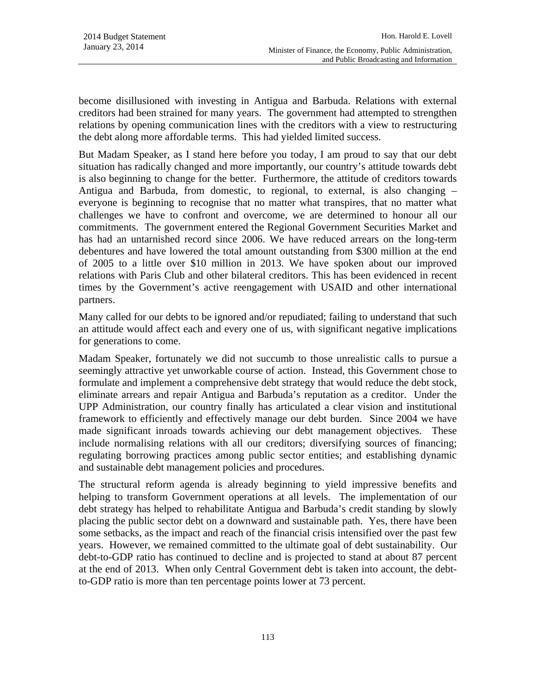become disillusioned with investing in Antigua and Barbuda. Relations with external creditors had been strained for many years. The government had attempted to strengthen relations by opening communication lines with the creditors with a view to restructuring the debt along more affordable terms. This had yielded limited success.

But Madam Speaker, as I stand here before you today, I am proud to say that our debt situation has radically changed and more importantly, our country's attitude towards debt is also beginning to change for the better. Furthermore, the attitude of creditors towards Antigua and Barbuda, from domestic, to regional, to external, is also changing – everyone is beginning to recognise that no matter what transpires, that no matter what challenges we have to confront and overcome, we are determined to honour all our commitments. The government entered the Regional Government Securities Market and has had an untarnished record since 2006. We have reduced arrears on the long-term debentures and have lowered the total amount outstanding from \$300 million at the end of 2005 to a little over \$10 million in 2013. We have spoken about our improved relations with Paris Club and other bilateral creditors. This has been evidenced in recent times by the Government's active reengagement with USAID and other international partners.

Many called for our debts to be ignored and/or repudiated; failing to understand that such an attitude would affect each and every one of us, with significant negative implications for generations to come.

Madam Speaker, fortunately we did not succumb to those unrealistic calls to pursue a seemingly attractive yet unworkable course of action. Instead, this Government chose to formulate and implement a comprehensive debt strategy that would reduce the debt stock, eliminate arrears and repair Antigua and Barbuda's reputation as a creditor. Under the UPP Administration, our country finally has articulated a clear vision and institutional framework to efficiently and effectively manage our debt burden. Since 2004 we have made significant inroads towards achieving our debt management objectives. These include normalising relations with all our creditors; diversifying sources of financing; regulating borrowing practices among public sector entities; and establishing dynamic and sustainable debt management policies and procedures.

The structural reform agenda is already beginning to yield impressive benefits and helping to transform Government operations at all levels. The implementation of our debt strategy has helped to rehabilitate Antigua and Barbuda's credit standing by slowly placing the public sector debt on a downward and sustainable path. Yes, there have been some setbacks, as the impact and reach of the financial crisis intensified over the past few years. However, we remained committed to the ultimate goal of debt sustainability. Our debt-to-GDP ratio has continued to decline and is projected to stand at about 87 percent at the end of 2013. When only Central Government debt is taken into account, the debtto-GDP ratio is more than ten percentage points lower at 73 percent.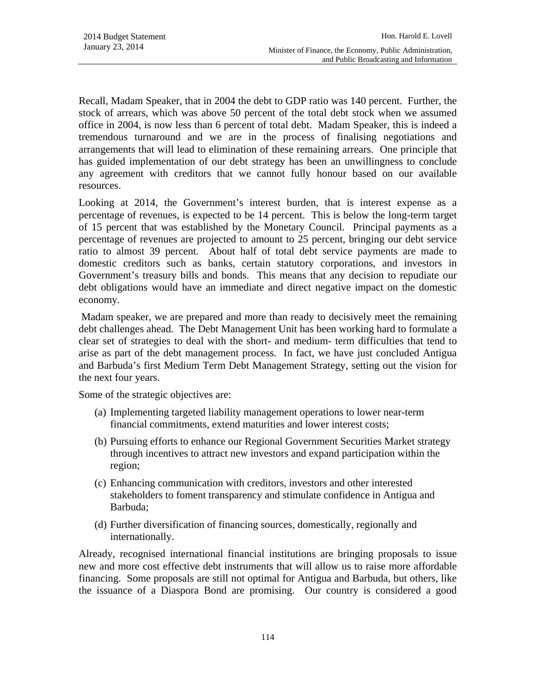Recall, Madam Speaker, that in 2004 the debt to GDP ratio was 140 percent. Further, the stock of arrears, which was above 50 percent of the total debt stock when we assumed office in 2004, is now less than 6 percent of total debt. Madam Speaker, this is indeed a tremendous turnaround and we are in the process of finalising negotiations and arrangements that will lead to elimination of these remaining arrears. One principle that has guided implementation of our debt strategy has been an unwillingness to conclude any agreement with creditors that we cannot fully honour based on our available resources.

Looking at 2014, the Government's interest burden, that is interest expense as a percentage of revenues, is expected to be 14 percent. This is below the long-term target of 15 percent that was established by the Monetary Council. Principal payments as a percentage of revenues are projected to amount to 25 percent, bringing our debt service ratio to almost 39 percent. About half of total debt service payments are made to domestic creditors such as banks, certain statutory corporations, and investors in Government's treasury bills and bonds. This means that any decision to repudiate our debt obligations would have an immediate and direct negative impact on the domestic economy.

 Madam speaker, we are prepared and more than ready to decisively meet the remaining debt challenges ahead. The Debt Management Unit has been working hard to formulate a clear set of strategies to deal with the short- and medium- term difficulties that tend to arise as part of the debt management process. In fact, we have just concluded Antigua and Barbuda's first Medium Term Debt Management Strategy, setting out the vision for the next four years.

Some of the strategic objectives are:

- (a) Implementing targeted liability management operations to lower near-term financial commitments, extend maturities and lower interest costs;
- (b) Pursuing efforts to enhance our Regional Government Securities Market strategy through incentives to attract new investors and expand participation within the region;
- (c) Enhancing communication with creditors, investors and other interested stakeholders to foment transparency and stimulate confidence in Antigua and Barbuda;
- (d) Further diversification of financing sources, domestically, regionally and internationally.

Already, recognised international financial institutions are bringing proposals to issue new and more cost effective debt instruments that will allow us to raise more affordable financing. Some proposals are still not optimal for Antigua and Barbuda, but others, like the issuance of a Diaspora Bond are promising. Our country is considered a good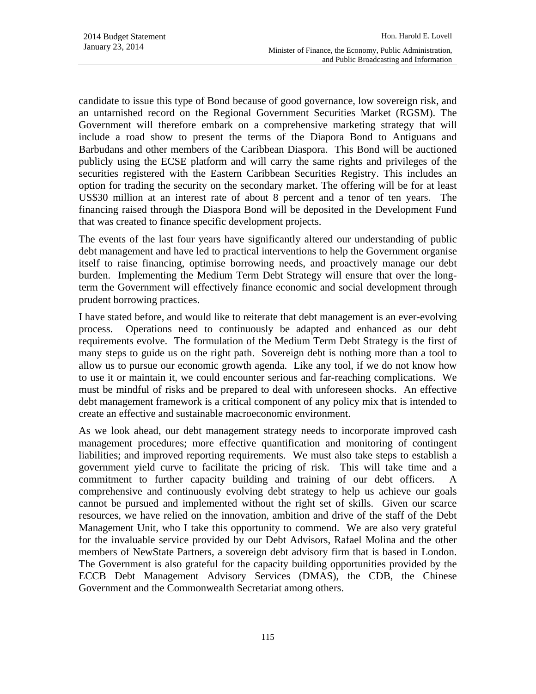candidate to issue this type of Bond because of good governance, low sovereign risk, and an untarnished record on the Regional Government Securities Market (RGSM). The Government will therefore embark on a comprehensive marketing strategy that will include a road show to present the terms of the Diapora Bond to Antiguans and Barbudans and other members of the Caribbean Diaspora. This Bond will be auctioned publicly using the ECSE platform and will carry the same rights and privileges of the securities registered with the Eastern Caribbean Securities Registry. This includes an option for trading the security on the secondary market. The offering will be for at least US\$30 million at an interest rate of about 8 percent and a tenor of ten years. The financing raised through the Diaspora Bond will be deposited in the Development Fund that was created to finance specific development projects.

The events of the last four years have significantly altered our understanding of public debt management and have led to practical interventions to help the Government organise itself to raise financing, optimise borrowing needs, and proactively manage our debt burden. Implementing the Medium Term Debt Strategy will ensure that over the longterm the Government will effectively finance economic and social development through prudent borrowing practices.

I have stated before, and would like to reiterate that debt management is an ever-evolving process. Operations need to continuously be adapted and enhanced as our debt requirements evolve. The formulation of the Medium Term Debt Strategy is the first of many steps to guide us on the right path. Sovereign debt is nothing more than a tool to allow us to pursue our economic growth agenda. Like any tool, if we do not know how to use it or maintain it, we could encounter serious and far-reaching complications. We must be mindful of risks and be prepared to deal with unforeseen shocks. An effective debt management framework is a critical component of any policy mix that is intended to create an effective and sustainable macroeconomic environment.

As we look ahead, our debt management strategy needs to incorporate improved cash management procedures; more effective quantification and monitoring of contingent liabilities; and improved reporting requirements. We must also take steps to establish a government yield curve to facilitate the pricing of risk. This will take time and a commitment to further capacity building and training of our debt officers. A comprehensive and continuously evolving debt strategy to help us achieve our goals cannot be pursued and implemented without the right set of skills. Given our scarce resources, we have relied on the innovation, ambition and drive of the staff of the Debt Management Unit, who I take this opportunity to commend. We are also very grateful for the invaluable service provided by our Debt Advisors, Rafael Molina and the other members of NewState Partners, a sovereign debt advisory firm that is based in London. The Government is also grateful for the capacity building opportunities provided by the ECCB Debt Management Advisory Services (DMAS), the CDB, the Chinese Government and the Commonwealth Secretariat among others.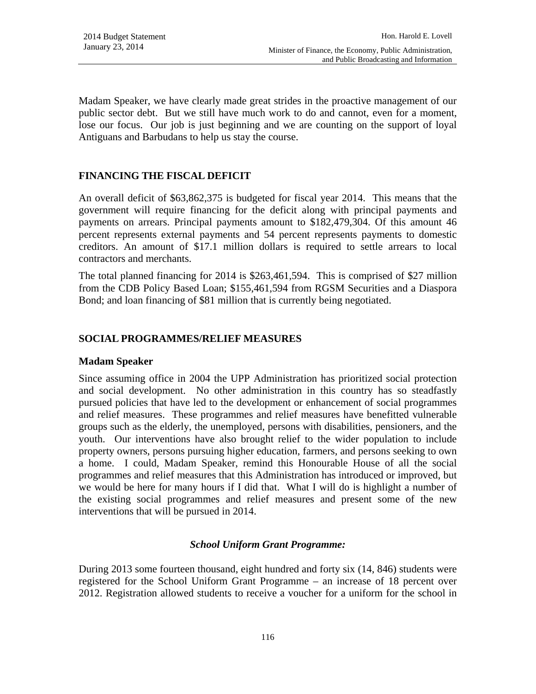Madam Speaker, we have clearly made great strides in the proactive management of our public sector debt. But we still have much work to do and cannot, even for a moment, lose our focus. Our job is just beginning and we are counting on the support of loyal Antiguans and Barbudans to help us stay the course.

## **FINANCING THE FISCAL DEFICIT**

An overall deficit of \$63,862,375 is budgeted for fiscal year 2014. This means that the government will require financing for the deficit along with principal payments and payments on arrears. Principal payments amount to \$182,479,304. Of this amount 46 percent represents external payments and 54 percent represents payments to domestic creditors. An amount of \$17.1 million dollars is required to settle arrears to local contractors and merchants.

The total planned financing for 2014 is \$263,461,594. This is comprised of \$27 million from the CDB Policy Based Loan; \$155,461,594 from RGSM Securities and a Diaspora Bond; and loan financing of \$81 million that is currently being negotiated.

#### **SOCIAL PROGRAMMES/RELIEF MEASURES**

#### **Madam Speaker**

Since assuming office in 2004 the UPP Administration has prioritized social protection and social development. No other administration in this country has so steadfastly pursued policies that have led to the development or enhancement of social programmes and relief measures. These programmes and relief measures have benefitted vulnerable groups such as the elderly, the unemployed, persons with disabilities, pensioners, and the youth. Our interventions have also brought relief to the wider population to include property owners, persons pursuing higher education, farmers, and persons seeking to own a home. I could, Madam Speaker, remind this Honourable House of all the social programmes and relief measures that this Administration has introduced or improved, but we would be here for many hours if I did that. What I will do is highlight a number of the existing social programmes and relief measures and present some of the new interventions that will be pursued in 2014.

#### *School Uniform Grant Programme:*

During 2013 some fourteen thousand, eight hundred and forty six (14, 846) students were registered for the School Uniform Grant Programme – an increase of 18 percent over 2012. Registration allowed students to receive a voucher for a uniform for the school in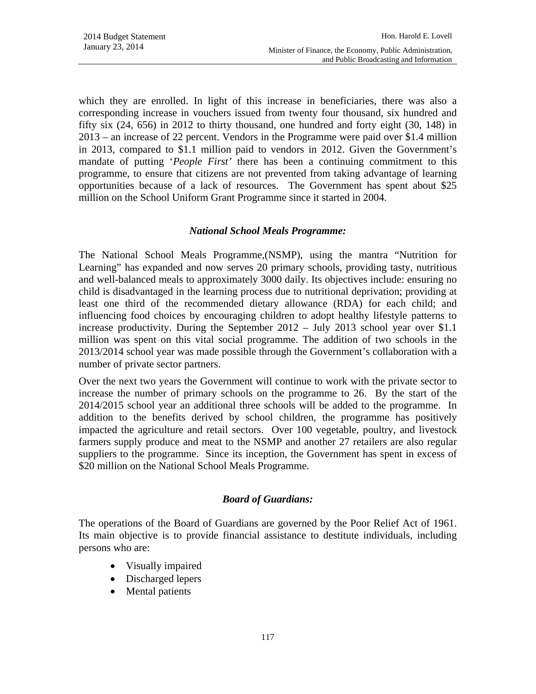which they are enrolled. In light of this increase in beneficiaries, there was also a corresponding increase in vouchers issued from twenty four thousand, six hundred and fifty six (24, 656) in 2012 to thirty thousand, one hundred and forty eight (30, 148) in 2013 – an increase of 22 percent. Vendors in the Programme were paid over \$1.4 million in 2013, compared to \$1.1 million paid to vendors in 2012. Given the Government's mandate of putting '*People First'* there has been a continuing commitment to this programme, to ensure that citizens are not prevented from taking advantage of learning opportunities because of a lack of resources. The Government has spent about \$25 million on the School Uniform Grant Programme since it started in 2004.

### *National School Meals Programme:*

The National School Meals Programme,(NSMP), using the mantra "Nutrition for Learning" has expanded and now serves 20 primary schools, providing tasty, nutritious and well-balanced meals to approximately 3000 daily. Its objectives include: ensuring no child is disadvantaged in the learning process due to nutritional deprivation; providing at least one third of the recommended dietary allowance (RDA) for each child; and influencing food choices by encouraging children to adopt healthy lifestyle patterns to increase productivity. During the September 2012 – July 2013 school year over \$1.1 million was spent on this vital social programme. The addition of two schools in the 2013/2014 school year was made possible through the Government's collaboration with a number of private sector partners.

Over the next two years the Government will continue to work with the private sector to increase the number of primary schools on the programme to 26. By the start of the 2014/2015 school year an additional three schools will be added to the programme. In addition to the benefits derived by school children, the programme has positively impacted the agriculture and retail sectors. Over 100 vegetable, poultry, and livestock farmers supply produce and meat to the NSMP and another 27 retailers are also regular suppliers to the programme. Since its inception, the Government has spent in excess of \$20 million on the National School Meals Programme.

## *Board of Guardians:*

The operations of the Board of Guardians are governed by the Poor Relief Act of 1961. Its main objective is to provide financial assistance to destitute individuals, including persons who are:

- Visually impaired
- Discharged lepers
- Mental patients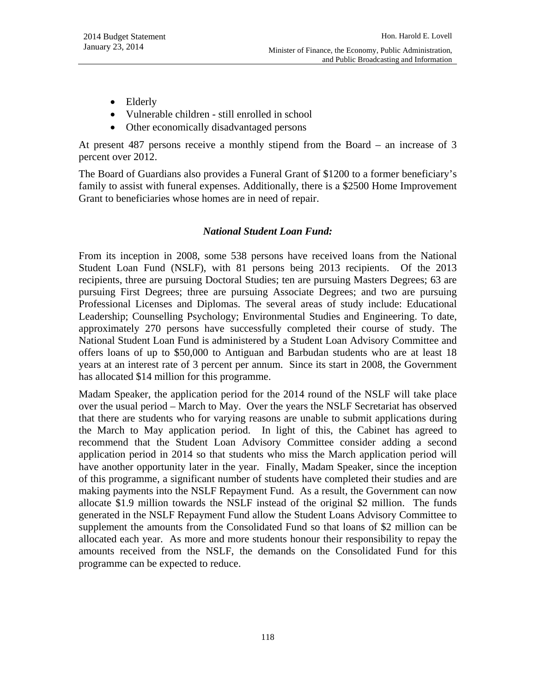- Elderly
- Vulnerable children still enrolled in school
- Other economically disadvantaged persons

At present 487 persons receive a monthly stipend from the Board – an increase of 3 percent over 2012.

The Board of Guardians also provides a Funeral Grant of \$1200 to a former beneficiary's family to assist with funeral expenses. Additionally, there is a \$2500 Home Improvement Grant to beneficiaries whose homes are in need of repair.

#### *National Student Loan Fund:*

From its inception in 2008, some 538 persons have received loans from the National Student Loan Fund (NSLF), with 81 persons being 2013 recipients. Of the 2013 recipients, three are pursuing Doctoral Studies; ten are pursuing Masters Degrees; 63 are pursuing First Degrees; three are pursuing Associate Degrees; and two are pursuing Professional Licenses and Diplomas. The several areas of study include: Educational Leadership; Counselling Psychology; Environmental Studies and Engineering. To date, approximately 270 persons have successfully completed their course of study. The National Student Loan Fund is administered by a Student Loan Advisory Committee and offers loans of up to \$50,000 to Antiguan and Barbudan students who are at least 18 years at an interest rate of 3 percent per annum. Since its start in 2008, the Government has allocated \$14 million for this programme.

Madam Speaker, the application period for the 2014 round of the NSLF will take place over the usual period – March to May. Over the years the NSLF Secretariat has observed that there are students who for varying reasons are unable to submit applications during the March to May application period. In light of this, the Cabinet has agreed to recommend that the Student Loan Advisory Committee consider adding a second application period in 2014 so that students who miss the March application period will have another opportunity later in the year. Finally, Madam Speaker, since the inception of this programme, a significant number of students have completed their studies and are making payments into the NSLF Repayment Fund. As a result, the Government can now allocate \$1.9 million towards the NSLF instead of the original \$2 million. The funds generated in the NSLF Repayment Fund allow the Student Loans Advisory Committee to supplement the amounts from the Consolidated Fund so that loans of \$2 million can be allocated each year. As more and more students honour their responsibility to repay the amounts received from the NSLF, the demands on the Consolidated Fund for this programme can be expected to reduce.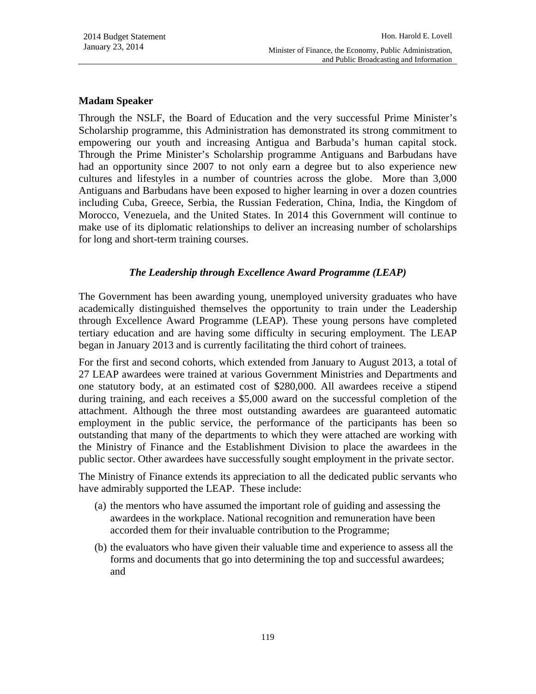#### **Madam Speaker**

Through the NSLF, the Board of Education and the very successful Prime Minister's Scholarship programme, this Administration has demonstrated its strong commitment to empowering our youth and increasing Antigua and Barbuda's human capital stock. Through the Prime Minister's Scholarship programme Antiguans and Barbudans have had an opportunity since 2007 to not only earn a degree but to also experience new cultures and lifestyles in a number of countries across the globe. More than 3,000 Antiguans and Barbudans have been exposed to higher learning in over a dozen countries including Cuba, Greece, Serbia, the Russian Federation, China, India, the Kingdom of Morocco, Venezuela, and the United States. In 2014 this Government will continue to make use of its diplomatic relationships to deliver an increasing number of scholarships for long and short-term training courses.

## *The Leadership through Excellence Award Programme (LEAP)*

The Government has been awarding young, unemployed university graduates who have academically distinguished themselves the opportunity to train under the Leadership through Excellence Award Programme (LEAP). These young persons have completed tertiary education and are having some difficulty in securing employment. The LEAP began in January 2013 and is currently facilitating the third cohort of trainees.

For the first and second cohorts, which extended from January to August 2013, a total of 27 LEAP awardees were trained at various Government Ministries and Departments and one statutory body, at an estimated cost of \$280,000. All awardees receive a stipend during training, and each receives a \$5,000 award on the successful completion of the attachment. Although the three most outstanding awardees are guaranteed automatic employment in the public service, the performance of the participants has been so outstanding that many of the departments to which they were attached are working with the Ministry of Finance and the Establishment Division to place the awardees in the public sector. Other awardees have successfully sought employment in the private sector.

The Ministry of Finance extends its appreciation to all the dedicated public servants who have admirably supported the LEAP. These include:

- (a) the mentors who have assumed the important role of guiding and assessing the awardees in the workplace. National recognition and remuneration have been accorded them for their invaluable contribution to the Programme;
- (b) the evaluators who have given their valuable time and experience to assess all the forms and documents that go into determining the top and successful awardees; and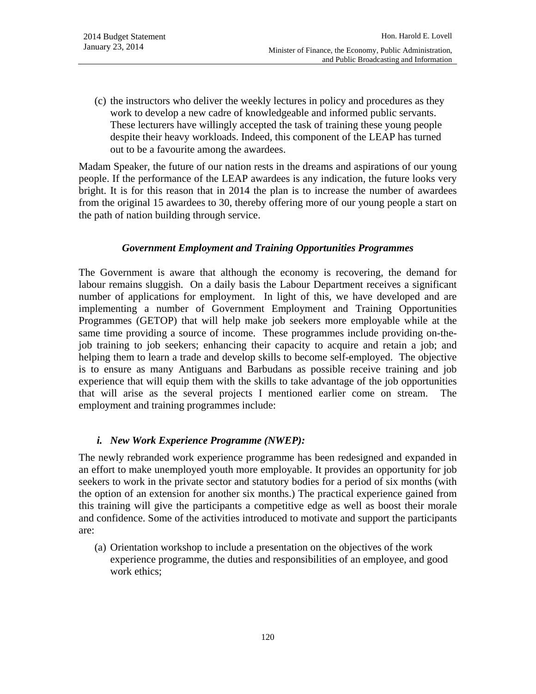(c) the instructors who deliver the weekly lectures in policy and procedures as they work to develop a new cadre of knowledgeable and informed public servants. These lecturers have willingly accepted the task of training these young people despite their heavy workloads. Indeed, this component of the LEAP has turned out to be a favourite among the awardees.

Madam Speaker, the future of our nation rests in the dreams and aspirations of our young people. If the performance of the LEAP awardees is any indication, the future looks very bright. It is for this reason that in 2014 the plan is to increase the number of awardees from the original 15 awardees to 30, thereby offering more of our young people a start on the path of nation building through service.

### *Government Employment and Training Opportunities Programmes*

The Government is aware that although the economy is recovering, the demand for labour remains sluggish. On a daily basis the Labour Department receives a significant number of applications for employment. In light of this, we have developed and are implementing a number of Government Employment and Training Opportunities Programmes (GETOP) that will help make job seekers more employable while at the same time providing a source of income. These programmes include providing on-thejob training to job seekers; enhancing their capacity to acquire and retain a job; and helping them to learn a trade and develop skills to become self-employed. The objective is to ensure as many Antiguans and Barbudans as possible receive training and job experience that will equip them with the skills to take advantage of the job opportunities that will arise as the several projects I mentioned earlier come on stream. The employment and training programmes include:

#### *i. New Work Experience Programme (NWEP):*

The newly rebranded work experience programme has been redesigned and expanded in an effort to make unemployed youth more employable. It provides an opportunity for job seekers to work in the private sector and statutory bodies for a period of six months (with the option of an extension for another six months.) The practical experience gained from this training will give the participants a competitive edge as well as boost their morale and confidence. Some of the activities introduced to motivate and support the participants are:

(a) Orientation workshop to include a presentation on the objectives of the work experience programme, the duties and responsibilities of an employee, and good work ethics;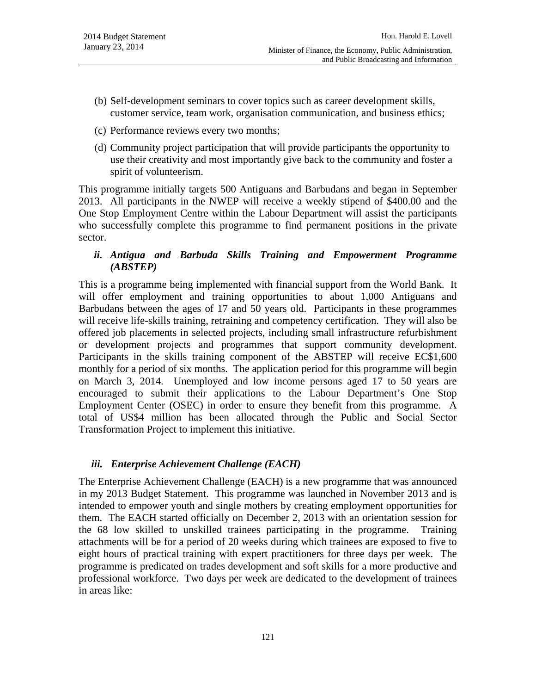- (b) Self-development seminars to cover topics such as career development skills, customer service, team work, organisation communication, and business ethics;
- (c) Performance reviews every two months;
- (d) Community project participation that will provide participants the opportunity to use their creativity and most importantly give back to the community and foster a spirit of volunteerism.

This programme initially targets 500 Antiguans and Barbudans and began in September 2013. All participants in the NWEP will receive a weekly stipend of \$400.00 and the One Stop Employment Centre within the Labour Department will assist the participants who successfully complete this programme to find permanent positions in the private sector.

### *ii. Antigua and Barbuda Skills Training and Empowerment Programme (ABSTEP)*

This is a programme being implemented with financial support from the World Bank. It will offer employment and training opportunities to about 1,000 Antiguans and Barbudans between the ages of 17 and 50 years old. Participants in these programmes will receive life-skills training, retraining and competency certification. They will also be offered job placements in selected projects, including small infrastructure refurbishment or development projects and programmes that support community development. Participants in the skills training component of the ABSTEP will receive EC\$1,600 monthly for a period of six months. The application period for this programme will begin on March 3, 2014. Unemployed and low income persons aged 17 to 50 years are encouraged to submit their applications to the Labour Department's One Stop Employment Center (OSEC) in order to ensure they benefit from this programme. A total of US\$4 million has been allocated through the Public and Social Sector Transformation Project to implement this initiative.

#### *iii. Enterprise Achievement Challenge (EACH)*

The Enterprise Achievement Challenge (EACH) is a new programme that was announced in my 2013 Budget Statement. This programme was launched in November 2013 and is intended to empower youth and single mothers by creating employment opportunities for them. The EACH started officially on December 2, 2013 with an orientation session for the 68 low skilled to unskilled trainees participating in the programme. Training attachments will be for a period of 20 weeks during which trainees are exposed to five to eight hours of practical training with expert practitioners for three days per week. The programme is predicated on trades development and soft skills for a more productive and professional workforce. Two days per week are dedicated to the development of trainees in areas like: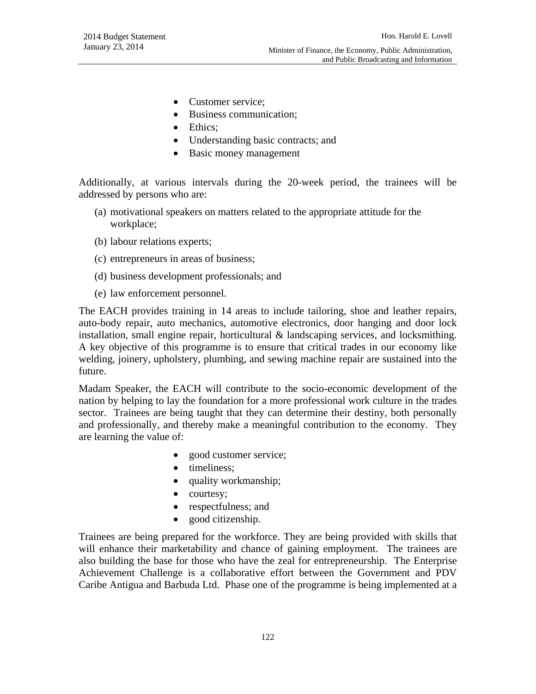- Customer service;
- Business communication;
- Ethics;
- Understanding basic contracts; and
- Basic money management

Additionally, at various intervals during the 20-week period, the trainees will be addressed by persons who are:

- (a) motivational speakers on matters related to the appropriate attitude for the workplace;
- (b) labour relations experts;
- (c) entrepreneurs in areas of business;
- (d) business development professionals; and
- (e) law enforcement personnel.

The EACH provides training in 14 areas to include tailoring, shoe and leather repairs, auto-body repair, auto mechanics, automotive electronics, door hanging and door lock installation, small engine repair, horticultural  $\&$  landscaping services, and locksmithing. A key objective of this programme is to ensure that critical trades in our economy like welding, joinery, upholstery, plumbing, and sewing machine repair are sustained into the future.

Madam Speaker, the EACH will contribute to the socio-economic development of the nation by helping to lay the foundation for a more professional work culture in the trades sector. Trainees are being taught that they can determine their destiny, both personally and professionally, and thereby make a meaningful contribution to the economy. They are learning the value of:

- good customer service;
- timeliness;
- quality workmanship;
- courtesy;
- respectfulness; and
- good citizenship.

Trainees are being prepared for the workforce. They are being provided with skills that will enhance their marketability and chance of gaining employment. The trainees are also building the base for those who have the zeal for entrepreneurship. The Enterprise Achievement Challenge is a collaborative effort between the Government and PDV Caribe Antigua and Barbuda Ltd. Phase one of the programme is being implemented at a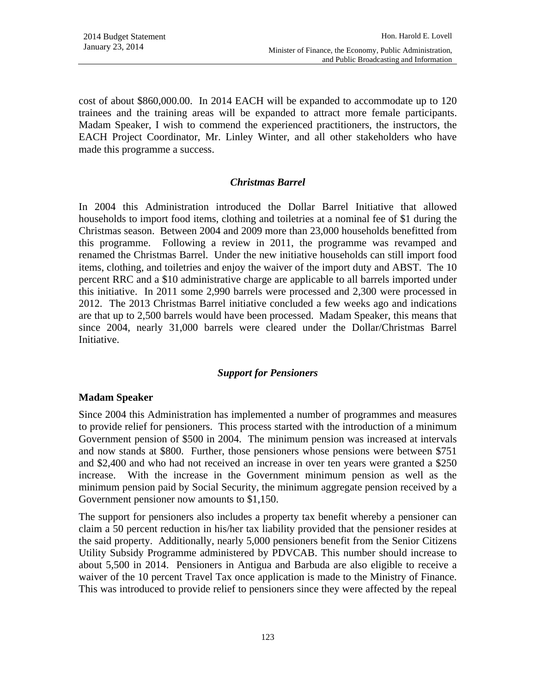cost of about \$860,000.00. In 2014 EACH will be expanded to accommodate up to 120 trainees and the training areas will be expanded to attract more female participants. Madam Speaker, I wish to commend the experienced practitioners, the instructors, the EACH Project Coordinator, Mr. Linley Winter, and all other stakeholders who have made this programme a success.

#### *Christmas Barrel*

In 2004 this Administration introduced the Dollar Barrel Initiative that allowed households to import food items, clothing and toiletries at a nominal fee of \$1 during the Christmas season. Between 2004 and 2009 more than 23,000 households benefitted from this programme. Following a review in 2011, the programme was revamped and renamed the Christmas Barrel. Under the new initiative households can still import food items, clothing, and toiletries and enjoy the waiver of the import duty and ABST. The 10 percent RRC and a \$10 administrative charge are applicable to all barrels imported under this initiative. In 2011 some 2,990 barrels were processed and 2,300 were processed in 2012. The 2013 Christmas Barrel initiative concluded a few weeks ago and indications are that up to 2,500 barrels would have been processed. Madam Speaker, this means that since 2004, nearly 31,000 barrels were cleared under the Dollar/Christmas Barrel Initiative.

#### *Support for Pensioners*

#### **Madam Speaker**

Since 2004 this Administration has implemented a number of programmes and measures to provide relief for pensioners. This process started with the introduction of a minimum Government pension of \$500 in 2004. The minimum pension was increased at intervals and now stands at \$800. Further, those pensioners whose pensions were between \$751 and \$2,400 and who had not received an increase in over ten years were granted a \$250 increase. With the increase in the Government minimum pension as well as the minimum pension paid by Social Security, the minimum aggregate pension received by a Government pensioner now amounts to \$1,150.

The support for pensioners also includes a property tax benefit whereby a pensioner can claim a 50 percent reduction in his/her tax liability provided that the pensioner resides at the said property. Additionally, nearly 5,000 pensioners benefit from the Senior Citizens Utility Subsidy Programme administered by PDVCAB. This number should increase to about 5,500 in 2014. Pensioners in Antigua and Barbuda are also eligible to receive a waiver of the 10 percent Travel Tax once application is made to the Ministry of Finance. This was introduced to provide relief to pensioners since they were affected by the repeal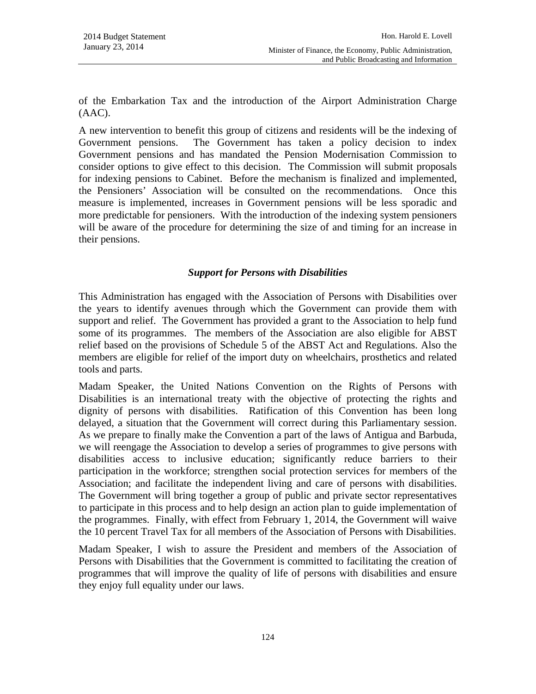of the Embarkation Tax and the introduction of the Airport Administration Charge  $(AAC)$ .

A new intervention to benefit this group of citizens and residents will be the indexing of Government pensions. The Government has taken a policy decision to index Government pensions and has mandated the Pension Modernisation Commission to consider options to give effect to this decision. The Commission will submit proposals for indexing pensions to Cabinet. Before the mechanism is finalized and implemented, the Pensioners' Association will be consulted on the recommendations. Once this measure is implemented, increases in Government pensions will be less sporadic and more predictable for pensioners. With the introduction of the indexing system pensioners will be aware of the procedure for determining the size of and timing for an increase in their pensions.

## *Support for Persons with Disabilities*

This Administration has engaged with the Association of Persons with Disabilities over the years to identify avenues through which the Government can provide them with support and relief. The Government has provided a grant to the Association to help fund some of its programmes. The members of the Association are also eligible for ABST relief based on the provisions of Schedule 5 of the ABST Act and Regulations. Also the members are eligible for relief of the import duty on wheelchairs, prosthetics and related tools and parts.

Madam Speaker, the United Nations Convention on the Rights of Persons with Disabilities is an international treaty with the objective of protecting the rights and dignity of persons with disabilities. Ratification of this Convention has been long delayed, a situation that the Government will correct during this Parliamentary session. As we prepare to finally make the Convention a part of the laws of Antigua and Barbuda, we will reengage the Association to develop a series of programmes to give persons with disabilities access to inclusive education; significantly reduce barriers to their participation in the workforce; strengthen social protection services for members of the Association; and facilitate the independent living and care of persons with disabilities. The Government will bring together a group of public and private sector representatives to participate in this process and to help design an action plan to guide implementation of the programmes. Finally, with effect from February 1, 2014, the Government will waive the 10 percent Travel Tax for all members of the Association of Persons with Disabilities.

Madam Speaker, I wish to assure the President and members of the Association of Persons with Disabilities that the Government is committed to facilitating the creation of programmes that will improve the quality of life of persons with disabilities and ensure they enjoy full equality under our laws.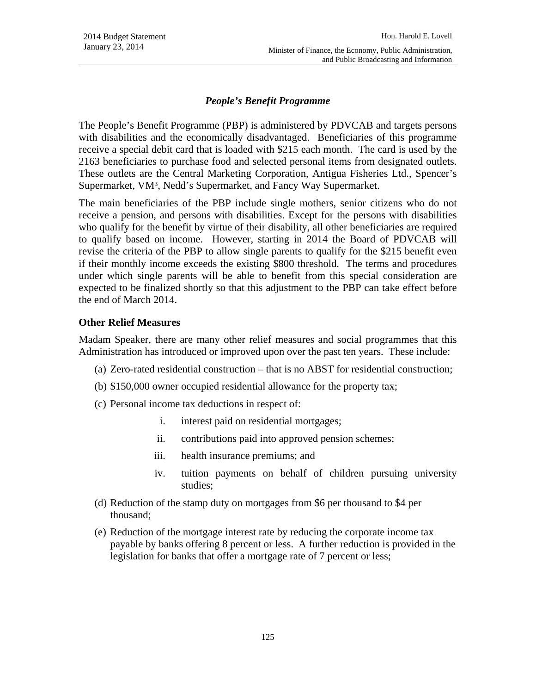### *People's Benefit Programme*

The People's Benefit Programme (PBP) is administered by PDVCAB and targets persons with disabilities and the economically disadvantaged. Beneficiaries of this programme receive a special debit card that is loaded with \$215 each month. The card is used by the 2163 beneficiaries to purchase food and selected personal items from designated outlets. These outlets are the Central Marketing Corporation, Antigua Fisheries Ltd., Spencer's Supermarket, VM³, Nedd's Supermarket, and Fancy Way Supermarket.

The main beneficiaries of the PBP include single mothers, senior citizens who do not receive a pension, and persons with disabilities. Except for the persons with disabilities who qualify for the benefit by virtue of their disability, all other beneficiaries are required to qualify based on income. However, starting in 2014 the Board of PDVCAB will revise the criteria of the PBP to allow single parents to qualify for the \$215 benefit even if their monthly income exceeds the existing \$800 threshold. The terms and procedures under which single parents will be able to benefit from this special consideration are expected to be finalized shortly so that this adjustment to the PBP can take effect before the end of March 2014.

#### **Other Relief Measures**

Madam Speaker, there are many other relief measures and social programmes that this Administration has introduced or improved upon over the past ten years. These include:

- (a) Zero-rated residential construction that is no ABST for residential construction;
- (b) \$150,000 owner occupied residential allowance for the property tax;
- (c) Personal income tax deductions in respect of:
	- i. interest paid on residential mortgages;
	- ii. contributions paid into approved pension schemes;
	- iii. health insurance premiums; and
	- iv. tuition payments on behalf of children pursuing university studies;
- (d) Reduction of the stamp duty on mortgages from \$6 per thousand to \$4 per thousand;
- (e) Reduction of the mortgage interest rate by reducing the corporate income tax payable by banks offering 8 percent or less. A further reduction is provided in the legislation for banks that offer a mortgage rate of 7 percent or less;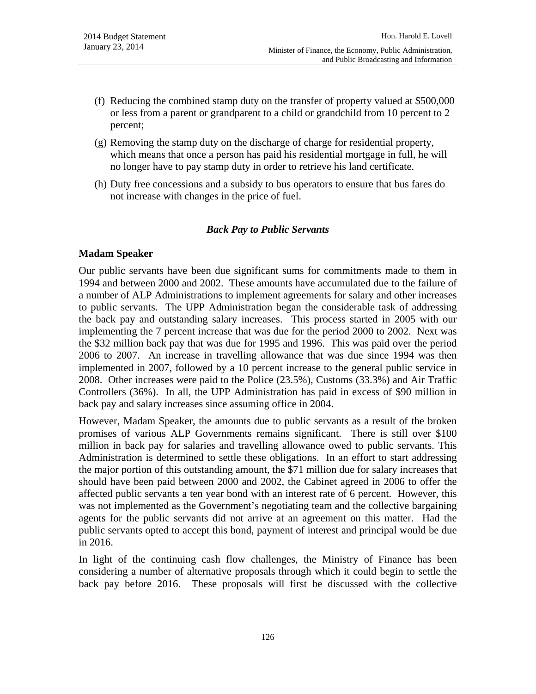- (f) Reducing the combined stamp duty on the transfer of property valued at \$500,000 or less from a parent or grandparent to a child or grandchild from 10 percent to 2 percent;
- (g) Removing the stamp duty on the discharge of charge for residential property, which means that once a person has paid his residential mortgage in full, he will no longer have to pay stamp duty in order to retrieve his land certificate.
- (h) Duty free concessions and a subsidy to bus operators to ensure that bus fares do not increase with changes in the price of fuel.

#### *Back Pay to Public Servants*

### **Madam Speaker**

Our public servants have been due significant sums for commitments made to them in 1994 and between 2000 and 2002. These amounts have accumulated due to the failure of a number of ALP Administrations to implement agreements for salary and other increases to public servants. The UPP Administration began the considerable task of addressing the back pay and outstanding salary increases. This process started in 2005 with our implementing the 7 percent increase that was due for the period 2000 to 2002. Next was the \$32 million back pay that was due for 1995 and 1996. This was paid over the period 2006 to 2007. An increase in travelling allowance that was due since 1994 was then implemented in 2007, followed by a 10 percent increase to the general public service in 2008. Other increases were paid to the Police (23.5%), Customs (33.3%) and Air Traffic Controllers (36%). In all, the UPP Administration has paid in excess of \$90 million in back pay and salary increases since assuming office in 2004.

However, Madam Speaker, the amounts due to public servants as a result of the broken promises of various ALP Governments remains significant. There is still over \$100 million in back pay for salaries and travelling allowance owed to public servants. This Administration is determined to settle these obligations. In an effort to start addressing the major portion of this outstanding amount, the \$71 million due for salary increases that should have been paid between 2000 and 2002, the Cabinet agreed in 2006 to offer the affected public servants a ten year bond with an interest rate of 6 percent. However, this was not implemented as the Government's negotiating team and the collective bargaining agents for the public servants did not arrive at an agreement on this matter. Had the public servants opted to accept this bond, payment of interest and principal would be due in 2016.

In light of the continuing cash flow challenges, the Ministry of Finance has been considering a number of alternative proposals through which it could begin to settle the back pay before 2016. These proposals will first be discussed with the collective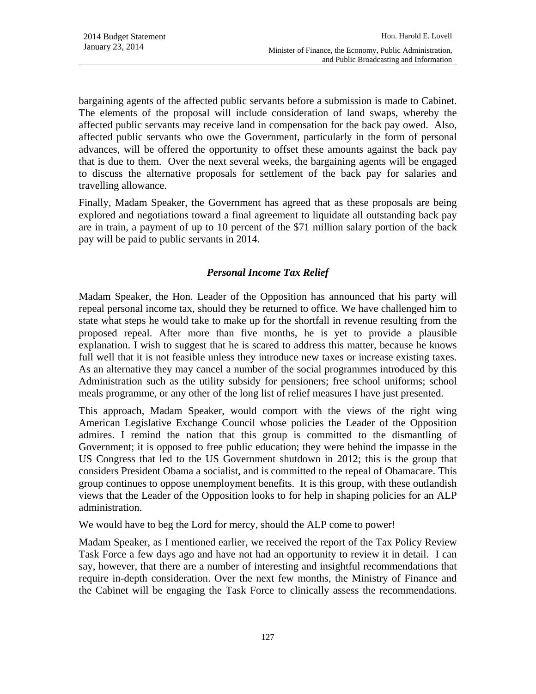bargaining agents of the affected public servants before a submission is made to Cabinet. The elements of the proposal will include consideration of land swaps, whereby the affected public servants may receive land in compensation for the back pay owed. Also, affected public servants who owe the Government, particularly in the form of personal advances, will be offered the opportunity to offset these amounts against the back pay that is due to them. Over the next several weeks, the bargaining agents will be engaged to discuss the alternative proposals for settlement of the back pay for salaries and travelling allowance.

Finally, Madam Speaker, the Government has agreed that as these proposals are being explored and negotiations toward a final agreement to liquidate all outstanding back pay are in train, a payment of up to 10 percent of the \$71 million salary portion of the back pay will be paid to public servants in 2014.

# *Personal Income Tax Relief*

Madam Speaker, the Hon. Leader of the Opposition has announced that his party will repeal personal income tax, should they be returned to office. We have challenged him to state what steps he would take to make up for the shortfall in revenue resulting from the proposed repeal. After more than five months, he is yet to provide a plausible explanation. I wish to suggest that he is scared to address this matter, because he knows full well that it is not feasible unless they introduce new taxes or increase existing taxes. As an alternative they may cancel a number of the social programmes introduced by this Administration such as the utility subsidy for pensioners; free school uniforms; school meals programme, or any other of the long list of relief measures I have just presented.

This approach, Madam Speaker, would comport with the views of the right wing American Legislative Exchange Council whose policies the Leader of the Opposition admires. I remind the nation that this group is committed to the dismantling of Government; it is opposed to free public education; they were behind the impasse in the US Congress that led to the US Government shutdown in 2012; this is the group that considers President Obama a socialist, and is committed to the repeal of Obamacare. This group continues to oppose unemployment benefits. It is this group, with these outlandish views that the Leader of the Opposition looks to for help in shaping policies for an ALP administration.

We would have to beg the Lord for mercy, should the ALP come to power!

Madam Speaker, as I mentioned earlier, we received the report of the Tax Policy Review Task Force a few days ago and have not had an opportunity to review it in detail. I can say, however, that there are a number of interesting and insightful recommendations that require in-depth consideration. Over the next few months, the Ministry of Finance and the Cabinet will be engaging the Task Force to clinically assess the recommendations.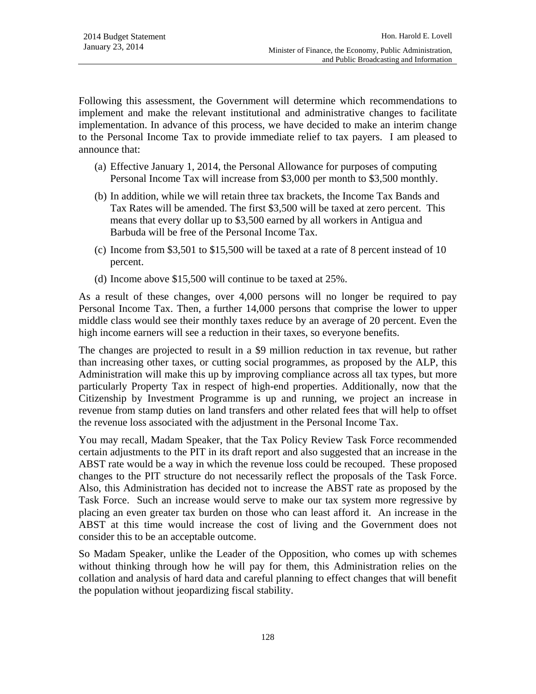Following this assessment, the Government will determine which recommendations to implement and make the relevant institutional and administrative changes to facilitate implementation. In advance of this process, we have decided to make an interim change to the Personal Income Tax to provide immediate relief to tax payers. I am pleased to announce that:

- (a) Effective January 1, 2014, the Personal Allowance for purposes of computing Personal Income Tax will increase from \$3,000 per month to \$3,500 monthly.
- (b) In addition, while we will retain three tax brackets, the Income Tax Bands and Tax Rates will be amended. The first \$3,500 will be taxed at zero percent. This means that every dollar up to \$3,500 earned by all workers in Antigua and Barbuda will be free of the Personal Income Tax.
- (c) Income from \$3,501 to \$15,500 will be taxed at a rate of 8 percent instead of 10 percent.
- (d) Income above \$15,500 will continue to be taxed at 25%.

As a result of these changes, over 4,000 persons will no longer be required to pay Personal Income Tax. Then, a further 14,000 persons that comprise the lower to upper middle class would see their monthly taxes reduce by an average of 20 percent. Even the high income earners will see a reduction in their taxes, so everyone benefits.

The changes are projected to result in a \$9 million reduction in tax revenue, but rather than increasing other taxes, or cutting social programmes, as proposed by the ALP, this Administration will make this up by improving compliance across all tax types, but more particularly Property Tax in respect of high-end properties. Additionally, now that the Citizenship by Investment Programme is up and running, we project an increase in revenue from stamp duties on land transfers and other related fees that will help to offset the revenue loss associated with the adjustment in the Personal Income Tax.

You may recall, Madam Speaker, that the Tax Policy Review Task Force recommended certain adjustments to the PIT in its draft report and also suggested that an increase in the ABST rate would be a way in which the revenue loss could be recouped. These proposed changes to the PIT structure do not necessarily reflect the proposals of the Task Force. Also, this Administration has decided not to increase the ABST rate as proposed by the Task Force. Such an increase would serve to make our tax system more regressive by placing an even greater tax burden on those who can least afford it. An increase in the ABST at this time would increase the cost of living and the Government does not consider this to be an acceptable outcome.

So Madam Speaker, unlike the Leader of the Opposition, who comes up with schemes without thinking through how he will pay for them, this Administration relies on the collation and analysis of hard data and careful planning to effect changes that will benefit the population without jeopardizing fiscal stability.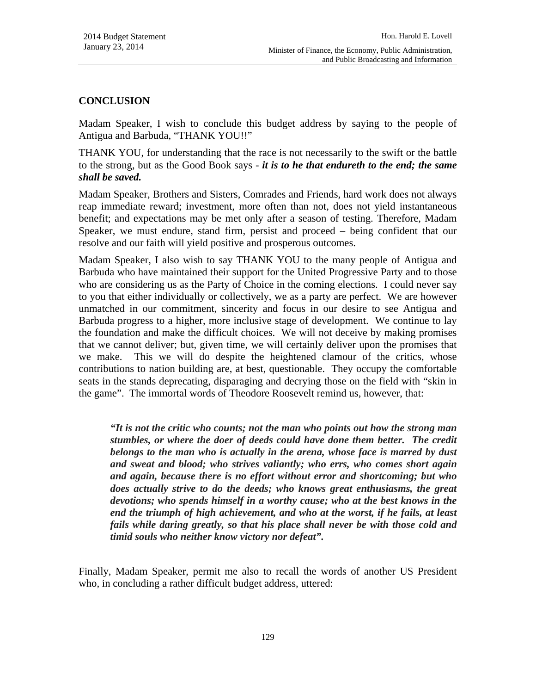# **CONCLUSION**

Madam Speaker, I wish to conclude this budget address by saying to the people of Antigua and Barbuda, "THANK YOU!!"

THANK YOU, for understanding that the race is not necessarily to the swift or the battle to the strong, but as the Good Book says - *it is to he that endureth to the end; the same shall be saved.* 

Madam Speaker, Brothers and Sisters, Comrades and Friends, hard work does not always reap immediate reward; investment, more often than not, does not yield instantaneous benefit; and expectations may be met only after a season of testing. Therefore, Madam Speaker, we must endure, stand firm, persist and proceed – being confident that our resolve and our faith will yield positive and prosperous outcomes.

Madam Speaker, I also wish to say THANK YOU to the many people of Antigua and Barbuda who have maintained their support for the United Progressive Party and to those who are considering us as the Party of Choice in the coming elections. I could never say to you that either individually or collectively, we as a party are perfect. We are however unmatched in our commitment, sincerity and focus in our desire to see Antigua and Barbuda progress to a higher, more inclusive stage of development. We continue to lay the foundation and make the difficult choices. We will not deceive by making promises that we cannot deliver; but, given time, we will certainly deliver upon the promises that we make. This we will do despite the heightened clamour of the critics, whose contributions to nation building are, at best, questionable. They occupy the comfortable seats in the stands deprecating, disparaging and decrying those on the field with "skin in the game". The immortal words of Theodore Roosevelt remind us, however, that:

*"It is not the critic who counts; not the man who points out how the strong man stumbles, or where the doer of deeds could have done them better. The credit belongs to the man who is actually in the arena, whose face is marred by dust and sweat and blood; who strives valiantly; who errs, who comes short again and again, because there is no effort without error and shortcoming; but who does actually strive to do the deeds; who knows great enthusiasms, the great devotions; who spends himself in a worthy cause; who at the best knows in the end the triumph of high achievement, and who at the worst, if he fails, at least fails while daring greatly, so that his place shall never be with those cold and timid souls who neither know victory nor defeat".* 

Finally, Madam Speaker, permit me also to recall the words of another US President who, in concluding a rather difficult budget address, uttered: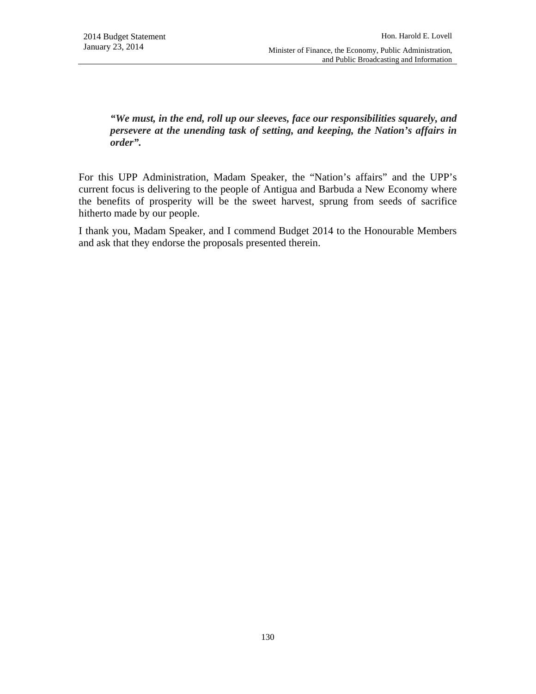*"We must, in the end, roll up our sleeves, face our responsibilities squarely, and persevere at the unending task of setting, and keeping, the Nation's affairs in order".* 

For this UPP Administration, Madam Speaker, the "Nation's affairs" and the UPP's current focus is delivering to the people of Antigua and Barbuda a New Economy where the benefits of prosperity will be the sweet harvest, sprung from seeds of sacrifice hitherto made by our people.

I thank you, Madam Speaker, and I commend Budget 2014 to the Honourable Members and ask that they endorse the proposals presented therein.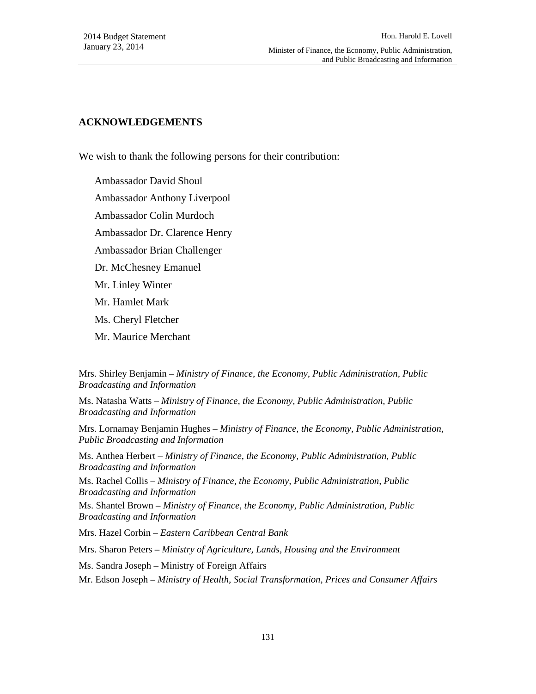and Public Broadcasting and Information

#### **ACKNOWLEDGEMENTS**

We wish to thank the following persons for their contribution:

Ambassador David Shoul Ambassador Anthony Liverpool Ambassador Colin Murdoch Ambassador Dr. Clarence Henry Ambassador Brian Challenger Dr. McChesney Emanuel Mr. Linley Winter Mr. Hamlet Mark Ms. Cheryl Fletcher Mr. Maurice Merchant

Mrs. Shirley Benjamin – *Ministry of Finance, the Economy, Public Administration, Public Broadcasting and Information*

Ms. Natasha Watts – *Ministry of Finance, the Economy, Public Administration, Public Broadcasting and Information*

Mrs. Lornamay Benjamin Hughes – *Ministry of Finance, the Economy, Public Administration, Public Broadcasting and Information*

Ms. Anthea Herbert – *Ministry of Finance, the Economy, Public Administration, Public Broadcasting and Information*

Ms. Rachel Collis – *Ministry of Finance, the Economy, Public Administration, Public Broadcasting and Information*

Ms. Shantel Brown – *Ministry of Finance, the Economy, Public Administration, Public Broadcasting and Information*

Mrs. Hazel Corbin – *Eastern Caribbean Central Bank*

Mrs. Sharon Peters – *Ministry of Agriculture, Lands, Housing and the Environment*

Ms. Sandra Joseph – Ministry of Foreign Affairs

Mr. Edson Joseph – *Ministry of Health, Social Transformation, Prices and Consumer Affairs*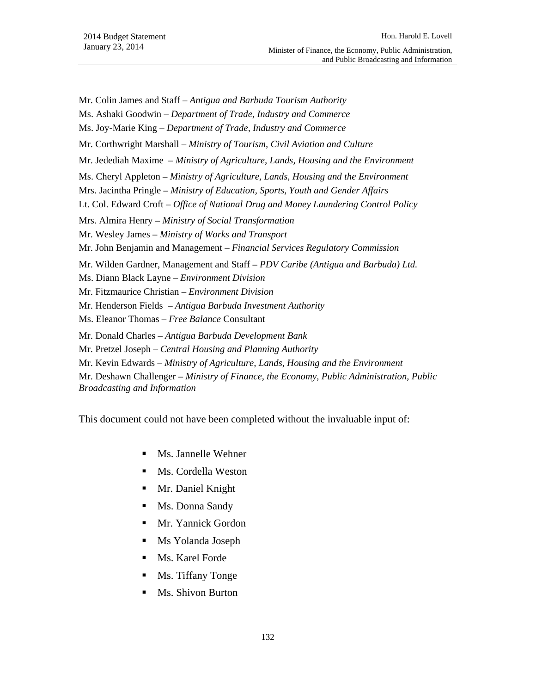- Mr. Colin James and Staff *Antigua and Barbuda Tourism Authority*
- Ms. Ashaki Goodwin *Department of Trade, Industry and Commerce*
- Ms. Joy-Marie King *Department of Trade, Industry and Commerce*
- Mr. Corthwright Marshall *Ministry of Tourism, Civil Aviation and Culture*
- Mr. Jedediah Maxime *Ministry of Agriculture, Lands, Housing and the Environment*
- Ms. Cheryl Appleton *Ministry of Agriculture, Lands, Housing and the Environment*
- Mrs. Jacintha Pringle *Ministry of Education, Sports, Youth and Gender Affairs*
- Lt. Col. Edward Croft *Office of National Drug and Money Laundering Control Policy*
- Mrs. Almira Henry *Ministry of Social Transformation*
- Mr. Wesley James *Ministry of Works and Transport*
- Mr. John Benjamin and Management *Financial Services Regulatory Commission*
- Mr. Wilden Gardner, Management and Staff *PDV Caribe (Antigua and Barbuda) Ltd.*
- Ms. Diann Black Layne *Environment Division*
- Mr. Fitzmaurice Christian *Environment Division*
- Mr. Henderson Fields *Antigua Barbuda Investment Authority*
- Ms. Eleanor Thomas *Free Balance* Consultant
- Mr. Donald Charles *Antigua Barbuda Development Bank*
- Mr. Pretzel Joseph *Central Housing and Planning Authority*
- Mr. Kevin Edwards *Ministry of Agriculture, Lands, Housing and the Environment*
- Mr. Deshawn Challenger *Ministry of Finance, the Economy, Public Administration, Public Broadcasting and Information*
- This document could not have been completed without the invaluable input of:
	- Ms. Jannelle Wehner
	- **Ms. Cordella Weston**
	- Mr. Daniel Knight
	- Ms. Donna Sandy
	- **Mr.** Yannick Gordon
	- Ms Yolanda Joseph
	- Ms. Karel Forde
	- Ms. Tiffany Tonge
	- Ms. Shivon Burton